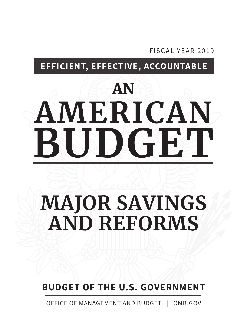FISCAL YEAR 2019

**EFFICIENT, EFFECTIVE, ACCOUNTABLE**

# AN **AMERICAN BUDGET**

# **MAJOR SAVINGS AND REFORMS**

**BUDGET OF THE U.S. GOVERNMENT**

OFFICE OF MANAGEMENT AND BUDGET | OMB.GOV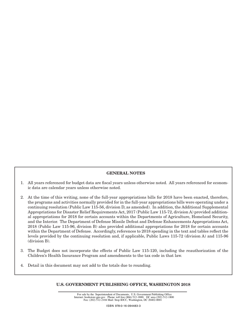# **GENERAL NOTES**

- 1. All years referenced for budget data are fiscal years unless otherwise noted. All years referenced for economic data are calendar years unless otherwise noted.
- 2. At the time of this writing, none of the full-year appropriations bills for 2018 have been enacted, therefore, the programs and activities normally provided for in the full-year appropriations bills were operating under a continuing resolution (Public Law 115-56, division D, as amended). In addition, the Additional Supplemental Appropriations for Disaster Relief Requirements Act, 2017 (Public Law 115-72, division A) provided additional appropriations for 2018 for certain accounts within the Departments of Agriculture, Homeland Security, and the Interior. The Department of Defense Missile Defeat and Defense Enhancements Appropriations Act, 2018 (Public Law 115-96, division B) also provided additional appropriations for 2018 for certain accounts within the Department of Defense. Accordingly, references to 2018 spending in the text and tables reflect the levels provided by the continuing resolution and, if applicable, Public Laws 115-72 (division A) and 115-96 (division B).
- The Budget does not incorporate the effects of Public Law 115-120, including the reauthorization of the 3. Children's Health Insurance Program and amendments to the tax code in that law.
- 4. Detail in this document may not add to the totals due to rounding.

# U.S. GOVERNMENT PUBLISHING OFFICE, WASHINGTON 2018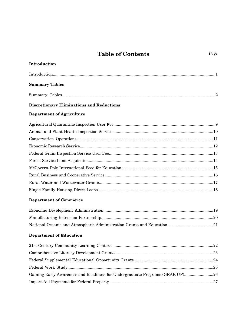# **Table of Contents** Page

| Introduction                                                                 |
|------------------------------------------------------------------------------|
|                                                                              |
| <b>Summary Tables</b>                                                        |
|                                                                              |
| <b>Discretionary Eliminations and Reductions</b>                             |
| <b>Department of Agriculture</b>                                             |
|                                                                              |
|                                                                              |
|                                                                              |
|                                                                              |
|                                                                              |
|                                                                              |
|                                                                              |
|                                                                              |
|                                                                              |
|                                                                              |
| <b>Department of Commerce</b>                                                |
|                                                                              |
|                                                                              |
|                                                                              |
| <b>Department of Education</b>                                               |
|                                                                              |
|                                                                              |
|                                                                              |
|                                                                              |
| Gaining Early Awareness and Readiness for Undergraduate Programs (GEAR UP)26 |

[Impact Aid Payments for Federal Property.............................................................................................27](#page-36-0)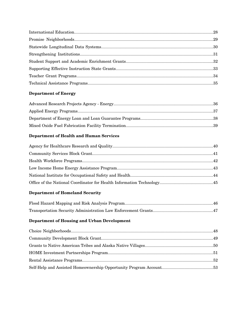# **Department of Energy**

# **Department of Health and Human Services**

# **Department of Homeland Security**

# **Department of Housing and Urban Development**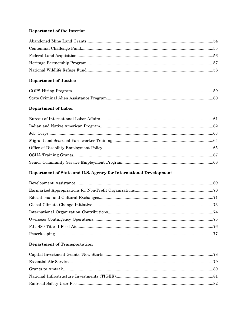# Department of the Interior

# **Department of Justice**

# Department of Labor

# Department of State and U.S. Agency for International Development

# **Department of Transportation**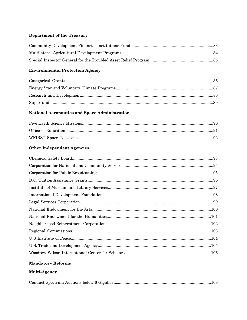# **Department of the Treasury**

# **Environmental Protection Agency**

# National Aeronautics and Space Administration

# **Other Independent Agencies**

# **Mandatory Reforms**

# Multi-Agency

|--|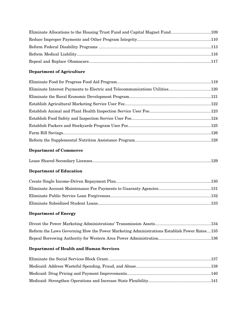# **Department of Agriculture**

# **Department of Commerce**

|--|--|--|--|--|

# **Department of Education**

# **Department of Energy**

| Reform the Laws Governing How the Power Marketing Administrations Establish Power Rates135 |  |
|--------------------------------------------------------------------------------------------|--|
|                                                                                            |  |

# **Department of Health and Human Services**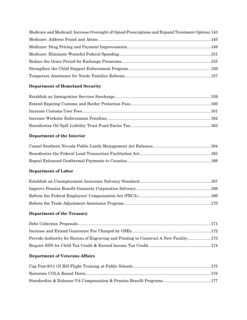| Medicare and Medicaid: Increase Oversight of Opioid Prescriptions and Expand Treatment Options.143 |  |
|----------------------------------------------------------------------------------------------------|--|
|                                                                                                    |  |
|                                                                                                    |  |
|                                                                                                    |  |
|                                                                                                    |  |
|                                                                                                    |  |
|                                                                                                    |  |

# **Department of Homeland Security**

# **Department of the Interior**

# **Department of Labor**

# **Department of the Treasury**

| Provide Authority for Bureau of Engraving and Printing to Construct A New Facility173 |  |
|---------------------------------------------------------------------------------------|--|
|                                                                                       |  |

# **Department of Veterans Affairs**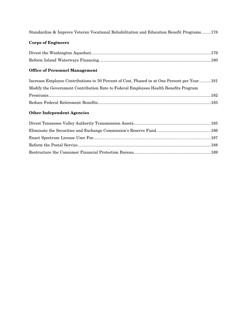[Standardize & Improve Veteran Vocational Rehabilitation and Education Benefit Programs.........178](#page-187-0)

# **Corps of Engineers**

# **Office of Personnel Management**

| Increase Employee Contributions to 50 Percent of Cost, Phased in at One Percent per Year181 |  |
|---------------------------------------------------------------------------------------------|--|
| Modify the Government Contribution Rate to Federal Employees Health Benefits Program        |  |
|                                                                                             |  |
|                                                                                             |  |

# **Other Independent Agencies**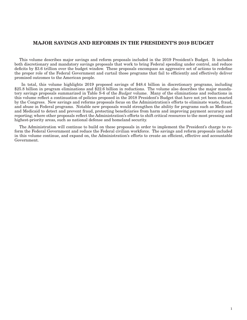# <span id="page-10-0"></span>MAJOR SAVINGS AND REFORMS IN THE PRESIDENT'S 2019 BUDGET

This volume describes major savings and reform proposals included in the 2019 President's Budget. It includes both discretionary and mandatory savings proposals that work to bring Federal spending under control, and reduce deficits by \$3.6 trillion over the budget window. These proposals encompass an aggressive set of actions to redefine the proper role of the Federal Government and curtail those programs that fail to efficiently and effectively deliver promised outcomes to the American people.

 In total, this volume highlights 2019 proposed savings of \$48.4 billion in discretionary programs, including \$25.8 billion in program eliminations and \$22.6 billion in reductions. The volume also describes the major mandatory savings proposals summarized in Table S-6 of the *Budget* volume. Many of the eliminations and reductions in this volume reflect a continuation of policies proposed in the 2018 President's Budget that have not yet been enacted by the Congress. New savings and reforms proposals focus on the Administration's efforts to eliminate waste, fraud, and abuse in Federal programs. Notable new proposals would strengthen the ability for programs such as Medicare and Medicaid to detect and prevent fraud, protecting beneficiaries from harm and improving payment accuracy and reporting; where other proposals reflect the Administration's efforts to shift critical resources to the most pressing and highest-priority areas, such as national defense and homeland security.

The Administration will continue to build on these proposals in order to implement the President's charge to reform the Federal Government and reduce the Federal civilian workforce. The savings and reform proposals included in this volume continue, and expand on, the Administration's efforts to create an efficient, effective and accountable Government.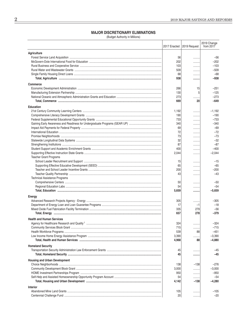### **MAJOR DISCRETIONARY ELIMINATIONS**

(Budget Authority in Millions)

<span id="page-11-0"></span>

|                                      | 2017 Enacted   2019 Request |        | 2019 Change<br>from 2017 |
|--------------------------------------|-----------------------------|--------|--------------------------|
| <b>Agriculture</b>                   |                             |        |                          |
|                                      | 56                          |        | $-56$                    |
|                                      | 202                         |        | $-202$                   |
|                                      | 103                         | .      | $-103$                   |
|                                      | 509                         |        | $-509$                   |
|                                      | 68                          | .      | $-68$                    |
|                                      | 938                         |        | $-938$                   |
| <b>Commerce</b>                      |                             |        |                          |
|                                      | 266                         | 15     | $-251$                   |
|                                      | 130                         | 5      | $-125$                   |
|                                      | 273                         |        | $-273$                   |
|                                      | 669                         | 20     | $-649$                   |
| <b>Education</b>                     |                             |        |                          |
|                                      | 1,192                       |        | $-1,192$                 |
|                                      | 190                         |        | $-190$                   |
|                                      | 733                         |        | $-733$                   |
|                                      | 340                         |        | $-340$                   |
|                                      | 69                          | .      | $-69$                    |
|                                      | 72                          |        | $-72$<br>$-73$           |
|                                      | 73<br>32                    | .      | $-32$                    |
|                                      | 87                          |        | $-87$                    |
|                                      | 400                         |        | $-400$                   |
|                                      | 2,044                       | <br>   | $-2,044$                 |
| <b>Teacher Grant Programs</b>        |                             |        |                          |
|                                      | 15                          | .      | $-15$                    |
|                                      | 65                          | .      | $-65$                    |
|                                      | 200                         | .      | $-200$                   |
|                                      | 43                          | .      | $-43$                    |
| <b>Technical Assistance Programs</b> |                             |        |                          |
|                                      | 50                          | .      | $-50$                    |
|                                      | 54                          |        | $-54$                    |
|                                      | 5,659                       |        | $-5,659$                 |
| Energy                               |                             |        |                          |
|                                      | 305                         | .      | -305                     |
|                                      | 17                          | $-1$   | $-18$                    |
|                                      | 335                         | 279    | $-56$                    |
|                                      | 657                         | 278    | -379                     |
| <b>Health and Human Services</b>     |                             |        |                          |
|                                      | 324                         |        | $-324$                   |
|                                      | 715                         |        | $-715$                   |
|                                      | 539                         | 88     | $-451$                   |
|                                      | 3,390                       | .      | $-3,390$                 |
|                                      | 4,968                       | 88     | $-4,880$                 |
| <b>Homeland Security</b>             |                             |        |                          |
|                                      | 45                          | .      | -45                      |
|                                      | 45                          |        | -45                      |
| <b>Housing and Urban Development</b> |                             |        |                          |
|                                      | 138                         | $-138$ | $-276$                   |
|                                      | 3,000                       | .      | $-3,000$                 |
|                                      | 950                         | .      | $-950$                   |
|                                      | 54                          | .      | $-54$                    |
|                                      | 4,142                       | -138   | -4,280                   |
| <b>Interior</b>                      |                             |        |                          |
|                                      | 105                         |        | $-105$                   |
|                                      | 20                          |        | $-20$                    |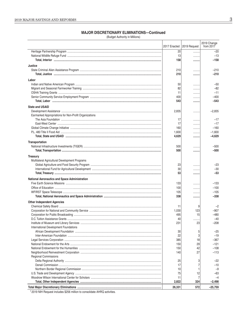(Budget Authority in Millions)

|                                                       |            |                             | 2019 Change      |
|-------------------------------------------------------|------------|-----------------------------|------------------|
|                                                       |            | 2017 Enacted   2019 Request | from 2017        |
|                                                       | 20         | .                           | $-20$            |
|                                                       | 13         | .                           | $-13$            |
|                                                       | 158        |                             | $-158$           |
| Justice                                               |            |                             |                  |
|                                                       | 210        |                             | $-210$           |
|                                                       | 210        |                             | $-210$           |
| Labor                                                 |            |                             |                  |
|                                                       | 50         |                             | $-50$            |
|                                                       | 82         | .                           | $-82$            |
|                                                       | 11         | .                           | $-11$            |
|                                                       | 400        |                             | $-400$           |
|                                                       | 543        |                             | $-543$           |
| <b>State and USAID</b>                                |            |                             |                  |
|                                                       | 2,835      |                             | $-2,835$         |
| Earmarked Appropriations for Non-Profit Organizations |            |                             |                  |
|                                                       | 17         |                             | $-17$            |
|                                                       | 17         | .                           | $-17$            |
|                                                       | 160        | .                           | $-160$           |
|                                                       | 1,600      | .                           | $-1,600$         |
|                                                       | 4,629      |                             | $-4,629$         |
| Transportation                                        |            |                             |                  |
|                                                       | 500        |                             | $-500$           |
|                                                       | 500        |                             | $-500$           |
| <b>Treasury</b>                                       |            |                             |                  |
| Multilateral Agricultural Development Programs        |            |                             |                  |
|                                                       | 23         | .                           | $-23$            |
|                                                       | 30         |                             | $-30$            |
|                                                       | 53         |                             | $-53$            |
| National Aeronautics and Space Administration         |            |                             |                  |
|                                                       | 133        |                             | $-133$           |
|                                                       | 100        | .                           | $-100$           |
|                                                       | 105        | .                           | $-105$           |
|                                                       | 338        |                             | $-338$           |
| <b>Other Independent Agencies</b>                     |            |                             |                  |
|                                                       | 11         | 9                           | $-2$             |
|                                                       | 1,030      | 123                         | $-907$           |
|                                                       | 495        | 15                          | $-480$           |
|                                                       | 40         |                             | $-40$            |
|                                                       | 231        | 23                          | $-208$           |
| International Development Foundations                 |            |                             |                  |
|                                                       | 30         | 5                           | $-25$            |
|                                                       | 22         | 3                           | $-19$            |
|                                                       | 385        | 18<br>29                    | $-367$<br>$-121$ |
|                                                       | 150<br>150 | 42                          | $-108$           |
|                                                       | 140        | 27                          | $-113$           |
| <b>Regional Commissions</b>                           |            |                             |                  |
|                                                       | 25         | 3                           | $-22$            |
|                                                       | 17         | 7                           | $-10$            |
|                                                       | 10         | 1                           | $-9$             |
|                                                       | 75         | 12                          | -63              |
|                                                       | 11         | 7                           | $-4$             |
|                                                       | 2,822      | 324                         | $-2.498$         |
|                                                       | 26,331     | 572                         | $-25,759$        |

<sup>1</sup> 2019 NIH Request includes \$256 million to consolidate AHRQ activities.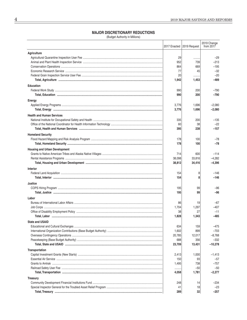### **MAJOR DISCRETIONARY REDUCTIONS**

(Budget Authority in Millions)

| Agriculture<br>29<br>-29<br><br>$-213$<br>952<br>739<br>$-195$<br>864<br>669<br>77<br>45<br>$-32$<br>20<br>$-20$<br><br>$-489$<br>1,942<br>1,453<br><b>Education</b><br>990<br>200<br>$-790$<br>$-790$<br>990<br>200<br>Energy<br>3,776<br>1,696<br>$-2,080$<br>3,776<br>1,696<br>$-2,080$<br><b>Health and Human Services</b><br>335<br>$-135$<br>200<br>$-22$<br>60<br>38<br>395<br>$-157$<br>238<br><b>Homeland Security</b><br>178<br>100<br>$-78$<br>-78<br>178<br>100<br><b>Housing and Urban Development</b><br>714<br>600<br>$-114$<br>$-4,282$<br>38,098<br>33,816<br>$-4,396$<br>38,812<br>34,416<br><b>Interior</b><br>$-146$<br>154<br>8<br>$-146$<br>154<br>8<br>Justice<br>195<br>99<br>$-96$<br>195<br>99<br>-96<br>Labor<br>86<br>19<br>-67<br>1,704<br>1,297<br>$-407$<br>38<br>27<br>-11<br>1,828<br>1,343<br>$-485$<br><b>State and USAID</b><br>634<br>159<br>-475<br>899<br>1,602<br>$-703$<br>20,785<br>12,017<br>$-8,768$<br>688<br>356<br>$-332$<br>$-10,278$<br>23,709<br>13,431<br>Transportation<br>1,000<br>$-1,413$<br>2,413<br>150<br>93<br>-57<br>738<br>$-757$<br>1,495<br>$-50$<br>$-50$<br>4,058<br>1,781<br>$-2,277$<br><b>Treasury</b><br>248<br>14<br>–234<br>41<br>18<br>-23<br>289<br>32<br>-257 |  | 2017 Enacted   2019 Request | 2019 Change<br>from 2017 |
|-----------------------------------------------------------------------------------------------------------------------------------------------------------------------------------------------------------------------------------------------------------------------------------------------------------------------------------------------------------------------------------------------------------------------------------------------------------------------------------------------------------------------------------------------------------------------------------------------------------------------------------------------------------------------------------------------------------------------------------------------------------------------------------------------------------------------------------------------------------------------------------------------------------------------------------------------------------------------------------------------------------------------------------------------------------------------------------------------------------------------------------------------------------------------------------------------------------------------------------------|--|-----------------------------|--------------------------|
|                                                                                                                                                                                                                                                                                                                                                                                                                                                                                                                                                                                                                                                                                                                                                                                                                                                                                                                                                                                                                                                                                                                                                                                                                                         |  |                             |                          |
|                                                                                                                                                                                                                                                                                                                                                                                                                                                                                                                                                                                                                                                                                                                                                                                                                                                                                                                                                                                                                                                                                                                                                                                                                                         |  |                             |                          |
|                                                                                                                                                                                                                                                                                                                                                                                                                                                                                                                                                                                                                                                                                                                                                                                                                                                                                                                                                                                                                                                                                                                                                                                                                                         |  |                             |                          |
|                                                                                                                                                                                                                                                                                                                                                                                                                                                                                                                                                                                                                                                                                                                                                                                                                                                                                                                                                                                                                                                                                                                                                                                                                                         |  |                             |                          |
|                                                                                                                                                                                                                                                                                                                                                                                                                                                                                                                                                                                                                                                                                                                                                                                                                                                                                                                                                                                                                                                                                                                                                                                                                                         |  |                             |                          |
|                                                                                                                                                                                                                                                                                                                                                                                                                                                                                                                                                                                                                                                                                                                                                                                                                                                                                                                                                                                                                                                                                                                                                                                                                                         |  |                             |                          |
|                                                                                                                                                                                                                                                                                                                                                                                                                                                                                                                                                                                                                                                                                                                                                                                                                                                                                                                                                                                                                                                                                                                                                                                                                                         |  |                             |                          |
|                                                                                                                                                                                                                                                                                                                                                                                                                                                                                                                                                                                                                                                                                                                                                                                                                                                                                                                                                                                                                                                                                                                                                                                                                                         |  |                             |                          |
|                                                                                                                                                                                                                                                                                                                                                                                                                                                                                                                                                                                                                                                                                                                                                                                                                                                                                                                                                                                                                                                                                                                                                                                                                                         |  |                             |                          |
|                                                                                                                                                                                                                                                                                                                                                                                                                                                                                                                                                                                                                                                                                                                                                                                                                                                                                                                                                                                                                                                                                                                                                                                                                                         |  |                             |                          |
|                                                                                                                                                                                                                                                                                                                                                                                                                                                                                                                                                                                                                                                                                                                                                                                                                                                                                                                                                                                                                                                                                                                                                                                                                                         |  |                             |                          |
|                                                                                                                                                                                                                                                                                                                                                                                                                                                                                                                                                                                                                                                                                                                                                                                                                                                                                                                                                                                                                                                                                                                                                                                                                                         |  |                             |                          |
|                                                                                                                                                                                                                                                                                                                                                                                                                                                                                                                                                                                                                                                                                                                                                                                                                                                                                                                                                                                                                                                                                                                                                                                                                                         |  |                             |                          |
|                                                                                                                                                                                                                                                                                                                                                                                                                                                                                                                                                                                                                                                                                                                                                                                                                                                                                                                                                                                                                                                                                                                                                                                                                                         |  |                             |                          |
|                                                                                                                                                                                                                                                                                                                                                                                                                                                                                                                                                                                                                                                                                                                                                                                                                                                                                                                                                                                                                                                                                                                                                                                                                                         |  |                             |                          |
|                                                                                                                                                                                                                                                                                                                                                                                                                                                                                                                                                                                                                                                                                                                                                                                                                                                                                                                                                                                                                                                                                                                                                                                                                                         |  |                             |                          |
|                                                                                                                                                                                                                                                                                                                                                                                                                                                                                                                                                                                                                                                                                                                                                                                                                                                                                                                                                                                                                                                                                                                                                                                                                                         |  |                             |                          |
|                                                                                                                                                                                                                                                                                                                                                                                                                                                                                                                                                                                                                                                                                                                                                                                                                                                                                                                                                                                                                                                                                                                                                                                                                                         |  |                             |                          |
|                                                                                                                                                                                                                                                                                                                                                                                                                                                                                                                                                                                                                                                                                                                                                                                                                                                                                                                                                                                                                                                                                                                                                                                                                                         |  |                             |                          |
|                                                                                                                                                                                                                                                                                                                                                                                                                                                                                                                                                                                                                                                                                                                                                                                                                                                                                                                                                                                                                                                                                                                                                                                                                                         |  |                             |                          |
|                                                                                                                                                                                                                                                                                                                                                                                                                                                                                                                                                                                                                                                                                                                                                                                                                                                                                                                                                                                                                                                                                                                                                                                                                                         |  |                             |                          |
|                                                                                                                                                                                                                                                                                                                                                                                                                                                                                                                                                                                                                                                                                                                                                                                                                                                                                                                                                                                                                                                                                                                                                                                                                                         |  |                             |                          |
|                                                                                                                                                                                                                                                                                                                                                                                                                                                                                                                                                                                                                                                                                                                                                                                                                                                                                                                                                                                                                                                                                                                                                                                                                                         |  |                             |                          |
|                                                                                                                                                                                                                                                                                                                                                                                                                                                                                                                                                                                                                                                                                                                                                                                                                                                                                                                                                                                                                                                                                                                                                                                                                                         |  |                             |                          |
|                                                                                                                                                                                                                                                                                                                                                                                                                                                                                                                                                                                                                                                                                                                                                                                                                                                                                                                                                                                                                                                                                                                                                                                                                                         |  |                             |                          |
|                                                                                                                                                                                                                                                                                                                                                                                                                                                                                                                                                                                                                                                                                                                                                                                                                                                                                                                                                                                                                                                                                                                                                                                                                                         |  |                             |                          |
|                                                                                                                                                                                                                                                                                                                                                                                                                                                                                                                                                                                                                                                                                                                                                                                                                                                                                                                                                                                                                                                                                                                                                                                                                                         |  |                             |                          |
|                                                                                                                                                                                                                                                                                                                                                                                                                                                                                                                                                                                                                                                                                                                                                                                                                                                                                                                                                                                                                                                                                                                                                                                                                                         |  |                             |                          |
|                                                                                                                                                                                                                                                                                                                                                                                                                                                                                                                                                                                                                                                                                                                                                                                                                                                                                                                                                                                                                                                                                                                                                                                                                                         |  |                             |                          |
|                                                                                                                                                                                                                                                                                                                                                                                                                                                                                                                                                                                                                                                                                                                                                                                                                                                                                                                                                                                                                                                                                                                                                                                                                                         |  |                             |                          |
|                                                                                                                                                                                                                                                                                                                                                                                                                                                                                                                                                                                                                                                                                                                                                                                                                                                                                                                                                                                                                                                                                                                                                                                                                                         |  |                             |                          |
|                                                                                                                                                                                                                                                                                                                                                                                                                                                                                                                                                                                                                                                                                                                                                                                                                                                                                                                                                                                                                                                                                                                                                                                                                                         |  |                             |                          |
|                                                                                                                                                                                                                                                                                                                                                                                                                                                                                                                                                                                                                                                                                                                                                                                                                                                                                                                                                                                                                                                                                                                                                                                                                                         |  |                             |                          |
|                                                                                                                                                                                                                                                                                                                                                                                                                                                                                                                                                                                                                                                                                                                                                                                                                                                                                                                                                                                                                                                                                                                                                                                                                                         |  |                             |                          |
|                                                                                                                                                                                                                                                                                                                                                                                                                                                                                                                                                                                                                                                                                                                                                                                                                                                                                                                                                                                                                                                                                                                                                                                                                                         |  |                             |                          |
|                                                                                                                                                                                                                                                                                                                                                                                                                                                                                                                                                                                                                                                                                                                                                                                                                                                                                                                                                                                                                                                                                                                                                                                                                                         |  |                             |                          |
|                                                                                                                                                                                                                                                                                                                                                                                                                                                                                                                                                                                                                                                                                                                                                                                                                                                                                                                                                                                                                                                                                                                                                                                                                                         |  |                             |                          |
|                                                                                                                                                                                                                                                                                                                                                                                                                                                                                                                                                                                                                                                                                                                                                                                                                                                                                                                                                                                                                                                                                                                                                                                                                                         |  |                             |                          |
|                                                                                                                                                                                                                                                                                                                                                                                                                                                                                                                                                                                                                                                                                                                                                                                                                                                                                                                                                                                                                                                                                                                                                                                                                                         |  |                             |                          |
|                                                                                                                                                                                                                                                                                                                                                                                                                                                                                                                                                                                                                                                                                                                                                                                                                                                                                                                                                                                                                                                                                                                                                                                                                                         |  |                             |                          |
|                                                                                                                                                                                                                                                                                                                                                                                                                                                                                                                                                                                                                                                                                                                                                                                                                                                                                                                                                                                                                                                                                                                                                                                                                                         |  |                             |                          |
|                                                                                                                                                                                                                                                                                                                                                                                                                                                                                                                                                                                                                                                                                                                                                                                                                                                                                                                                                                                                                                                                                                                                                                                                                                         |  |                             |                          |
|                                                                                                                                                                                                                                                                                                                                                                                                                                                                                                                                                                                                                                                                                                                                                                                                                                                                                                                                                                                                                                                                                                                                                                                                                                         |  |                             |                          |
|                                                                                                                                                                                                                                                                                                                                                                                                                                                                                                                                                                                                                                                                                                                                                                                                                                                                                                                                                                                                                                                                                                                                                                                                                                         |  |                             |                          |
|                                                                                                                                                                                                                                                                                                                                                                                                                                                                                                                                                                                                                                                                                                                                                                                                                                                                                                                                                                                                                                                                                                                                                                                                                                         |  |                             |                          |
|                                                                                                                                                                                                                                                                                                                                                                                                                                                                                                                                                                                                                                                                                                                                                                                                                                                                                                                                                                                                                                                                                                                                                                                                                                         |  |                             |                          |
|                                                                                                                                                                                                                                                                                                                                                                                                                                                                                                                                                                                                                                                                                                                                                                                                                                                                                                                                                                                                                                                                                                                                                                                                                                         |  |                             |                          |
|                                                                                                                                                                                                                                                                                                                                                                                                                                                                                                                                                                                                                                                                                                                                                                                                                                                                                                                                                                                                                                                                                                                                                                                                                                         |  |                             |                          |
|                                                                                                                                                                                                                                                                                                                                                                                                                                                                                                                                                                                                                                                                                                                                                                                                                                                                                                                                                                                                                                                                                                                                                                                                                                         |  |                             |                          |
|                                                                                                                                                                                                                                                                                                                                                                                                                                                                                                                                                                                                                                                                                                                                                                                                                                                                                                                                                                                                                                                                                                                                                                                                                                         |  |                             |                          |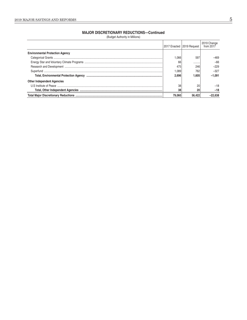### **MAJOR DISCRETIONARY REDUCTIONS-Continued**

(Budget Authority in Millions)

|                                        |        | 2017 Enacted   2019 Request | 2019 Change<br>from $2017$ |
|----------------------------------------|--------|-----------------------------|----------------------------|
| <b>Environmental Protection Agency</b> |        |                             |                            |
|                                        | .066   | 597                         | -469                       |
|                                        | 66     |                             | $-66$                      |
|                                        | 475    | 246                         | $-229$                     |
|                                        | 0.089  | 762                         | $-327$                     |
|                                        | 2.696  | 1.605                       | $-1.091$                   |
| <b>Other Independent Agencies</b>      |        |                             |                            |
|                                        | 38     | 20                          | -18                        |
|                                        | 38     | 20                          | $-18$                      |
|                                        | 79.060 | 56.422                      |                            |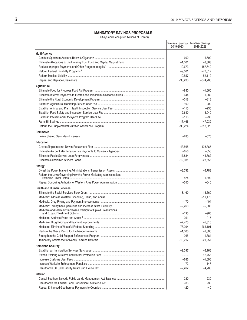### **MANDATORY SAVINGS PROPOSALS**

(Outlays and Receipts in Millions of Dollars)

|                                                                   | Five-Year Savings<br>2019-2023 | Ten-Year Savings<br>2019-2028 |
|-------------------------------------------------------------------|--------------------------------|-------------------------------|
| <b>Multi-Agency</b>                                               |                                |                               |
|                                                                   | $-600$                         | $-6,600$                      |
|                                                                   | $-1,301$                       | $-3,363$                      |
|                                                                   | $-19,673$                      | $-187,640$                    |
|                                                                   | $-9,001$                       | $-72,012$                     |
|                                                                   | $-10,557$                      | $-52,119$                     |
|                                                                   | $-98,233$                      | $-674,706$                    |
| Agriculture                                                       |                                |                               |
|                                                                   | $-830$                         | $-1,660$                      |
|                                                                   | $-644$                         | $-1,289$                      |
|                                                                   | $-318$                         | $-318$                        |
|                                                                   | $-100$                         | $-200$                        |
|                                                                   | $-115$                         | $-230$                        |
|                                                                   | $-2,640$                       | $-5,940$                      |
|                                                                   | $-115$                         | $-230$                        |
|                                                                   | $-17,466$                      | $-47,039$                     |
|                                                                   | $-98,224$                      | $-213,526$                    |
| <b>Commerce</b>                                                   |                                |                               |
|                                                                   | $-285$                         | $-670$                        |
| <b>Education</b>                                                  |                                |                               |
|                                                                   | $-43,568$                      | $-128,365$                    |
|                                                                   | $-656$                         | -656                          |
|                                                                   | $-17,834$                      | $-45.862$                     |
|                                                                   | $-12,931$                      | $-28,555$                     |
|                                                                   |                                |                               |
| Energy                                                            |                                |                               |
| Reform the Laws Governing How the Power Marketing Administrations | $-3,792$                       | –5,788                        |
|                                                                   | $-874$                         | $-1,899$                      |
|                                                                   | $-550$                         | $-640$                        |
| <b>Health and Human Services</b>                                  |                                |                               |
|                                                                   | $-8,160$                       | $-16,660$                     |
|                                                                   |                                | $-19.470$                     |
|                                                                   | $-170$                         | $-404$                        |
|                                                                   | $-2,260$                       | $-5,580$                      |
| Medicare and Medicaid: Increase Oversight of Opioid Prescriptions |                                |                               |
|                                                                   | $-195$                         | $-965$                        |
|                                                                   | $-361$                         | $-915$                        |
|                                                                   | $-2,475$                       | $-5,316$                      |
|                                                                   | $-78,294$                      | –266,191                      |
|                                                                   | $-1,300$                       | $-1,300$                      |
|                                                                   | $-265$                         | $-1,384$                      |
|                                                                   | $-10,217$                      | $-21,257$                     |
| <b>Homeland Security</b>                                          |                                |                               |
|                                                                   | $-2,397$                       | $-5,166$                      |
|                                                                   | .                              | $-12,758$                     |
|                                                                   | $-686$                         | $-1,696$                      |
|                                                                   | $-72$                          | $-147$                        |
|                                                                   | $-2,262$                       | -4,785                        |
| <b>Interior</b>                                                   |                                |                               |
|                                                                   | $-230$                         | $-230$                        |
|                                                                   | $-35$                          | -35                           |
|                                                                   | $-20$                          | $-40$                         |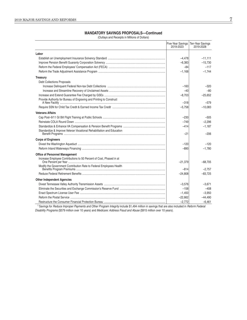### **MANDATORY SAVINGS PROPOSALS-Continued**

(Outlays and Receipts in Millions of Dollars)

|                                                                       | Five-Year Savings<br>2019-2023 | Ten-Year Savings<br>2019-2028 |
|-----------------------------------------------------------------------|--------------------------------|-------------------------------|
| Labor                                                                 |                                |                               |
|                                                                       | $-4,478$                       | $-11,111$                     |
|                                                                       | $-6,383$                       | $-15,730$                     |
|                                                                       | $-84$                          | $-117$                        |
|                                                                       | $-1,168$                       | $-1.744$                      |
| <b>Treasury</b>                                                       |                                |                               |
| <b>Debt Collections Proposals</b>                                     |                                |                               |
|                                                                       | $-160$                         | -320                          |
|                                                                       | $-40$                          | $-80$                         |
|                                                                       | $-8,703$                       | $-25,652$                     |
| Provide Authority for Bureau of Engraving and Printing to Construct   |                                |                               |
|                                                                       | $-318$                         | $-579$                        |
|                                                                       | $-5,758$                       | $-10,083$                     |
| <b>Veterans Affairs</b>                                               |                                |                               |
|                                                                       | $-230$                         | $-505$                        |
|                                                                       | $-749$                         | $-2.296$                      |
|                                                                       | $-414$                         | $-1,187$                      |
| Standardize & Improve Veteran Vocational Rehabilitation and Education | $-21$                          | $-206$                        |
| <b>Corps of Engineers</b>                                             |                                |                               |
|                                                                       | $-120$                         | $-120$                        |
|                                                                       | $-890$                         | $-1,780$                      |
| <b>Office of Personnel Management</b>                                 |                                |                               |
| Increase Employee Contributions to 50 Percent of Cost, Phased in at   |                                |                               |
|                                                                       | $-21,379$                      | $-68,705$                     |
| Modify the Government Contribution Rate to Federal Employees Health   | $-814$                         | $-2.757$                      |
|                                                                       | $-24.808$                      | $-83.725$                     |
| <b>Other Independent Agencies</b>                                     |                                |                               |
|                                                                       | $-3,576$                       | $-3.671$                      |
|                                                                       | $-158$                         | $-408$                        |
|                                                                       | $-1,450$                       | $-3,950$                      |
|                                                                       | $-22,662$                      | $-44,490$                     |
|                                                                       | $-2.772$                       | $-6.461$                      |

<sup>1</sup> Savings for Reduce Improper Payments and Other Program Integrity include \$1,494 million in savings that are also included in Reform Federal Disability Programs (\$579 million over 10 years) and Medicare: Address Fraud and Abuse (\$915 million over 10 years).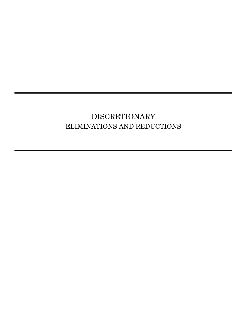# <span id="page-17-0"></span>DISCRETIONARY ELIMINATIONS AND REDUCTIONS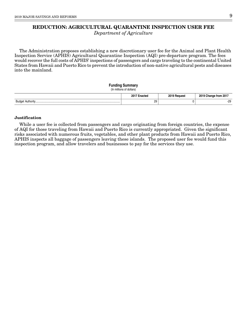# <span id="page-18-0"></span>**REDUCTION: AGRICULTURAL QUARANTINE INSPECTION USER FEE**

Department of Agriculture

The Administration proposes establishing a new discretionary user fee for the Animal and Plant Health Inspection Service (APHIS) Agricultural Quarantine Inspection (AQI) pre-departure program. The fees would recover the full costs of APHIS' inspections of passengers and cargo traveling to the continental United States from Hawaii and Puerto Rico to prevent the introduction of non-native agricultural pests and diseases into the mainland.

# **Funding Summary** (In millions of dollars) **2017 Enacted 2019 Request 2019 Change from 2017** Budget Authority................................................................................................................... 29 0 -29

### **Justification**

While a user fee is collected from passengers and cargo originating from foreign countries, the expense of AQI for those traveling from Hawaii and Puerto Rico is currently appropriated. Given the significant risks associated with numerous fruits, vegetables, and other plant products from Hawaii and Puerto Rico, APHIS inspects all baggage of passengers leaving these islands. The proposed user fee would fund this inspection program, and allow travelers and businesses to pay for the services they use.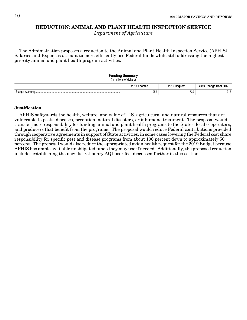# <span id="page-19-0"></span>**REDUCTION: ANIMAL AND PLANT HEALTH INSPECTION SERVICE**

Department of Agriculture

The Administration proposes a reduction to the Animal and Plant Health Inspection Service (APHIS) Salaries and Expenses account to more efficiently use Federal funds while still addressing the highest priority animal and plant health program activities.

### **Funding Summary**

(In millions of dollars)

|                              | 2017 E<br>-nootor<br>nacieu | 2019 F<br><b>Pequest</b> | 2019<br>↑from 201.<br>∍nange |
|------------------------------|-----------------------------|--------------------------|------------------------------|
| Budge<br>$A: H \wedge H$<br> | 952                         | 739                      | 0.10<br>ن ۱ ک                |

### **Justification**

APHIS safeguards the health, welfare, and value of U.S. agricultural and natural resources that are vulnerable to pests, diseases, predation, natural disasters, or inhumane treatment. The proposal would transfer more responsibility for funding animal and plant health programs to the States, local cooperators, and producers that benefit from the programs. The proposal would reduce Federal contributions provided through cooperative agreements in support of State activities, in some cases lowering the Federal cost share responsibility for specific pest and disease programs from about 100 percent down to approximately 50 percent. The proposal would also reduce the appropriated avian health request for the 2019 Budget because APHIS has ample available unobligated funds they may use if needed. Additionally, the proposed reduction includes establishing the new discretionary AQI user fee, discussed further in this section.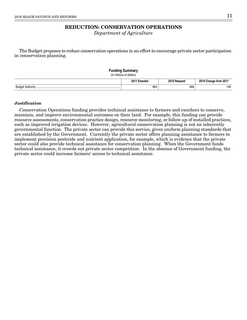# **REDUCTION: CONSERVATION OPERATIONS**

Department of Agriculture

<span id="page-20-0"></span>The Budget proposes to reduce conservation operations in an effort to encourage private sector participation in conservation planning.

| <b>Funding Summary</b><br>(In millions of dollars) |              |              |                       |
|----------------------------------------------------|--------------|--------------|-----------------------|
|                                                    | 2017 Enacted | 2019 Request | 2019 Change from 2017 |
|                                                    | 864          | 669          | $-195$                |

### **Justification**

Conservation Operations funding provides technical assistance to farmers and ranchers to conserve, maintain, and improve environmental outcomes on their land. For example, this funding can provide resource assessments, conservation practice design, resource monitoring, or follow-up of installed practices, such as improved irrigation devices. However, agricultural conservation planning is not an inherently governmental function. The private sector can provide this service, given uniform planning standards that are established by the Government. Currently the private sector offers planning assistance to farmers to implement precision pesticide and nutrient application, for example, which is evidence that the private sector could also provide technical assistance for conservation planning. When the Government funds technical assistance, it crowds out private sector competition. In the absence of Government funding, the private sector could increase farmers' access to technical assistance.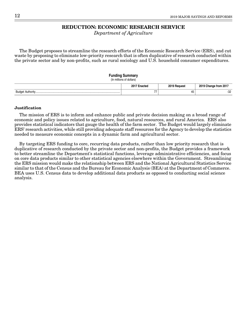# **REDUCTION: ECONOMIC RESEARCH SERVICE**

Department of Agriculture

<span id="page-21-0"></span>The Budget proposes to streamline the research efforts of the Economic Research Service (ERS), and cut waste by proposing to eliminate low-priority research that is often duplicative of research conducted within the private sector and by non-profits, such as rural sociology and U.S. household consumer expenditures.

### **Funding Summary**

(In millions of dollars)

|           | :nacted      | nn 10 | ↑ from 201.<br>. |
|-----------|--------------|-------|------------------|
| Rudae<br> | $- -$<br>. . | ٬เพ   | nn<br>ےن-        |

### **Justification**

The mission of ERS is to inform and enhance public and private decision making on a broad range of economic and policy issues related to agriculture, food, natural resources, and rural America. ERS also provides statistical indicators that gauge the health of the farm sector. The Budget would largely eliminate ERS' research activities, while still providing adequate staff resources for the Agency to develop the statistics needed to measure economic concepts in a dynamic farm and agricultural sector.

By targeting ERS funding to core, recurring data products, rather than low priority research that is duplicative of research conducted by the private sector and non-profits, the Budget provides a framework to better streamline the Department's statistical functions, leverage administrative efficiencies, and focus on core data products similar to other statistical agencies elsewhere within the Government. Streamlining the ERS mission would make the relationship between ERS and the National Agricultural Statistics Service similar to that of the Census and the Bureau for Economic Analysis (BEA) at the Department of Commerce. BEA uses U.S. Census data to develop additional data products as opposed to conducting social science analysis.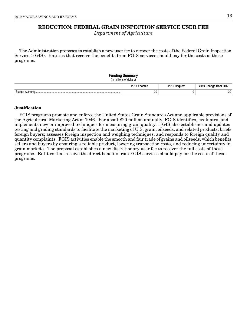# <span id="page-22-0"></span>**REDUCTION: FEDERAL GRAIN INSPECTION SERVICE USER FEE**

Department of Agriculture

The Administration proposes to establish a new user fee to recover the costs of the Federal Grain Inspection Service (FGIS). Entities that receive the benefits from FGIS services should pay for the costs of these programs.

### **Funding Summary** (In millions of dollars) **2017 Enacted 2019 Request 2019 Change from 2017** Budget Authority................................................................................................................... 20 0 -20

### **Justification**

FGIS programs promote and enforce the United States Grain Standards Act and applicable provisions of the Agricultural Marketing Act of 1946. For about \$20 million annually, FGIS identifies, evaluates, and implements new or improved techniques for measuring grain quality. FGIS also establishes and updates testing and grading standards to facilitate the marketing of U.S. grain, oilseeds, and related products; briefs foreign buyers; assesses foreign inspection and weighing techniques; and responds to foreign quality and quantity complaints. FGIS activities enable the smooth and fair trade of grains and oilseeds, which benefits sellers and buyers by ensuring a reliable product, lowering transaction costs, and reducing uncertainty in grain markets. The proposal establishes a new discretionary user fee to recover the full costs of these programs. Entities that receive the direct benefits from FGIS services should pay for the costs of these programs.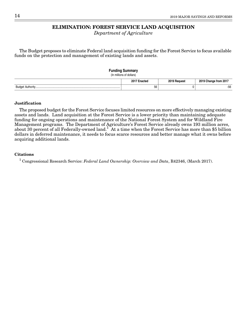# **ELIMINATION: FOREST SERVICE LAND ACQUISITION**

Department of Agriculture

<span id="page-23-0"></span>The Budget proposes to eliminate Federal land acquisition funding for the Forest Service to focus available funds on the protection and management of existing lands and assets.

| <b>Funding Summary</b><br>(In millions of dollars) |              |                       |
|----------------------------------------------------|--------------|-----------------------|
| 2017 Enacted                                       | 2019 Request | 2019 Change from 2017 |
| 56                                                 |              | $-56$                 |

### **Justification**

The proposed budget for the Forest Service focuses limited resources on more effectively managing existing assets and lands. Land acquisition at the Forest Service is a lower priority than maintaining adequate funding for ongoing operations and maintenance of the National Forest System and for Wildland Fire Management programs. The Department of Agriculture's Forest Service already owns 193 million acres, about 30 percent of all Federally-owned land.<sup>1</sup> At a time when the Forest Service has more than \$5 billion dollars in deferred maintenance, it needs to focus scarce resources and better manage what it owns before acquiring additional lands.

### **Citations**

<sup>1</sup> Congressional Research Service: Federal Land Ownership: Overview and Data, R42346, (March 2017).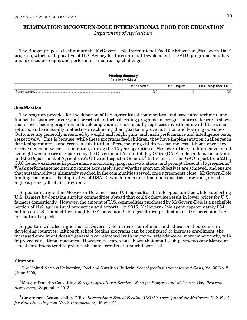# <span id="page-24-0"></span>**ELIMINATION: MCGOVERN-DOLE INTERNATIONAL FOOD FOR EDUCATION**

Department of Agriculture

The Budget proposes to eliminate the McGovern-Dole International Food for Education (McGovern-Dole) program, which is duplicative of U.S. Agency for International Development (USAID) programs, and has unaddressed oversight and performance monitoring challenges.

### **Funding Summary**

(In millions of dollars)

|                  | 2017<br><br>пасса | 2010<br><b>Pequest</b> | 2019<br>↑ from 201.<br>.nange |
|------------------|-------------------|------------------------|-------------------------------|
| 31 idr<br>$\sim$ | 202               |                        | 000<br>-202<br>$\sim$         |

### **Justification**

The program provides for the donation of U.S. agricultural commodities, and associated technical and financial assistance, to carry out preschool and school feeding programs in foreign countries. Research shows that school feeding programs in developing countries are usually high-cost investments with little to no returns, and are usually ineffective in achieving their goal to improve nutrition and learning outcomes. Outcomes are generally measured by weight and height gain, and math performance and intelligence tests, respectively.<sup>1</sup> This is because, while these programs feed children, they have implementation challenges in developing countries and create a substitution effect, meaning children consume less at home once they receive a meal at school. In addition, during the 15-year operation of McGovern-Dole, auditors have found oversight weaknesses as reported by the Government Accountability Office (GAO), independent consultants, and the Department of Agriculture's Office of Inspector General.<sup>2</sup> In the most recent GAO report from 2011, GAO found weaknesses in performance monitoring, program evaluations, and prompt closeout of agreements.<sup>3</sup> Weak performance monitoring cannot accurately show whether program objectives are achieved, and ensure that sustainability is ultimately reached in the communities served, once agreements close. McGovern-Dole funding continues to be duplicative of USAID, which funds nutrition and education programs, and the highest priority food aid programs.

Supporters argue that McGovern-Dole increases U.S. agricultural trade opportunities while supporting U.S. farmers by donating surplus commodities abroad that could otherwise result in lower prices for U.S. farmers domestically. However, the amount of U.S. commodities purchased by McGovern-Dole is a negligible portion of U.S. agricultural production and exports. In 2016, McGovern-Dole spent approximately \$54 million on U.S. commodities, roughly 0.01 percent of U.S. agricultural production or 0.04 percent of U.S. agricultural exports.

Supporters will also argue that McGovern-Dole increases enrollment and educational outcomes in developing countries. Although school feeding programs can be configured to increase enrollment, the increased enrollment doesn't generally correlate well with improved attendance or, more importantly, with improved educational outcomes. However, research has shown that small cash payments conditioned on school enrollment tend to produce the same results at a much lower cost.

### **Citations**

<sup>1</sup> The United Nations University, Food and Nutrition Bulletin: School feeding: Outcomes and Costs, Vol.30 No. 2, (June 2009).

 $2$  Morgan Franklin Consulting: Foreign Agricultural Service – Food for Progress and McGovern Dole Program Assessment, (September 2013).

<sup>3</sup> Government Accountability Office: International School Feeding: USDA's Oversight of the McGovern-Dole Food for Education Program Needs Improvement, (May 2011).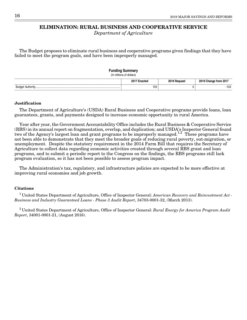# <span id="page-25-1"></span>**ELIMINATION: RURAL BUSINESS AND COOPERATIVE SERVICE**

Department of Agriculture

<span id="page-25-0"></span>The Budget proposes to eliminate rural business and cooperative programs given findings that they have failed to meet the program goals, and have been improperly managed.

| <b>Funding Summary</b><br>(In millions of dollars) |              |              |                       |
|----------------------------------------------------|--------------|--------------|-----------------------|
|                                                    | 2017 Enacted | 2019 Request | 2019 Change from 2017 |
|                                                    | 103          |              | $-103$                |

### **Justification**

The Department of Agriculture's (USDA) Rural Business and Cooperative programs provide loans, loan guarantees, grants, and payments designed to increase economic opportunity in rural America.

Year after year, the Government Accountability Office includes the Rural Business & Cooperative Service (RBS) in its annual report on fragmentation, overlap, and duplication; and USDA's Inspector General found two of the Agency's largest loan and grant programs to be improperly managed.<sup>1,2</sup> These programs have not been able to demonstrate that they meet the broader goals of reducing rural poverty, out-migration, or unemployment. Despite the statutory requirement in the 2014 Farm Bill that requires the Secretary of Agriculture to collect data regarding economic activities created through several RBS grant and loan programs, and to submit a periodic report to the Congress on the findings, the RBS programs still lack program evaluation, so it has not been possible to assess program impact.

The Administration's tax, regulatory, and infrastructure policies are expected to be more effective at improving rural economies and job growth.

### **Citations**

<sup>1</sup> United States Department of Agriculture, Office of Inspector General: American Recovery and Reinvestment Act -Business and Industry Guaranteed Loans - Phase 3 Audit Report, 34703-0001-32, (March 2013).

 $2^2$ United States Department of Agriculture, Office of Inspector General: Rural Energy for America Program Audit Report, 34001-0001-21, (August 2016).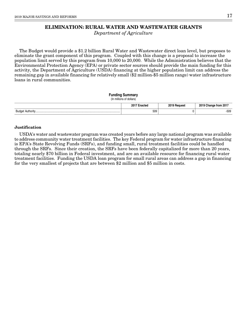# **ELIMINATION: RURAL WATER AND WASTEWATER GRANTS**

Department of Agriculture

<span id="page-26-0"></span>The Budget would provide a \$1.2 billion Rural Water and Wastewater direct loan level, but proposes to eliminate the grant component of this program. Coupled with this change is a proposal to increase the population limit served by this program from 10,000 to 20,000. While the Administration believes that the Environmental Protection Agency (EPA) or private sector sources should provide the main funding for this activity, the Department of Agriculture (USDA) financing at the higher population limit can address the remaining gap in available financing for relatively small (\$2 million-\$5 million range) water infrastructure loans in rural communities.

| <b>Funding Summary</b><br>(In millions of dollars) |              |              |                       |
|----------------------------------------------------|--------------|--------------|-----------------------|
|                                                    | 2017 Enacted | 2019 Request | 2019 Change from 2017 |
|                                                    | 509          |              | $-509$                |

### **Justification**

USDA's water and wastewater program was created years before any large national program was available to address community water treatment facilities. The key Federal program for water infrastructure financing is EPA's State Revolving Funds (SRFs), and funding small, rural treatment facilities could be handled through the SRFs. Since their creation, the SRFs have been federally capitalized for more than 20 years, totaling nearly \$70 billion in Federal investment, and are an available resource for financing rural water treatment facilities. Funding the USDA loan program for small rural areas can address a gap in financing for the very smallest of projects that are between \$2 million and \$5 million in costs.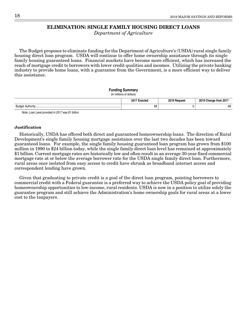# **ELIMINATION: SINGLE FAMILY HOUSING DIRECT LOANS**

Department of Agriculture

<span id="page-27-0"></span>The Budget proposes to eliminate funding for the Department of Agriculture's (USDA) rural single family housing direct loan program. USDA will continue to offer home ownership assistance through its single family housing guaranteed loans. Financial markets have become more efficient, which has increased the reach of mortgage credit to borrowers with lower credit qualities and incomes. Utilizing the private banking industry to provide home loans, with a guarantee from the Government, is a more efficient way to deliver this assistance.

### **Funding Summary**

(In millions of dollars)

|                         | 20 <sup>1</sup><br>тал<br>. | $0.010 -$ | from 201<br>. . |
|-------------------------|-----------------------------|-----------|-----------------|
| Budge<br>Authority.<br> | 68                          |           | $-68$           |

Note: Loan Level provided in 2017 was \$1 billion.

### **Justification**

Historically, USDA has offered both direct and guaranteed homeownership loans. The direction of Rural Development's single family housing mortgage assistance over the last two decades has been toward guaranteed loans. For example, the single family housing guaranteed loan program has grown from \$100 million in 1990 to \$24 billion today, while the single family direct loan level has remained at approximately \$1 billion. Current mortgage rates are historically low and often result in an average 30-year fixed commercial mortgage rate at or below the average borrower rate for the USDA single family direct loan. Furthermore, rural areas once isolated from easy access to credit have shrunk as broadband internet access and correspondent lending have grown.

Given that graduating to private credit is a goal of the direct loan program, pointing borrowers to commercial credit with a Federal guarantee is a preferred way to achieve the USDA policy goal of providing homeownership opportunities to low-income, rural residents. USDA is now in a position to utilize solely the guarantee program and still achieve the Administration's home ownership goals for rural areas at a lower cost to the taxpayers.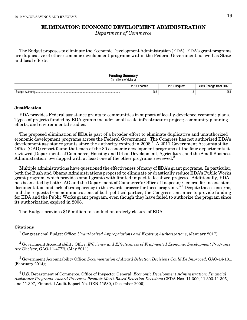# **ELIMINATION: ECONOMIC DEVELOPMENT ADMINISTRATION**

Department of Commerce

<span id="page-28-0"></span>The Budget proposes to eliminate the Economic Development Administration (EDA). EDA's grant programs are duplicative of other economic development programs within the Federal Government, as well as State and local efforts.

### **Funding Summary**

(In millions of dollars)

|                        | 20<br>acted | <b>0010</b> | ` from 201.<br>-<br>'' 'C |
|------------------------|-------------|-------------|---------------------------|
| Budgr<br>$A + ib - cu$ | 266         | ∪ו          | $\sim$<br>-25.            |

### **Justification**

EDA provides Federal assistance grants to communities in support of locally-developed economic plans. Types of projects funded by EDA grants include: small-scale infrastructure project; community planning efforts; and environmental studies.

The proposed elimination of EDA is part of a broader effort to eliminate duplicative and unauthorized economic development programs across the Federal Government. The Congress has not authorized EDA's development assistance grants since the authority expired in  $2008<sup>1</sup>$  A  $2011$  Government Accountability Office (GAO) report found that each of the 80 economic development programs at the four departments it reviewed (Departments of Commerce, Housing and Urban Development, Agriculture, and the Small Business Administration) overlapped with at least one of the other programs reviewed.<sup>2</sup>

Multiple administrations have questioned the effectiveness of many of EDA's grant programs. In particular, both the Bush and Obama Administrations proposed to eliminate or drastically reduce EDA's Public Works grant program, which provides small grants with limited impact to localized projects. Additionally, EDA has been cited by both GAO and the Department of Commerce's Office of Inspector General for inconsistent documentation and lack of transparency in the awards process for these programs.<sup>3,4</sup> Despite these concerns, and the requests from administrations of both political parties, the Congress continues to provide funding for EDA and the Public Works grant program, even though they have failed to authorize the program since its authorization expired in 2008.

The Budget provides \$15 million to conduct an orderly closure of EDA.

### **Citations**

<sup>1</sup> Congressional Budget Office: *Unauthorized Appropriations and Expiring Authorizations*, (January 2017).

 $^2$  Government Accountability Office: Efficiency and Effectiveness of Fragmented Economic Development Programs Are Unclear, GAO-11-477R, (May 2011).

 $^3$  Government Accountability Office: Documentation of Award Selection Decisions Could Be Improved, GAO-14-131, (February 2014);

 $4$  U.S. Department of Commerce, Office of Inspector General: *Economic Development Administration: Financial* Assistance Programs' Award Processes Promote Merit-Based Selection Decisions CFDA Nos. 11.300, 11.303-11.305, and 11.307, Financial Audit Report No. DEN-11580, (December 2000).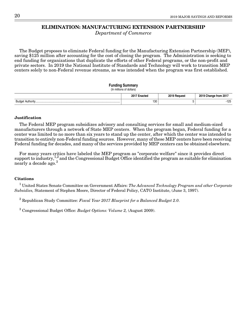# **ELIMINATION: MANUFACTURING EXTENSION PARTNERSHIP**

Department of Commerce

<span id="page-29-0"></span>The Budget proposes to eliminate Federal funding for the Manufacturing Extension Partnership (MEP), saving \$125 million after accounting for the cost of closing the program. The Administration is seeking to end funding for organizations that duplicate the efforts of other Federal programs, or the non-profit and private sectors. In 2019 the National Institute of Standards and Technology will work to transition MEP centers solely to non-Federal revenue streams, as was intended when the program was first established.

### **Funding Summary**

### (In millions of dollars)

|                    | 201<br>nacted | 0010 E | - 11 01 11<br><b>LUI</b> |
|--------------------|---------------|--------|--------------------------|
| Budae<br>Authority | 130           |        | 105<br>ں ے ا<br>$\sim$   |

### **Justification**

The Federal MEP program subsidizes advisory and consulting services for small and medium-sized manufacturers through a network of State MEP centers. When the program began, Federal funding for a center was limited to no more than six years to stand up the center, after which the center was intended to transition to entirely non-Federal funding sources. However, many of these MEP centers have been receiving Federal funding for decades, and many of the services provided by MEP centers can be obtained elsewhere.

For many years critics have labeled the MEP program as "corporate welfare" since it provides direct support to industry,  $\frac{1}{2}$  and the Congressional Budget Office identified the program as suitable for elimination  ${\rm nearly~a~decade~ago.}^3$ 

### **Citations**

 $^1$  United States Senate Committee on Government Affairs: The Advanced Technology Program and other Corporate Subsidies, Statement of Stephen Moore, Director of Federal Policy, CATO Institute, (June 3, 1997).

 $^2$  Republican Study Committee: Fiscal Year 2017 Blueprint for a Balanced Budget 2.0.

 $3$  Congressional Budget Office: *Budget Options: Volume 2, (August 2009)*.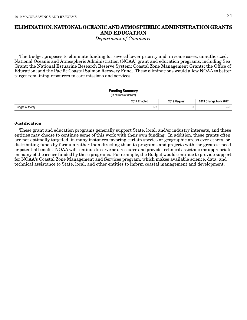# <span id="page-30-0"></span>**ELIMINATION: NATIONAL OCEANIC AND ATMOSPHERIC ADMINISTRATION GRANTS AND EDUCATION**

Department of Commerce

The Budget proposes to eliminate funding for several lower priority and, in some cases, unauthorized, National Oceanic and Atmospheric Administration (NOAA) grant and education programs, including Sea Grant; the National Estuarine Research Reserve System; Coastal Zone Management Grants; the Office of Education; and the Pacific Coastal Salmon Recovery Fund. These eliminations would allow NOAA to better target remaining resources to core missions and services.

### **Funding Summary**

(In millions of dollars)

| 2017 E<br>™nacteo | 2019 F<br>Reauest | 2019<br>↑from 201<br>Change |
|-------------------|-------------------|-----------------------------|
| 070<br>ں ہے       |                   | 070<br>د ، ے-               |

### **Justification**

These grant and education programs generally support State, local, and/or industry interests, and these entities may choose to continue some of this work with their own funding. In addition, these grants often are not optimally targeted, in many instances favoring certain species or geographic areas over others, or distributing funds by formula rather than directing them to programs and projects with the greatest need or potential benefit. NOAA will continue to serve as a resource and provide technical assistance as appropriate on many of the issues funded by these programs. For example, the Budget would continue to provide support for NOAA's Coastal Zone Management and Services program, which makes available science, data, and technical assistance to State, local, and other entities to inform coastal management and development.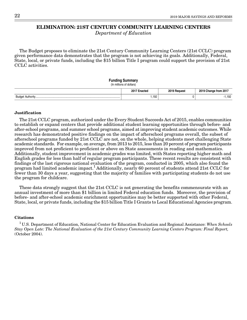# <span id="page-31-0"></span>**ELIMINATION: 21ST CENTURY COMMUNITY LEARNING CENTERS**

Department of Education

The Budget proposes to eliminate the 21st Century Community Learning Centers (21st CCLC) program given performance data demonstrates that the program is not achieving its goals. Additionally, Federal, State, local, or private funds, including the \$15 billion Title I program could support the provision of 21st CCLC activities.

### **Funding Summary** (In millions of dollars)

|                                           | $20^{\circ}$ | 0010    | ↑ from 201.   |
|-------------------------------------------|--------------|---------|---------------|
|                                           | ∃nacteo      | Reauesi | <b>Change</b> |
| Rudo<br>$A + B - C$<br>AUTION<br>− uv<br> | .192         |         | ,192          |

### **Justification**

The 21st CCLC program, authorized under the Every Student Succeeds Act of 2015, enables communities to establish or expand centers that provide additional student learning opportunities through before- and after-school programs, and summer school programs, aimed at improving student academic outcomes. While research has demonstrated positive findings on the impact of afterschool programs overall, the subset of afterschool programs funded by 21st CCLC are not, on the whole, helping students meet challenging State academic standards. For example, on average, from 2013 to 2015, less than 20 percent of program participants improved from not proficient to proficient or above on State assessments in reading and mathematics. Additionally, student improvement in academic grades was limited, with States reporting higher math and English grades for less than half of regular program participants. These recent results are consistent with findings of the last rigorous national evaluation of the program, conducted in 2005, which also found the program had limited academic impact.<sup>1</sup> Additionally, nearly 60 percent of students attend 21st CCLC for fewer than 30 days a year, suggesting that the majority of families with participating students do not use the program for childcare.

These data strongly suggest that the 21st CCLC is not generating the benefits commensurate with an annual investment of more than \$1 billion in limited Federal education funds. Moreover, the provision of before- and after-school academic enrichment opportunities may be better supported with other Federal, State, local, or private funds, including the \$15 billion Title I Grants to Local Educational Agencies program.

### **Citations**

<sup>1</sup>U.S. Department of Education, National Center for Education Evaluation and Regional Assistance: When Schools Stay Open Late: The National Evaluation of the 21st Century Community Learning Centers Program: Final Report, (October 2004).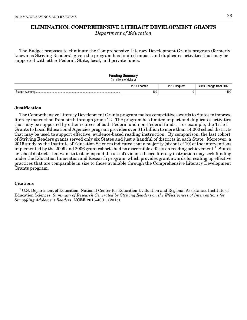# <span id="page-32-0"></span>**ELIMINATION: COMPREHENSIVE LITERACY DEVELOPMENT GRANTS**

Department of Education

The Budget proposes to eliminate the Comprehensive Literacy Development Grants program (formerly known as Striving Readers), given the program has limited impact and duplicates activities that may be supported with other Federal, State, local, and private funds.

### **Funding Summary**

(In millions of dollars)

|                    | 2011<br>.nootor<br>nacieo | <b>2010</b><br><b>Portuesi</b> | 2019<br>↑ from 201<br>⊃nange ∵ |
|--------------------|---------------------------|--------------------------------|--------------------------------|
| Budae<br>Authority | 190                       |                                | $-190$                         |

### **Justification**

The Comprehensive Literacy Development Grants program makes competitive awards to States to improve literacy instruction from birth through grade 12. The program has limited impact and duplicates activities that may be supported by other sources of both Federal and non-Federal funds. For example, the Title I Grants to Local Educational Agencies program provides over \$15 billion to more than 14,000 school districts that may be used to support effective, evidence-based reading instruction. By comparison, the last cohort of Striving Readers grants served only six States and just a handful of districts in each State. Moreover, a 2015 study by the Institute of Education Sciences indicated that a majority (six out of 10) of the interventions implemented by the 2009 and 2006 grant cohorts had no discernible effects on reading achievement.<sup>1</sup> States or school districts that want to test or expand the use of evidence-based literacy instruction may seek funding under the Education Innovation and Research program, which provides grant awards for scaling up effective practices that are comparable in size to those available through the Comprehensive Literacy Development Grants program.

### **Citations**

<sup>1</sup> U.S. Department of Education, National Center for Education Evaluation and Regional Assistance, Institute of Education Sciences: Summary of Research Generated by Striving Readers on the Effectiveness of Interventions for Struggling Adolescent Readers, NCEE 2016-4001, (2015).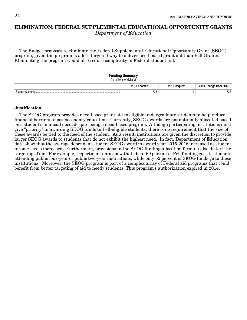# <span id="page-33-0"></span>**ELIMINATION: FEDERAL SUPPLEMENTAL EDUCATIONAL OPPORTUNITY GRANTS**

Department of Education

The Budget proposes to eliminate the Federal Supplemental Educational Opportunity Grant (SEOG) program, given the program is a less targeted way to deliver need-based grant aid than Pell Grants. Eliminating the program would also reduce complexity in Federal student aid.

# **Funding Summary**

|  |  |  | (In millions of dollars) |  |  |  |  |
|--|--|--|--------------------------|--|--|--|--|
|--|--|--|--------------------------|--|--|--|--|

|                               | $2017 -$ | $201^\circ$    | 2019             |
|-------------------------------|----------|----------------|------------------|
|                               | ⊞nacte⊾  | <b>Request</b> | Change from 2017 |
| Budge<br>$A \cdot B \wedge C$ | 733      |                | 700<br>-733      |

### **Justification**

The SEOG program provides need-based grant aid to eligible undergraduate students to help reduce financial barriers to postsecondary education. Currently, SEOG awards are not optimally allocated based on a student's financial need, despite being a need-based program. Although participating institutions must give "priority" in awarding SEOG funds to Pell-eligible students, there is no requirement that the size of these awards be tied to the need of the student. As a result, institutions are given the discretion to provide larger SEOG awards to students that do not exhibit the highest need. In fact, Department of Education data show that the average dependent-student SEOG award in award year 2015-2016 increased as student income levels increased. Furthermore, provisions in the SEOG funding allocation formula also distort the targeting of aid. For example, Department data show that about 69 percent of Pell funding goes to students attending public four-year or public two-year institutions, while only 52 percent of SEOG funds go to these institutions. Moreover, the SEOG program is part of a complex array of Federal aid programs that could benefit from better targeting of aid to needy students. This program's authorization expired in 2014.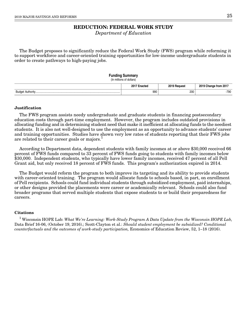# **REDUCTION: FEDERAL WORK STUDY**

Department of Education

<span id="page-34-0"></span>The Budget proposes to significantly reduce the Federal Work Study (FWS) program while reforming it to support workforce and career-oriented training opportunities for low-income undergraduate students in order to create pathways to high-paying jobs.

### **Funding Summary**

(In millions of dollars)

|                                        | 20<br>acted | <b>0010</b>   | ` from 201.<br>1 I C<br>- |
|----------------------------------------|-------------|---------------|---------------------------|
| Budo <sup>r</sup><br>$A + ib - cu$<br> | 990         | 200<br>$\sim$ | $-790$                    |

### **Justification**

The FWS program assists needy undergraduate and graduate students in financing postsecondary education costs through part-time employment. However, the program includes outdated provisions in allocating funding and in determining student need that make it inefficient at allocating funds to the neediest students. It is also not well-designed to use the employment as an opportunity to advance students' career and training opportunities. Studies have shown very low rates of students reporting that their FWS jobs are related to their career goals or majors.<sup>1</sup>

According to Department data, dependent students with family incomes at or above \$30,000 received 66 percent of FWS funds compared to 33 percent of FWS funds going to students with family incomes below \$30,000. Independent students, who typically have lower family incomes, received 47 percent of all Pell Grant aid, but only received 18 percent of FWS funds. This program's authorization expired in 2014.

The Budget would reform the program to both improve its targeting and its ability to provide students with career-oriented training. The program would allocate funds to schools based, in part, on enrollment of Pell recipients. Schools could fund individual students through subsidized employment, paid internships, or other designs provided the placements were career or academically relevant. Schools could also fund broader programs that served multiple students that expose students to or build their preparedness for careers.

### **Citations**

 $^1$  Wisconsin HOPE Lab: What We're Learning: Work-Study Program A Data Update from the Wisconsin HOPE Lab, Data Brief 16-06, (October 19, 2016).; Scott-Clayton et al.: Should student employment be subsidized? Conditional counterfactuals and the outcomes of work-study participation, Economics of Education Review, 52, 1–18 (2016).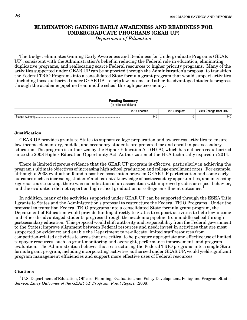# <span id="page-35-0"></span>**ELIMINATION: GAINING EARLY AWARENESS AND READINESS FOR UNDERGRADUATE PROGRAMS (GEAR UP)**

Department of Education

The Budget eliminates Gaining Early Awareness and Readiness for Undergraduate Programs (GEAR UP), consistent with the Administration's belief in reducing the Federal role in education, eliminating duplicative programs, and reallocating scarce Federal resources to higher priority programs. Many of the activities supported under GEAR UP can be supported through the Administration's proposal to transition the Federal TRIO Programs into a consolidated State formula grant program that would support activities - including those authorized under GEAR UP - to help low-income and other disadvantaged students progress through the academic pipeline from middle school through postsecondary.

| <b>Funding Summary</b><br>(In millions of dollars) |              |              |                       |
|----------------------------------------------------|--------------|--------------|-----------------------|
|                                                    | 2017 Enacted | 2019 Request | 2019 Change from 2017 |
|                                                    | 340          |              | -340                  |

### **Justification**

GEAR UP provides grants to States to support college preparation and awareness activities to ensure low-income elementary, middle, and secondary students are prepared for and enroll in postsecondary education. The program is authorized by the Higher Education Act (HEA), which has not been reauthorized since the 2008 Higher Education Opportunity Act. Authorization of the HEA technically expired in 2014.

There is limited rigorous evidence that the GEAR UP program is effective, particularly in achieving the program's ultimate objectives of increasing high school graduation and college enrollment rates. For example, although a 2008 evaluation found a positive association between GEAR UP participation and some early outcomes such as increasing students' and parents' knowledge of postsecondary opportunities, and increasing rigorous course-taking, there was no indication of an association with improved grades or school behavior, and the evaluation did not report on high school graduation or college enrollment outcomes.<sup>1</sup>

In addition, many of the activities supported under GEAR UP can be supported through the ESEA Title I grants to States and the Administration's proposal to restructure the Federal TRIO Programs. Under the proposal to transition Federal TRIO programs into a consolidated State formula grant program, the Department of Education would provide funding directly to States to support activities to help low-income and other disadvantaged students progress through the academic pipeline from middle school through postsecondary education. This proposal would shift authority and responsibility from the Federal government to the States; improve alignment between Federal resources and need; invest in activities that are most supported by evidence; and enable the Department to re-allocate limited staff resources from competition-related activities to areas that are critical to help ensure appropriate and effective use of limited taxpayer resources, such as grant monitoring and oversight, performance improvement, and program evaluation. The Administration believes that restructuring the Federal TRIO programs into a single State formula grant program, including incorporating activities authorized under GEAR UP, would yield significant program management efficiencies and support more effective uses of Federal resources.

### **Citations**

<sup>1</sup>U.S. Department of Education, Office of Planning, Evaluation, and Policy Development, Policy and Program Studies Service: Early Outcomes of the GEAR UP Program: Final Report, (2008).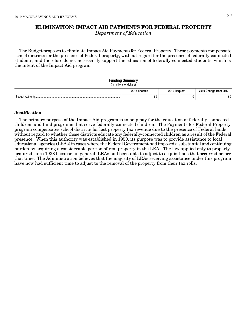# **ELIMINATION: IMPACT AID PAYMENTS FOR FEDERAL PROPERTY**

Department of Education

The Budget proposes to eliminate Impact Aid Payments for Federal Property. These payments compensate school districts for the presence of Federal property, without regard for the presence of federally-connected students, and therefore do not necessarily support the education of federally-connected students, which is the intent of the Impact Aid program.

### **Funding Summary**

#### (In millions of dollars)

|                              | -<br>۵υ.<br>.<br>uuu<br>.<br>$\sim$ | $0010 -$<br><b>מוווחם</b><br><br>$\sim$ $\sim$ | 001<br>нон<br>. בטובי |
|------------------------------|-------------------------------------|------------------------------------------------|-----------------------|
| Budr<br>$A \cdot B \wedge C$ | 69                                  |                                                | $-69$                 |

### **Justification**

The primary purpose of the Impact Aid program is to help pay for the education of federally-connected children, and fund programs that serve federally-connected children. The Payments for Federal Property program compensates school districts for lost property tax revenue due to the presence of Federal lands without regard to whether those districts educate any federally-connected children as a result of the Federal presence. When this authority was established in 1950, its purpose was to provide assistance to local educational agencies (LEAs) in cases where the Federal Government had imposed a substantial and continuing burden by acquiring a considerable portion of real property in the LEA. The law applied only to property acquired since 1938 because, in general, LEAs had been able to adjust to acquisitions that occurred before that time. The Administration believes that the majority of LEAs receiving assistance under this program have now had sufficient time to adjust to the removal of the property from their tax rolls.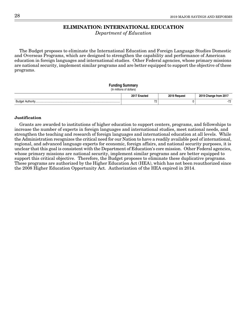# **ELIMINATION: INTERNATIONAL EDUCATION**

Department of Education

The Budget proposes to eliminate the International Education and Foreign Language Studies Domestic and Overseas Programs, which are designed to strengthen the capability and performance of American education in foreign languages and international studies. Other Federal agencies, whose primary missions are national security, implement similar programs and are better equipped to support the objective of these programs.

#### **Funding Summary** (In millions of dollars)

|                                 | 2017 E<br>:nacted<br>__ | 2019 Request | <b>201</b>   |
|---------------------------------|-------------------------|--------------|--------------|
| <b>Budget</b><br>esse Authorine | 70<br>1 L               |              | $\mathbf{a}$ |

#### **Justification**

Grants are awarded to institutions of higher education to support centers, programs, and fellowships to increase the number of experts in foreign languages and international studies, meet national needs, and strengthen the teaching and research of foreign languages and international education at all levels. While the Administration recognizes the critical need for our Nation to have a readily available pool of international, regional, and advanced language experts for economic, foreign affairs, and national security purposes, it is unclear that this goal is consistent with the Department of Education's core mission. Other Federal agencies, whose primary missions are national security, implement similar programs and are better equipped to support this critical objective. Therefore, the Budget proposes to eliminate these duplicative programs. These programs are authorized by the Higher Education Act (HEA), which has not been reauthorized since the 2008 Higher Education Opportunity Act. Authorization of the HEA expired in 2014.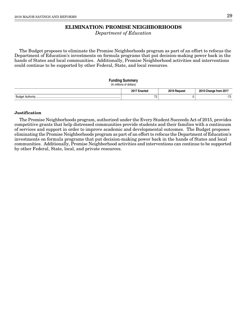# **ELIMINATION: PROMISE NEIGHBORHOODS**

Department of Education

The Budget proposes to eliminate the Promise Neighborhoods program as part of an effort to refocus the Department of Education's investments on formula programs that put decision-making power back in the hands of States and local communities. Additionally, Promise Neighborhood activities and interventions could continue to be supported by other Federal, State, and local resources.

### **Funding Summary** (In millions of dollars) **2017 Enacted 2019 Request 2019 Change from 2017** Budget Authority................................................................................................................... 73 0 -73

#### **Justification**

The Promise Neighborhoods program, authorized under the Every Student Succeeds Act of 2015, provides competitive grants that help distressed communities provide students and their families with a continuum of services and support in order to improve academic and developmental outcomes. The Budget proposes eliminating the Promise Neighborhoods program as part of an effort to refocus the Department of Education's investments on formula programs that put decision-making power back in the hands of States and local communities. Additionally, Promise Neighborhood activities and interventions can continue to be supported by other Federal, State, local, and private resources.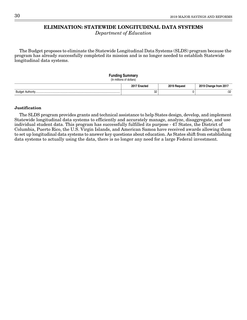# **ELIMINATION: STATEWIDE LONGITUDINAL DATA SYSTEMS**

Department of Education

The Budget proposes to eliminate the Statewide Longitudinal Data Systems (SLDS) program because the program has already successfully completed its mission and is no longer needed to establish Statewide longitudinal data systems.

### **Funding Summary** (In millions of dollars) **2017 Enacted 2019 Request 2019 Change from 2017** Budget Authority................................................................................................................... 32 0 -32

### **Justification**

The SLDS program provides grants and technical assistance to help States design, develop, and implement Statewide longitudinal data systems to efficiently and accurately manage, analyze, disaggregate, and use individual student data. This program has successfully fulfilled its purpose - 47 States, the District of Columbia, Puerto Rico, the U.S. Virgin Islands, and American Samoa have received awards allowing them to set up longitudinal data systems to answer key questions about education. As States shift from establishing data systems to actually using the data, there is no longer any need for a large Federal investment.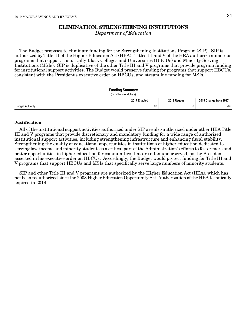# **ELIMINATION: STRENGTHENING INSTITUTIONS**

Department of Education

The Budget proposes to eliminate funding for the Strengthening Institutions Program (SIP). SIP is authorized by Title III of the Higher Education Act (HEA). Titles III and V of the HEA authorize numerous programs that support Historically Black Colleges and Universities (HBCUs) and Minority-Serving Institutions (MSIs). SIP is duplicative of the other Title III and V programs that provide program funding for institutional support activities. The Budget would preserve funding for programs that support HBCUs, consistent with the President's executive order on HBCUs, and streamline funding for MSIs.

### **Funding Summary**

(In millions of dollars)

|                                     | ۵υ.<br>.<br>  | 0.017 | ΉΤ. |
|-------------------------------------|---------------|-------|-----|
| dudar<br>. AUINONIV………………………………………… | 07<br>$\circ$ |       |     |

### **Justification**

All of the institutional support activities authorized under SIP are also authorized under other HEA Title III and V programs that provide discretionary and mandatory funding for a wide range of authorized institutional support activities, including strengthening infrastructure and enhancing fiscal stability. Strengthening the quality of educational opportunities in institutions of higher education dedicated to serving low-income and minority students is a critical part of the Administration's efforts to foster more and better opportunities in higher education for communities that are often underserved, as the President asserted in his executive order on HBCUs. Accordingly, the Budget would protect funding for Title III and V programs that support HBCUs and MSIs that specifically serve large numbers of minority students.

SIP and other Title III and V programs are authorized by the Higher Education Act (HEA), which has not been reauthorized since the 2008 Higher Education Opportunity Act. Authorization of the HEA technically expired in 2014.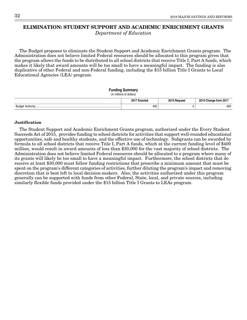# **ELIMINATION: STUDENT SUPPORT AND ACADEMIC ENRICHMENT GRANTS**

Department of Education

The Budget proposes to eliminate the Student Support and Academic Enrichment Grants program. The Administration does not believe limited Federal resources should be allocated to this program given that the program allows the funds to be distributed to all school districts that receive Title I, Part A funds, which makes it likely that award amounts will be too small to have a meaningful impact. The funding is also duplicative of other Federal and non-Federal funding, including the \$15 billion Title I Grants to Local Educational Agencies (LEA) program.

#### **Funding Summary**

```
(In millions of dollars)
```

|                                                | $20^+$<br>™acteo | <b>0010</b><br>Reauest | $\cdot$ from 201.<br>change<br>. |
|------------------------------------------------|------------------|------------------------|----------------------------------|
| $A$ uthorit<br><b>Budge</b><br><b>AUTIONIV</b> | 400              |                        | $-400$                           |

#### **Justification**

The Student Support and Academic Enrichment Grants program, authorized under the Every Student Succeeds Act of 2015, provides funding to school districts for activities that support well-rounded educational opportunities, safe and healthy students, and the effective use of technology. Subgrants can be awarded by formula to all school districts that receive Title I, Part A funds, which at the current funding level of \$400 million, would result in award amounts of less than \$30,000 for the vast majority of school districts. The Administration does not believe limited Federal resources should be allocated to a program where many of its grants will likely be too small to have a meaningful impact. Furthermore, the school districts that do receive at least \$30,000 must follow funding restrictions that prescribe a minimum amount that must be spent on the program's different categories of activities, further diluting the program's impact and removing discretion that is best left to local decision-makers. Also, the activities authorized under this program generally can be supported with funds from other Federal, State, local, and private sources, including similarly flexible funds provided under the \$15 billion Title I Grants to LEAs program.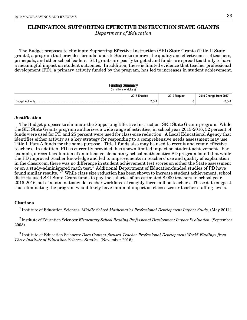# **ELIMINATION: SUPPORTING EFFECTIVE INSTRUCTION STATE GRANTS** Department of Education

The Budget proposes to eliminate Supporting Effective Instruction (SEI) State Grants (Title II State grants), a program that provides formula funds to States to improve the quality and effectiveness of teachers, principals, and other school leaders. SEI grants are poorly targeted and funds are spread too thinly to have a meaningful impact on student outcomes. In addition, there is limited evidence that teacher professional development (PD), a primary activity funded by the program, has led to increases in student achievement.

#### **Funding Summary**

(In millions of dollars)

|                          | $20^{4}$<br>тал<br>, | <b>0010</b> | 20٬<br>rrom   |
|--------------------------|----------------------|-------------|---------------|
| Budge<br>Authority.<br>. | 2,044                |             | 0.04<br>′⊏,∪+ |

#### **Justification**

The Budget proposes to eliminate the Supporting Effective Instruction (SEI) State Grants program. While the SEI State Grants program authorizes a wide range of activities, in school year 2015-2016, 52 percent of funds were used for PD and 25 percent were used for class-size reduction. A Local Educational Agency that identifies either activity as a key strategy for responding to a comprehensive needs assessment may use Title I, Part A funds for the same purpose. Title I funds also may be used to recruit and retain effective teachers. In addition, PD as currently provided, has shown limited impact on student achievement. For example, a recent evaluation of an intensive elementary school mathematics PD program found that while the PD improved teacher knowledge and led to improvements in teachers' use and quality of explanation in the classroom, there was no difference in student achievement test scores on either the State assessment or on a study-administered math test.<sup>1</sup> Additional Department of Education-funded studies of PD have found similar results.<sup>2,3</sup> While class size reduction has been shown to increase student achievement, school districts used SEI State Grant funds to pay the salaries of an estimated 8,000 teachers in school year 2015-2016, out of a total nationwide teacher workforce of roughly three million teachers. These data suggest that eliminating the program would likely have minimal impact on class sizes or teacher staffing levels.

#### **Citations**

<sup>1</sup> Institute of Education Sciences: *Middle School Mathematics Professional Development Impact Study*, (May 2011).

 $2^{2}$ Institute of Education Sciences: Elementary School Reading Professional Development Impact Evaluation, (September 2008).

 $3$  Institute of Education Sciences: Does Content-focused Teacher Professional Development Work? Findings from Three Institute of Education Sciences Studies, (November 2016).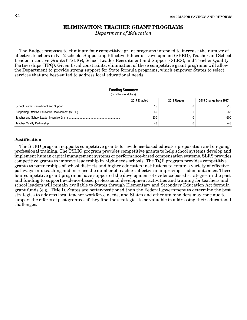# **ELIMINATION: TEACHER GRANT PROGRAMS**

Department of Education

The Budget proposes to eliminate four competitive grant programs intended to increase the number of effective teachers in K-12 schools: Supporting Effective Educator Development (SEED), Teacher and School Leader Incentive Grants (TSLIG), School Leader Recruitment and Support (SLRS), and Teacher Quality Partnerships (TPQ). Given fiscal constraints, elimination of these competitive grant programs will allow the Department to provide strong support for State formula programs, which empower States to select services that are best-suited to address local educational needs.

#### **Funding Summary**

(In millions of dollars)

| 2017 Enacted | 2019 Request | 2019 Change from 2017 |
|--------------|--------------|-----------------------|
| 15           |              | $-15$                 |
| 65           |              | $-65$                 |
| 200          |              | $-200$                |
| 43           |              | -43                   |

### **Justification**

The SEED program supports competitive grants for evidence-based educator preparation and on-going professional training. The TSLIG program provides competitive grants to help school systems develop and implement human capital management systems or performance-based compensation systems. SLRS provides competitive grants to improve leadership in high-needs schools. The TQP program provides competitive grants to partnerships of school districts and higher education institutions to create a variety of effective pathways into teaching and increase the number of teachers effective in improving student outcomes. These four competitive grant programs have supported the development of evidence-based strategies in the past and funding to support evidence-based professional development activities and training for teachers and school leaders will remain available to States through Elementary and Secondary Education Act formula grant funds (e.g., Title I). States are better-positioned than the Federal government to determine the best strategies to address local teacher workforce needs, and States and other stakeholders may continue to support the efforts of past grantees if they find the strategies to be valuable in addressing their educational challenges.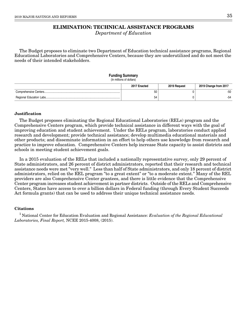# **ELIMINATION: TECHNICAL ASSISTANCE PROGRAMS**

Department of Education

The Budget proposes to eliminate two Department of Education technical assistance programs, Regional Educational Laboratories and Comprehensive Centers, because they are underutilized and do not meet the needs of their intended stakeholders.

# **Funding Summary**

|  | (In millions of dollars) |
|--|--------------------------|
|--|--------------------------|

| 2017 Enacted | 2019 Request | 2019 Change from 2017 |
|--------------|--------------|-----------------------|
| 50           |              | -50                   |
| 54           |              |                       |

### **Justification**

The Budget proposes eliminating the Regional Educational Laboratories (RELs) program and the Comprehensive Centers program, which provide technical assistance in different ways with the goal of improving education and student achievement. Under the RELs program, laboratories conduct applied research and development; provide technical assistance; develop multimedia educational materials and other products; and disseminate information in an effort to help others use knowledge from research and practice to improve education. Comprehensive Centers help increase State capacity to assist districts and schools in meeting student achievement goals.

In a 2015 evaluation of the RELs that included a nationally representative survey, only 29 percent of State administrators, and 26 percent of district administrators, reported that their research and technical assistance needs were met "very well." Less than half of State administrators, and only 18 percent of district administrators, relied on the REL program "to a great extent" or "to a moderate extent." Many of the REL providers are also Comprehensive Center grantees, and there is little evidence that the Comprehensive Center program increases student achievement in partner districts. Outside of the RELs and Comprehensive Centers, States have access to over a billion dollars in Federal funding (through Every Student Succeeds Act formula grants) that can be used to address their unique technical assistance needs.

### **Citations**

<sup>1</sup> National Center for Education Evaluation and Regional Assistance: Evaluation of the Regional Educational Laboratories, Final Report, NCEE 2015-4008, (2015).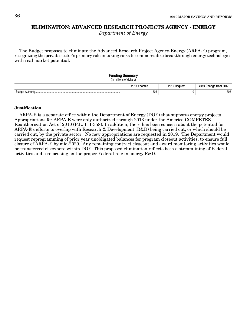# **ELIMINATION: ADVANCED RESEARCH PROJECTS AGENCY - ENERGY**

Department of Energy

The Budget proposes to eliminate the Advanced Research Project Agency-Energy (ARPA-E) program, recognizing the private sector's primary role in taking risks to commercialize breakthrough energy technologies with real market potential.

### **Funding Summary** (In millions of dollars) **2017 Enacted 2019 Request 2019 Change from 2017** Budget Authority................................................................................................................... 305 0 -305

#### **Justification**

ARPA-E is a separate office within the Department of Energy (DOE) that supports energy projects. Appropriations for ARPA-E were only authorized through 2013 under the America COMPETES Reauthorization Act of 2010 (P.L. 111-358). In addition, there has been concern about the potential for ARPA-E's efforts to overlap with Research & Development (R&D) being carried out, or which should be carried out, by the private sector. No new appropriations are requested in 2019. The Department would request reprogramming of prior year unobligated balances for program closeout activities, to ensure full closure of ARPA-E by mid-2020. Any remaining contract closeout and award monitoring activities would be transferred elsewhere within DOE. This proposed elimination reflects both a streamlining of Federal activities and a refocusing on the proper Federal role in energy R&D.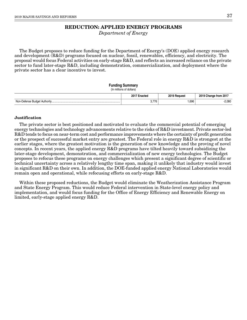# **REDUCTION: APPLIED ENERGY PROGRAMS**

Department of Energy

The Budget proposes to reduce funding for the Department of Energy's (DOE) applied energy research and development (R&D) programs focused on nuclear, fossil, renewables, efficiency, and electricity. The proposal would focus Federal activities on early-stage R&D, and reflects an increased reliance on the private sector to fund later-stage R&D, including demonstration, commercialization, and deployment where the private sector has a clear incentive to invest.

#### **Funding Summary**

## (In millions of dollars) **2017 Enacted 2019 Request 2019 Change from 2017** Non-Defense Budget Authority............................................................................................. 3,776 1,696 -2,080

#### **Justification**

The private sector is best positioned and motivated to evaluate the commercial potential of emerging energy technologies and technology advancements relative to the risks of R&D investment. Private sector-led R&D tends to focus on near-term cost and performance improvements where the certainty of profit generation or the prospect of successful market entry are greatest. The Federal role in energy R&D is strongest at the earlier stages, where the greatest motivation is the generation of new knowledge and the proving of novel concepts. In recent years, the applied energy R&D programs have tilted heavily toward subsidizing the later-stage development, demonstration, and commercialization of new energy technologies. The Budget proposes to refocus these programs on energy challenges which present a significant degree of scientific or technical uncertainty across a relatively lengthy time span, making it unlikely that industry would invest in significant R&D on their own. In addition, the DOE-funded applied energy National Laboratories would remain open and operational, while refocusing efforts on early-stage R&D.

Within these proposed reductions, the Budget would eliminate the Weatherization Assistance Program and State Energy Program. This would reduce Federal intervention in State-level energy policy and implementation, and would focus funding for the Office of Energy Efficiency and Renewable Energy on limited, early-stage applied energy R&D.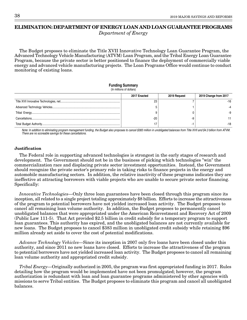# **ELIMINATION: DEPARTMENT OF ENERGY LOAN AND LOAN GUARANTEE PROGRAMS**

Department of Energy

The Budget proposes to eliminate the Title XVII Innovative Technology Loan Guarantee Program, the Advanced Technology Vehicle Manufacturing (ATVM) Loan Program, and the Tribal Energy Loan Guarantee Program, because the private sector is better positioned to finance the deployment of commercially viable energy and advanced vehicle manufacturing projects. The Loan Programs Office would continue to conduct monitoring of existing loans.

### **Funding Summary**

| (In millions of dollars) |              |              |                       |  |
|--------------------------|--------------|--------------|-----------------------|--|
|                          | 2017 Enacted | 2019 Request | 2019 Change from 2017 |  |
|                          | 23           |              | -16                   |  |
|                          |              |              |                       |  |
|                          |              |              |                       |  |
|                          | $-20$        |              |                       |  |
|                          |              |              | -18                   |  |

Note: In addition to eliminating program management funding, the Budget also proposes to cancel \$383 million in unobligated balances from Title XVII and \$4.3 billion from ATVM. There are no scoreable savings for these cancellations.

### **Justification**

The Federal role in supporting advanced technologies is strongest in the early stages of research and development. The Government should not be in the business of picking which technologies "win" the commercialization race and displacing private sector investment opportunities. Instead, the Government should recognize the private sector's primary role in taking risks to finance projects in the energy and automobile manufacturing sectors. In addition, the relative inactivity of these programs indicates they are ineffective at attracting borrowers with viable projects who are unable to secure private sector financing. Specifically:

Innovative Technologies—Only three loan guarantees have been closed through this program since its inception, all related to a single project totaling approximately \$8 billion. Efforts to increase the attractiveness of the program to potential borrowers have not yielded increased loan activity. The Budget proposes to cancel all remaining loan volume authority. In addition, the Budget proposes to permanently cancel unobligated balances that were appropriated under the American Reinvestment and Recovery Act of 2009 (Public Law 111-5). That Act provided \$2.5 billion in credit subsidy for a temporary program to support loan guarantees. This authority has expired, and the unobligated balances are not currently available for new loans. The Budget proposes to cancel \$383 million in unobligated credit subsidy while retaining \$96 million already set aside to cover the cost of potential modifications.

Advance Technology Vehicles—Since its inception in 2007 only five loans have been closed under this authority, and since 2011 no new loans have closed. Efforts to increase the attractiveness of the program to potential borrowers have not yielded increased loan activity. The Budget proposes to cancel all remaining loan volume authority and appropriated credit subsidy.

Tribal Energy—Originally authorized in 2005, the program was first appropriated funding in 2017. Rules detailing how the program would be implemented have not been promulgated; however, the program authorization is redundant with loan and loan guarantee programs administered by other agencies with missions to serve Tribal entities. The Budget proposes to eliminate this program and cancel all unobligated balances.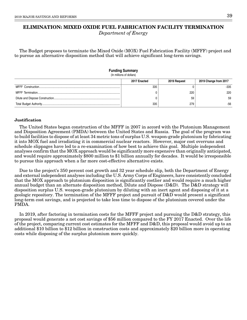# **ELIMINATION: MIXED OXIDE FUEL FABRICATION FACILITY TERMINATION** Department of Energy

The Budget proposes to terminate the Mixed Oxide (MOX) Fuel Fabrication Facility (MFFF) project and to pursue an alternative disposition method that will achieve significant long-term savings.

| <b>Funding Summary</b><br>(In millions of dollars) |              |              |                       |
|----------------------------------------------------|--------------|--------------|-----------------------|
|                                                    | 2017 Enacted | 2019 Request | 2019 Change from 2017 |
|                                                    | 335          |              | -335                  |
|                                                    |              | 220          | 220                   |
|                                                    |              | 59           | 59                    |
|                                                    | 335          | 279          | -56                   |

### **Justification**

The United States began construction of the MFFF in 2007 in accord with the Plutonium Management and Disposition Agreement (PMDA) between the United States and Russia. The goal of the program was to build facilities to dispose of at least 34 metric tons of surplus U.S. weapon-grade plutonium by fabricating it into MOX fuel and irradiating it in commercial nuclear reactors. However, major cost overruns and schedule slippages have led to a re-examination of how best to achieve this goal. Multiple independent analyses confirm that the MOX approach would be significantly more expensive than originally anticipated, and would require approximately \$800 million to \$1 billion annually for decades. It would be irresponsible to pursue this approach when a far more cost-effective alternative exists.

Due to the project's 350 percent cost growth and 32 year schedule slip, both the Department of Energy and external independent analyses including the U.S. Army Corps of Engineers, have consistently concluded that the MOX approach to plutonium disposition is significantly costlier and would require a much higher annual budget than an alternate disposition method, Dilute and Dispose (D&D). The D&D strategy will disposition surplus U.S. weapon-grade plutonium by diluting with an inert agent and disposing of it at a geologic repository. The termination of the MFFF project and pursuit of D&D would present a significant long-term cost savings, and is projected to take less time to dispose of the plutonium covered under the PMDA.

In 2019, after factoring in termination costs for the MFFF project and pursuing the D&D strategy, this proposal would generate a net cost savings of \$56 million compared to the FY 2017 Enacted. Over the life of the project, comparing current cost estimates for the MFFF and D&D, this proposal would avoid up to an additional \$10 billion to \$12 billion in construction costs and approximately \$20 billion more in operating costs while disposing of the surplus plutonium more quickly.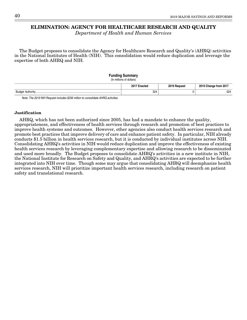## **ELIMINATION: AGENCY FOR HEALTHCARE RESEARCH AND QUALITY**

Department of Health and Human Services

The Budget proposes to consolidate the Agency for Healthcare Research and Quality's (AHRQ) activities in the National Institutes of Health (NIH). This consolidation would reduce duplication and leverage the expertise of both AHRQ and NIH.

#### **Funding Summary**

(In millions of dollars)

|           | $2017 -$<br>.nootor | <b>2010</b><br><b>Portuesi</b> | 2019<br>from 2017 ؛ |
|-----------|---------------------|--------------------------------|---------------------|
| Budae<br> | 324                 |                                | 324                 |
|           |                     |                                |                     |

Note: The 2019 NIH Request includes \$256 million to consolidate AHRQ activities.

#### **Justification**

AHRQ, which has not been authorized since 2005, has had a mandate to enhance the quality, appropriateness, and effectiveness of health services through research and promotion of best practices to improve health systems and outcomes. However, other agencies also conduct health services research and promote best practices that improve delivery of care and enhance patient safety. In particular, NIH already conducts \$1.5 billion in health services research, but it is conducted by individual institutes across NIH. Consolidating AHRQ's activities in NIH would reduce duplication and improve the effectiveness of existing health services research by leveraging complementary expertise and allowing research to be disseminated and used more broadly. The Budget proposes to consolidate AHRQ's activities in a new institute in NIH, the National Institute for Research on Safety and Quality, and AHRQ's activities are expected to be further integrated into NIH over time. Though some may argue that consolidating AHRQ will deemphasize health services research, NIH will prioritize important health services research, including research on patient safety and translational research.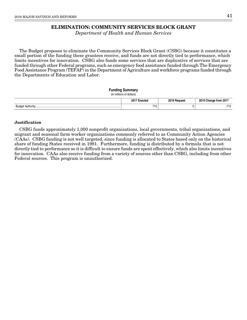# **ELIMINATION: COMMUNITY SERVICES BLOCK GRANT**

Department of Health and Human Services

The Budget proposes to eliminate the Community Services Block Grant (CSBG) because it constitutes a small portion of the funding these grantees receive, and funds are not directly tied to performance, which limits incentives for innovation. CSBG also funds some services that are duplicative of services that are funded through other Federal programs, such as emergency food assistance funded through The Emergency Food Assistance Program (TEFAP) in the Department of Agriculture and workforce programs funded through the Departments of Education and Labor.

### **Funding Summary**

(In millions of dollars)

|       | -201<br>m<br>.<br>$\sim$ $\sim$<br>. | <b>0010</b><br>$\sim$ $\sim$ | 20٠<br>rom   |
|-------|--------------------------------------|------------------------------|--------------|
| Budae | 715<br>$\sim$                        |                              | - - -<br>ں ا |

### **Justification**

CSBG funds approximately 1,000 nonprofit organizations, local governments, tribal organizations, and migrant and seasonal farm worker organizations commonly referred to as Community Action Agencies (CAAs). CSBG funding is not well targeted, since funding is allocated to States based only on the historical share of funding States received in 1981. Furthermore, funding is distributed by a formula that is not directly tied to performance so it is difficult to ensure funds are spent effectively, which also limits incentives for innovation. CAAs also receive funding from a variety of sources other than CSBG, including from other Federal sources. This program is unauthorized.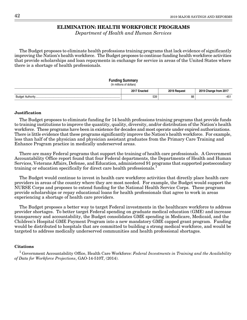### **ELIMINATION: HEALTH WORKFORCE PROGRAMS**

Department of Health and Human Services

The Budget proposes to eliminate health professions training programs that lack evidence of significantly improving the Nation's health workforce. The Budget proposes to continue funding health workforce activities that provide scholarships and loan repayments in exchange for service in areas of the United States where there is a shortage of health professionals.

### **Funding Summary** (In millions of dollars) **2017 Enacted 2019 Request 2019 Change from 2017** Budget Authority................................................................................................................... 539 88 -451

#### **Justification**

The Budget proposes to eliminate funding for 14 health professions training programs that provide funds to training institutions to improve the quantity, quality, diversity, and/or distribution of the Nation's health workforce. These programs have been in existence for decades and most operate under expired authorizations. There is little evidence that these programs significantly improve the Nation's health workforce. For example, less than half of the physician and physician assistant graduates from the Primary Care Training and Enhance Program practice in medically underserved areas.

There are many Federal programs that support the training of health care professionals. A Government Accountability Office report found that four Federal departments, the Departments of Health and Human Services, Veterans Affairs, Defense, and Education, administered 91 programs that supported postsecondary training or education specifically for direct care health professionals.<sup>1</sup>

The Budget would continue to invest in health care workforce activities that directly place health care providers in areas of the country where they are most needed. For example, the Budget would support the NURSE Corps and proposes to extend funding for the National Health Service Corps. These programs provide scholarships or repay educational loans for health professionals that agree to work in areas experiencing a shortage of health care providers.

The Budget proposes a better way to target Federal investments in the healthcare workforce to address provider shortages. To better target Federal spending on graduate medical education (GME) and increase transparency and accountability, the Budget consolidates GME spending in Medicare, Medicaid, and the Children's Hospital GME Payment Program into a new mandatory GME capped grant program. Funding would be distributed to hospitals that are committed to building a strong medical workforce, and would be targeted to address medically underserved communities and health professional shortages.

#### **Citations**

 $1$  Government Accountability Office, Health Care Workforce: Federal Investments in Training and the Availability of Data for Workforce Projections, GAO-14-510T, (2014).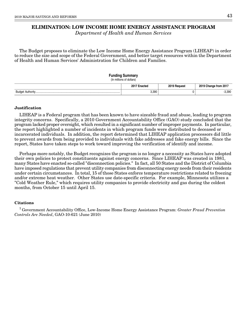# **ELIMINATION: LOW INCOME HOME ENERGY ASSISTANCE PROGRAM**

Department of Health and Human Services

The Budget proposes to eliminate the Low Income Home Energy Assistance Program (LIHEAP) in order to reduce the size and scope of the Federal Government, and better target resources within the Department of Health and Human Services' Administration for Children and Families.

#### **Funding Summary**

(In millions of dollars)

|                                 | 2017<br>-naatar<br>паскес | 2019<br>Pequesi | 2019<br>Change from 2017 |
|---------------------------------|---------------------------|-----------------|--------------------------|
| <b>Budge</b><br><b>A</b> .,<br> | 3,390                     |                 | 3,390                    |

### **Justification**

LIHEAP is a Federal program that has been known to have sizeable fraud and abuse, leading to program integrity concerns. Specifically, a 2010 Government Accountability Office (GAO) study concluded that the program lacked proper oversight, which resulted in a significant number of improper payments. In particular, the report highlighted a number of incidents in which program funds were distributed to deceased or incarcerated individuals. In addition, the report determined that LIHEAP application processors did little to prevent awards from being provided to individuals with fake addresses and fake energy bills. Since the report, States have taken steps to work toward improving the verification of identify and income.

Perhaps more notably, the Budget recognizes the program is no longer a necessity as States have adopted their own policies to protect constituents against energy concerns. Since LIHEAP was created in 1981, many States have enacted so-called "disconnection policies." In fact, all 50 States and the District of Columbia have imposed regulations that prevent utility companies from disconnecting energy needs from their residents under certain circumstances. In total, 15 of those States enforce temperature restrictions related to freezing and/or extreme heat weather. Other States use date-specific criteria. For example, Minnesota utilizes a "Cold Weather Rule," which requires utility companies to provide electricity and gas during the coldest months, from October 15 until April 15.

### **Citations**

<sup>1</sup> Government Accountability Office, Low-Income Home Energy Assistance Program: Greater Fraud Prevention Controls Are Needed, GAO-10-621 (June 2010)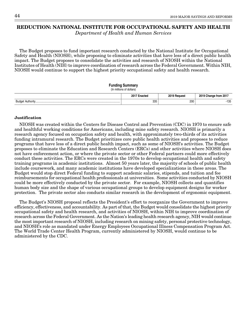# **REDUCTION: NATIONAL INSTITUTE FOR OCCUPATIONAL SAFETY AND HEALTH**

Department of Health and Human Services

The Budget proposes to fund important research conducted by the National Institute for Occupational Safety and Health (NIOSH), while proposing to eliminate activities that have less of a direct public health impact. The Budget proposes to consolidate the activities and research of NIOSH within the National Institutes of Health (NIH) to improve coordination of research across the Federal Government. Within NIH, NIOSH would continue to support the highest priority occupational safety and health research.

#### **Funding Summary**

(In millions of dollars)

|                    | 201<br>nno | <b>2010</b><br><b>NUC</b> |                 |
|--------------------|------------|---------------------------|-----------------|
| Budar<br>Authority | 335        | 200                       | $\sim$<br>- 100 |

#### **Justification**

NIOSH was created within the Centers for Disease Control and Prevention (CDC) in 1970 to ensure safe and healthful working conditions for Americans, including mine safety research. NIOSH is primarily a research agency focused on occupation safety and health, with approximately two-thirds of its activities funding intramural research. The Budget prioritizes core public health activities and proposes to reduce programs that have less of a direct public health impact, such as some of NIOSH's activities. The Budget proposes to eliminate the Education and Research Centers (ERCs) and other activities where NIOSH does not have enforcement action, or where the private sector or other Federal partners could more effectively conduct these activities. The ERCs were created in the 1970s to develop occupational health and safety training programs in academic institutions. Almost 50 years later, the majority of schools of public health include coursework, and many academic institutions have developed specializations in these areas. The Budget would stop direct Federal funding to support academic salaries, stipends, and tuition and fee reimbursements for occupational health professionals at universities. Some activities conducted by NIOSH could be more effectively conducted by the private sector. For example, NIOSH collects and quantifies human body size and the shape of various occupational groups to develop equipment designs for worker protection. The private sector also conducts similar research in the development of ergonomic equipment.

The Budget's NIOSH proposal reflects the President's effort to reorganize the Government to improve efficiency, effectiveness, and accountability. As part of that, the Budget would consolidate the highest priority occupational safety and health research, and activities of NIOSH, within NIH to improve coordination of research across the Federal Government. As the Nation's leading health research agency, NIH would continue the most important research of NIOSH, including research on mining safety, personal protective technology, and NIOSH's role as mandated under Energy Employees Occupational Illness Compensation Program Act. The World Trade Center Health Program, currently administered by NIOSH, would continue to be administered by the CDC.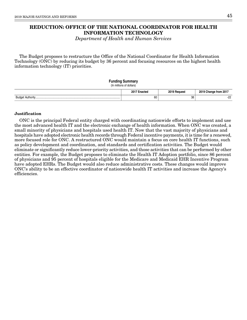# **REDUCTION: OFFICE OF THE NATIONAL COORDINATOR FOR HEALTH INFORMATION TECHNOLOGY**

Department of Health and Human Services

The Budget proposes to restructure the Office of the National Coordinator for Health Information Technology (ONC) by reducing its budget by 36 percent and focusing resources on the highest health information technology (IT) priorities.

# **Funding Summary**

(In millions of dollars)

|                                    |    | <b>DOAT</b> | rrom<br>ו ש |
|------------------------------------|----|-------------|-------------|
| $\cdots$<br>.<br>.<br>∼u<br>$\sim$ | 60 | 38          | --          |

#### **Justification**

ONC is the principal Federal entity charged with coordinating nationwide efforts to implement and use the most advanced health IT and the electronic exchange of health information. When ONC was created, a small minority of physicians and hospitals used health IT. Now that the vast majority of physicians and hospitals have adopted electronic health records through Federal incentive payments, it is time for a renewed, more focused role for ONC. A restructured ONC would maintain a focus on core health IT functions, such as policy development and coordination, and standards and certification activities. The Budget would eliminate or significantly reduce lower-priority activities, and those activities that can be performed by other entities. For example, the Budget proposes to eliminate the Health IT Adoption portfolio, since 86 percent of physicians and 95 percent of hospitals eligible for the Medicare and Medicaid EHR Incentive Program have adopted EHRs. The Budget would also reduce administrative costs. These changes would improve ONC's ability to be an effective coordinator of nationwide health IT activities and increase the Agency's efficiencies.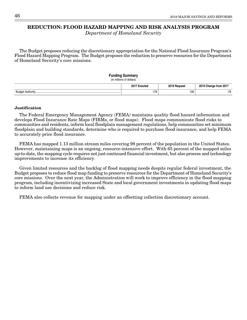# **REDUCTION: FLOOD HAZARD MAPPING AND RISK ANALYSIS PROGRAM**

Department of Homeland Security

The Budget proposes reducing the discretionary appropriation for the National Flood Insurance Program's Flood Hazard Mapping Program. The Budget proposes the reduction to preserve resources for the Department of Homeland Security's core missions.

### **Funding Summary** (In millions of dollars) **2017 Enacted 2019 Request 2019 Change from 2017** Budget Authority................................................................................................................... 178 100 -78

### **Justification**

The Federal Emergency Management Agency (FEMA) maintains quality flood hazard information and develops Flood Insurance Rate Maps (FIRMs, or flood maps). Flood maps communicate flood risks to communities and residents, inform local floodplain management regulations, help communities set minimum floodplain and building standards, determine who is required to purchase flood insurance, and help FEMA to accurately price flood insurance.

FEMA has mapped 1.13 million stream miles covering 98 percent of the population in the United States. However, maintaining maps is an ongoing, resource-intensive effort. With 65 percent of the mapped miles up-to-date, the mapping cycle requires not just continued financial investment, but also process and technology improvements to increase its efficiency.

Given limited resources and the backlog of flood mapping needs despite regular federal investment, the Budget proposes to reduce flood map funding to preserve resources for the Department of Homeland Security's core missions. Over the next year, the Administration will work to improve efficiency in the flood mapping program, including incentivizing increased State and local government investments in updating flood maps to inform land use decisions and reduce risk.

FEMA also collects revenue for mapping under an offsetting collection discretionary account.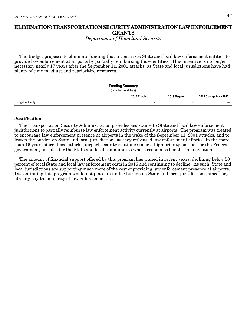# **ELIMINATION: TRANSPORTATION SECURITY ADMINISTRATION LAW ENFORCEMENT GRANTS**

Department of Homeland Security

The Budget proposes to eliminate funding that incentivizes State and local law enforcement entities to provide law enforcement at airports by partially reimbursing those entities. This incentive is no longer necessary nearly 17 years after the September 11, 2001 attacks, as State and local jurisdictions have had plenty of time to adjust and reprioritize resources.

# **Funding Summary** (In millions of dollars) **2017 Enacted 2019 Request 2019 Change from 2017** Budget Authority................................................................................................................... 45 0 -45

### **Justification**

The Transportation Security Administration provides assistance to State and local law enforcement jurisdictions to partially reimburse law enforcement activity currently at airports. The program was created to encourage law enforcement presence at airports in the wake of the September 11, 2001 attacks, and to lessen the burden on State and local jurisdictions as they refocused law enforcement efforts. In the more than 16 years since those attacks, airport security continues to be a high priority not just for the Federal government, but also for the State and local communities whose economies benefit from aviation.

The amount of financial support offered by this program has waned in recent years, declining below 50 percent of total State and local law enforcement costs in 2016 and continuing to decline. As such, State and local jurisdictions are supporting much more of the cost of providing law enforcement presence at airports. Discontinuing this program would not place an undue burden on State and local jurisdictions, since they already pay the majority of law enforcement costs.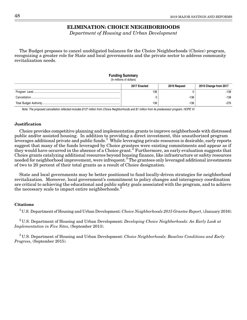# **ELIMINATION: CHOICE NEIGHBORHOODS**

Department of Housing and Urban Development

The Budget proposes to cancel unobligated balances for the Choice Neighborhoods (Choice) program, recognizing a greater role for State and local governments and the private sector to address community revitalization needs.

# **Funding Summary**

|  | (In millions of dollars) |
|--|--------------------------|
|--|--------------------------|

| 2017 Enacted | 2019 Request | 2019 Change from 2017 |
|--------------|--------------|-----------------------|
| 138          |              | $-138$                |
|              | -138         | $-138$                |
| 138          | $-138$       | $-276$                |

Note: The proposed cancellation reflected includes \$137 million from Choice Neighborhoods and \$1 million from its predecessor program, HOPE VI.

### **Justification**

Choice provides competitive planning and implementation grants to improve neighborhoods with distressed public and/or assisted housing. In addition to providing a direct investment, this unauthorized program leverages additional private and public funds.<sup>1</sup> While leveraging private resources is desirable, early reports suggest that many of the funds leveraged by Choice grantees were existing commitments and appear as if they would have occurred in the absence of a Choice grant.<sup>2</sup> Furthermore, an early evaluation suggests that Choice grants catalyzing additional resources beyond housing finance, like infrastructure or safety resources needed for neighborhood improvement, were infrequent.<sup>3</sup> The grantees only leveraged additional investments of two to 20 percent of their total grants as a result of Choice designation.

State and local governments may be better positioned to fund locally-driven strategies for neighborhood revitalization. Moreover, local government's commitment to policy changes and interagency coordination are critical to achieving the educational and public safety goals associated with the program, and to achieve the necessary scale to impact entire neighborhoods.<sup>3</sup>

#### **Citations**

<sup>1</sup>U.S. Department of Housing and Urban Development: *Choice Neighborhoods 2015 Grantee Report*, (January 2016).

 $2^2$ U.S. Department of Housing and Urban Development: Developing Choice Neighborhoods: An Early Look at Implementation in Five Sites, (September 2013).

 $3$  U.S. Department of Housing and Urban Development: Choice Neighborhoods: Baseline Conditions and Early Progress, (September 2015).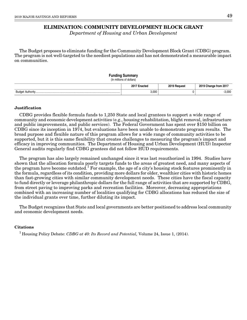# **ELIMINATION: COMMUNITY DEVELOPMENT BLOCK GRANT**

Department of Housing and Urban Development

The Budget proposes to eliminate funding for the Community Development Block Grant (CDBG) program. The program is not well-targeted to the neediest populations and has not demonstrated a measurable impact on communities.

### **Funding Summary**

(In millions of dollars)

|                         | 2017 F<br>:nacteo<br>$\sim$<br>. | 00101<br>$ -$<br>$\sim$ $\sim$ | ----<br>201<br>Trom.<br>____ |
|-------------------------|----------------------------------|--------------------------------|------------------------------|
| Budr<br>$A: H \wedge H$ | 3,000                            |                                | $-3,000$                     |

#### **Justification**

CDBG provides flexible formula funds to 1,250 State and local grantees to support a wide range of community and economic development activities (e.g., housing rehabilitation, blight removal, infrastructure and public improvements, and public services). The Federal Government has spent over \$150 billion on CDBG since its inception in 1974, but evaluations have been unable to demonstrate program results. The broad purpose and flexible nature of this program allows for a wide range of community activities to be supported, but it is this same flexibility that creates challenges to measuring the program's impact and efficacy in improving communities. The Department of Housing and Urban Development (HUD) Inspector General audits regularly find CDBG grantees did not follow HUD requirements.

The program has also largely remained unchanged since it was last reauthorized in 1994. Studies have shown that the allocation formula poorly targets funds to the areas of greatest need, and many aspects of the program have become outdated.<sup>1</sup> For example, the age of a city's housing stock features prominently in the formula, regardless of its condition, providing more dollars for older, wealthier cities with historic homes than fast-growing cities with similar community development needs. These cities have the fiscal capacity to fund directly or leverage philanthropic dollars for the full range of activities that are supported by CDBG, from street paving to improving parks and recreation facilities. Moreover, decreasing appropriations combined with an increasing number of localities qualifying for CDBG allocations has reduced the size of the individual grants over time, further diluting its impact.

The Budget recognizes that State and local governments are better positioned to address local community and economic development needs.

### **Citations**

<sup>1</sup> Housing Policy Debate: CDBG at 40: Its Record and Potential, Volume 24, Issue 1, (2014).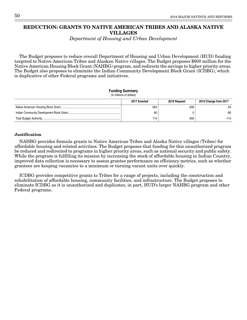# **REDUCTION: GRANTS TO NATIVE AMERICAN TRIBES AND ALASKA NATIVE VILLAGES**

Department of Housing and Urban Development

The Budget proposes to reduce overall Department of Housing and Urban Development (HUD) funding targeted to Native American Tribes and Alaskan Native villages. The Budget proposes \$600 million for the Native American Housing Block Grant (NAHBG) program, and redirects the savings to higher priority areas. The Budget also proposes to eliminate the Indian Community Development Block Grant (ICDBG), which is duplicative of other Federal programs and initiatives.

#### **Funding Summary**

(In millions of dollars)

| 2017 Enacted | 2019 Reauest | 2019 Change from 2017 |
|--------------|--------------|-----------------------|
| 654          | 600          | $-54$                 |
| 60           |              | $-60$                 |
| 714          | 600          | $-114$                |

#### **Justification**

NAHBG provides formula grants to Native American Tribes and Alaska Native villages (Tribes) for affordable housing and related activities. The Budget proposes that funding for this unauthorized program be reduced and redirected to programs in higher priority areas, such as national security and public safety. While the program is fulfilling its mission by increasing the stock of affordable housing in Indian Country, improved data collection is necessary to assess grantee performance on efficiency metrics, such as whether grantees are keeping vacancies to a minimum or turning vacant units over quickly.

ICDBG provides competitive grants to Tribes for a range of projects, including the construction and rehabilitation of affordable housing, community facilities, and infrastructure. The Budget proposes to eliminate ICDBG as it is unauthorized and duplicates, in part, HUD's larger NAHBG program and other Federal programs.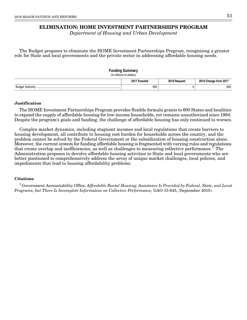# **ELIMINATION: HOME INVESTMENT PARTNERSHIPS PROGRAM**

Department of Housing and Urban Development

The Budget proposes to eliminate the HOME Investment Partnerships Program, recognizing a greater role for State and local governments and the private sector in addressing affordable housing needs.

| <b>Funding Summary</b><br>(In millions of dollars)    |     |  |      |
|-------------------------------------------------------|-----|--|------|
| 2019 Request<br>2017 Enacted<br>2019 Change from 2017 |     |  |      |
|                                                       | 950 |  | -950 |

### **Justification**

The HOME Investment Partnerships Program provides flexible formula grants to 600 States and localities to expand the supply of affordable housing for low-income households, yet remains unauthorized since 1994. Despite the program's goals and funding, the challenge of affordable housing has only continued to worsen.

Complex market dynamics, including stagnant incomes and local regulations that create barriers to housing development, all contribute to housing cost burden for households across the country, and the problem cannot be solved by the Federal Government or the subsidization of housing construction alone. Moreover, the current system for funding affordable housing is fragmented with varying rules and regulations that create overlap and inefficiencies, as well as challenges to measuring collective performance.<sup>1</sup> The Administration proposes to devolve affordable housing activities to State and local governments who are better positioned to comprehensively address the array of unique market challenges, local policies, and impediments that lead to housing affordability problems.

### **Citations**

 $1$  Government Accountability Office: Affordable Rental Housing: Assistance Is Provided by Federal, State, and Local Programs, but There Is Incomplete Information on Collective Performance, GAO-15-645, (September 2015).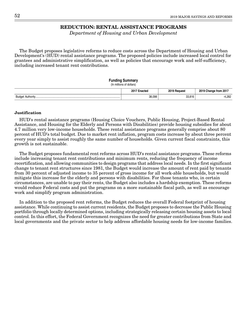### **REDUCTION: RENTAL ASSISTANCE PROGRAMS**

Department of Housing and Urban Development

The Budget proposes legislative reforms to reduce costs across the Department of Housing and Urban Development's (HUD) rental assistance programs. The proposed policies include increased local control for grantees and administrative simplification, as well as policies that encourage work and self-sufficiency, including increased tenant rent contributions.

### **Funding Summary**

(In millions of dollars)

|                                        | 2017          | <b>2010</b><br><b>Poquest</b> | $- - - -$<br>2015<br>from 201 |
|----------------------------------------|---------------|-------------------------------|-------------------------------|
| Budor<br>$A + ibA - v + b$<br><br>- 12 | <b>29 UUG</b> | 33,816                        | 000<br>ےن۔+                   |

#### **Justification**

HUD's rental assistance programs (Housing Choice Vouchers, Public Housing, Project-Based Rental Assistance, and Housing for the Elderly and Persons with Disabilities) provide housing subsidies for about 4.7 million very low-income households. These rental assistance programs generally comprise about 80 percent of HUD's total budget. Due to market rent inflation, program costs increase by about three percent every year simply to assist roughly the same number of households. Given current fiscal constraints, this growth is not sustainable.

The Budget proposes fundamental rent reforms across HUD's rental assistance programs. These reforms include increasing tenant rent contributions and minimum rents, reducing the frequency of income recertification, and allowing communities to design programs that address local needs. In the first significant change to tenant rent structures since 1981, the Budget would increase the amount of rent paid by tenants from 30 percent of adjusted income to 35 percent of gross income for all work-able households, but would mitigate this increase for the elderly and persons with disabilities. For those tenants who, in certain circumstances, are unable to pay their rents, the Budget also includes a hardship exemption. These reforms would reduce Federal costs and put the programs on a more sustainable fiscal path, as well as encourage work and simplify program administration.

In addition to the proposed rent reforms, the Budget reduces the overall Federal footprint of housing assistance. While continuing to assist current residents, the Budget proposes to decrease the Public Housing portfolio through locally determined options, including strategically releasing certain housing assets to local control. In this effort, the Federal Government recognizes the need for greater contributions from State and local governments and the private sector to help address affordable housing needs for low-income families.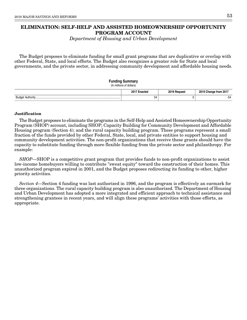# **ELIMINATION: SELF-HELP AND ASSISTED HOMEOWNERSHIP OPPORTUNITY PROGRAM ACCOUNT**

Department of Housing and Urban Development

The Budget proposes to eliminate funding for small grant programs that are duplicative or overlap with other Federal, State, and local efforts. The Budget also recognizes a greater role for State and local governments, and the private sector, in addressing community development and affordable housing needs.

### **Funding Summary**

(In millions of dollars)

|                                               |              | <b>00101</b><br><b>PANILACT</b> | 2010<br>$- - -$<br>-201<br>mm. |
|-----------------------------------------------|--------------|---------------------------------|--------------------------------|
| <b>Budge</b><br>$\mathbf{A} \cdot \mathbf{B}$ | $\sim$<br>54 |                                 |                                |

### **Justification**

The Budget proposes to eliminate the programs in the Self-Help and Assisted Homeownership Opportunity Program (SHOP) account, including SHOP; Capacity Building for Community Development and Affordable Housing program (Section 4); and the rural capacity building program. These programs represent a small fraction of the funds provided by other Federal, State, local, and private entities to support housing and community development activities. The non-profit organizations that receive these grants should have the capacity to substitute funding through more flexible funding from the private sector and philanthropy. For example:

SHOP—SHOP is a competitive grant program that provides funds to non-profit organizations to assist low-income homebuyers willing to contribute "sweat equity" toward the construction of their homes. This unauthorized program expired in 2001, and the Budget proposes redirecting its funding to other, higher priority activities.

Section 4—Section 4 funding was last authorized in 1996, and the program is effectively an earmark for three organizations. The rural capacity building program is also unauthorized. The Department of Housing and Urban Development has adopted a more integrated and efficient approach to technical assistance and strengthening grantees in recent years, and will align these programs' activities with those efforts, as appropriate.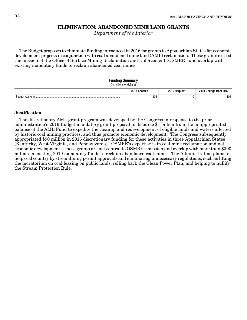# **ELIMINATION: ABANDONED MINE LAND GRANTS**

Department of the Interior

The Budget proposes to eliminate funding introduced in 2016 for grants to Appalachian States for economic development projects in conjunction with coal abandoned mine land (AML) reclamation. These grants exceed the mission of the Office of Surface Mining Reclamation and Enforcement (OSMRE), and overlap with existing mandatory funds to reclaim abandoned coal mines.

#### **Funding Summary** (In millions of dollars)

|     | 201<br>тео | <b>0010</b><br>'eaues | .             |
|-----|------------|-----------------------|---------------|
| مەس |            |                       | $-105$        |
|     | 105        |                       | $\sim$ $\sim$ |

### **Justification**

The discretionary AML grant program was developed by the Congress in response to the prior administration's 2016 Budget mandatory grant proposal to disburse \$1 billion from the unappropriated balance of the AML Fund to expedite the cleanup and redevelopment of eligible lands and waters affected by historic coal mining practices, and thus promote economic development. The Congress subsequently appropriated \$90 million in 2016 discretionary funding for these activities in three Appalachian States (Kentucky, West Virginia, and Pennsylvania). OSMRE's expertise is in coal mine reclamation and not economic development. These grants are not central to OSMRE's mission and overlap with more than \$300 million in existing 2019 mandatory funds to reclaim abandoned coal mines. The Administration plans to help coal country by streamlining permit approvals and eliminating unnecessary regulations, such as lifting the moratorium on coal leasing on public lands, rolling back the Clean Power Plan, and helping to nullify the Stream Protection Rule.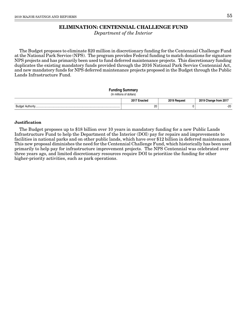# **ELIMINATION: CENTENNIAL CHALLENGE FUND**

Department of the Interior

The Budget proposes to eliminate \$20 million in discretionary funding for the Centennial Challenge Fund at the National Park Service (NPS). The program provides Federal funding to match donations for signature NPS projects and has primarily been used to fund deferred maintenance projects. This discretionary funding duplicates the existing mandatory funds provided through the 2016 National Park Service Centennial Act, and new mandatory funds for NPS deferred maintenance projects proposed in the Budget through the Public Lands Infrastructure Fund.

#### **Funding Summary**

(In millions of dollars)

|                   | 20<br>m<br>ucu | nner | from 201<br>ıldı |
|-------------------|----------------|------|------------------|
| 3udar<br>$\cdots$ | 20<br>$\sim$   |      | n o<br>ΔU<br>__  |

### **Justification**

The Budget proposes up to \$18 billion over 10 years in mandatory funding for a new Public Lands Infrastructure Fund to help the Department of the Interior (DOI) pay for repairs and improvements to facilities in national parks and on other public lands, which have over \$12 billion in deferred maintenance. This new proposal diminishes the need for the Centennial Challenge Fund, which historically has been used primarily to help pay for infrastructure improvement projects. The NPS Centennial was celebrated over three years ago, and limited discretionary resources require DOI to prioritize the funding for other higher-priority activities, such as park operations.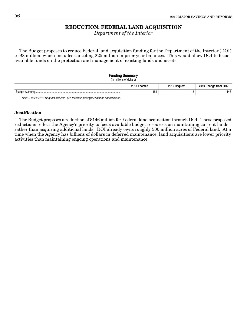# **REDUCTION: FEDERAL LAND ACQUISITION**

Department of the Interior

The Budget proposes to reduce Federal land acquisition funding for the Department of the Interior (DOI) to \$8 million, which includes canceling \$25 million in prior year balances. This would allow DOI to focus available funds on the protection and management of existing lands and assets.

#### **Funding Summary**

(In millions of dollars)

|                      | $0.17 -$ | <b>2010</b><br><b>Portugst</b> | .201<br>2010<br>Trom |
|----------------------|----------|--------------------------------|----------------------|
| Budae<br>` Authority | 154      |                                | 146                  |
| _____                |          |                                |                      |

Note: The FY 2019 Request includes -\$25 million in prior year balance cancellations.

#### **Justification**

The Budget proposes a reduction of \$146 million for Federal land acquisition through DOI. These proposed reductions reflect the Agency's priority to focus available budget resources on maintaining current lands rather than acquiring additional lands. DOI already owns roughly 500 million acres of Federal land. At a time when the Agency has billions of dollars in deferred maintenance, land acquisitions are lower priority activities than maintaining ongoing operations and maintenance.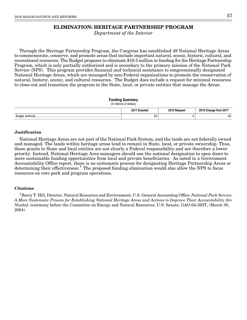# **ELIMINATION: HERITAGE PARTNERSHIP PROGRAM**

Department of the Interior

Through the Heritage Partnership Program, the Congress has established 49 National Heritage Areas to commemorate, conserve, and promote areas that include important natural, scenic, historic, cultural, and recreational resources. The Budget proposes to eliminate \$19.5 million in funding for the Heritage Partnership Program, which is only partially authorized and is secondary to the primary mission of the National Park Service (NPS). This program provides financial and technical assistance to congressionally designated National Heritage Areas, which are managed by non-Federal organizations to promote the conservation of natural, historic, scenic, and cultural resources. The Budget does include a request for minimal resources to close-out and transition the program to the State, local, or private entities that manage the Areas.

| <b>Funding Summary</b><br>(In millions of dollars) |              |              |                       |
|----------------------------------------------------|--------------|--------------|-----------------------|
|                                                    | 2017 Enacted | 2019 Request | 2019 Change from 2017 |
|                                                    | 20           |              | -20                   |

#### **Justification**

National Heritage Areas are not part of the National Park System, and the lands are not federally owned and managed. The lands within heritage areas tend to remain in State, local, or private ownership. Thus, these grants to State and local entities are not clearly a Federal responsibility and are therefore a lower priority. Instead, National Heritage Area managers should use the national designation to open doors to more sustainable funding opportunities from local and private beneficiaries. As noted in a Government Accountability Office report, there is no systematic process for designating Heritage Partnership Areas or determining their effectiveness.<sup>1</sup> The proposed funding elimination would also allow the NPS to focus resources on core park and program operations.

#### **Citations**

<sup>1</sup> Barry T. Hill, Director, Natural Resources and Environment, U.S. General Accounting Office: National Park Service: A More Systematic Process for Establishing National Heritage Areas and Actions to Improve Their Accountability Are Needed, testimony before the Committee on Energy and Natural Resources, U.S. Senate, GAO-04-593T, (March 30, 2004).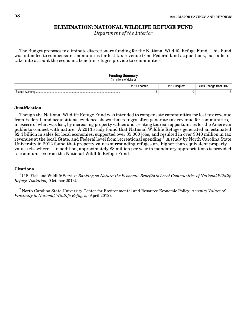# **ELIMINATION: NATIONAL WILDLIFE REFUGE FUND**

Department of the Interior

The Budget proposes to eliminate discretionary funding for the National Wildlife Refuge Fund. This Fund was intended to compensate communities for lost tax revenue from Federal land acquisitions, but fails to take into account the economic benefits refuges provide to communities.

#### **Funding Summary**

(In millions of dollars)

|       | $20^{\circ}$<br>⊧nacτeα        | $0.10 - 1$<br>Reques. | from 201<br>unange<br>20 I J |
|-------|--------------------------------|-----------------------|------------------------------|
| Budge | $\overline{A}$<br>טו<br>$\sim$ |                       | טו                           |

### **Justification**

Though the National Wildlife Refuge Fund was intended to compensate communities for lost tax revenue from Federal land acquisitions, evidence shows that refuges often generate tax revenue for communities, in excess of what was lost, by increasing property values and creating tourism opportunities for the American public to connect with nature. A 2013 study found that National Wildlife Refuges generated an estimated \$2.4 billion in sales for local economies, supported over 35,000 jobs, and resulted in over \$340 million in tax revenues at the local, State, and Federal level from recreational spending.<sup>1</sup> A study by North Carolina State University in 2012 found that property values surrounding refuges are higher than equivalent property values elsewhere.<sup>2</sup> In addition, approximately \$8 million per year in mandatory appropriations is provided to communities from the National Wildlife Refuge Fund.

### **Citations**

<sup>1</sup>U.S. Fish and Wildlife Service: Banking on Nature: the Economic Benefits to Local Communities of National Wildlife Refuge Visitation, (October 2013).

 $2$  North Carolina State University Center for Environmental and Resource Economic Policy: Amenity Values of Proximity to National Wildlife Refuges, (April 2012).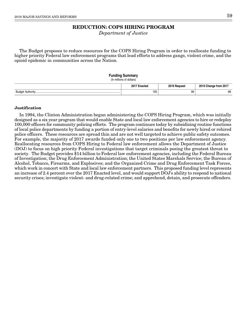# **REDUCTION: COPS HIRING PROGRAM**

Department of Justice

The Budget proposes to reduce resources for the COPS Hiring Program in order to reallocate funding to higher priority Federal law enforcement programs that lead efforts to address gangs, violent crime, and the opioid epidemic in communities across the Nation.

#### **Funding Summary**

(In millions of dollars)

|                             | ___ ኃበ * "<br><sup>-</sup> nacteo | 0010 | יחכי<br>om<br>εu. |
|-----------------------------|-----------------------------------|------|-------------------|
| Budo <sub>r</sub><br>.<br>. | 195                               | 99   | $-96$             |

#### **Justification**

In 1994, the Clinton Administration began administering the COPS Hiring Program, which was initially designed as a six year program that would enable State and local law enforcement agencies to hire or redeploy 100,000 officers for community policing efforts. The program continues today by subsidizing routine functions of local police departments by funding a portion of entry-level salaries and benefits for newly hired or rehired police officers. These resources are spread thin and are not well targeted to achieve public safety outcomes. For example, the majority of 2017 awards funded only one to two positions per law enforcement agency. Reallocating resources from COPS Hiring to Federal law enforcement allows the Department of Justice (DOJ) to focus on high priority Federal investigations that target criminals posing the greatest threat to society. The Budget provides \$14 billion to Federal law enforcement agencies, including the Federal Bureau of Investigation; the Drug Enforcement Administration; the United States Marshals Service; the Bureau of Alcohol, Tobacco, Firearms, and Explosives; and the Organized Crime and Drug Enforcement Task Forces, which work in concert with State and local law enforcement partners. This proposed funding level represents an increase of 2.4 percent over the 2017 Enacted level, and would support DOJ's ability to respond to national security crises; investigate violent- and drug-related crime; and apprehend, detain, and prosecute offenders.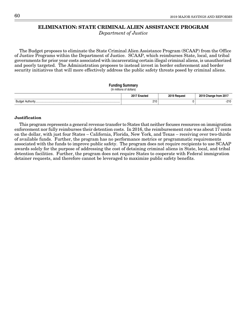# **ELIMINATION: STATE CRIMINAL ALIEN ASSISTANCE PROGRAM**

Department of Justice

The Budget proposes to eliminate the State Criminal Alien Assistance Program (SCAAP) from the Office of Justice Programs within the Department of Justice. SCAAP, which reimburses State, local, and tribal governments for prior year costs associated with incarcerating certain illegal criminal aliens, is unauthorized and poorly targeted. The Administration proposes to instead invest in border enforcement and border security initiatives that will more effectively address the public safety threats posed by criminal aliens.

#### **Funding Summary**

(In millions of dollars)

|                                       | 20 <sup>1</sup><br>. TAY<br>, LCU | 0010 | ` from 201.  |
|---------------------------------------|-----------------------------------|------|--------------|
| Budge<br>$A: H \wedge H$<br>Authority | 210                               |      | 010<br>-21 U |

### **Justification**

This program represents a general revenue transfer to States that neither focuses resources on immigration enforcement nor fully reimburses their detention costs. In 2016, the reimbursement rate was about 17 cents on the dollar, with just four States – California, Florida, New York, and Texas – receiving over two-thirds of available funds. Further, the program has no performance metrics or programmatic requirements associated with the funds to improve public safety. The program does not require recipients to use SCAAP awards solely for the purpose of addressing the cost of detaining criminal aliens in State, local, and tribal detention facilities. Further, the program does not require States to cooperate with Federal immigration detainer requests, and therefore cannot be leveraged to maximize public safety benefits.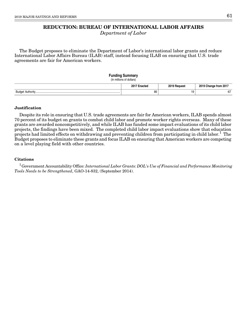# **REDUCTION: BUREAU OF INTERNATIONAL LABOR AFFAIRS**

Department of Labor

The Budget proposes to eliminate the Department of Labor's international labor grants and reduce International Labor Affairs Bureau (ILAB) staff, instead focusing ILAB on ensuring that U.S. trade agreements are fair for American workers.

### **Funding Summary** (In millions of dollars) **2017 Enacted 2019 Request 2019 Change from 2017** Budget Authority................................................................................................................... 86 19 -67

### **Justification**

Despite its role in ensuring that U.S. trade agreements are fair for American workers, ILAB spends almost 70 percent of its budget on grants to combat child labor and promote worker rights overseas. Many of these grants are awarded noncompetitively, and while ILAB has funded some impact evaluations of its child labor projects, the findings have been mixed. The completed child labor impact evaluations show that education projects had limited effects on withdrawing and preventing children from participating in child labor.<sup>1</sup> The Budget proposes to eliminate these grants and focus ILAB on ensuring that American workers are competing on a level playing field with other countries.

### **Citations**

 $1$ Government Accountability Office: International Labor Grants: DOL's Use of Financial and Performance Monitoring Tools Needs to be Strengthened, GAO-14-832, (September 2014).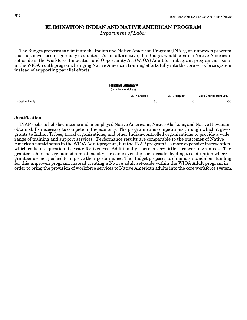# **ELIMINATION: INDIAN AND NATIVE AMERICAN PROGRAM**

Department of Labor

The Budget proposes to eliminate the Indian and Native American Program (INAP), an unproven program that has never been rigorously evaluated. As an alternative, the Budget would create a Native American set-aside in the Workforce Innovation and Opportunity Act (WIOA) Adult formula grant program, as exists in the WIOA Youth program, bringing Native American training efforts fully into the core workforce system instead of supporting parallel efforts.

### **Funding Summary**

(In millions of dollars) **2017 Enacted 2019 Request 2019 Change from 2017** Budget Authority................................................................................................................... 50 0 -50

### **Justification**

INAP seeks to help low-income and unemployed Native Americans, Native Alaskans, and Native Hawaiians obtain skills necessary to compete in the economy. The program runs competitions through which it gives grants to Indian Tribes, tribal organizations, and other Indian-controlled organizations to provide a wide range of training and support services. Performance results are comparable to the outcomes of Native American participants in the WIOA Adult program, but the INAP program is a more expensive intervention, which calls into question its cost effectiveness. Additionally, there is very little turnover in grantees. The grantee cohort has remained almost exactly the same over the past decade, leading to a situation where grantees are not pushed to improve their performance. The Budget proposes to eliminate standalone funding for this unproven program, instead creating a Native adult set-aside within the WIOA Adult program in order to bring the provision of workforce services to Native American adults into the core workforce system.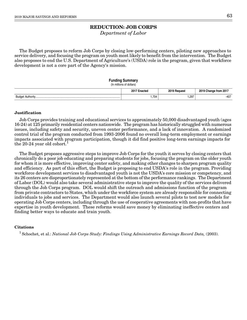Department of Labor

The Budget proposes to reform Job Corps by closing low-performing centers, piloting new approaches to service delivery, and focusing the program on youth most likely to benefit from the intervention. The Budget also proposes to end the U.S. Department of Agriculture's (USDA) role in the program, given that workforce development is not a core part of the Agency's mission.

## **Funding Summary**

(In millions of dollars)

|                         | $2017 -$<br>-nootor<br>.<br>$\sim$ | 2019<br>Reauest<br>$\sim$ $\sim$ | 2019<br>-- --<br>-201<br>mando<br><b>Trom</b> |
|-------------------------|------------------------------------|----------------------------------|-----------------------------------------------|
| Budr<br>$A: H \wedge T$ | 1,704                              | .297                             | $-407$                                        |

## **Justification**

Job Corps provides training and educational services to approximately 50,000 disadvantaged youth (ages 16-24) at 125 primarily residential centers nationwide. The program has historically struggled with numerous issues, including safety and security, uneven center performance, and a lack of innovation. A randomized control trial of the program conducted from 1993-2006 found no overall long-term employment or earnings impacts associated with program participation, though it did find positive long-term earnings impacts for the 20-24 year old cohort.<sup>1</sup>

The Budget proposes aggressive steps to improve Job Corps for the youth it serves by closing centers that chronically do a poor job educating and preparing students for jobs, focusing the program on the older youth for whom it is more effective, improving center safety, and making other changes to sharpen program quality and efficiency. As part of this effort, the Budget is proposing to end USDA's role in the program. Providing workforce development services to disadvantaged youth is not the USDA's core mission or competency, and its 26 centers are disproportionately represented at the bottom of the performance rankings. The Department of Labor (DOL) would also take several administrative steps to improve the quality of the services delivered through the Job Corps program. DOL would shift the outreach and admissions function of the program from private contractors to States, which under the workforce system are already responsible for connecting individuals to jobs and services. The Department would also launch several pilots to test new models for operating Job Corps centers, including through the use of cooperative agreements with non-profits that have expertise in youth development. These reforms would save money by eliminating ineffective centers and finding better ways to educate and train youth.

#### **Citations**

<sup>1</sup> Schochet, et al.: National Job Corps Study: Findings Using Administrative Earnings Record Data, (2003).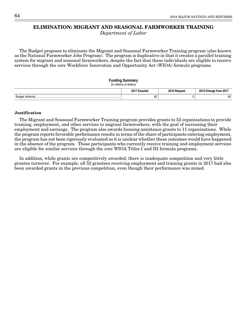# **ELIMINATION: MIGRANT AND SEASONAL FARMWORKER TRAINING**

Department of Labor

The Budget proposes to eliminate the Migrant and Seasonal Farmworker Training program (also known as the National Farmworker Jobs Program). The program is duplicative in that it creates a parallel training system for migrant and seasonal farmworkers, despite the fact that these individuals are eligible to receive services through the core Workforce Innovation and Opportunity Act (WIOA) formula programs.

# **Funding Summary** (In millions of dollars) **2017 Enacted 2019 Request 2019 Change from 2017** Budget Authority................................................................................................................... 82 0 -82

## **Justification**

The Migrant and Seasonal Farmworker Training program provides grants to 52 organizations to provide training, employment, and other services to migrant farmworkers, with the goal of increasing their employment and earnings. The program also awards housing assistance grants to 11 organizations. While the program reports favorable performance results in terms of the share of participants entering employment, the program has not been rigorously evaluated so it is unclear whether these outcomes would have happened in the absence of the program. Those participants who currently receive training and employment services are eligible for similar services through the core WIOA Titles I and III formula programs.

In addition, while grants are competitively awarded, there is inadequate competition and very little grantee turnover. For example, all 52 grantees receiving employment and training grants in 2017 had also been awarded grants in the previous competition, even though their performance was mixed.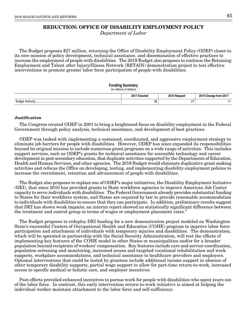# **REDUCTION: OFFICE OF DISABILITY EMPLOYMENT POLICY**

Department of Labor

The Budget proposes \$27 million, returning the Office of Disability Employment Policy (ODEP) closer to its core mission of policy development, technical assistance, and dissemination of effective practices to increase the employment of people with disabilities. The 2019 Budget also proposes to continue the Retaining Employment and Talent after Injury/Illness Network (RETAIN) demonstration project to test effective interventions to promote greater labor force participation of people with disabilities.

#### **Funding Summary**

(In millions of dollars)

|        | 2017 E<br>:nactec | 2019 F<br>Request | nner<br>-- --<br>EU I |
|--------|-------------------|-------------------|-----------------------|
| Budget | 38                | . .               |                       |

## **Justification**

The Congress created ODEP in 2001 to bring a heightened focus on disability employment in the Federal Government through policy analysis, technical assistance, and development of best practices.

ODEP was tasked with implementing a sustained, coordinated, and aggressive employment strategy to eliminate job barriers for people with disabilities. However, ODEP has since expanded its responsibilities beyond its original mission to include numerous grant programs on a wide range of activities. This includes support services, such as ODEP's grants for technical assistance for accessible technology and career development in post-secondary education, that duplicate activities supported by the Departments of Education, Health and Human Services, and other agencies. The 2019 Budget would eliminate duplicative grant making activities and refocus the Office on developing, testing, and implementing disability employment policies to increase the recruitment, retention and advancement of people with disabilities.

The Budget also proposes to replace one of ODEP's major initiatives, the Disability Employment Initiative (DEI), that since 2010 has provided grants to State workforce agencies to improve American Job Center capacity to serve individuals with disabilities. The Federal Government already provides substantial funding to States for their workforce system, and States are required by law to provide reasonable accommodation to individuals with disabilities to ensure that they can participate. In addition, preliminary results suggest that DEI has shown weak impacts; an interim report showed no statistically significant difference between the treatment and control group in terms of wages or employment placement rates.<sup>1</sup>

The Budget proposes to redeploy DEI funding for a new demonstration project modeled on Washington State's successful Centers of Occupational Health and Education (COHE) program to improve labor force participation and attachment of individuals with temporary injuries and disabilities. The demonstration, which will be operated in partnership with the Social Security Administration, will test the effects of implementing key features of the COHE model in other States or municipalities and/or for a broader population beyond recipients of workers' compensation. Key features include care and service coordination, population screening and monitoring, increased access and targeted vocational rehabilitation and work supports, workplace accommodations, and technical assistance to healthcare providers and employers. Optional interventions that could be tested by grantees include additional income support in absence of other temporary disability supports, partial wage support to allow for part-time return-to-work, increased access to specific medical or holistic care, and employer incentives.

Past efforts provided enhanced incentives to pursue work for people with disabilities who spent years out of the labor force. In contrast, this early intervention return-to-work initiative is aimed at helping the individual worker maintain attachment to the labor force and self-sufficiency.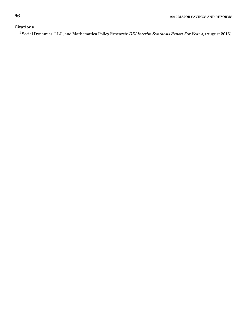# **Citations**

 $^1$  Social Dynamics, LLC, and Mathematica Policy Research: *DEI Interim Synthesis Report For Year 4,* (August 2016).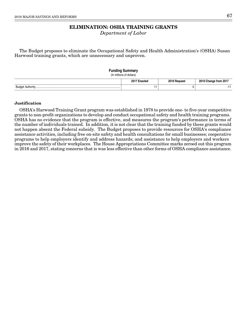# **ELIMINATION: OSHA TRAINING GRANTS**

Department of Labor

The Budget proposes to eliminate the Occupational Safety and Health Administration's (OSHA) Susan Harwood training grants, which are unnecessary and unproven.

| <b>Funding Summary</b><br>(In millions of dollars) |              |              |                       |
|----------------------------------------------------|--------------|--------------|-----------------------|
|                                                    | 2017 Enacted | 2019 Request | 2019 Change from 2017 |
|                                                    |              |              |                       |

## **Justification**

OSHA's Harwood Training Grant program was established in 1978 to provide one- to five-year competitive grants to non-profit organizations to develop and conduct occupational safety and health training programs. OSHA has no evidence that the program is effective, and measures the program's performance in terms of the number of individuals trained. In addition, it is not clear that the training funded by these grants would not happen absent the Federal subsidy. The Budget proposes to provide resources for OSHA's compliance assistance activities, including free on-site safety and health consultations for small businesses; cooperative programs to help employers identify and address hazards; and assistance to help employers and workers improve the safety of their workplaces. The House Appropriations Committee marks zeroed out this program in 2016 and 2017, stating concerns that is was less effective than other forms of OSHA compliance assistance.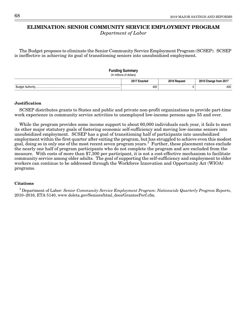# **ELIMINATION: SENIOR COMMUNITY SERVICE EMPLOYMENT PROGRAM**

Department of Labor

The Budget proposes to eliminate the Senior Community Service Employment Program (SCSEP). SCSEP is ineffective in achieving its goal of transitioning seniors into unsubsidized employment.

| <b>Funding Summary</b><br>(In millions of dollars) |              |                       |
|----------------------------------------------------|--------------|-----------------------|
| 2017 Enacted                                       | 2019 Request | 2019 Change from 2017 |
| 400                                                |              | -400                  |

#### **Justification**

SCSEP distributes grants to States and public and private non-profit organizations to provide part-time work experience in community service activities to unemployed low-income persons ages 55 and over.

While the program provides some income support to about 60,000 individuals each year, it fails to meet its other major statutory goals of fostering economic self-sufficiency and moving low-income seniors into unsubsidized employment. SCSEP has a goal of transitioning half of participants into unsubsidized employment within the first quarter after exiting the program, but has struggled to achieve even this modest goal, doing so in only one of the most recent seven program years.<sup>1</sup> Further, these placement rates exclude the nearly one half of program participants who do not complete the program and are excluded from the measure. With costs of more than \$7,300 per participant, it is not a cost-effective mechanism to facilitate community service among older adults. The goal of supporting the self-sufficiency and employment to older workers can continue to be addressed through the Workforce Innovation and Opportunity Act (WIOA) programs.

#### **Citations**

<sup>1</sup> Department of Labor: Senior Community Service Employment Program: Nationwide Quarterly Progress Reports, 2010–2016, ETA 5140, www.doleta.gov/Seniors/html\_docs/GranteePerf.cfm.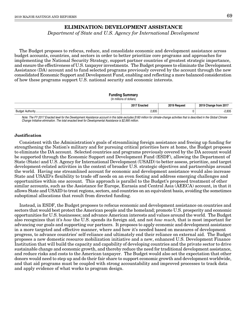# **ELIMINATION: DEVELOPMENT ASSISTANCE**

Department of State and U.S. Agency for International Development

The Budget proposes to refocus, reduce, and consolidate economic and development assistance across budget accounts, countries, and sectors in order to better prioritize core programs and approaches for implementing the National Security Strategy, support partner countries of greatest strategic importance, and ensure the effectiveness of U.S. taxpayer investments. The Budget proposes to eliminate the Development Assistance (DA) account and to fund selected programs previously covered by the account through the new consolidated Economic Support and Development Fund, enabling and reflecting a more balanced consideration of how these programs support U.S. national security and economic interests.

#### **Funding Summary**

#### (In millions of dollars)

|                    | 201<br>Enacted | 2019 Request | 9 Change from 201,<br>ΔU |
|--------------------|----------------|--------------|--------------------------|
| Budge<br>Authority | 2.835          |              | ם מסימ<br>-46<br>טטס,∠∙  |

Note: The FY 2017 Enacted level for the Development Assistance account in this table excludes \$160 million for climate-change activities that is described in the Global Climate Change Initiative elimination. The total enacted level for Developmental Assistance is \$2,995 million.

## **Justification**

Consistent with the Administration's goals of streamlining foreign assistance and freeing up funding for strengthening the Nation's military and for pursuing critical priorities here at home, the Budget proposes to eliminate the DA account. Selected countries and programs previously covered by the DA account would be supported through the Economic Support and Development Fund (ESDF), allowing the Department of State (State) and U.S. Agency for International Development (USAID) to better assess, prioritize, and target development-related activities in the context of broader U.S. strategic objectives and partnerships around the world. Having one streamlined account for economic and development assistance would also increase State and USAID's flexibility to trade off needs on an even footing and address emerging challenges and opportunities within one account. This approach is parallel to the Budget's proposed treatment of other similar accounts, such as the Assistance for Europe, Eurasia and Central Asia (AEECA) account, in that it allows State and USAID to treat regions, sectors, and countries on an equivalent basis, avoiding the sometimes suboptimal allocations that result from directed funding.

Instead, in ESDF, the Budget proposes to refocus economic and development assistance on countries and sectors that would best protect the American people and the homeland; promote U.S. prosperity and economic opportunities for U.S. businesses; and advance American interests and values around the world. The Budget also recognizes that it's *how* the U.S. spends its foreign aid, and not *how much*, that is most important for advancing our goals and supporting our partners. It proposes to apply economic and development assistance in a more targeted and effective manner, where and how it's needed based on measures of development progress, to advance countries' self-reliance and ultimately end their reliance on external aid. The Budget proposes a new domestic resource mobilization initiative and a new, enhanced U.S. Development Finance Institution that will build the capacity and capability of developing countries and the private sector to drive sustainable change and economic growth, and thereby reduce the need for traditional development assistance, and reduce risks and costs to the American taxpayer. The Budget would also set the expectation that other donors would need to step up and do their fair share to support economic growth and development worldwide, and that aid programs must be coupled with strong accountability and improved processes to track data and apply evidence of what works to program design.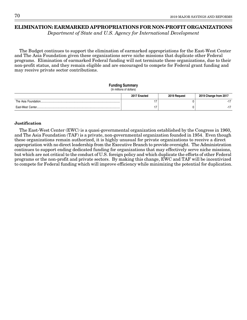# **ELIMINATION: EARMARKED APPROPRIATIONS FOR NON-PROFIT ORGANIZATIONS**

Department of State and U.S. Agency for International Development

The Budget continues to support the elimination of earmarked appropriations for the East-West Center and The Asia Foundation given these organizations serve niche missions that duplicate other Federal programs. Elimination of earmarked Federal funding will not terminate these organizations, due to their non-profit status, and they remain eligible and are encouraged to compete for Federal grant funding and may receive private sector contributions.

#### **Funding Summary** (In millions of dollars)

| $\frac{1}{2}$ |              |              |                       |
|---------------|--------------|--------------|-----------------------|
|               | 2017 Enacted | 2019 Request | 2019 Change from 2017 |
|               |              |              |                       |
|               |              |              |                       |

## **Justification**

The East-West Center (EWC) is a quasi-governmental organization established by the Congress in 1960, and The Asia Foundation (TAF) is a private, non-governmental organization founded in 1954. Even though these organizations remain authorized, it is highly unusual for private organizations to receive a direct appropriation with no direct leadership from the Executive Branch to provide oversight. The Administration continues to support ending dedicated funding for organizations that may effectively serve niche missions, but which are not critical to the conduct of U.S. foreign policy and which duplicate the efforts of other Federal programs or the non-profit and private sectors. By making this change, EWC and TAF will be incentivized to compete for Federal funding which will improve efficiency while minimizing the potential for duplication.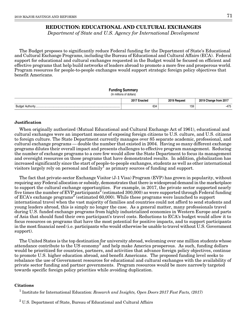# **REDUCTION: EDUCATIONAL AND CULTURAL EXCHANGES**

Department of State and U.S. Agency for International Development

The Budget proposes to significantly reduce Federal funding for the Department of State's Educational and Cultural Exchange Programs, including the Bureau of Educational and Cultural Affairs (ECA). Federal support for educational and cultural exchanges requested in the Budget would be focused on efficient and effective programs that help build networks of leaders abroad to promote a more free and prosperous world. Program resources for people-to-people exchanges would support strategic foreign policy objectives that benefit Americans.

## **Funding Summary**

```
(In millions of dollars)
```

|                                   | $2017 -$<br>-naato<br>naciec | 2019<br><b>Pequest</b> | 2019<br>- --<br>nn4<br>hando<br>Trom<br>. ZU .<br>u |
|-----------------------------------|------------------------------|------------------------|-----------------------------------------------------|
| Sudr.<br>$A + ib - cu$<br>∟u⊾<br> | 634                          | 159                    | $\overline{\phantom{a}}$<br>-475                    |

## **Justification**

When originally authorized (Mutual Educational and Cultural Exchange Act of 1961), educational and cultural exchanges were an important means of exposing foreign citizens to U.S. culture, and U.S. citizens to foreign culture. The State Department currently manages over 85 separate academic, professional, and cultural exchange programs — double the number that existed in 2004. Having so many different exchange programs dilutes their overall impact and presents challenges to effective program management. Reducing the number of exchange programs to a core few would allow the State Department to focus its management and oversight resources on those programs that have demonstrated results. In addition, globalization has increased significantly since the start of people-to-people exchanges, students as well as other international visitors largely rely on personal and family<sup>1</sup> as primary sources of funding and support.

The fact that private-sector Exchange Visitor (J-1 Visa) Program (EVP) has grown in popularity, without requiring any Federal allocation or subsidy, demonstrates that there is widespread demand in the marketplace to support the cultural exchange opportunities. For example, in 2017, the private sector supported nearly five times the number of EVP participants<sup>2</sup> (estimated 300,000) as were supported through Federal funding of ECA's exchange programs<sup>2</sup> (estimated 60,000). While these programs were launched to support international travel when the vast majority of families and countries could not afford to send students and young leaders abroad, this is simply no longer the case. As a general matter, many professionals travel during U.S. funded exchange programs from highly industrialized economies in Western Europe and parts of Asia that should fund their own participant's travel costs. Reductions to ECA's budget would allow it to focus resources on programs that have the most potential for positive impacts, and to support participants in the most financial need (i.e. participants who would otherwise be unable to travel without U.S. Government support).

The United States is the top destination for university abroad, welcoming over one million students whose attendance contribute to the US economy<sup>3</sup> and help make America prosperous. As such, funding dollars would be prioritized for countries, partners, and activities that advance foreign policy objectives, continue to promote U.S. higher education abroad, and benefit Americans. The proposed funding level seeks to rebalance the use of Government resources for educational and cultural exchanges with the availability of private sector funding and partner governments. Program resources would be more narrowly targeted towards specific foreign policy priorities while avoiding duplication.

## **Citations**

<sup>1</sup> Institute for International Education: Research and Insights, Open Doors 2017 Fast Facts, (2017)

 $2$  U.S. Department of State, Bureau of Educational and Cultural Affairs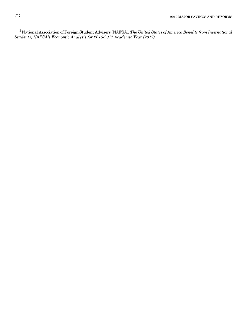National Association of Foreign Student Advisers (NAFSA): The United States of America Benefits from International Students, NAFSA's Economic Analysis for 2016-2017 Academic Year (2017)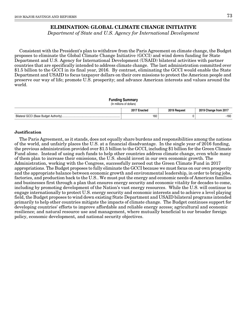# **ELIMINATION: GLOBAL CLIMATE CHANGE INITIATIVE**

Department of State and U.S. Agency for International Development

Consistent with the President's plan to withdraw from the Paris Agreement on climate change, the Budget proposes to eliminate the Global Climate Change Initiative (GCCI) and wind down funding for State Department and U.S. Agency for International Development (USAID) bilateral activities with partner countries that are specifically intended to address climate change. The last administration committed over \$1.5 billion to the GCCI in its final year, 2016. By contrast, eliminating the GCCI would enable the State Department and USAID to focus taxpayer dollars on their core missions to protect the American people and preserve our way of life; promote U.S. prosperity; and advance American interests and values around the world.

| <b>Funding Summary</b><br>(In millions of dollars) |              |              |                       |
|----------------------------------------------------|--------------|--------------|-----------------------|
|                                                    | 2017 Enacted | 2019 Request | 2019 Change from 2017 |
|                                                    | 160          |              | -160                  |

## **Justification**

The Paris Agreement, as it stands, does not equally share burdens and responsibilities among the nations of the world, and unfairly places the U.S. at a financial disadvantage. In the single year of 2016 funding, the previous administration provided over \$1.5 billion to the GCCI, including \$1 billion for the Green Climate Fund alone. Instead of using such funds to help other countries address climate change, even while many of them plan to increase their emissions, the U.S. should invest in our own economic growth. The Administration, working with the Congress, successfully zeroed out the Green Climate Fund in 2017 appropriations. The Budget proposes to fully eliminate the GCCI because we must focus on our own prosperity and the appropriate balance between economic growth and environmental leadership, in order to bring jobs, factories, and production back to the U.S.. We must put the energy and economic needs of American families and businesses first through a plan that ensures energy security and economic vitality for decades to come, including by promoting development of the Nation's vast energy resources. While the U.S. will continue to engage internationally to protect U.S. energy security and economic interests and to achieve a level playing field, the Budget proposes to wind down existing State Department and USAID bilateral programs intended primarily to help other countries mitigate the impacts of climate change. The Budget continues support for developing countries' efforts to improve affordable and reliable energy access; agricultural and economic resilience; and natural resource use and management, where mutually beneficial to our broader foreign policy, economic development, and national security objectives.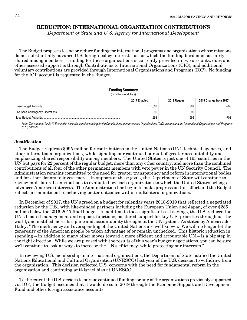# **REDUCTION: INTERNATIONAL ORGANIZATION CONTRIBUTIONS**

Department of State and U.S. Agency for International Development

The Budget proposes to end or reduce funding for international programs and organizations whose missions do not substantially advance U.S. foreign policy interests, or for which the funding burden is not fairly shared among members. Funding for these organizations is currently provided in two accounts: dues and other assessed support is through Contributions to International Organizations (CIO); and additional voluntary contributions are provided through International Organizations and Programs (IOP). No funding for the IOP account is requested in the Budget.

## **Funding Summary**

(In millions of dollars)

| 2017 Enacted | 2019 Request | 2019 Change from 2017 |
|--------------|--------------|-----------------------|
| 1.602        | 899          | -703                  |
| 96           | 96           |                       |
| 698. ا       | 995          | -703                  |

Note: The amounts for 2017 Enacted in the table combine funding for the Contributions to International Organizations (CIO) account and the International Organizations and Programs (IOP) account.

## **Justification**

The Budget requests \$995 million for contributions to the United Nations (UN), technical agencies, and other international organizations, while signaling our continued pursuit of greater accountability and emphasizing shared responsibility among members. The United States is just one of 193 countries in the UN but pays for 22 percent of the regular budget, more than any other country, and more than the combined contributions of all four of the other permanent members with veto power in the UN Security Council. The Administration remains committed to the need for greater transparency and reform in international bodies and for other donors to invest more. In support of these goals, the Department of State will continue to review multilateral contributions to evaluate how each organization to which the United States belongs advances American interests. The Administration has begun to make progress on this effort and the Budget reflects a commitment to achieving better outcomes within multilateral organizations.

In December of 2017, the UN agreed on a budget for calendar years 2018-2019 that reflected a negotiated reduction by the U.S., with like-minded partners including the European Union and Japan, of over \$285 million below the 2016-2017 final budget. In addition to these significant cost savings, the U.S. reduced the UN's bloated management and support functions, bolstered support for key U.S. priorities throughout the world, and instilled more discipline and accountability throughout the UN system. As stated by Ambassador Haley, "The inefficiency and overspending of the United Nations are well known. We will no longer let the generosity of the American people be taken advantage of or remain unchecked. This historic reduction in spending – in addition to many other moves toward a more efficient and accountable UN – is a big step in the right direction. While we are pleased with the results of this year's budget negotiations, you can be sure we'll continue to look at ways to increase the UN's efficiency while protecting our interests."

In reviewing U.S. membership in international organizations, the Department of State notified the United Nations Educational and Cultural Organization (UNESCO) last year of the U.S. decision to withdraw from the organization. This decision reflected U.S. concerns with the need for fundamental reform in the organization and continuing anti-Israel bias at UNESCO.

To the extent the U.S. decides to pursue continued funding for any of the organizations previously supported via IOP, the Budget assumes that it would do so in 2019 through the Economic Support and Development Fund and other foreign assistance accounts.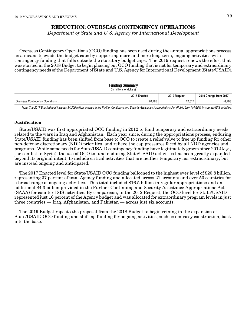# **REDUCTION: OVERSEAS CONTINGENCY OPERATIONS**

Department of State and U.S. Agency for International Development

Overseas Contingency Operations (OCO) funding has been used during the annual appropriations process as a means to evade the budget caps by supporting more and more long-term, ongoing activities with contingency funding that falls outside the statutory budget caps. The 2019 request renews the effort that was started in the 2018 Budget to begin phasing out OCO funding that is not for temporary and extraordinary contingency needs of the Department of State and U.S. Agency for International Development (State/USAID).

#### **Funding Summary**

(In millions of dollars)

|                           | 2017 F<br>Enacted | 2019 Reques | . from 2017<br>cnange |
|---------------------------|-------------------|-------------|-----------------------|
| Overseas Contingency<br>. | 20,785            | 12.017      | $-8,768$              |

Note: The 2017 Enacted total includes \$4,300 million enacted in the Further Continuing and Security Assistance Appropriations Act (Public Law 114-254) for counter-ISIS activities.

## **Justification**

State/USAID was first appropriated OCO funding in 2012 to fund temporary and extraordinary needs related to the wars in Iraq and Afghanistan. Each year since, during the appropriations process, enduring State/USAID funding has been shifted from base to OCO to create a relief valve to free up funding for other non-defense discretionary (NDD) priorities, and relieve the cap pressures faced by all NDD agencies and programs. While some needs for State/USAID contingency funding have legitimately grown since 2012 (e.g., the conflict in Syria), the use of OCO to fund enduring State/USAID activities has been greatly expanded beyond its original intent, to include critical activities that are neither temporary nor extraordinary, but are instead ongoing and anticipated.

The 2017 Enacted level for State/USAID OCO funding ballooned to the highest ever level of \$20.8 billion, representing 37 percent of total Agency funding and allocated across 21 accounts and over 50 countries for a broad range of ongoing activities. This total included \$16.5 billion in regular appropriations and an additional \$4.3 billion provided in the Further Continuing and Security Assistance Appropriations Act (SAAA) for counter-ISIS activities. By comparison, in the 2012 Request, the OCO level for State/USAID represented just 16 percent of the Agency budget and was allocated for extraordinary program levels in just three countries — Iraq, Afghanistan, and Pakistan — across just six accounts.

The 2019 Budget repeats the proposal from the 2018 Budget to begin reining in the expansion of State/USAID OCO funding and shifting funding for ongoing activities, such as embassy construction, back into the base.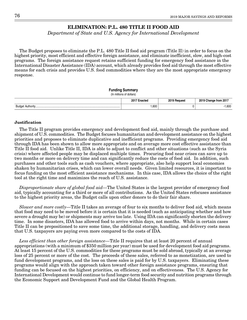# **ELIMINATION: P.L. 480 TITLE II FOOD AID**

Department of State and U.S. Agency for International Development

The Budget proposes to eliminate the P.L. 480 Title II food aid program (Title II) in order to focus on the highest priority, most efficient and effective foreign assistance, and eliminate inefficient, slow, and high-cost programs. The foreign assistance request retains sufficient funding for emergency food assistance in the International Disaster Assistance (IDA) account, which already provides food aid through the most effective means for each crisis and provides U.S. food commodities where they are the most appropriate emergency response.

#### **Funding Summary**

```
(In millions of dollars)
```

|                           | $2017 -$<br>Enneter<br>macieu<br>$\sim$<br>. | 2019 Request<br>$\sim$ $\sim$ | 2019<br>from 2017:<br>⊶nange … |
|---------------------------|----------------------------------------------|-------------------------------|--------------------------------|
| Budr<br>$n_1$ thorin.<br> | ,600                                         |                               | 1,600                          |

## **Justification**

The Title II program provides emergency and development food aid, mainly through the purchase and shipment of U.S. commodities. The Budget focuses humanitarian and development assistance on the highest priorities and proposes to eliminate duplicative and inefficient programs. Providing emergency food aid through IDA has been shown to allow more appropriate and on average more cost effective assistance than Title II food aid. Unlike Title II, IDA is able to adjust to conflict and other situations (such as the Syria crisis) where affected people may be displaced multiple times. Procuring food near crises can save up to two months or more on delivery time and can significantly reduce the costs of food aid. In addition, such purchases and other tools such as cash vouchers, where appropriate, also help support local economies shaken by humanitarian crises, which can lower overall needs. Given limited resources, it is important to focus funding on the most efficient assistance mechanisms. In this case, IDA allows the choice of the right tool at the right time and maximizes the reach of U.S. assistance.

Disproportionate share of global food aid—The United States is the largest provider of emergency food aid, typically accounting for a third or more of all contributions. As the United States refocuses assistance to the highest priority areas, the Budget calls upon other donors to do their fair share.

Slower and more costly—Title II takes an average of four to six months to deliver food aid, which means that food may need to be moved before it is certain that it is needed (such as anticipating whether and how severe a drought may be) or shipments may arrive too late. Using IDA can significantly shorten the delivery time. In some disasters, IDA has allowed food to arrive within days, not months. While in certain cases Title II can be prepositioned to save some time, the additional storage, handling, and delivery costs mean that U.S. taxpayers are paying even more compared to the costs of IDA.

Less efficient than other foreign assistance—Title II requires that at least 20 percent of annual appropriations (with a minimum of \$350 million per year) must be used for development food aid programs. At least 15 percent of the U.S. commodities for these programs must be sold abroad, typically at an average loss of 25 percent or more of the cost. The proceeds of these sales, referred to as monetization, are used to fund development programs, and the loss on these sales is paid for by U.S. taxpayers. Eliminating these programs would align with the approach taken toward other foreign assistance programs, ensuring that funding can be focused on the highest priorities, on efficiency, and on effectiveness. The U.S. Agency for International Development would continue to fund longer-term food security and nutrition programs through the Economic Support and Development Fund and the Global Health Program.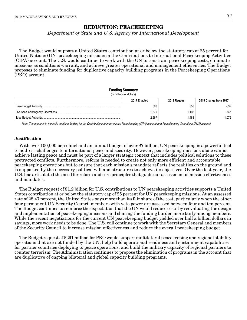# **REDUCTION: PEACEKEEPING**

Department of State and U.S. Agency for International Development

The Budget would support a United States contribution at or below the statutory cap of 25 percent for United Nations (UN) peacekeeping missions in the Contributions to International Peacekeeping Activities (CIPA) account. The U.S. would continue to work with the UN to constrain peacekeeping costs, eliminate missions as conditions warrant, and achieve greater operational and management efficiencies. The Budget proposes to eliminate funding for duplicative capacity building programs in the Peacekeeping Operations (PKO) account.

#### **Funding Summary**

(In millions of dollars)

| 2017 Enacted | 2019 Request | 2019 Change from 2017 |
|--------------|--------------|-----------------------|
| 688          | 356          | $-332$                |
| .879         | 1.132        | $-747$                |
| 2.567        | .488         | -1.079                |

Note: The amounts in the table combine funding for the Contributions to International Peacekeeping (CIPA) account and Peacekeeping Operations (PKO) account.

#### **Justification**

With over 100,000 personnel and an annual budget of over \$7 billion, UN peacekeeping is a powerful tool to address challenges to international peace and security. However, peacekeeping missions alone cannot achieve lasting peace and must be part of a larger strategic context that includes political solutions to these protracted conflicts. Furthermore, reform is needed to create not only more efficient and accountable peacekeeping operations but to ensure that each mission's mandate reflects the realities on the ground and is supported by the necessary political will and structures to achieve its objectives. Over the last year, the U.S. has articulated the need for reform and core principles that guide our assessment of mission effectiveness and mandates.

The Budget request of \$1.2 billion for U.S. contributions to UN peacekeeping activities supports a United States contribution at or below the statutory cap of 25 percent for UN peacekeeping missions. At an assessed rate of 28.47 percent, the United States pays more than its fair share of the cost, particularly when the other four permanent UN Security Council members with veto power are assessed between four and ten percent. The Budget continues to reinforce the expectation that the UN would reduce costs by reevaluating the design and implementation of peacekeeping missions and sharing the funding burden more fairly among members. While the recent negotiations for the current UN peacekeeping budget yielded over half a billion dollars in savings, more work needs to be done. The U.S. will continue to work with the Secretary General and members of the Security Council to increase mission effectiveness and reduce the overall peacekeeping budget.

The Budget request of \$291 million for PKO would support multilateral peacekeeping and regional stability operations that are not funded by the UN, help build operational readiness and sustainment capabilities for partner countries deploying to peace operations, and build the military capacity of regional partners to counter terrorism. The Administration continues to propose the elimination of programs in the account that are duplicative of ongoing bilateral and global capacity building programs.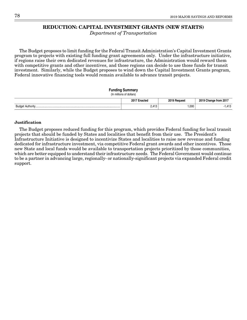# **REDUCTION: CAPITAL INVESTMENT GRANTS (NEW STARTS)**

Department of Transportation

The Budget proposes to limit funding for the Federal Transit Administration's Capital Investment Grants program to projects with existing full funding grant agreements only. Under the infrastructure initiative, if regions raise their own dedicated revenues for infrastructure, the Administration would reward them with competitive grants and other incentives, and those regions can decide to use those funds for transit investment. Similarly, while the Budget proposes to wind down the Capital Investment Grants program, Federal innovative financing tools would remain available to advance transit projects.

## **Funding Summary**

```
(In millions of dollars)
```

|            | 2017 F<br>Enacted<br>$\sim$<br>. | 2019 Request<br>$\sim$ $\sim$ $\sim$ | <b>DOM:</b><br>-- -<br><b>Change from 2017</b> |
|------------|----------------------------------|--------------------------------------|------------------------------------------------|
| Budae'<br> | 440<br>2.710                     | 000,                                 | 440<br>ں ۱ +.                                  |

## **Justification**

The Budget proposes reduced funding for this program, which provides Federal funding for local transit projects that should be funded by States and localities that benefit from their use. The President's Infrastructure Initiative is designed to incentivize States and localities to raise new revenue and funding dedicated for infrastructure investment, via competitive Federal grant awards and other incentives. Those new State and local funds would be available to transportation projects prioritized by those communities, which are better equipped to understand their infrastructure needs. The Federal Government would continue to be a partner in advancing large, regionally- or nationally-significant projects via expanded Federal credit support.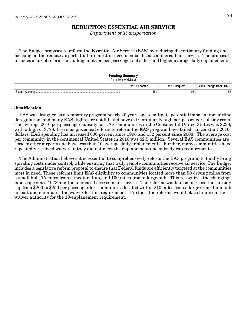# **REDUCTION: ESSENTIAL AIR SERVICE**

Department of Transportation

The Budget proposes to reform the Essential Air Service (EAS) by reducing discretionary funding and focusing on the remote airports that are most in need of subsidized commercial air service. The proposal includes a mix of reforms, including limits on per-passenger subsidies and higher average daily enplanements.

#### **Funding Summary**

(In millions of dollars)

|                       | - 201<br>י הזיקס<br>nacteu | <b>0010</b> | ` from 201. |
|-----------------------|----------------------------|-------------|-------------|
| Rud<br>$A + ibA - by$ | 150<br>$\sim$              | റാ<br>ັບ    | --          |

#### **Justification**

EAS was designed as a temporary program nearly 40 years ago to mitigate potential impacts from airline deregulation, and many EAS flights are not full and have extraordinarily high per-passenger subsidy costs. The average 2016 per-passenger subsidy for EAS communities in the Continental United States was \$238, with a high of \$778. Previous piecemeal efforts to reform the EAS program have failed. In constant 2016 dollars, EAS spending has increased 600 percent since 1996 and 132 percent since 2008. The average cost per community in the continental United States in 2016 was \$2.5 million. Several EAS communities are close to other airports and have less than 10 average daily enplanements. Further, many communities have repeatedly received waivers if they did not meet the enplanement and subsidy cap requirements.

The Administration believes it is essential to comprehensively reform the EAS program, to finally bring spiraling costs under control, while ensuring that truly remote communities receive air service. The Budget includes a legislative reform proposal to ensure that Federal funds are efficiently targeted at the communities most in need. These reforms limit EAS eligibility to communities located more than 50 driving miles from a small hub, 75 miles from a medium hub, and 100 miles from a large hub. This recognizes the changing landscape since 1978 and the increased access to air service. The reforms would also increase the subsidy cap from \$200 to \$250 per passenger for communities located within 210 miles from a large or medium hub airport and eliminates the waiver for this requirement. Further, the reforms would place limits on the waiver authority for the 10-enplanement requirement.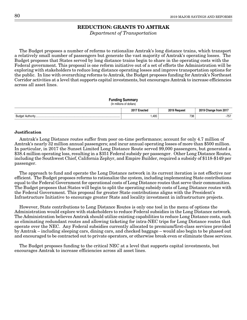# **REDUCTION: GRANTS TO AMTRAK**

Department of Transportation

The Budget proposes a number of reforms to rationalize Amtrak's long distance trains, which transport a relatively small number of passengers but generate the vast majority of Amtrak's operating losses. The Budget proposes that States served by long distance trains begin to share in the operating costs with the Federal government. This proposal is one reform initiative out of a set of efforts the Administration will be exploring with stakeholders to reduce long distance operating losses and improve transportation options for the public. In line with overarching reforms to Amtrak, the Budget proposes funding for Amtrak's Northeast Corridor activities at a level that supports capital investments, but encourages Amtrak to increase efficiencies across all asset lines.

#### **Funding Summary**

|  | (In millions of dollars) |  |
|--|--------------------------|--|
|  |                          |  |
|  |                          |  |

|       | ٥υ.<br>.<br>.<br>$\sim$ $\sim$ | nner | . ה<br>гоп<br>$\sim$ $\sim$ |
|-------|--------------------------------|------|-----------------------------|
| 3udar | ,495                           | 738  | ---<br>. .<br>، ب           |

#### **Justification**

Amtrak's Long Distance routes suffer from poor on-time performance; account for only 4.7 million of Amtrak's nearly 32 million annual passengers; and incur annual operating losses of more than \$500 million. In particular, in 2017 the Sunset Limited Long Distance Route served 99,000 passengers, but generated a \$38.4 million operating loss, resulting in a \$351 Federal subsidy per passenger. Other Long Distance Routes, including the Southwest Chief, California Zephyr, and Empire Builder, required a subsidy of \$118-\$149 per passenger.

The approach to fund and operate the Long Distance network in its current iteration is not effective nor efficient. The Budget proposes reforms to rationalize the system, including implementing State contributions equal to the Federal Government for operational costs of Long Distance routes that serve their communities. The Budget proposes that States will begin to split the operating subsidy costs of Long Distance routes with the Federal Government. This proposal for greater State contributions aligns with the President's Infrastructure Initiative to encourage greater State and locality investment in infrastructure projects.

However, State contributions to Long Distance Routes is only one tool in the menu of options the Administration would explore with stakeholders to reduce Federal subsidies in the Long Distance network. The Administration believes Amtrak should utilize existing capabilities to reduce Long Distance costs, such as eliminating redundant routes and allowing ticketing for intra-NEC trips for Long Distance routes that operate over the NEC. Any Federal subsidies currently allocated to premium/first-class services provided by Amtrak – including sleeping cars, dining cars, and checked baggage – would also begin to be phased out and encouraged to be contracted out to private operators, or otherwise break even or eliminate these services.

The Budget proposes funding to the critical NEC at a level that supports capital investments, but encourages Amtrak to increase efficiencies across all asset lines.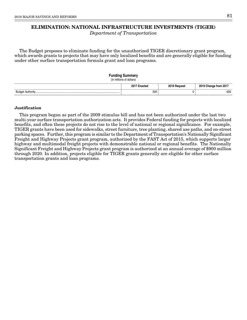# **ELIMINATION: NATIONAL INFRASTRUCTURE INVESTMENTS (TIGER)**

Department of Transportation

The Budget proposes to eliminate funding for the unauthorized TIGER discretionary grant program, which awards grants to projects that may have only localized benefits and are generally eligible for funding under other surface transportation formula grant and loan programs.

# **Funding Summary** (In millions of dollars) **2017 Enacted 2019 Request 2019 Change from 2017** Budget Authority................................................................................................................... 500 0 -500

## **Justification**

This program began as part of the 2009 stimulus bill and has not been authorized under the last two multi-year surface transportation authorization acts. It provides Federal funding for projects with localized benefits, and often these projects do not rise to the level of national or regional significance. For example, TIGER grants have been used for sidewalks, street furniture, tree planting, shared use paths, and on-street parking spaces. Further, this program is similar to the Department of Transportation's Nationally Significant Freight and Highway Projects grant program, authorized by the FAST Act of 2015, which supports larger highway and multimodal freight projects with demonstrable national or regional benefits. The Nationally Significant Freight and Highway Projects grant program is authorized at an annual average of \$900 million through 2020. In addition, projects eligible for TIGER grants generally are eligible for other surface transportation grants and loan programs.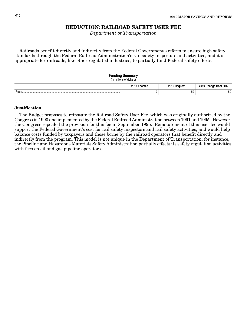# **REDUCTION: RAILROAD SAFETY USER FEE**

Department of Transportation

Railroads benefit directly and indirectly from the Federal Government's efforts to ensure high safety standards through the Federal Railroad Administration's rail safety inspectors and activities, and it is appropriate for railroads, like other regulated industries, to partially fund Federal safety efforts.

# **Funding Summary** (In millions of dollars) **2017 Enacted 2019 Request 2019 Change from 2017** Fees..................................................................................................................................... 0 -50 -50

## **Justification**

The Budget proposes to reinstate the Railroad Safety User Fee, which was originally authorized by the Congress in 1990 and implemented by the Federal Railroad Administration between 1991 and 1995. However, the Congress repealed the provision for this fee in September 1995. Reinstatement of this user fee would support the Federal Government's cost for rail safety inspectors and rail safety activities, and would help balance costs funded by taxpayers and those borne by the railroad operators that benefit directly and indirectly from the program. This model is not unique in the Department of Transportation; for instance, the Pipeline and Hazardous Materials Safety Administration partially offsets its safety regulation activities with fees on oil and gas pipeline operators.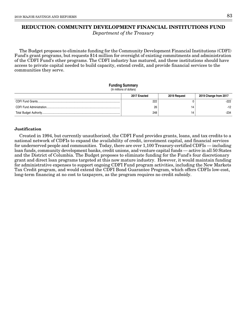# **REDUCTION: COMMUNITY DEVELOPMENT FINANCIAL INSTITUTIONS FUND**

Department of the Treasury

The Budget proposes to eliminate funding for the Community Development Financial Institutions (CDFI) Fund's grant programs, but requests \$14 million for oversight of existing commitments and administration of the CDFI Fund's other programs. The CDFI industry has matured, and these institutions should have access to private capital needed to build capacity, extend credit, and provide financial services to the communities they serve.

#### **Funding Summary** (In millions of dollars)

|  | 2017 Enacted | 2019 Request | 2019 Change from 2017 |
|--|--------------|--------------|-----------------------|
|  | 222          |              | $-222$                |
|  | 26           |              | $-12$                 |
|  | 248          |              | $-234$                |

## **Justification**

Created in 1994, but currently unauthorized, the CDFI Fund provides grants, loans, and tax credits to a national network of CDFIs to expand the availability of credit, investment capital, and financial services for underserved people and communities. Today, there are over 1,100 Treasury-certified CDFIs — including loan funds, community development banks, credit unions, and venture capital funds — active in all 50 States and the District of Columbia. The Budget proposes to eliminate funding for the Fund's four discretionary grant and direct loan programs targeted at this now mature industry. However, it would maintain funding for administrative expenses to support ongoing CDFI Fund program activities, including the New Markets Tax Credit program, and would extend the CDFI Bond Guarantee Program, which offers CDFIs low-cost, long-term financing at no cost to taxpayers, as the program requires no credit subsidy.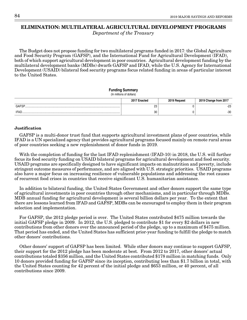# **ELIMINATION: MULTILATERAL AGRICULTURAL DEVELOPMENT PROGRAMS**

Department of the Treasury

The Budget does not propose funding for two multilateral programs funded in 2017: the Global Agriculture and Food Security Program (GAFSP), and the International Fund for Agricultural Development (IFAD), both of which support agricultural development in poor countries. Agricultural development funding by the multilateral development banks (MDBs) dwarfs GAFSP and IFAD, while the U.S. Agency for International Development (USAID) bilateral food security programs focus related funding in areas of particular interest to the United States.

#### **Funding Summary**

```
(In millions of dollars)
```

|                              | 2017 Enacted | 2019 Request | 2019 Change from 2017 |
|------------------------------|--------------|--------------|-----------------------|
| GAFSP                        | ററ<br>ںے     |              | nn<br>دے-             |
| <b>IFAI</b><br><b>II A</b> D | 30           |              | $-30$                 |

#### **Justification**

GAFSP is a multi-donor trust fund that supports agricultural investment plans of poor countries, while IFAD is a UN specialized agency that provides agricultural programs focused mainly on remote rural areas of poor countries seeking a new replenishment of donor funds in 2019.

With the completion of funding for the last IFAD replenishment (IFAD-10) in 2018, the U.S. will further focus its food security funding on USAID bilateral programs for agricultural development and food security. USAID programs are specifically designed to have significant impacts on malnutrition and poverty, include stringent outcome measures of performance, and are aligned with U.S. strategic priorities. USAID programs also have a major focus on increasing resilience of vulnerable populations and addressing the root causes of recurrent food crises in countries that receive significant U.S. humanitarian assistance.

In addition to bilateral funding, the United States Government and other donors support the same type of agricultural investments in poor countries through other mechanisms, and in particular through MDBs. MDB annual funding for agricultural development is several billion dollars per year. To the extent that there are lessons learned from IFAD and GAFSP, MDBs can be encouraged to employ them in their program selection and implementation.

For GAFSP, the 2012 pledge period is over. The United States contributed \$475 million towards the initial GAFSP pledge in 2009. In 2012, the U.S. pledged to contribute \$1 for every \$2 dollars in new contributions from other donors over the announced period of the pledge, up to a maximum of \$475 million. That period has ended, and the United States has sufficient prior-year funding to fulfill the pledge to match other donors' contributions.

Other donors' support of GAFSP has been limited. While other donors may continue to support GAFSP, their support for the 2012 pledge has been moderate at best. From 2012 to 2017, other donors' actual contributions totaled \$356 million, and the United States contributed \$178 million in matching funds. Only 10 donors provided funding for GAFSP since its inception, contributing less than \$1.7 billion in total, with the United States counting for 42 percent of the initial pledge and \$653 million, or 40 percent, of all contributions since 2009.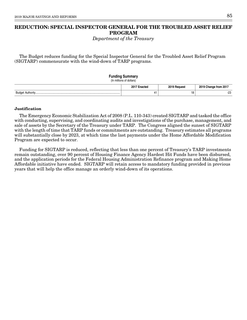# **REDUCTION: SPECIAL INSPECTOR GENERAL FOR THE TROUBLED ASSET RELIEF PROGRAM**

Department of the Treasury

The Budget reduces funding for the Special Inspector General for the Troubled Asset Relief Program (SIGTARP) commensurate with the wind-down of TARP programs.

| <b>Funding Summary</b><br>(In millions of dollars) |              |                       |
|----------------------------------------------------|--------------|-----------------------|
| 2017 Enacted                                       | 2019 Request | 2019 Change from 2017 |
| 41                                                 | 18           | -23                   |

## **Justification**

The Emergency Economic Stabilization Act of 2008 (P.L. 110-343) created SIGTARP and tasked the office with conducting, supervising, and coordinating audits and investigations of the purchase, management, and sale of assets by the Secretary of the Treasury under TARP. The Congress aligned the sunset of SIGTARP with the length of time that TARP funds or commitments are outstanding. Treasury estimates all programs will substantially close by 2023, at which time the last payments under the Home Affordable Modification Program are expected to occur.

Funding for SIGTARP is reduced, reflecting that less than one percent of Treasury's TARP investments remain outstanding, over 90 percent of Housing Finance Agency Hardest Hit Funds have been disbursed, and the application periods for the Federal Housing Administration Refinance program and Making Home Affordable initiative have ended. SIGTARP will retain access to mandatory funding provided in previous years that will help the office manage an orderly wind-down of its operations.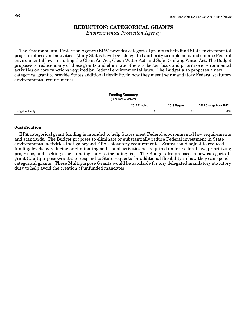# **REDUCTION: CATEGORICAL GRANTS**

Environmental Protection Agency

The Environmental Protection Agency (EPA) provides categorical grants to help fund State environmental program offices and activities. Many States have been delegated authority to implement and enforce Federal environmental laws including the Clean Air Act, Clean Water Act, and Safe Drinking Water Act. The Budget proposes to reduce many of these grants and eliminate others to better focus and prioritize environmental activities on core functions required by Federal environmental laws. The Budget also proposes a new categorical grant to provide States additional flexibility in how they meet their mandatory Federal statutory environmental requirements.

|  | <b>Funding Summary</b> |
|--|------------------------|
|--|------------------------|

| (In millions of dollars) |  |  |
|--------------------------|--|--|

|                 | 2017 F<br>innata.<br>.nac.co | 2019<br>™oques⊾ | 2019<br>↑from 201.<br>mande |
|-----------------|------------------------------|-----------------|-----------------------------|
| <b>RUNG</b><br> | ,066                         | 597<br>$ -$     | $-469$                      |

## **Justification**

EPA categorical grant funding is intended to help States meet Federal environmental law requirements and standards. The Budget proposes to eliminate or substantially reduce Federal investment in State environmental activities that go beyond EPA's statutory requirements. States could adjust to reduced funding levels by reducing or eliminating additional activities not required under Federal law, prioritizing programs, and seeking other funding sources including fees. The Budget also proposes a new categorical grant (Multipurpose Grants) to respond to State requests for additional flexibility in how they can spend categorical grants. These Multipurpose Grants would be available for any delegated mandatory statutory duty to help avoid the creation of unfunded mandates.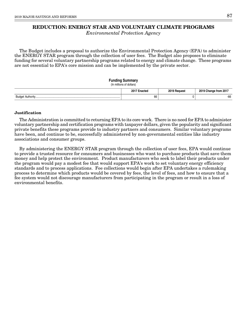# **REDUCTION: ENERGY STAR AND VOLUNTARY CLIMATE PROGRAMS**

Environmental Protection Agency

The Budget includes a proposal to authorize the Environmental Protection Agency (EPA) to administer the ENERGY STAR program through the collection of user fees. The Budget also proposes to eliminate funding for several voluntary partnership programs related to energy and climate change. These programs are not essential to EPA's core mission and can be implemented by the private sector.

# **Funding Summary**

#### (In millions of dollars)

|      | 201<br>∃nacted | 2019 Request | $- - -$<br>Trom 2017<br>change |
|------|----------------|--------------|--------------------------------|
| Budc | 66             |              | $-66$                          |

## **Justification**

The Administration is committed to returning EPA to its core work. There is no need for EPA to administer voluntary partnership and certification programs with taxpayer dollars, given the popularity and significant private benefits these programs provide to industry partners and consumers. Similar voluntary programs have been, and continue to be, successfully administered by non-governmental entities like industry associations and consumer groups.

By administering the ENERGY STAR program through the collection of user fees, EPA would continue to provide a trusted resource for consumers and businesses who want to purchase products that save them money and help protect the environment. Product manufacturers who seek to label their products under the program would pay a modest fee that would support EPA's work to set voluntary energy efficiency standards and to process applications. Fee collections would begin after EPA undertakes a rulemaking process to determine which products would be covered by fees, the level of fees, and how to ensure that a fee system would not discourage manufacturers from participating in the program or result in a loss of environmental benefits.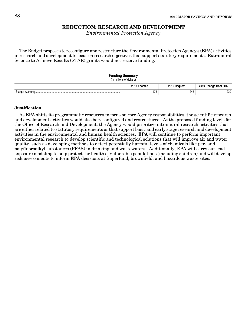# **REDUCTION: RESEARCH AND DEVELOPMENT**

Environmental Protection Agency

The Budget proposes to reconfigure and restructure the Environmental Protection Agency's (EPA) activities in research and development to focus on research objectives that support statutory requirements. Extramural Science to Achieve Results (STAR) grants would not receive funding.

#### **Funding Summary**

(In millions of dollars)

|            | יימי<br>しいし | 0.0127 | trom 201    |
|------------|-------------|--------|-------------|
| Budge<br>. | 475         | 246    | חרר<br>-22Y |

#### **Justification**

As EPA shifts its programmatic resources to focus on core Agency responsibilities, the scientific research and development activities would also be reconfigured and restructured. At the proposed funding levels for the Office of Research and Development, the Agency would prioritize intramural research activities that are either related to statutory requirements or that support basic and early stage research and development activities in the environmental and human health sciences. EPA will continue to perform important environmental research to develop scientific and technological solutions that will improve air and water quality, such as developing methods to detect potentially harmful levels of chemicals like per- and polyfluoroalkyl substances (PFAS) in drinking and wastewaters. Additionally, EPA will carry out lead exposure modeling to help protect the health of vulnerable populations (including children) and will develop risk assessments to inform EPA decisions at Superfund, brownfield, and hazardous waste sites.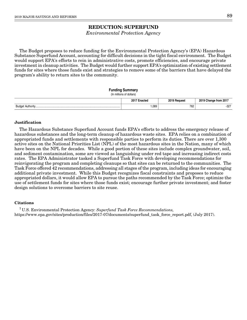# **REDUCTION: SUPERFUND**

Environmental Protection Agency

The Budget proposes to reduce funding for the Environmental Protection Agency's (EPA) Hazardous Substance Superfund Account, accounting for difficult decisions in the tight fiscal environment. The Budget would support EPA's efforts to rein in administrative costs, promote efficiencies, and encourage private investment in cleanup activities. The Budget would further support EPA's optimization of existing settlement funds for sites where those funds exist and strategies to remove some of the barriers that have delayed the program's ability to return sites to the community.

#### **Funding Summary**

```
(In millions of dollars)
```

|             | $201^{-}$<br>inantar<br>nacieo | 2019<br><b>Pequest</b> | from 2017 ؛<br>2019<br>cnange |
|-------------|--------------------------------|------------------------|-------------------------------|
| Budaet<br>. | ,089                           | 762                    | $-327$                        |

## **Justification**

The Hazardous Substance Superfund Account funds EPA's efforts to address the emergency release of hazardous substances and the long-term cleanup of hazardous waste sites. EPA relies on a combination of appropriated funds and settlements with responsible parties to perform its duties. There are over 1,300 active sites on the National Priorities List (NPL) of the most hazardous sites in the Nation, many of which have been on the NPL for decades. While a good portion of these sites include complex groundwater, soil, and sediment contamination, some are viewed as languishing under red tape and increasing indirect costs rates. The EPA Administrator tasked a Superfund Task Force with developing recommendations for reinvigorating the program and completing cleanups so that sites can be returned to the communities. The Task Force offered 42 recommendations, addressing all stages of the program, including ideas for encouraging additional private investment. While this Budget recognizes fiscal constraints and proposes to reduce appropriated dollars, it would allow EPA to pursue the paths recommended by the Task Force; optimize the use of settlement funds for sites where those funds exist; encourage further private investment; and foster design solutions to overcome barriers to site reuse.

## **Citations**

<sup>1</sup> U.S. Environmental Protection Agency: Superfund Task Force Recommendations, https://www.epa.gov/sites/production/files/2017-07/documents/superfund\_task\_force\_report.pdf, (July 2017).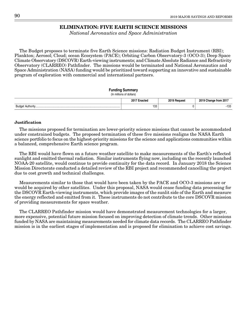# **ELIMINATION: FIVE EARTH SCIENCE MISSIONS**

National Aeronautics and Space Administration

The Budget proposes to terminate five Earth Science missions: Radiation Budget Instrument (RBI); Plankton; Aerosol; Cloud; ocean Ecosystem (PACE); Orbiting Carbon Observatory-3 (OCO-3); Deep Space Climate Observatory (DSCOVR) Earth-viewing instruments; and Climate Absolute Radiance and Refractivity Observatory (CLARREO) Pathfinder. The missions would be terminated and National Aeronautics and Space Administration (NASA) funding would be prioritized toward supporting an innovative and sustainable program of exploration with commercial and international partners.

## **Funding Summary**

```
(In millions of dollars)
```

|                | --<br>.<br>$\sim$ $\sim$<br>. | <b>0040</b> | . ה<br>rrom<br>$\sim$ $\sim$ |
|----------------|-------------------------------|-------------|------------------------------|
| $D_{H}$<br>⊃⊔ખ | 133                           |             | $\sim$<br>ب ت ا −            |

## **Justification**

The missions proposed for termination are lower-priority science missions that cannot be accommodated under constrained budgets. The proposed termination of these five missions realigns the NASA Earth science portfolio to focus on the highest-priority missions for the science and applications communities within a balanced, comprehensive Earth science program.

The RBI would have flown on a future weather satellite to make measurements of the Earth's reflected sunlight and emitted thermal radiation. Similar instruments flying now, including on the recently launched NOAA-20 satellite, would continue to provide continuity for the data record. In January 2018 the Science Mission Directorate conducted a detailed review of the RBI project and recommended cancelling the project due to cost growth and technical challenges.

Measurements similar to those that would have been taken by the PACE and OCO-3 missions are or would be acquired by other satellites. Under this proposal, NASA would cease funding data processing for the DSCOVR Earth-viewing instruments, which provide images of the sunlit side of the Earth and measure the energy reflected and emitted from it. These instruments do not contribute to the core DSCOVR mission of providing measurements for space weather.

The CLARREO Pathfinder mission would have demonstrated measurement technologies for a larger, more expensive, potential future mission focused on improving detection of climate trends. Other missions funded by NASA are maintaining measurements needed for climate data records. The CLARREO Pathfinder mission is in the earliest stages of implementation and is proposed for elimination to achieve cost savings.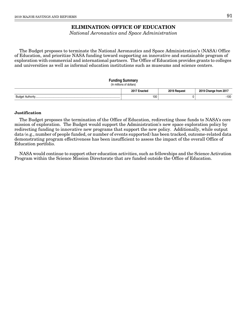# **ELIMINATION: OFFICE OF EDUCATION**

National Aeronautics and Space Administration

The Budget proposes to terminate the National Aeronautics and Space Administration's (NASA) Office of Education, and prioritize NASA funding toward supporting an innovative and sustainable program of exploration with commercial and international partners. The Office of Education provides grants to colleges and universities as well as informal education institutions such as museums and science centers.

# **Funding Summary**

(In millions of dollars)

|        | 2017 F<br>eteo | 0.107 | 0.018<br>$- - -$<br>from 201<br>. |
|--------|----------------|-------|-----------------------------------|
| Budget | 100            |       | $-100$                            |

## **Justification**

The Budget proposes the termination of the Office of Education, redirecting those funds to NASA's core mission of exploration. The Budget would support the Administration's new space exploration policy by redirecting funding to innovative new programs that support the new policy. Additionally, while output data (e.g., number of people funded, or number of events supported) has been tracked, outcome-related data demonstrating program effectiveness has been insufficient to assess the impact of the overall Office of Education portfolio.

NASA would continue to support other education activities, such as fellowships and the Science Activation Program within the Science Mission Directorate that are funded outside the Office of Education.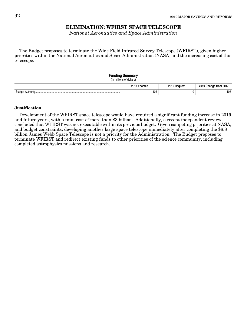# **ELIMINATION: WFIRST SPACE TELESCOPE**

National Aeronautics and Space Administration

The Budget proposes to terminate the Wide Field Infrared Survey Telescope (WFIRST), given higher priorities within the National Aeronautics and Space Administration (NASA) and the increasing cost of this telescope.

# **Funding Summary** (In millions of dollars) **2017 Enacted 2019 Request 2019 Change from 2017** Budget Authority................................................................................................................... 105 0 -105

## **Justification**

Development of the WFIRST space telescope would have required a significant funding increase in 2019 and future years, with a total cost of more than \$3 billion. Additionally, a recent independent review concluded that WFIRST was not executable within its previous budget. Given competing priorities at NASA, and budget constraints, developing another large space telescope immediately after completing the \$8.8 billion James Webb Space Telescope is not a priority for the Administration. The Budget proposes to terminate WFIRST and redirect existing funds to other priorities of the science community, including completed astrophysics missions and research.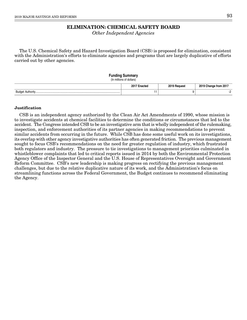# **ELIMINATION: CHEMICAL SAFETY BOARD**

Other Independent Agencies

The U.S. Chemical Safety and Hazard Investigation Board (CSB) is proposed for elimination, consistent with the Administration's efforts to eliminate agencies and programs that are largely duplicative of efforts carried out by other agencies.

#### **Funding Summary**

(In millions of dollars)

|        | 2017 E<br>стеа | 0040B | from 201<br>. viidi |
|--------|----------------|-------|---------------------|
| Budget |                |       |                     |

## **Justification**

CSB is an independent agency authorized by the Clean Air Act Amendments of 1990, whose mission is to investigate accidents at chemical facilities to determine the conditions or circumstances that led to the accident. The Congress intended CSB to be an investigative arm that is wholly independent of the rulemaking, inspection, and enforcement authorities of its partner agencies in making recommendations to prevent similar accidents from occurring in the future. While CSB has done some useful work on its investigations, its overlap with other agency investigative authorities has often generated friction. The previous management sought to focus CSB's recommendations on the need for greater regulation of industry, which frustrated both regulators and industry. The pressure to tie investigations to management priorities culminated in whistleblower complaints that led to critical reports issued in 2014 by both the Environmental Protection Agency Office of the Inspector General and the U.S. House of Representatives Oversight and Government Reform Committee. CSB's new leadership is making progress on rectifying the previous management challenges, but due to the relative duplicative nature of its work, and the Administration's focus on streamlining functions across the Federal Government, the Budget continues to recommend eliminating the Agency.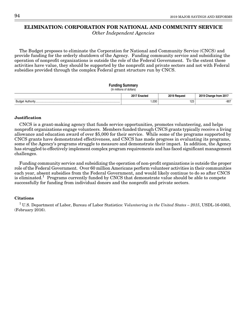# **ELIMINATION: CORPORATION FOR NATIONAL AND COMMUNITY SERVICE**

Other Independent Agencies

The Budget proposes to eliminate the Corporation for National and Community Service (CNCS) and provide funding for the orderly shutdown of the Agency. Funding community service and subsidizing the operation of nonprofit organizations is outside the role of the Federal Government. To the extent these activities have value, they should be supported by the nonprofit and private sectors and not with Federal subsidies provided through the complex Federal grant structure run by CNCS.

## **Funding Summary**

# (In millions of dollars) **2017 Enacted 2019 Request 2019 Change from 2017** Budget Authority................................................................................................................... 1,030 123 -907

## **Justification**

CNCS is a grant-making agency that funds service opportunities, promotes volunteering, and helps nonprofit organizations engage volunteers. Members funded through CNCS grants typically receive a living allowance and education award of over \$5,000 for their service. While some of the programs supported by CNCS grants have demonstrated effectiveness, and CNCS has made progress in evaluating its programs, some of the Agency's programs struggle to measure and demonstrate their impact. In addition, the Agency has struggled to effectively implement complex program requirements and has faced significant management challenges.

Funding community service and subsidizing the operation of non-profit organizations is outside the proper role of the Federal Government. Over 60 million Americans perform volunteer activities in their communities each year, absent subsidies from the Federal Government, and would likely continue to do so after CNCS is eliminated.<sup>1</sup> Programs currently funded by CNCS that demonstrate value should be able to compete successfully for funding from individual donors and the nonprofit and private sectors.

## **Citations**

<sup>1</sup> U.S. Department of Labor, Bureau of Labor Statistics: *Volunteering in the United States – 2015*, USDL-16-0363, (February 2016).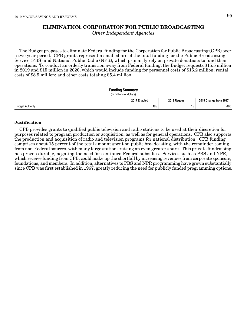# **ELIMINATION: CORPORATION FOR PUBLIC BROADCASTING**

Other Independent Agencies

The Budget proposes to eliminate Federal funding for the Corporation for Public Broadcasting (CPB) over a two year period. CPB grants represent a small share of the total funding for the Public Broadcasting Service (PBS) and National Public Radio (NPR), which primarily rely on private donations to fund their operations. To conduct an orderly transition away from Federal funding, the Budget requests \$15.5 million in 2019 and \$15 million in 2020, which would include funding for personnel costs of \$16.2 million; rental costs of \$8.9 million; and other costs totaling \$5.4 million.

## **Funding Summary**

| (In millions of dollars) |  |
|--------------------------|--|
|                          |  |
|                          |  |
|                          |  |

|                                             | ctec<br>$\sim$ $\sim$<br>. | <b>0010</b> | 50.<br>rom |
|---------------------------------------------|----------------------------|-------------|------------|
| 1.177<br><b>A</b> .,<br>ouu<br>- . MUHVIIIV | 495                        | שו          | $-480$     |

## **Justification**

CPB provides grants to qualified public television and radio stations to be used at their discretion for purposes related to program production or acquisition, as well as for general operations. CPB also supports the production and acquisition of radio and television programs for national distribution. CPB funding comprises about 15 percent of the total amount spent on public broadcasting, with the remainder coming from non-Federal sources, with many large stations raising an even greater share. This private fundraising has proven durable, negating the need for continued Federal subsidies. Services such as PBS and NPR, which receive funding from CPB, could make up the shortfall by increasing revenues from corporate sponsors, foundations, and members. In addition, alternatives to PBS and NPR programming have grown substantially since CPB was first established in 1967, greatly reducing the need for publicly funded programming options.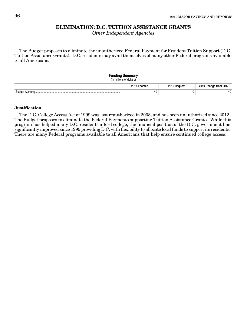# **ELIMINATION: D.C. TUITION ASSISTANCE GRANTS**

Other Independent Agencies

The Budget proposes to eliminate the unauthorized Federal Payment for Resident Tuition Support (D.C. Tuition Assistance Grants). D.C. residents may avail themselves of many other Federal programs available to all Americans.

## **Funding Summary** (In millions of dollars) **2017 Enacted 2019 Request 2019 Change from 2017** Budget Authority................................................................................................................... 40 0 -40

## **Justification**

The D.C. College Access Act of 1999 was last reauthorized in 2008, and has been unauthorized since 2012. The Budget proposes to eliminate the Federal Payments supporting Tuition Assistance Grants. While this program has helped many D.C. residents afford college, the financial position of the D.C. government has significantly improved since 1999 providing D.C. with flexibility to allocate local funds to support its residents. There are many Federal programs available to all Americans that help ensure continued college access.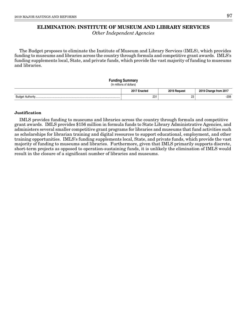# **ELIMINATION: INSTITUTE OF MUSEUM AND LIBRARY SERVICES**

Other Independent Agencies

The Budget proposes to eliminate the Institute of Museum and Library Services (IMLS), which provides funding to museums and libraries across the country through formula and competitive grant awards. IMLS's funding supplements local, State, and private funds, which provide the vast majority of funding to museums and libraries.

## **Funding Summary**

(In millions of dollars)

|          | $2017 -$<br>-nootor<br>$\sim$<br>. | <b>2010 L</b><br><sup>™</sup> Poquest | 2019<br>$  -$<br>201<br>nange<br>Trom |
|----------|------------------------------------|---------------------------------------|---------------------------------------|
| Budc<br> | 231                                | nn<br>ںے                              | $-208$                                |

## **Justification**

IMLS provides funding to museums and libraries across the country through formula and competitive grant awards. IMLS provides \$156 million in formula funds to State Library Administrative Agencies, and administers several smaller competitive grant programs for libraries and museums that fund activities such as scholarships for librarian training and digital resources to support educational, employment, and other training opportunities. IMLS's funding supplements local, State, and private funds, which provide the vast majority of funding to museums and libraries. Furthermore, given that IMLS primarily supports discrete, short-term projects as opposed to operation-sustaining funds, it is unlikely the elimination of IMLS would result in the closure of a significant number of libraries and museums.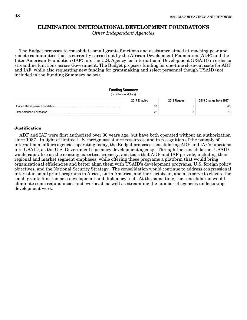# **ELIMINATION: INTERNATIONAL DEVELOPMENT FOUNDATIONS**

Other Independent Agencies

The Budget proposes to consolidate small grants functions and assistance aimed at reaching poor and remote communities that is currently carried out by the African Development Foundation (ADF) and the Inter-American Foundation (IAF) into the U.S. Agency for International Development (USAID) in order to streamline functions across Government. The Budget proposes funding for one-time close-out costs for ADF and IAF, while also requesting new funding for grantmaking and select personnel though USAID (not included in the Funding Summary below).

## **Funding Summary**

(In millions of dollars)

| 2017 Enacted | 2019 Request | 2019 Change from 2017 |
|--------------|--------------|-----------------------|
| 30           |              | $-25$                 |
| n<br>ے       |              | $-19$                 |

## **Justification**

ADF and IAF were first authorized over 30 years ago, but have both operated without an authorization since 1987. In light of limited U.S. foreign assistance resources, and in recognition of the panoply of international affairs agencies operating today, the Budget proposes consolidating ADF and IAF's functions into USAID, as the U.S. Government's primary development agency. Through the consolidation, USAID would capitalize on the existing expertise, capacity, and tools that ADF and IAF provide, including their regional and market segment emphases, while offering these programs a platform that would bring organizational efficiencies and better align them with USAID's development programs, U.S. foreign policy objectives, and the National Security Strategy. The consolidation would continue to address congressional interest in small grant programs in Africa, Latin America, and the Caribbean, and also serve to elevate the small grants function as a development and diplomacy tool. At the same time, the consolidation would eliminate some redundancies and overhead, as well as streamline the number of agencies undertaking development work.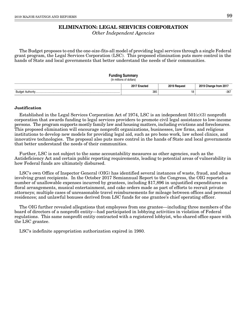### **ELIMINATION: LEGAL SERVICES CORPORATION**

Other Independent Agencies

The Budget proposes to end the one-size-fits-all model of providing legal services through a single Federal grant program, the Legal Services Corporation (LSC). This proposed elimination puts more control in the hands of State and local governments that better understand the needs of their communities.

#### **Funding Summary**

(In millions of dollars)

| 20 <sup>1</sup><br>істеа | nner i   | ` from 201.<br>116 |
|--------------------------|----------|--------------------|
| 385                      | 10<br>١ō | $-367$             |

### **Justification**

Established in the Legal Services Corporation Act of 1974, LSC is an independent 501(c)(3) nonprofit corporation that awards funding to legal services providers to promote civil legal assistance to low-income persons. The program supports mostly family law and housing matters, including evictions and foreclosures. This proposed elimination will encourage nonprofit organizations, businesses, law firms, and religious institutions to develop new models for providing legal aid, such as pro bono work, law school clinics, and innovative technologies. The proposal also puts more control in the hands of State and local governments that better understand the needs of their communities.

Further, LSC is not subject to the same accountability measures as other agencies, such as the Antideficiency Act and certain public reporting requirements, leading to potential areas of vulnerability in how Federal funds are ultimately disbursed.

LSC's own Office of Inspector General (OIG) has identified several instances of waste, fraud, and abuse involving grant recipients. In the October 2017 Semiannual Report to the Congress, the OIG reported a number of unallowable expenses incurred by grantees, including \$17,896 in unjustified expenditures on floral arrangements, musical entertainment, and cake orders made as part of efforts to recruit private attorneys; multiple cases of unreasonable travel reimbursements for mileage between offices and personal residences; and unlawful bonuses derived from LSC funds for one grantee's chief operating officer.

The OIG further revealed allegations that employees from one grantee—including three members of the board of directors of a nonprofit entity—had participated in lobbying activities in violation of Federal regulations. This same nonprofit entity contracted with a registered lobbyist, who shared office space with the LSC grantee.

LSC's indefinite appropriation authorization expired in 1980.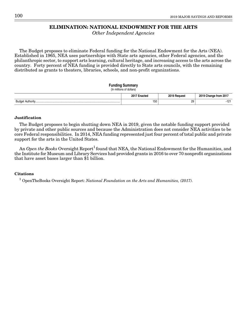### **ELIMINATION: NATIONAL ENDOWMENT FOR THE ARTS**

Other Independent Agencies

The Budget proposes to eliminate Federal funding for the National Endowment for the Arts (NEA). Established in 1965, NEA uses partnerships with State arts agencies, other Federal agencies, and the philanthropic sector, to support arts learning, cultural heritage, and increasing access to the arts across the country. Forty percent of NEA funding is provided directly to State arts councils, with the remaining distributed as grants to theaters, libraries, schools, and non-profit organizations.

#### **Funding Summary**

(In millions of dollars)

|       | 2017 F<br><br>$\sim$<br>. | <b>0010 L</b><br><u>מווממי</u> |     |
|-------|---------------------------|--------------------------------|-----|
| Budar | 150                       | --                             | . . |

### **Justification**

The Budget proposes to begin shutting down NEA in 2019, given the notable funding support provided by private and other public sources and because the Administration does not consider NEA activities to be core Federal responsibilities. In 2014, NEA funding represented just four percent of total public and private support for the arts in the United States.

An Open the Books Oversight Report<sup>1</sup> found that NEA, the National Endowment for the Humanities, and the Institute for Museum and Library Services had provided grants in 2016 to over 70 nonprofit organizations that have asset bases larger than \$1 billion.

### **Citations**

<sup>1</sup> OpenTheBooks Oversight Report: National Foundation on the Arts and Humanities, (2017).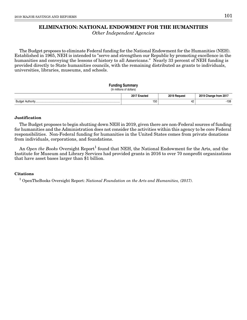### **ELIMINATION: NATIONAL ENDOWMENT FOR THE HUMANITIES**

Other Independent Agencies

The Budget proposes to eliminate Federal funding for the National Endowment for the Humanities (NEH). Established in 1965, NEH is intended to "serve and strengthen our Republic by promoting excellence in the humanities and conveying the lessons of history to all Americans." Nearly 33 percent of NEH funding is provided directly to State humanities councils, with the remaining distributed as grants to individuals, universities, libraries, museums, and schools.

### **Funding Summary**

(In millions of dollars) **2017 Enacted 2019 Request 2019 Change from 2017** Budget Authority................................................................................................................... 150 42 -108

#### **Justification**

The Budget proposes to begin shutting down NEH in 2019, given there are non-Federal sources of funding for humanities and the Administration does not consider the activities within this agency to be core Federal responsibilities. Non-Federal funding for humanities in the United States comes from private donations from individuals, corporations, and foundations.

An  $Open$  the Books Oversight Report $^1$  found that NEH, the National Endowment for the Arts, and the Institute for Museum and Library Services had provided grants in 2016 to over 70 nonprofit organizations that have asset bases larger than \$1 billion.

#### **Citations**

<sup>1</sup> OpenTheBooks Oversight Report: National Foundation on the Arts and Humanities, (2017).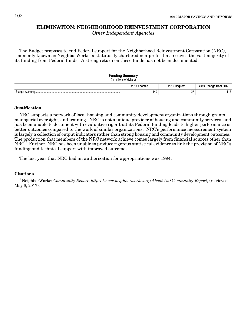### **ELIMINATION: NEIGHBORHOOD REINVESTMENT CORPORATION**

Other Independent Agencies

The Budget proposes to end Federal support for the Neighborhood Reinvestment Corporation (NRC), commonly known as NeighborWorks, a statutorily chartered non-profit that receives the vast majority of its funding from Federal funds. A strong return on these funds has not been documented.

#### **Funding Summary**

(In millions of dollars)

|       | 201<br>⊧nacτeα | <b>0010 B</b><br>Reques. | from 201<br>unange<br>. . |
|-------|----------------|--------------------------|---------------------------|
| Budge | 140            | $\sim$ $-$<br>-          | .<br>ں ،                  |

### **Justification**

NRC supports a network of local housing and community development organizations through grants, managerial oversight, and training. NRC is not a unique provider of housing and community services, and has been unable to document with evaluative rigor that its Federal funding leads to higher performance or better outcomes compared to the work of similar organizations. NRC's performance measurement system is largely a collection of output indicators rather than strong housing and community development outcomes. The production that members of the NRC network achieve comes largely from financial sources other than NRC.1 Further, NRC has been unable to produce rigorous statistical evidence to link the provision of NRC's funding and technical support with improved outcomes.

The last year that NRC had an authorization for appropriations was 1994.

### **Citations**

<sup>1</sup> NeighborWorks: Community Report, http://www.neighborworks.org/About-Us/Community-Report, (retrieved May 8, 2017).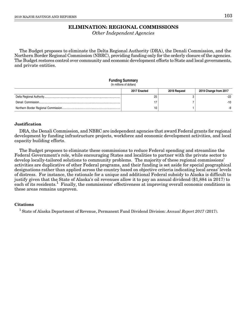### **ELIMINATION: REGIONAL COMMISSIONS**

Other Independent Agencies

The Budget proposes to eliminate the Delta Regional Authority (DRA), the Denali Commission, and the Northern Border Regional Commission (NBRC), providing funding only for the orderly closure of the agencies. The Budget restores control over community and economic development efforts to State and local governments, and private entities.

### **Funding Summary**

(In millions of dollars)

| 2017 Enacted | 2019 Request | 2019 Change from 2017 |
|--------------|--------------|-----------------------|
| 25           |              | -22                   |
|              |              | -10                   |
|              |              |                       |

### **Justification**

DRA, the Denali Commission, and NBRC are independent agencies that award Federal grants for regional development by funding infrastructure projects, workforce and economic development activities, and local capacity building efforts.

The Budget proposes to eliminate these commissions to reduce Federal spending and streamline the Federal Government's role, while encouraging States and localities to partner with the private sector to develop locally-tailored solutions to community problems. The majority of these regional commissions' activities are duplicative of other Federal programs, and their funding is set aside for special geographical designations rather than applied across the country based on objective criteria indicating local areas' levels of distress. For instance, the rationale for a unique and additional Federal subsidy to Alaska is difficult to justify given that the State of Alaska's oil revenues allow it to pay an annual dividend (\$1,884 in 2017) to each of its residents.<sup>1</sup> Finally, the commissions' effectiveness at improving overall economic conditions in these areas remains unproven.

### **Citations**

<sup>1</sup> State of Alaska Department of Revenue, Permanent Fund Dividend Division: Annual Report 2017 (2017).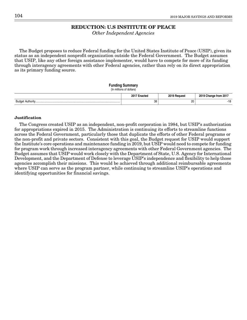### **REDUCTION: U.S INSTITUTE OF PEACE**

Other Independent Agencies

The Budget proposes to reduce Federal funding for the United States Institute of Peace (USIP), given its status as an independent nonprofit organization outside the Federal Government. The Budget assumes that USIP, like any other foreign assistance implementer, would have to compete for more of its funding through interagency agreements with other Federal agencies, rather than rely on its direct appropriation as its primary funding source.

### **Funding Summary**

#### (In millions of dollars)

|                    | 2017<br>nac  | <b>2010</b><br>∿חוו∩י | 0010 |
|--------------------|--------------|-----------------------|------|
| Budar<br>Authority | 38<br>$\sim$ | --<br>$\sim$          |      |

#### **Justification**

The Congress created USIP as an independent, non-profit corporation in 1984, but USIP's authorization for appropriations expired in 2015. The Administration is continuing its efforts to streamline functions across the Federal Government, particularly those that duplicate the efforts of other Federal programs or the non-profit and private sectors. Consistent with this goal, the Budget request for USIP would support the Institute's core operations and maintenance funding in 2019, but USIP would need to compete for funding for program work through increased interagency agreements with other Federal Government agencies. The Budget assumes that USIP would work closely with the Department of State, U.S. Agency for International Development, and the Department of Defense to leverage USIP's independence and flexibility to help those agencies accomplish their missions. This would be achieved through additional reimbursable agreements where USIP can serve as the program partner, while continuing to streamline USIP's operations and identifying opportunities for financial savings.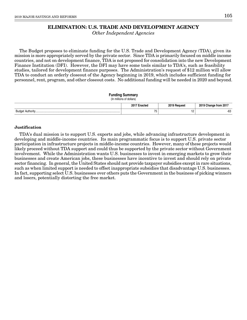### **ELIMINATION: U.S. TRADE AND DEVELOPMENT AGENCY**

Other Independent Agencies

The Budget proposes to eliminate funding for the U.S. Trade and Development Agency (TDA), given its mission is more appropriately served by the private sector. Since TDA is primarily focused on middle income countries, and not on development finance, TDA is not proposed for consolidation into the new Development Finance Institution (DFI). However, the DFI may have some tools similar to TDA's, such as feasibility studies, tailored for development finance purposes. The Administration's request of \$12 million will allow TDA to conduct an orderly closeout of the Agency beginning in 2019, which includes sufficient funding for personnel, rent, program, and other closeout costs. No additional funding will be needed in 2020 and beyond.

| <b>Funding Summary</b><br>(In millions of dollars) |              |              |                       |  |  |  |  |  |  |  |  |  |
|----------------------------------------------------|--------------|--------------|-----------------------|--|--|--|--|--|--|--|--|--|
|                                                    | 2017 Enacted | 2019 Request | 2019 Change from 2017 |  |  |  |  |  |  |  |  |  |
|                                                    | 75           | 12           | $-63$                 |  |  |  |  |  |  |  |  |  |

#### **Justification**

TDA's dual mission is to support U.S. exports and jobs, while advancing infrastructure development in developing and middle-income countries. Its main programmatic focus is to support U.S. private sector participation in infrastructure projects in middle-income countries. However, many of these projects would likely proceed without TDA support and could thus be supported by the private sector without Government involvement. While the Administration wants U.S. businesses to invest in emerging markets to grow their businesses and create American jobs, these businesses have incentive to invest and should rely on private sector financing. In general, the United States should not provide taxpayer subsidies except in rare situations, such as when limited support is needed to offset inappropriate subsidies that disadvantage U.S. businesses. In fact, supporting select U.S. businesses over others puts the Government in the business of picking winners and losers, potentially distorting the free market.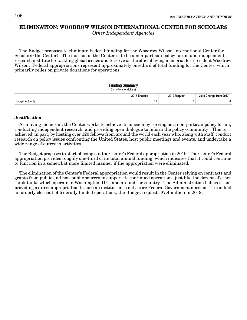## **ELIMINATION: WOODROW WILSON INTERNATIONAL CENTER FOR SCHOLARS**

Other Independent Agencies

The Budget proposes to eliminate Federal funding for the Woodrow Wilson International Center for Scholars (the Center). The mission of the Center is to be a non-partisan policy forum and independent research institute for tackling global issues and to serve as the official living memorial for President Woodrow Wilson. Federal appropriations represent approximately one-third of total funding for the Center, which primarily relies on private donations for operations.

#### **Funding Summary** (In millions of dollars)

| $\mu$ , $\mu$ , $\mu$ , $\mu$ , $\mu$ , $\mu$ , $\mu$ , $\mu$ , $\mu$ |              |              |                       |  |  |  |  |  |  |  |  |  |
|-----------------------------------------------------------------------|--------------|--------------|-----------------------|--|--|--|--|--|--|--|--|--|
|                                                                       | 2017 Enacted | 2019 Request | 2019 Change from 2017 |  |  |  |  |  |  |  |  |  |
|                                                                       |              |              | $-4$                  |  |  |  |  |  |  |  |  |  |

### **Justification**

As a living memorial, the Center works to achieve its mission by serving as a non-partisan policy forum, conducting independent research, and providing open dialogue to inform the policy community. This is achieved, in part, by hosting over 120 fellows from around the world each year who, along with staff, conduct research on policy issues confronting the United States, host public meetings and events, and undertake a wide range of outreach activities.

The Budget proposes to start phasing out the Center's Federal appropriation in 2019. The Center's Federal appropriation provides roughly one-third of its total annual funding, which indicates that it could continue to function in a somewhat more limited manner if the appropriation were eliminated.

The elimination of the Center's Federal appropriation would result in the Center relying on contracts and grants from public and non-public sources to support its continued operations, just like the dozens of other think tanks which operate in Washington, D.C. and around the country. The Administration believes that providing a direct appropriation to such an institution is not a core Federal Government mission. To conduct an orderly closeout of federally funded operations, the Budget requests \$7.4 million in 2019.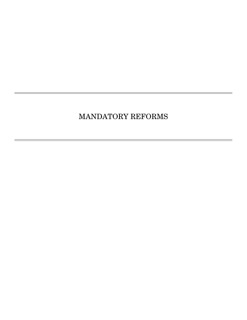# MANDATORY REFORMS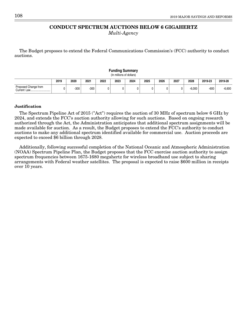### **CONDUCT SPECTRUM AUCTIONS BELOW 6 GIGAHERTZ** Multi-Agency

The Budget proposes to extend the Federal Communications Commission's (FCC) authority to conduct auctions.

| ununiy Jummary<br>(In millions of dollars) |      |        |      |      |      |      |      |      |      |          |         |          |
|--------------------------------------------|------|--------|------|------|------|------|------|------|------|----------|---------|----------|
|                                            | 2019 | 2020   | 2021 | 2022 | 2023 | 2024 | 2025 | 2026 | 2027 | 2028     | 2019-23 | 2019-28  |
| Proposed Change from                       |      | $-300$ | -300 | 0    |      | 0    |      |      |      | $-6.000$ | $-600$  | $-6,600$ |

## **Funding Summary**

#### **Justification**

The Spectrum Pipeline Act of 2015 ("Act") requires the auction of 30 MHz of spectrum below 6 GHz by 2024, and extends the FCC's auction authority allowing for such auctions. Based on ongoing research authorized through the Act, the Administration anticipates that additional spectrum assignments will be made available for auction. As a result, the Budget proposes to extend the FCC's authority to conduct auctions to make any additional spectrum identified available for commercial use. Auction proceeds are expected to exceed \$6 billion through 2028.

Additionally, following successful completion of the National Oceanic and Atmospheric Administration (NOAA) Spectrum Pipeline Plan, the Budget proposes that the FCC exercise auction authority to assign spectrum frequencies between 1675-1680 megahertz for wireless broadband use subject to sharing arrangements with Federal weather satellites. The proposal is expected to raise \$600 million in receipts over 10 years.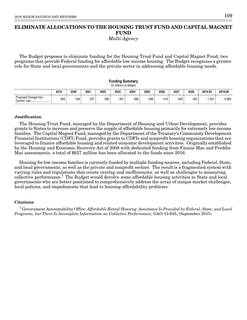# **ELIMINATE ALLOCATIONS TO THE HOUSING TRUST FUND AND CAPITAL MAGNET FUND**

Multi-Agency

The Budget proposes to eliminate funding for the Housing Trust Fund and Capital Magnet Fund, two programs that provide Federal funding for affordable low-income housing. The Budget recognizes a greater role for State and local governments and the private sector in addressing affordable housing needs.

| <b>Funding Summary</b><br>(In millions of dollars) |      |        |        |        |        |        |        |        |        |        |          |          |
|----------------------------------------------------|------|--------|--------|--------|--------|--------|--------|--------|--------|--------|----------|----------|
|                                                    | 2019 | 2020   | 2021   | 2022   | 2023   | 2024   | 2025   | 2026   | 2027   | 2028   | 2019-23  | 2019-28  |
| Proposed Change from                               | -263 | $-158$ | $-227$ | $-296$ | $-357$ | $-385$ | $-399$ | $-419$ | $-426$ | $-433$ | $-1,301$ | $-3,363$ |

### **Justification**

The Housing Trust Fund, managed by the Department of Housing and Urban Development, provides grants to States to increase and preserve the supply of affordable housing primarily for extremely low-income families. The Capital Magnet Fund, managed by the Department of the Treasury's Community Development Financial Institutions (CDFI) Fund, provides grants to CDFIs and nonprofit housing organizations that are leveraged to finance affordable housing and related economic development activities. Originally established by the Housing and Economic Recovery Act of 2008 with dedicated funding from Fannie Mae and Freddie Mac assessments, a total of \$627 million has been allocated to the funds since 2016.

Housing for low-income families is currently funded by multiple funding sources, including Federal, State, and local governments, as well as the private and nonprofit sectors. The result is a fragmented system with varying rules and regulations that create overlap and inefficiencies, as well as challenges to measuring collective performance.<sup>1</sup> The Budget would devolve some affordable housing activities to State and local governments who are better positioned to comprehensively address the array of unique market challenges, local policies, and impediments that lead to housing affordability problems.

### **Citations**

 $^1$  Government Accountability Office: Affordable Rental Housing: Assistance Is Provided by Federal, State, and Local Programs, but There Is Incomplete Information on Collective Performance, GAO-15-645, (September 2015).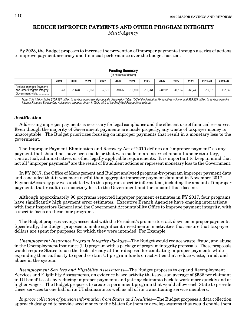### **REDUCE IMPROPER PAYMENTS AND OTHER PROGRAM INTEGRITY** Multi-Agency

By 2028, the Budget proposes to increase the prevention of improper payments through a series of actions to improve payment accuracy and financial performance over the budget horizon.

| (In millions of dollars)                                                   |       |          |          |          |          |           |           |           |           |           |           |            |
|----------------------------------------------------------------------------|-------|----------|----------|----------|----------|-----------|-----------|-----------|-----------|-----------|-----------|------------|
|                                                                            | 2019  | 2020     | 2021     | 2022     | 2023     | 2024      | 2025      | 2026      | 2027      | 2028      | 2019-23   | 2019-28    |
| Reduce Improper Payments<br>and Other Program Integrity<br>Government-wide | $-48$ | $-1.678$ | $-3.350$ | $-5.572$ | $-9.025$ | $-10.900$ | $-16.961$ | $-28.262$ | $-46.104$ | $-65.740$ | $-19.673$ | $-187.640$ |

**Funding Summary**

Note: This total includes \$158,381 million in savings from several proposals displayed in Table 10-3 of the Analytical Perspectives volume, and \$29,259 million in savings from the Internal Revenue Service Cap Adjustment proposal shown in Table 10-2 of the Analytical Perspectives volume.

#### **Justification**

Addressing improper payments is necessary for legal compliance and the efficient use of financial resources. Even though the majority of Government payments are made properly, any waste of taxpayer money is unacceptable. The Budget prioritizes focusing on improper payments that result in a monetary loss to the government.

The Improper Payment Elimination and Recovery Act of 2010 defines an "improper payment" as any payment that should not have been made or that was made in an incorrect amount under statutory, contractual, administrative, or other legally applicable requirements. It is important to keep in mind that not all "improper payments" are the result of fraudulent actions or represent monetary loss to the Government.

In FY 2017, the Office of Management and Budget analyzed program-by-program improper payment data and concluded that it was more useful than aggregate improper payment data and in November 2017, PaymentAccuracy.gov was updated with this program-specific information, including the amount of improper payments that result in a monetary loss to the Government and the amount that does not.

Although approximately 90 programs reported improper payment estimates in FY 2017, four programs have significantly high payment error estimates. Executive Branch Agencies have ongoing interactions with their Inspectors General and the Government Accountability Office to improve payment integrity, with a specific focus on these four programs.

The Budget proposes savings associated with the President's promise to crack down on improper payments. Specifically, the Budget proposes to make significant investments in activities that ensure that taxpayer dollars are spent for purposes for which they were intended. For Example:

Unemployment Insurance Program Integrity Package—The Budget would reduce waste, fraud, and abuse in the Unemployment Insurance (UI) program with a package of program integrity proposals. These proposals would require States to use the tools already at their disposal for combating improper payments while expanding their authority to spend certain UI program funds on activities that reduce waste, fraud, and abuse in the system.

Reemployment Services and Eligibility Assessments—The Budget proposes to expand Reemployment Services and Eligibility Assessments, an evidence based activity that saves an average of \$536 per claimant in UI benefit costs by reducing improper payments and getting claimants back to work more quickly and at higher wages. The Budget proposes to create a permanent program that would allow each State to provide these services to one half of its UI claimants as well as all of its transitioning service members.

Improve collection of pension information from States and localities—The Budget proposes a data collection approach designed to provide seed money to the States for them to develop systems that would enable them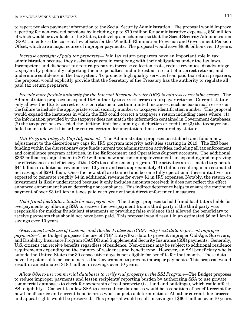to report pension payment information to the Social Security Administration. The proposal would improve reporting for non-covered pensions by including up to \$70 million for administrative expenses, \$50 million of which would be available to the States, to develop a mechanism so that the Social Security Administration (SSA) can enforce the current law offsets for the Windfall Elimination Provision and Government Pension Offset, which are a major source of improper payments. The proposal would save \$8.86 billion over 10 years.

Increase oversight of paid tax preparers—Paid tax return preparers have an important role in tax administration because they assist taxpayers in complying with their obligations under the tax laws. Incompetent and dishonest tax return preparers increase collection costs, reduce revenues, disadvantage taxpayers by potentially subjecting them to penalties and interest as a result of incorrect returns, and undermine confidence in the tax system. To promote high quality services from paid tax return preparers, the proposal would explicitly provide that the Secretary of the Treasury has the authority to regulate all paid tax return preparers.

Provide more flexible authority for the Internal Revenue Service (IRS) to address correctable errors—The Administration proposes to expand IRS authority to correct errors on taxpayer returns. Current statute only allows the IRS to correct errors on returns in certain limited instances, such as basic math errors or the failure to include the appropriate social security number or taxpayer identification number. This proposal would expand the instances in which the IRS could correct a taxpayer's return including cases where: (1) the information provided by the taxpayer does not match the information contained in Government databases; (2) the taxpayer has exceeded the lifetime limit for claiming a deduction or credit; or (3) the taxpayer has failed to include with his or her return, certain documentation that is required by statute.

IRS Program Integrity Cap Adjustment—The Administration proposes to establish and fund a new adjustment to the discretionary caps for IRS program integrity activities starting in 2019. The IRS base funding within the discretionary caps funds current tax administration activities, including all tax enforcement and compliance program activities, in the Enforcement and Operations Support accounts. The additional \$362 million cap adjustment in 2019 will fund new and continuing investments in expanding and improving the effectiveness and efficiency of the IRS's tax enforcement program. The activities are estimated to generate \$44 billion in additional revenue over 10 years and cost approximately \$15 billion resulting in an estimated net savings of \$29 billion. Once the new staff are trained and become fully operational these initiatives are expected to generate roughly \$4 in additional revenue for every \$1 in IRS expenses. Notably, the return on investment is likely understated because it only includes amounts received; it does not reflect the effect enhanced enforcement has on deterring noncompliance. This indirect deterrence helps to ensure the continued payment of over \$3 trillion in taxes paid each year without direct enforcement measures.

Hold fraud facilitators liable for overpayments—The Budget proposes to hold fraud facilitators liable for overpayments by allowing SSA to recover the overpayment from a third party if the third party was responsible for making fraudulent statements or providing false evidence that allowed the beneficiary to receive payments that should not have been paid. This proposal would result in an estimated \$6 million in savings over 10 years.

Government wide use of Customs and Border Protection (CBP) entry/exit data to prevent improper payments—The Budget proposes the use of CBP Entry/Exit data to prevent improper Old-Age, Survivors, and Disability Insurance Program (OASDI) and Supplemental Security Insurance (SSI) payments. Generally, U.S. citizens can receive benefits regardless of residence. Non-citizens may be subject to additional residence requirements depending on the country of residence and benefit type. However, an SSI beneficiary who is outside the United States for 30 consecutive days is not eligible for benefits for that month. These data have the potential to be useful across the Government to prevent improper payments. This proposal would result in an estimated \$183 million in savings over 10 years.

Allow SSA to use commercial databases to verify real property in the SSI Program—The Budget proposes to reduce improper payments and lessen recipients' reporting burden by authorizing SSA to use private commercial databases to check for ownership of real property (i.e. land and buildings), which could affect SSI eligibility. Consent to allow SSA to access these databases would be a condition of benefit receipt for new beneficiaries and current beneficiaries who complete a determination. All other current due process and appeal rights would be preserved. This proposal would result in savings of \$604 million over 10 years.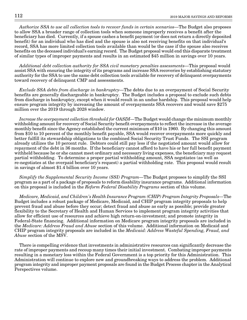Authorize SSA to use all collection tools to recover funds in certain scenarios—The Budget also proposes to allow SSA a broader range of collection tools when someone improperly receives a benefit after the beneficiary has died. Currently, if a spouse cashes a benefit payment (or does not return a directly deposited benefit) for an individual who has died and the spouse is also not receiving benefits on that individual's record, SSA has more limited collection tools available than would be the case if the spouse also receives benefits on the deceased individual's earning record. The Budget proposal would end this disparate treatment of similar types of improper payments and results in an estimated \$45 million in savings over 10 years.

Additional debt collection authority for SSA civil monetary penalties assessments—This proposal would assist SSA with ensuring the integrity of its programs and increase SSA recoveries by establishing statutory authority for the SSA to use the same debt collection tools available for recovery of delinquent overpayments toward recovery of delinquent CMP and assessments.

Exclude SSA debts from discharge in bankruptcy—The debts due to an overpayment of Social Security benefits are generally dischargeable in bankruptcy. The Budget includes a proposal to exclude such debts from discharge in bankruptcy, except when it would result in an undue hardship. This proposal would help ensure program integrity by increasing the amount of overpayments SSA recovers and would save \$275 million over the 2019 through 2028 window.

Increase the overpayment collection threshold for OASDI—The Budget would change the minimum monthly withholding amount for recovery of Social Security benefit overpayments to reflect the increase in the average monthly benefit since the Agency established the current minimum of \$10 in 1960. By changing this amount from \$10 to 10 percent of the monthly benefit payable, SSA would recover overpayments more quickly and better fulfill its stewardship obligations to the combined Social Security Trust Funds. The SSI program already utilizes the 10 percent rule. Debtors could still pay less if the negotiated amount would allow for repayment of the debt in 36 months. If the beneficiary cannot afford to have his or her full benefit payment withheld because he or she cannot meet ordinary and necessary living expenses, the beneficiary may request partial withholding. To determine a proper partial withholding amount, SSA negotiates (as well as re-negotiates at the overpaid beneficiary's request) a partial withholding rate. This proposal would result in savings of almost \$1.4 billion over 10 years.

Simplify the Supplemental Security Income (SSI) Program—The Budget proposes to simplify the SSI program as a part of a package of proposals to reform disability insurance programs. Additional information on this proposal is included in the Reform Federal Disability Programs section of this volume.

Medicare, Medicaid, and Children's Health Insurance Program (CHIP) Program Integrity Proposals—The Budget includes a robust package of Medicare, Medicaid, and CHIP program integrity proposals to help prevent fraud and abuse before they occur; detect fraud and abuse as early as possible; provide greater flexibility to the Secretary of Health and Human Services to implement program integrity activities that allow for efficient use of resources and achieve high return-on-investment; and promote integrity in Federal-State financing. Additional information on Medicare program integrity proposals are included in the Medicare: Address Fraud and Abuse section of this volume. Additional information on Medicaid and CHIP program integrity proposals are included in the Medicaid: Address Wasteful Spending, Fraud, and Abuse section of the MSV.

There is compelling evidence that investments in administrative resources can significantly decrease the rate of improper payments and recoup many times their initial investment. Combating improper payments resulting in a monetary loss within the Federal Government is a top priority for this Administration. This Administration will continue to explore new and groundbreaking ways to address the problem. Additional program integrity and improper payment proposals are found in the Budget Process chapter in the Analytical Perspectives volume.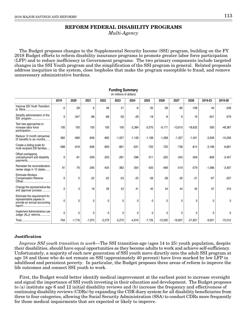# **REFORM FEDERAL DISABILITY PROGRAMS**

Multi-Agency

The Budget proposes changes to the Supplemental Security Income (SSI) program, building on the FY 2018 Budget efforts to reform disability insurance programs to promote greater labor force participation (LFP) and to reduce inefficiency in Government programs. The two primary components include targeted changes in the SSI Youth program and the simplification of the SSI program in general. Related proposals address inequities in the system, close loopholes that make the program susceptible to fraud, and remove unnecessary administrative burdens.

**Funding Summary**

| (In millions of dollars)                                                                  |        |          |          |          |              |          |          |           |              |           |          |           |
|-------------------------------------------------------------------------------------------|--------|----------|----------|----------|--------------|----------|----------|-----------|--------------|-----------|----------|-----------|
|                                                                                           | 2019   | 2020     | 2021     | 2022     | 2023         | 2024     | 2025     | 2026      | 2027         | 2028      | 2019-23  | 2019-28   |
| Improve SSI Youth Transition<br>to Work                                                   | -5     | $-28$    | 6        | 46       | 21           | -6       | $-35$    | $-59$     | $-80$        | $-108$    | 40       | $-248$    |
| Simplify administration of the<br>SSI program                                             | 0      | $-347$   | $-86$    | $-68$    | $-50$        | $-29$    | $-18$    | -6        | 6            | 19        | $-551$   | $-579$    |
| Test new approaches to<br>increase labor force<br>participation                           | 100    | 100      | 100      | 100      | 100          | $-2,384$ | $-5,070$ | $-9,171$  | $-13,610$    | $-18,632$ | 500      | $-48,367$ |
| Reduce 12 month retroactive<br>DI benefits to six months                                  | $-362$ | $-669$   | $-846$   | $-992$   | $-1,057$     | $-1,126$ | $-1,198$ | $-1,268$  | $-1,337$     | $-1,401$  | $-3,926$ | $-10,256$ |
| Create a sliding scale for<br>multi-recipient SSI families                                | $-588$ | $-618$   | $-636$   | $-693$   | $-661$       | $-631$   | $-702$   | $-720$    | $-738$       | $-814$    | $-3,196$ | $-6,801$  |
| Offset overlapping<br>unemployment and disability<br>payments                             | 0      | $-81$    | $-209$   | $-255$   | $-281$       | $-296$   | $-311$   | $-325$    | $-343$       | $-356$    | $-826$   | $-2,457$  |
| Reinstate the reconsideration<br>review stage in 10 states                                | 91     | $-76$    | $-295$   | $-424$   | $-362$       | $-354$   | $-420$   | $-469$    | $-519$       | $-579$    | $-1,066$ | $-3,407$  |
| <b>Eliminate Workers</b><br><b>Compensation Reverse</b>                                   | 0      | 0        | $-22$    | $-22$    | $-23$        | $-25$    | $-26$    | $-28$     | $-30$        | $-31$     | $-67$    | $-207$    |
| Change the representative fee<br>and approval process                                     | 0      | 3        | 16       | 29       | 43           | 41       | 45       | 44        | 44           | 45        | 91       | 310       |
| Eliminate the requirement for<br>representative payees to<br>provide an annual accounting | 0      | 0        | 0        | 0        | $\mathbf 0$  | 0        | 0        | 0         | $\mathbf{0}$ | 0         | 0        | 0         |
| Implement Administrative Law<br>Judge (ALJ) reforms                                       | 0      | 0        | 0        | 0        | $\mathbf{0}$ | 0        | 0        | 0         | $\Omega$     | 0         | 0        | 0         |
|                                                                                           | $-764$ | $-1,716$ | $-1,972$ | $-2,279$ | $-2,270$     | $-4,810$ | $-7,735$ | $-12,002$ | $-16,607$    | $-21,857$ | $-9,001$ | $-72,012$ |

### **Justification**

Improve SSI youth transition to work—The SSI transition-age (ages 14 to 25) youth population, despite their disabilities, should have equal opportunities as they become adults to work and achieve self-sufficiency. Unfortunately, a majority of each new generation of SSI youth move directly onto the adult SSI program at age 18 and those who do not remain on SSI (approximately 40 percent) have lives marked by low LFP in adulthood and persistent poverty. In particular, the Budget proposes three areas of reform to improve the life outcomes and connect SSI youth to work.

First, the Budget would better identify medical improvement at the earliest point to increase oversight and signal the importance of SSI youth investing in their education and development. The Budget proposes to (a) institute age 6 and 12 initial disability reviews and (b) increase the frequency and effectiveness of continuing disability reviews (CDRs) by expanding the CDR diary system for all disability beneficiaries from three to four categories, allowing the Social Security Administration (SSA) to conduct CDRs more frequently for those medical impairments that are expected or likely to improve.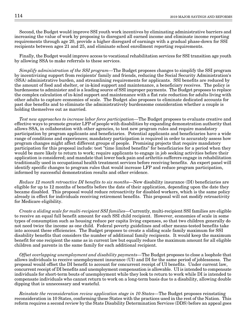Second, the Budget would improve SSI youth work incentives by eliminating administrative barriers and increasing the value of work by proposing to disregard all earned income and eliminate income reporting requirements through age 20, provide a higher disregard of earnings with a gradual phase-down for SSI recipients between ages 21 and 25, and eliminate school enrollment reporting requirements.

Finally, the Budget would improve access to vocational rehabilitation services for SSI transition age youth by allowing SSA to make referrals to these services.

Simplify administration of the SSI program—The Budget proposes changes to simplify the SSI program by incentivizing support from recipients' family and friends, reducing the Social Security Administration's (SSA) administrative burden, and streamlining requirements for applicants. SSI benefits are reduced by the amount of food and shelter, or in-kind support and maintenance, a beneficiary receives. The policy is burdensome to administer and is a leading source of SSI improper payments. The Budget proposes to replace the complex calculation of in-kind support and maintenance with a flat rate reduction for adults living with other adults to capture economies of scale. The Budget also proposes to eliminate dedicated accounts for past due benefits and to eliminate the administratively burdensome consideration whether a couple is holding themselves out as married.

Test new approaches to increase labor force participation—The Budget proposes to evaluate creative and effective ways to promote greater LFP of people with disabilities by expanding demonstration authority that allows SSA, in collaboration with other agencies, to test new program rules and require mandatory participation by program applicants and beneficiaries. Potential applicants and beneficiaries have a wide range of conditions and experiences; mandatory participation is required in order to accurately assess how program changes might affect different groups of people. Promising projects that require mandatory participation for this proposal include: test "time limited benefits" for beneficiaries for a period when they would be more likely to return to work; require applicants to engage in job seeking activities before their application is considered; and mandate that lower back pain and arthritis sufferers engage in rehabilitation traditionally used in occupational health treatment services before receiving benefits. An expert panel will identify specific changes to program rules that would increase LFP and reduce program participation, informed by successful demonstration results and other evidence.

Reduce 12 month retroactive DI benefits to six months—New disability insurance (DI) beneficiaries are eligible for up to 12 months of benefits before the date of their application, depending upon the date they became disabled. This proposal would reduce retroactivity for disabled workers, which is the same policy already in effect for individuals receiving retirement benefits. This proposal will not modify retroactivity for Medicare eligibility.

Create a sliding scale for multi-recipient SSI families—Currently, multi-recipient SSI families are eligible to receive an equal full benefit amount for each SSI child recipient. However, economies of scale in some types of consumption such as housing reduce per capita living expenses, so that two children generally do not need twice the income as one child. Federal poverty guidelines and other means-tested benefits take into account these efficiencies. The Budget proposes to create a sliding scale family maximum for SSI disability benefits that considers the number of additional family recipients. It would keep the maximum benefit for one recipient the same as in current law but equally reduce the maximum amount for all eligible children and parents in the same family for each additional recipient.

Offset overlapping unemployment and disability payments—The Budget proposes to close a loophole that allows individuals to receive unemployment insurance (UI) and DI for the same period of joblessness. The proposal would offset the DI benefit to account for concurrent receipt of UI benefits. Under current law, concurrent receipt of DI benefits and unemployment compensation is allowable. UI is intended to compensate individuals for short-term bouts of unemployment while they look to return to work while DI is intended to compensate individuals who cannot return to work on a long-term basis due to a disability, allowing double dipping that is unnecessary and wasteful.

Reinstate the reconsideration review application stage in 10 States—The Budget proposes reinstating reconsideration in 10 States, conforming these States with the practices used in the rest of the Nation. This reform requires a second review by the State Disability Determination Services (DDS) before an appeal goes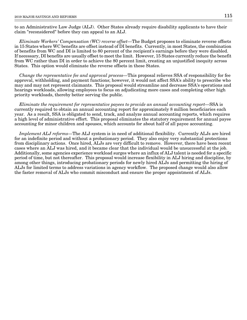to an Administrative Law Judge (ALJ). Other States already require disability applicants to have their claim "reconsidered" before they can appeal to an ALJ.

Eliminate Workers' Compensation (WC) reverse offset—The Budget proposes to eliminate reverse offsets in 15 States where WC benefits are offset instead of DI benefits. Currently, in most States, the combination of benefits from WC and DI is limited to 80 percent of the recipient's earnings before they were disabled. If necessary, DI benefits are usually offset to meet the limit. However, 15 States currently reduce the benefit from WC rather than DI in order to achieve the 80 percent limit, creating an unjustified inequity across States. This option would eliminate the reverse offsets in these States.

Change the representative fee and approval process—This proposal relieves SSA of responsibility for fee approval, withholding, and payment functions; however, it would not affect SSA's ability to prescribe who may and may not represent claimants. This proposal would streamline and decrease SSA's operations and hearings workloads, allowing employees to focus on adjudicating more cases and completing other high priority workloads, thereby better serving the public.

Eliminate the requirement for representative payees to provide an annual accounting report—SSA is currently required to obtain an annual accounting report for approximately 8 million beneficiaries each year. As a result, SSA is obligated to send, track, and analyze annual accounting reports, which requires a high level of administrative effort. This proposal eliminates the statutory requirement for annual payee accounting for minor children and spouses, which accounts for about half of all payee accounting.

Implement ALJ reforms—The ALJ system is in need of additional flexibility. Currently ALJs are hired for an indefinite period and without a probationary period. They also enjoy very substantial protections from disciplinary actions. Once hired, ALJs are very difficult to remove. However, there have been recent cases where an ALJ was hired, and it became clear that the individual would be unsuccessful at the job. Additionally, some agencies experience workload surges where an influx of ALJ talent is needed for a specific period of time, but not thereafter. This proposal would increase flexibility in ALJ hiring and discipline, by among other things, introducing probationary periods for newly hired ALJs and permitting the hiring of ALJs for limited terms to address variations in agency workflow. The proposed change would also allow the faster removal of ALJs who commit misconduct and ensure the proper appointment of ALJs.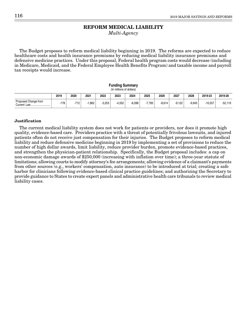### **REFORM MEDICAL LIABILITY**

Multi-Agency

The Budget proposes to reform medical liability beginning in 2019. The reforms are expected to reduce healthcare costs and health insurance premiums by reducing medical liability insurance premiums and defensive medicine practices. Under this proposal, Federal health program costs would decrease (including in Medicare, Medicaid, and the Federal Employee Health Benefits Program) and taxable income and payroll tax receipts would increase.

#### **Funding Summary** (In millions of dollars)

|                                     | 2019       | 2020   | 2021 | 2022     | 2023     | 2024     | 2025     | 2026     | 2027     | 2028     | 2019-23   | 2019-28   |
|-------------------------------------|------------|--------|------|----------|----------|----------|----------|----------|----------|----------|-----------|-----------|
| Proposed Change from<br>Current Law | 170<br>170 | $-712$ | .862 | $-3.253$ | $-4.552$ | $-6.098$ | $-7.783$ | $-8.614$ | $-9.122$ | $-9.945$ | $-10.557$ | $-52,119$ |

### **Justification**

The current medical liability system does not work for patients or providers, nor does it promote high quality, evidence-based care. Providers practice with a threat of potentially frivolous lawsuits, and injured patients often do not receive just compensation for their injuries. The Budget proposes to reform medical liability and reduce defensive medicine beginning in 2019 by implementing a set of provisions to reduce the number of high dollar awards, limit liability, reduce provider burden, promote evidence-based practices, and strengthen the physician-patient relationship. Specifically, the Budget proposal includes: a cap on non-economic damage awards of \$250,000 (increasing with inflation over time); a three-year statute of limitations; allowing courts to modify attorney's fee arrangements; allowing evidence of a claimant's payments from other sources (e.g., workers' compensation, auto insurance) to be introduced at trial; creating a safe harbor for clinicians following evidence-based clinical practice guidelines; and authorizing the Secretary to provide guidance to States to create expert panels and administrative health care tribunals to review medical liability cases.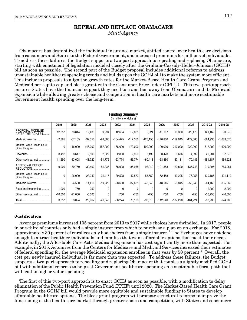### **REPEAL AND REPLACE OBAMACARE** Multi-Agency

Obamacare has destabilized the individual insurance market, shifted control over health care decisions from consumers and States to the Federal Government, and increased premiums for millions of individuals. To address these failures, the Budget supports a two-part approach to repealing and replacing Obamacare, starting with enactment of legislation modeled closely after the Graham-Cassidy-Heller-Johnson (GCHJ) bill as soon as possible. The second part of the Budget proposal includes additional reforms to address unsustainable healthcare spending trends and builds upon the GCHJ bill to make the system more efficient. This includes proposals to align the growth rates for the Market-Based Health Care Grant Program and Medicaid per capita cap and block grant with the Consumer Price Index (CPI-U). This two-part approach ensures States have the financial support they need to transition away from Obamacare and its Medicaid expansion while allowing greater choice and competition in health care markets and more sustainable Government health spending over the long-term.

|                                           |              |           |           |           | (In millions of dollars) |            |             |            |            |            |            |              |
|-------------------------------------------|--------------|-----------|-----------|-----------|--------------------------|------------|-------------|------------|------------|------------|------------|--------------|
|                                           | 2019         | 2020      | 2021      | 2022      | 2023                     | 2024       | 2025        | 2026       | 2027       | 2028       | 2019-23    | 2019-28      |
| PROPOSAL MODELED<br>AFTER THE GCHJ BILL   | 12,257       | 73,844    | 12,433    | 9,994     | 12,634                   | 12,835     | 6,624       | $-11,187$  | $-13,380$  | $-25,476$  | 121,162    | 90,578       |
| Medicaid reforms                          | $-2,885$     | $-67,165$ | $-92,350$ | $-98,060$ | $-104,475$               | $-112,350$ | $-126, 155$ | $-140,800$ | $-159,945$ | $-179,385$ | $-364,935$ | $-1,083,570$ |
| Market Based Health Care<br>Grant Program | $\mathbf{0}$ | 146,000   | 146,000   | 157,000   | 168,000                  | 179,000    | 190,000     | 190,000    | 210,000    | 220,000    | 617,000    | 1,606,000    |
| Revenues                                  | 3,452        | 8,617     | 2,503     | 2,829     | 2,883                    | 2,959      | 3.192       | 3,473      | 3,676      | 4,092      | 20,284     | 37,676       |
| Other savings, net                        | 11,690       | $-13,608$ | -43,720   | $-51,775$ | $-53,774$                | $-56,774$  | $-60,413$   | $-63,860$  | $-67,111$  | $-70,183$  | $-151,187$ | $-469,528$   |
| <b>ADDITIONAL DEFICIT</b><br>REDUCTION    | $-9,000$     | $-50,750$ | $-39,400$ | $-51,337$ | $-68,908$                | $-85,958$  | $-98,940$   | $-101,353$ | $-123,890$ | $-135,748$ | $-219,395$ | $-765,284$   |
| Market Based Health Care<br>Grant Program | $\mathbf{0}$ | $-26,000$ | $-23,240$ | $-31,417$ | $-39,528$                | $-47,573$  | $-55,550$   | $-52,458$  | $-69,295$  | $-76,058$  | $-120,185$ | $-421,119$   |
| Medicaid reforms                          | $\mathbf{0}$ | $-4,500$  | $-11,410$ | $-19,920$ | $-28,630$                | $-37,635$  | $-42,640$   | $-48,145$  | $-53,845$  | $-58,940$  | -64,460    | $-305,665$   |
| State implementation                      | 1,000        | 750       | 250       | 0         | $\Omega$                 | $\Omega$   | $\Omega$    | 0          | ŋ          | U          | 2,000      | 2,000        |
| Other savings, net                        | $-10,000$    | $-21,000$ | $-5,000$  | 0         | $-750$                   | $-750$     | $-750$      | $-750$     | $-750$     | $-750$     | $-36,750$  | $-40,500$    |
|                                           | 3,257        | 23,094    | $-26,967$ | $-41,343$ | $-56,274$                | $-73,123$  | $-92,316$   | $-112,540$ | $-137,270$ | $-161,224$ | $-98,233$  | $-674,706$   |

# **Funding Summary**

#### **Justification**

Average premiums increased 105 percent from 2013 to 2017 while choices have dwindled. In 2017, people in one-third of counties only had a single insurer from which to purchase a plan on an exchange. For 2018, approximately 30 percent of enrollees only had choices from a single insurer.<sup>1</sup> The Exchanges have not done enough to attract healthier individuals and families that want affordable options that meet their needs. Additionally, the Affordable Care Act's Medicaid expansion has cost significantly more than expected. For example, in 2015, Actuaries from the Centers for Medicare and Medicaid Services increased their estimates of federal spending for the average Medicaid expansion enrollee in that year by 50 percent.<sup>2</sup> Overall, the cost per newly insured individual is far more than was expected. To address these failures, the Budget supports a two-part approach to repealing and replacing Obamacare that couples a slightly modified GCHJ bill with additional reforms to help set Government healthcare spending on a sustainable fiscal path that will lead to higher value spending.

The first of this two-part approach is to enact GCHJ as soon as possible, with a modification to delay elimination of the Public Health Prevention Fund (PPHF) until 2020. The Market-Based Health Care Grant Program in the GCHJ bill would provide more equitable and sustainable funding to States to develop affordable healthcare options. The block grant program will promote structural reforms to improve the functioning of the health care market through greater choice and competition, with States and consumers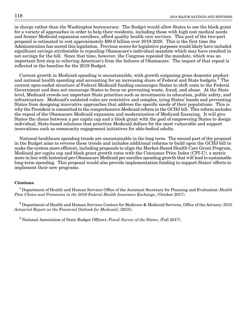in charge rather than the Washington bureaucracy. The Budget would allow States to use the block grant for a variety of approaches in order to help their residents, including those with high cost medical needs and former Medicaid expansion enrollees, afford quality health care services. This part of the two-part proposal is estimated to cost approximately \$90.6 billion over 2019-2028. This is the first time the Administration has scored this legislation. Previous scores for legislative purposes would likely have included significant savings attributable to repealing Obamacare's individual mandate which may have resulted in net savings for the bill. Since that time, however, the Congress repealed the mandate, which was an important first step in relieving American's from the failures of Obamacare. The impact of that repeal is reflected in the baseline for the 2019 Budget.

Current growth in Medicaid spending is unsustainable, with growth outpacing gross domestic product and national health spending and accounting for an increasing share of Federal and State budgets.<sup>3</sup> The current open-ended structure of Federal Medicaid funding encourages States to shift costs to the Federal Government and does not encourage States to focus on preventing waste, fraud, and abuse. At the State level, Medicaid crowds out important State priorities such as investments in education, public safety, and infrastructure. Medicaid's outdated rules are restrictive and complex, tying States' hands and preventing States from designing innovative approaches that address the specific needs of their populations. This is why the President is committed to the comprehensive Medicaid reform in the GCHJ bill. This reform includes the repeal of the Obamacare Medicaid expansion and modernization of Medicaid financing. It will give States the choice between a per capita cap and a block grant with the goal of empowering States to design individual, State-based solutions that prioritize Medicaid dollars for the most vulnerable and support innovations such as community engagement initiatives for able-bodied adults.

National healthcare spending trends are unsustainable in the long term. The second part of the proposal in the Budget aims to reverse these trends and includes additional reforms to build upon the GCHJ bill to make the system more efficient, including proposals to align the Market-Based Health Care Grant Program, Medicaid per capita cap and block grant growth rates with the Consumer Price Index (CPI-U), a metric more in line with historical pre-Obamacare Medicaid per enrollee spending growth that will lead to sustainable long-term spending. This proposal would also provide implementation funding to support States' efforts to implement their new programs.

### **Citations**

<sup>1</sup> Department of Health and Human Services Office of the Assistant Secretary for Planning and Evaluation: *Health* Plan Choice and Premiums in the 2018 Federal Health Insurance Exchange, (October 2017).

 $^2$  Department of Health and Human Services Centers for Medicare & Medicaid Services, Office of the Actuary: 2015 Actuarial Report on the Financial Outlook for Medicaid, (2015).

 $3$  National Association of State Budget Officers: Fiscal Survey of the States, (Fall 2017).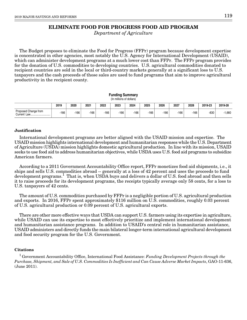### **ELIMINATE FOOD FOR PROGRESS FOOD AID PROGRAM**

Department of Agriculture

The Budget proposes to eliminate the Food for Progress (FFPr) program because development expertise is concentrated in other agencies, most notably the U.S. Agency for International Development (USAID), which can administer development programs at a much lower cost than FFPr. The FFPr program provides for the donation of U.S. commodities to developing countries. U.S. agricultural commodities donated to recipient countries are sold in the local or third-country markets generally at a significant loss to U.S. taxpayers and the cash proceeds of those sales are used to fund programs that aim to improve agricultural productivity in the recipient county.

|                                                                                                    |      |      |        |      | <b>Funding Summary</b><br>(In millions of dollars) |      |        |      |        |        |        |          |  |
|----------------------------------------------------------------------------------------------------|------|------|--------|------|----------------------------------------------------|------|--------|------|--------|--------|--------|----------|--|
| 2027<br>2022<br>2025<br>2026<br>2028<br>2019-23<br>2019<br>2020<br>2021<br>2023<br>2024<br>2019-28 |      |      |        |      |                                                    |      |        |      |        |        |        |          |  |
| Proposed Change from<br>Current Law                                                                | -166 | -166 | $-166$ | -166 | $-166$                                             | -166 | $-166$ | -166 | $-166$ | $-166$ | $-830$ | $-1,660$ |  |

### **Justification**

International development programs are better aligned with the USAID mission and expertise. The USAID mission highlights international development and humanitarian responses while the U.S. Department of Agriculture (USDA) mission highlights domestic agricultural production. In line with its mission, USAID seeks to use food aid to address humanitarian objectives, while USDA uses U.S. food aid programs to subsidize American farmers.

According to a 2011 Government Accountability Office report, FFPr monetizes food aid shipments, i.e., it ships and sells U.S. commodities abroad -- generally at a loss of 42 percent and uses the proceeds to fund development programs.<sup>1</sup> That is, when USDA buys and delivers a dollar of U.S. food abroad and then sells it to raise proceeds for its development programs, the receipts typically average only 58 cents, for a loss to U.S. taxpayers of 42 cents.

The amount of U.S. commodities purchased by FFPr is a negligible portion of U.S. agricultural production and exports. In 2016, FFPr spent approximately \$116 million on U.S. commodities, roughly 0.03 percent of U.S. agricultural production or 0.09 percent of U.S. agricultural exports.

There are other more effective ways that USDA can support U.S. farmers using its expertise in agriculture, while USAID can use its expertise to most effectively prioritize and implement international development and humanitarian assistance programs. In addition to USAID's central role in humanitarian assistance, USAID administers and directly funds the main bilateral longer-term international agricultural development and food security program for the U.S. Government.

### **Citations**

<sup>1</sup> Government Accountability Office, International Food Assistance: Funding Development Projects through the Purchase, Shipment, and Sale of U.S. Commodities Is Inefficient and Can Cause Adverse Market Impacts, GAO-11-636, (June 2011).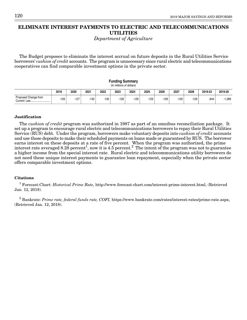## **ELIMINATE INTEREST PAYMENTS TO ELECTRIC AND TELECOMMUNICATIONS UTILITIES**

Department of Agriculture

The Budget proposes to eliminate the interest accrual on future deposits in the Rural Utilities Service borrowers' cushion of credit accounts. The program is unnecessary since rural electric and telecommunications cooperatives can find comparable investment options in the private sector.

|                                                                                                    |        |        |      |      | <b>Funding Summary</b><br>(In millions of dollars) |        |      |        |        |        |        |        |  |
|----------------------------------------------------------------------------------------------------|--------|--------|------|------|----------------------------------------------------|--------|------|--------|--------|--------|--------|--------|--|
| 2026<br>2027<br>2025<br>2020<br>2022<br>2024<br>2019-23<br>2019<br>2021<br>2023<br>2028<br>2019-28 |        |        |      |      |                                                    |        |      |        |        |        |        |        |  |
| Proposed Change from<br>Current Law                                                                | $-129$ | $-127$ | -130 | -130 | -128                                               | $-129$ | -129 | $-129$ | $-129$ | $-129$ | $-644$ | -1,289 |  |

### **Justification**

The cushion of credit program was authorized in 1987 as part of an omnibus reconciliation package. It set up a program to encourage rural electric and telecommunications borrowers to repay their Rural Utilities Service (RUS) debt. Under the program, borrowers make voluntary deposits into *cushion of credit* accounts and use those deposits to make their scheduled payments on loans made or guaranteed by RUS. The borrower earns interest on these deposits at a rate of five percent. When the program was authorized, the prime interest rate averaged 8.28 percent<sup>1</sup>, now it is 4.5 percent.<sup>2</sup> The intent of the program was not to guarantee a higher income from the special interest rate. Rural electric and telecommunications utility borrowers do not need these unique interest payments to guarantee loan repayment, especially when the private sector offers comparable investment options.

#### **Citations**

<sup>1</sup> Forecast-Chart: *Historical Prime Rate*, http://www.forecast-chart.com/interest-prime-interest.html, (Retrieved Jan. 12, 2018).

 $^2$  Bankrate: *Prime rate, federal funds rate, COFI,* https://www.bankrate.com/rates/interest-rates/prime-rate.aspx, (Retrieved Jan. 12, 2018).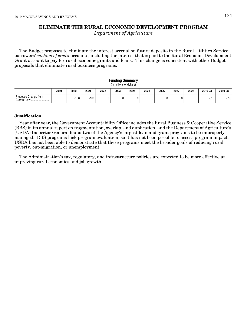### **ELIMINATE THE RURAL ECONOMIC DEVELOPMENT PROGRAM**

Department of Agriculture

The Budget proposes to eliminate the interest accrual on future deposits in the Rural Utilities Service borrowers' cushion of credit accounts, including the interest that is paid to the Rural Economic Development Grant account to pay for rural economic grants and loans. This change is consistent with other Budget proposals that eliminate rural business programs.

#### **Funding Summary** (In millions of dollars)

|                                        | 2019 | 2020 | 2021 | 2022 | 2023 | 2024 | 2025 | 2026 | 2027 | 2028 | 2019-23 | 2019-28 |
|----------------------------------------|------|------|------|------|------|------|------|------|------|------|---------|---------|
| Proposed Change from<br>Current<br>Law |      | -158 | -160 |      |      |      |      | 0    |      |      | $-318$  | $-318$  |

#### **Justification**

Year after year, the Government Accountability Office includes the Rural Business & Cooperative Service (RBS) in its annual report on fragmentation, overlap, and duplication, and the Department of Agriculture's (USDA) Inspector General found two of the Agency's largest loan and grant programs to be improperly managed. RBS programs lack program evaluation, so it has not been possible to assess program impact. USDA has not been able to demonstrate that these programs meet the broader goals of reducing rural poverty, out-migration, or unemployment.

The Administration's tax, regulatory, and infrastructure policies are expected to be more effective at improving rural economies and job growth.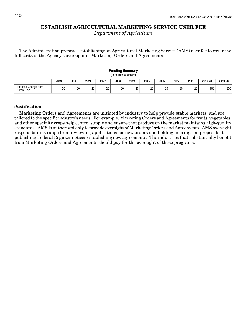### **ESTABLISH AGRICULTURAL MARKETING SERVICE USER FEE**

Department of Agriculture

The Administration proposes establishing an Agricultural Marketing Service (AMS) user fee to cover the full costs of the Agency's oversight of Marketing Orders and Agreements.

|                      |       |       |       |       | Fununiy Summary<br>(In millions of dollars) |       |       |       |       |       |         |         |
|----------------------|-------|-------|-------|-------|---------------------------------------------|-------|-------|-------|-------|-------|---------|---------|
|                      | 2019  | 2020  | 2021  | 2022  | 2023                                        | 2024  | 2025  | 2026  | 2027  | 2028  | 2019-23 | 2019-28 |
| Proposed Change from | $-20$ | $-20$ | $-20$ | $-20$ | -20 '                                       | $-20$ | $-20$ | $-20$ | $-20$ | $-20$ | $-100$  | $-200$  |

**Funding Summary**

#### **Justification**

Marketing Orders and Agreements are initiated by industry to help provide stable markets, and are tailored to the specific industry's needs. For example, Marketing Orders and Agreements for fruits, vegetables, and other specialty crops help control supply and ensure that produce on the market maintains high-quality standards. AMS is authorized only to provide oversight of Marketing Orders and Agreements. AMS oversight responsibilities range from reviewing applications for new orders and holding hearings on proposals, to publishing Federal Register notices establishing new agreements. The industries that substantially benefit from Marketing Orders and Agreements should pay for the oversight of these programs.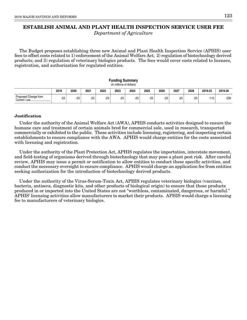# **ESTABLISH ANIMAL AND PLANT HEALTH INSPECTION SERVICE USER FEE**

Department of Agriculture

The Budget proposes establishing three new Animal and Plant Health Inspection Service (APHIS) user fees to offset costs related to 1) enforcement of the Animal Welfare Act; 2) regulation of biotechnology derived products; and 3) regulation of veterinary biologics products. The fees would cover costs related to licenses, registration, and authorization for regulated entities.

### **Funding Summary** (In millions of dollars) **2019 2020 2021 2022 2023 2024 2025 2026 2027 2028 2019-23 2019-28** -23 -23 -23 -23 -23 -23 -23 -23 -23 -23 -115 -230 Proposed Change from Current Law...

### **Justification**

Under the authority of the Animal Welfare Act (AWA), APHIS conducts activities designed to ensure the humane care and treatment of certain animals bred for commercial sale, used in research, transported commercially or exhibited to the public. These activities include licensing, registering, and inspecting certain establishments to ensure compliance with the AWA. APHIS would charge entities for the costs associated with licensing and registration.

Under the authority of the Plant Protection Act, APHIS regulates the importation, interstate movement, and field-testing of organisms derived through biotechnology that may pose a plant pest risk. After careful review, APHIS may issue a permit or notification to allow entities to conduct these specific activities, and conduct the necessary oversight to ensure compliance. APHIS would charge an application fee from entities seeking authorization for the introduction of biotechnology derived products.

Under the authority of the Virus-Serum-Toxin Act, APHIS regulates veterinary biologics (vaccines, bacteria, antisera, diagnostic kits, and other products of biological origin) to ensure that those products produced in or imported into the United States are not "worthless, contaminated, dangerous, or harmful." APHIS' licensing activities allow manufacturers to market their products. APHIS would charge a licensing fee to manufacturers of veterinary biologics.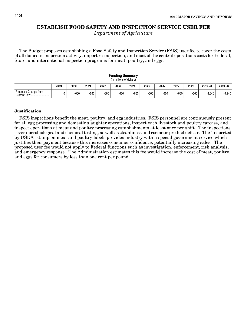### **ESTABLISH FOOD SAFETY AND INSPECTION SERVICE USER FEE**

Department of Agriculture

The Budget proposes establishing a Food Safety and Inspection Service (FSIS) user fee to cover the costs of all domestic inspection activity, import re-inspection, and most of the central operations costs for Federal, State, and international inspection programs for meat, poultry, and eggs.

|                      |                                                                                                    |      |        |        | <b>Funding Summary</b><br>(In millions of dollars) |        |        |        |        |        |          |          |  |  |
|----------------------|----------------------------------------------------------------------------------------------------|------|--------|--------|----------------------------------------------------|--------|--------|--------|--------|--------|----------|----------|--|--|
|                      | 2027<br>2023<br>2025<br>2028<br>2019<br>2022<br>2024<br>2019-23<br>2020<br>2021<br>2026<br>2019-28 |      |        |        |                                                    |        |        |        |        |        |          |          |  |  |
| Proposed Change from |                                                                                                    | -660 | $-660$ | $-660$ | $-660$                                             | $-660$ | $-660$ | $-660$ | $-660$ | $-660$ | $-2.640$ | $-5,940$ |  |  |

### **Justification**

FSIS inspections benefit the meat, poultry, and egg industries. FSIS personnel are continuously present for all egg processing and domestic slaughter operations, inspect each livestock and poultry carcass, and inspect operations at meat and poultry processing establishments at least once per shift. The inspections cover microbiological and chemical testing, as well as cleanliness and cosmetic product defects. The "inspected by USDA" stamp on meat and poultry labels provides industry with a special government service which justifies their payment because this increases consumer confidence, potentially increasing sales. The proposed user fee would not apply to Federal functions such as investigation, enforcement, risk analysis, and emergency response. The Administration estimates this fee would increase the cost of meat, poultry, and eggs for consumers by less than one cent per pound.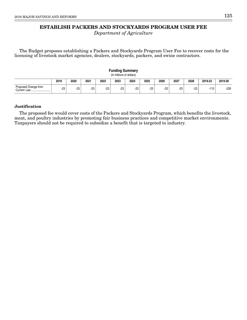## **ESTABLISH PACKERS AND STOCKYARDS PROGRAM USER FEE**

Department of Agriculture

The Budget proposes establishing a Packers and Stockyards Program User Fee to recover costs for the licensing of livestock market agencies, dealers, stockyards, packers, and swine contractors.

|                                     |       |      |      |       | <b>Funding Summary</b><br>(In millions of dollars) |       |       |       |       |       |         |         |
|-------------------------------------|-------|------|------|-------|----------------------------------------------------|-------|-------|-------|-------|-------|---------|---------|
|                                     | 2019  | 2020 | 2021 | 2022  | 2023                                               | 2024  | 2025  | 2026  | 2027  | 2028  | 2019-23 | 2019-28 |
| Proposed Change from<br>Current Law | $-23$ | -23  | -23  | $-23$ | -23                                                | $-23$ | $-23$ | $-23$ | $-23$ | $-23$ | $-115$  | -230    |

### **Justification**

The proposed fee would cover costs of the Packers and Stockyards Program, which benefits the livestock, meat, and poultry industries by promoting fair business practices and competitive market environments. Taxpayers should not be required to subsidize a benefit that is targeted to industry.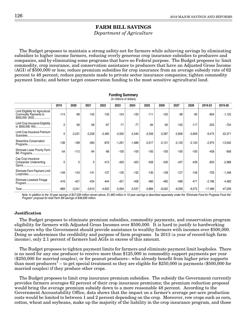### **FARM BILL SAVINGS**

Department of Agriculture

The Budget proposes to maintain a strong safety-net for farmers while achieving savings by eliminating subsidies to higher income farmers, reducing overly generous crop insurance subsidies to producers and companies, and by eliminating some programs that have no Federal purpose. The Budget proposes to: limit commodity, crop insurance, and conservation assistance to producers that have an Adjusted Gross Income (AGI) of \$500,000 or less; reduce premium subsidies for crop insurance from an average subsidy rate of 62 percent to 48 percent; reduce payments made to private sector insurance companies; tighten commodity payment limits; and better target conservation funding to the most sensitive agricultural land.

**Funding Summary**

|                                                                                |          |          |          |          | (In millions of dollars) |          |          |          |          |          |          |           |
|--------------------------------------------------------------------------------|----------|----------|----------|----------|--------------------------|----------|----------|----------|----------|----------|----------|-----------|
|                                                                                | 2019     | 2020     | 2021     | 2022     | 2023                     | 2024     | 2025     | 2026     | 2027     | 2028     | 2019-23  | 2019-28   |
| Limit Eligibility for Agricultural<br>Commodity Payments to<br>\$500,000 (AGI) | $-114$   | $-89$    | $-142$   | $-135$   | $-124$                   | $-120$   | $-111$   | $-102$   | $-98$    | $-90$    | $-604$   | $-1,125$  |
| Limit Crop Insurance Eligibility<br>to \$500,000 AGI                           | $\Omega$ | $-56$    | $-58$    | $-67$    | $-71$                    | $-77$    | $-84$    | $-92$    | $-102$   | $-117$   | $-252$   | $-724$    |
| Limit Crop Insurance Premium<br>Subsidies                                      | 0        | $-2,231$ | $-2,258$ | $-2,482$ | $-2,502$                 | $-2,540$ | $-2,556$ | $-2,587$ | $-2,606$ | $-2,609$ | $-9,473$ | $-22,371$ |
| <b>Streamline Conservation</b><br>Programs                                     | $-136$   | $-189$   | $-483$   | $-876$   | $-1,291$                 | $-1,689$ | $-2,017$ | $-2,121$ | $-2,120$ | $-2,120$ | $-2,975$ | $-13,042$ |
| Eliminate Lower Priority Farm<br>Bill Programs                                 | $-54$    | $-112$   | $-94$    | $-98$    | $-100$                   | $-100$   | $-100$   | $-100$   | $-100$   | $-100$   | $-458$   | $-958$    |
| Cap Crop Insurance<br>Companies' Underwriting                                  | 0        | 0        | 0        | $-413$   | $-420$                   | $-423$   | $-426$   | $-430$   | $-437$   | $-439$   | $-833$   | $-2,988$  |
| Eliminate Farm Payment Limit<br>Loopholes                                      | $-149$   | $-143$   | $-141$   | $-137$   | $-135$                   | $-132$   | $-130$   | $-128$   | $-127$   | $-126$   | $-705$   | $-1,348$  |
| Eliminate Livestock Forage<br>Program                                          | $-416$   | $-421$   | $-434$   | $-444$   | $-451$                   | $-456$   | $-460$   | $-462$   | $-468$   | $-471$   | $-2,166$ | $-4,483$  |
|                                                                                | $-869$   | $-3,241$ | $-3,610$ | $-4,652$ | $-5,094$                 | $-5,537$ | $-5,884$ | $-6,022$ | $-6,058$ | $-6,072$ | -17,466  | $-47,039$ |

Note: In addition to the 10-year savings of \$47,039 million shown above, \$1,660 million in 10-year savings is described separately under the "Eliminate Food for Progress Food Aid Program" proposal for total Farm Bill savings of \$48,699 million.

#### **Justification**

The Budget proposes to eliminate premium subsidies, commodity payments, and conservation program eligibility for farmers with Adjusted Gross Incomes over \$500,000. It is hard to justify to hardworking taxpayers why the Government should provide assistance to wealthy farmers with incomes over \$500,000. Doing so undermines the credibility and purpose of farm programs. In 2013 (a year of record-high farm income), only 2.1 percent of farmers had AGIs in excess of this amount.

The Budget proposes to tighten payment limits for farmers and eliminate payment limit loopholes. There is no need for any one producer to receive more than \$125,000 in commodity support payments per year (\$250,000 for married couples), or for peanut producers-- who already benefit from higher price supports than most producers<sup>1</sup> -- to get special treatment so they are eligible for \$250,000 in payments (\$500,000 for married couples) if they produce other crops.

The Budget proposes to limit crop insurance premium subsidies. The subsidy the Government currently provides farmers averages 62 percent of their crop insurance premiums; the premium reduction proposal would bring the average premium subsidy down to a more reasonable 48 percent. According to the Government Accountability Office, data shows that the impact on a farmer's average per-acre production costs would be limited to between 1 and 2 percent depending on the crop. Moreover, row crops such as corn, cotton, wheat and soybeans, make up the majority of the liability in the crop insurance program, and those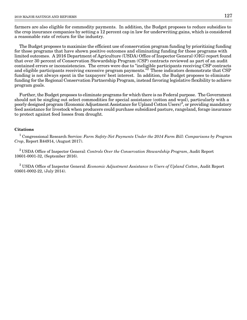farmers are also eligible for commodity payments. In addition, the Budget proposes to reduce subsidies to the crop insurance companies by setting a 12 percent cap in law for underwriting gains, which is considered a reasonable rate of return for the industry.

The Budget proposes to maximize the efficient use of conservation program funding by prioritizing funding for those programs that have shown positive outcomes and eliminating funding for those programs with limited outcomes. A 2016 Department of Agriculture (USDA) Office of Inspector General (OIG) report found that over 30 percent of Conservation Stewardship Program (CSP) contracts reviewed as part of an audit contained errors or inconsistencies. The errors were due to "ineligible participants receiving CSP contracts and eligible participants receiving excessive program payments."2 These indicators demonstrate that CSP funding is not always spent in the taxpayers' best interest. In addition, the Budget proposes to eliminate funding for the Regional Conservation Partnership Program, instead favoring legislative flexibility to achieve program goals.

Further, the Budget proposes to eliminate programs for which there is no Federal purpose. The Government should not be singling out select commodities for special assistance (cotton and wool), particularly with a poorly designed program (Economic Adjustment Assistance for Upland Cotton Users)<sup>3</sup>, or providing mandatory feed assistance for livestock when producers could purchase subsidized pasture, rangeland, forage insurance to protect against feed losses from drought.

### **Citations**

 $^1$  Congressional Research Service: Farm Safety-Net Payments Under the 2014 Farm Bill: Comparisons by Program Crop, Report R44914, (August 2017).

 $2$ USDA Office of Inspector General: Controls Over the Conservation Stewardship Program, Audit Report 10601-0001-32, (September 2016).

 $^3$  USDA Office of Inspector General: *Economic Adjustment Assistance to Users of Upland Cotton*, Audit Report 03601-0002-22, (July 2014).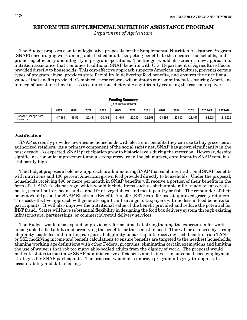### **REFORM THE SUPPLEMENTAL NUTRITION ASSISTANCE PROGRAM**

Department of Agriculture

The Budget proposes a suite of legislative proposals for the Supplemental Nutrition Assistance Program (SNAP) encouraging work among able-bodied adults, targeting benefits to the neediest households, and promoting efficiency and integrity in program operations. The Budget would also create a new approach to nutrition assistance that combines traditional SNAP benefits with U.S. Department of Agriculture Foods provided directly to households. This cost-effective approach supports American agriculture, prevents certain types of program abuse, provides state flexibility in delivering food benefits, and ensures the nutritional value of the benefits provided. Combined, these reforms will maintain our commitment to ensuring Americans in need of assistance have access to a nutritious diet while significantly reducing the cost to taxpayers.

|                                     |           |         |           |           | <b>Funding Summary</b><br>(In millions of dollars) |           |           |           |           |           |           |            |
|-------------------------------------|-----------|---------|-----------|-----------|----------------------------------------------------|-----------|-----------|-----------|-----------|-----------|-----------|------------|
|                                     | 2019      | 2020    | 2021      | 2022      | 2023                                               | 2024      | 2025      | 2026      | 2027      | 2028      | 2019-23   | 2019-28    |
| Proposed Change from<br>Current Law | $-17.169$ | -18.521 | $-20.451$ | $-20.468$ | $-21.615$                                          | $-22.213$ | $-22.353$ | $-23.686$ | $-23.893$ | $-23.157$ | $-98.224$ | $-213.526$ |

### **Justification**

SNAP currently provides low-income households with electronic benefits they can use to buy groceries at authorized retailers. As a primary component of the social safety net, SNAP has grown significantly in the past decade. As expected, SNAP participation grew to historic levels during the recession. However, despite significant economic improvement and a strong recovery in the job market, enrollment in SNAP remains stubbornly high.

The Budget proposes a bold new approach to administering SNAP that combines traditional SNAP benefits with nutritious and 100 percent American grown food provided directly to households. Under the proposal, households receiving \$90 or more per month in SNAP benefits will receive a portion of their benefits in the form of a USDA Foods package, which would include items such as shelf-stable milk, ready to eat cereals, pasta, peanut butter, beans and canned fruit, vegetables, and meat, poultry or fish. The remainder of their benefit would go on the SNAP Electronic Benefit Transfer (EBT) card for use at approved grocery retailers. This cost-effective approach will generate significant savings to taxpayers with no loss in food benefits to participants. It will also improve the nutritional value of the benefit provided and reduce the potential for EBT fraud. States will have substantial flexibility in designing the food box delivery system through existing infrastructure, partnerships, or commercial/retail delivery services.

The Budget would also expand on previous reforms aimed at strengthening the expectation for work among able-bodied adults and preserving the benefits for those most in need. This will be achieved by closing eligibility loopholes and limiting categorical eligibility to participants receiving cash benefits from TANF or SSI; modifying income and benefit calculations to ensure benefits are targeted to the neediest households; aligning working age definitions with other Federal programs; eliminating certain exemptions and limiting the use of waivers that rob too many able-bodied adults from the dignity of work. The proposal would motivate states to maximize SNAP administrative efficiencies and to invest in outcome-based employment strategies for SNAP participants. The proposal would also improve program integrity through state accountability and data sharing.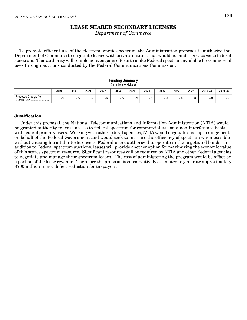### **LEASE SHARED SECONDARY LICENSES**

Department of Commerce

To promote efficient use of the electromagnetic spectrum, the Administration proposes to authorize the Department of Commerce to negotiate leases with private entities that would expand their access to federal spectrum. This authority will complement ongoing efforts to make Federal spectrum available for commercial uses through auctions conducted by the Federal Communications Commission.

|                      |       |       |       |      | rununiy Summary<br>(In millions of dollars) |       |       |       |      |       |         |         |
|----------------------|-------|-------|-------|------|---------------------------------------------|-------|-------|-------|------|-------|---------|---------|
|                      | 2019  | 2020  | 2021  | 2022 | 2023                                        | 2024  | 2025  | 2026  | 2027 | 2028  | 2019-23 | 2019-28 |
| Proposed Change from | $-50$ | $-55$ | $-55$ | -60  | -65                                         | $-70$ | $-70$ | $-80$ | -80  | $-85$ | $-285$  | $-670$  |

**Funding Summary**

#### **Justification**

Under this proposal, the National Telecommunications and Information Administration (NTIA) would be granted authority to lease access to federal spectrum for commercial use on a non-interference basis, with federal primary users. Working with other federal agencies, NTIA would negotiate sharing arrangements on behalf of the Federal Government and would seek to increase the efficiency of spectrum when possible without causing harmful interference to Federal users authorized to operate in the negotiated bands. In addition to Federal spectrum auctions, leases will provide another option for maximizing the economic value of this scarce spectrum resource. Significant resources will be required by NTIA and other Federal agencies to negotiate and manage these spectrum leases. The cost of administering the program would be offset by a portion of the lease revenue. Therefore the proposal is conservatively estimated to generate approximately \$700 million in net deficit reduction for taxpayers.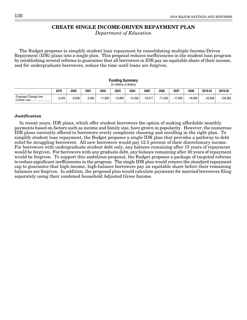### **CREATE SINGLE INCOME-DRIVEN REPAYMENT PLAN**

Department of Education

The Budget proposes to simplify student loan repayment by consolidating multiple Income-Driven Repayment (IDR) plans into a single plan. This proposal reduces inefficiencies in the student loan program by establishing several reforms to guarantee that all borrowers in IDR pay an equitable share of their income, and for undergraduate borrowers, reduce the time until loans are forgiven.

#### **Funding Summary** (In millions of dollars)

|                                                | 2019     | 2020     | 2021     | 2022  | 2023   | 2024      | 2025      | 2026   | 2027      | 2028    | 2019-23   | 2019-28  |
|------------------------------------------------|----------|----------|----------|-------|--------|-----------|-----------|--------|-----------|---------|-----------|----------|
| Proposed Change from<br><i>S</i> urrent<br>Law | $-2.429$ | $-6.006$ | $-9,365$ | 1.883 | 13.885 | $-15.458$ | $-16.317$ | 17.228 | $-17.695$ | -18.099 | $-43.568$ | -128,365 |

#### **Justification**

In recent years, IDR plans, which offer student borrowers the option of making affordable monthly payments based on factors such as income and family size, have grown in popularity. However, the numerous IDR plans currently offered to borrowers overly complicate choosing and enrolling in the right plan. To simplify student loan repayment, the Budget proposes a single IDR plan that provides a pathway to debt relief for struggling borrowers. All new borrowers would pay 12.5 percent of their discretionary income. For borrowers with undergraduate student debt only, any balance remaining after 15 years of repayment would be forgiven. For borrowers with any graduate debt, any balance remaining after 30 years of repayment would be forgiven. To support this ambitious proposal, the Budget proposes a package of targeted reforms to reduce significant inefficiencies in the program. The single IDR plan would remove the standard repayment cap to guarantee that high-income, high-balance borrowers pay an equitable share before their remaining balances are forgiven. In addition, the proposed plan would calculate payments for married borrowers filing separately using their combined household Adjusted Gross Income.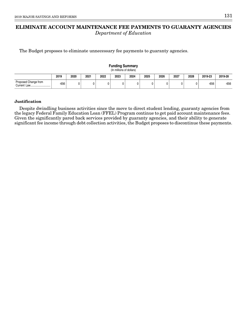## **ELIMINATE ACCOUNT MAINTENANCE FEE PAYMENTS TO GUARANTY AGENCIES** Department of Education

The Budget proposes to eliminate unnecessary fee payments to guaranty agencies.

#### **Funding Summary** (In millions of dollars)

|                      | 2019 | 2020 | 2021 | 2022 | 2023 | 2024 | 2025 | 2026 | 2027 | 2028 | 2019-23 | 2019-28 |  |
|----------------------|------|------|------|------|------|------|------|------|------|------|---------|---------|--|
| Proposed Change from | -656 |      |      |      |      |      |      |      |      |      | -656    | $-656$  |  |

#### **Justification**

Despite dwindling business activities since the move to direct student lending, guaranty agencies from the legacy Federal Family Education Loan (FFEL) Program continue to get paid account maintenance fees. Given the significantly pared back services provided by guaranty agencies, and their ability to generate significant fee income through debt collection activities, the Budget proposes to discontinue these payments.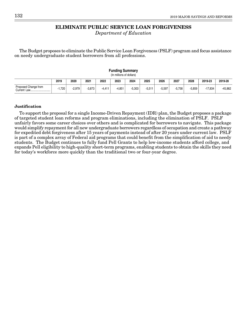### **ELIMINATE PUBLIC SERVICE LOAN FORGIVENESS**

Department of Education

The Budget proposes to eliminate the Public Service Loan Forgiveness (PSLF) program and focus assistance on needy undergraduate student borrowers from all professions.

| www.community<br>(In millions of dollars) |              |          |          |          |          |          |          |          |          |          |           |         |
|-------------------------------------------|--------------|----------|----------|----------|----------|----------|----------|----------|----------|----------|-----------|---------|
|                                           | 2019         | 2020     | 2021     | 2022     | 2023     | 2024     | 2025     | 2026     | 2027     | 2028     | 2019-23   | 2019-28 |
| Proposed Change from                      | 1,720<br>- 1 | $-2.979$ | $-3.873$ | $-4.411$ | $-4.851$ | $-5.303$ | $-5.511$ | $-5.597$ | $-5.758$ | $-5.859$ | $-17.834$ | -45,862 |

### **Funding Summary**

#### **Justification**

To support the proposal for a single Income-Driven Repayment (IDR) plan, the Budget proposes a package of targeted student loan reforms and program eliminations, including the elimination of PSLF. PSLF unfairly favors some career choices over others and is complicated for borrowers to navigate. This package would simplify repayment for all new undergraduate borrowers regardless of occupation and create a pathway for expedited debt forgiveness after 15 years of payments instead of after 20 years under current law. PSLF is part of a complex array of Federal aid programs that could benefit from the simplification of aid to needy students. The Budget continues to fully fund Pell Grants to help low-income students afford college, and expands Pell eligibility to high-quality short-term programs, enabling students to obtain the skills they need for today's workforce more quickly than the traditional two or four-year degree.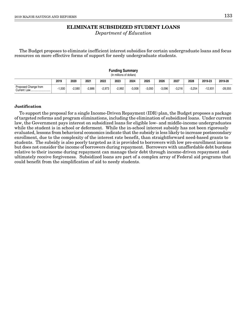## **ELIMINATE SUBSIDIZED STUDENT LOANS**

Department of Education

The Budget proposes to eliminate inefficient interest subsidies for certain undergraduate loans and focus resources on more effective forms of support for needy undergraduate students.

| r ununiy Jummary<br>(In millions of dollars) |          |          |          |          |          |          |          |          |          |          |           |           |
|----------------------------------------------|----------|----------|----------|----------|----------|----------|----------|----------|----------|----------|-----------|-----------|
|                                              | 2019     | 2020     | 2021     | 2022     | 2023     | 2024     | 2025     | 2026     | 2027     | 2028     | 2019-23   | 2019-28   |
| Proposed Change from<br>Current Law          | $-1.500$ | $-2.580$ | $-2.886$ | $-2.973$ | $-2.992$ | $-3.008$ | $-3.050$ | $-3.096$ | $-3.216$ | $-3.254$ | $-12.931$ | $-28.555$ |

**Funding Summary**

### **Justification**

To support the proposal for a single Income-Driven Repayment (IDR) plan, the Budget proposes a package of targeted reforms and program eliminations, including the elimination of subsidized loans. Under current law, the Government pays interest on subsidized loans for eligible low- and middle-income undergraduates while the student is in school or deferment. While the in-school interest subsidy has not been rigorously evaluated, lessons from behavioral economics indicate that the subsidy is less likely to increase postsecondary enrollment, due to the complexity of the interest rate benefit, than straightforward need-based grants to students. The subsidy is also poorly targeted as it is provided to borrowers with low pre-enrollment income but does not consider the income of borrowers during repayment. Borrowers with unaffordable debt burdens relative to their income during repayment can manage their debt through income-driven repayment and ultimately receive forgiveness. Subsidized loans are part of a complex array of Federal aid programs that could benefit from the simplification of aid to needy students.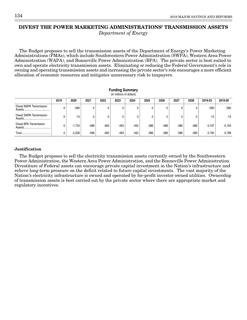### **DIVEST THE POWER MARKETING ADMINISTRATIONS' TRANSMISSION ASSETS** Department of Energy

The Budget proposes to sell the transmission assets of the Department of Energy's Power Marketing Administrations (PMAs), which include Southwestern Power Administration (SWPA), Western Area Power Administration (WAPA), and Bonneville Power Administration (BPA). The private sector is best suited to own and operate electricity transmission assets. Eliminating or reducing the Federal Government's role in owning and operating transmission assets and increasing the private sector's role encourages a more efficient allocation of economic resources and mitigates unnecessary risk to taxpayers.

| <b>Funding Summary</b><br>(In millions of dollars) |      |          |        |        |        |        |        |      |        |        |          |          |
|----------------------------------------------------|------|----------|--------|--------|--------|--------|--------|------|--------|--------|----------|----------|
|                                                    | 2019 | 2020     | 2021   | 2022   | 2023   | 2024   | 2025   | 2026 | 2027   | 2028   | 2019-23  | 2019-28  |
| Divest WAPA Transmission                           |      | $-580$   | 0      | 0      | 0      |        | 0      | 0    |        | 0      | $-580$   | -580     |
| Divest SWPA Transmission                           |      | $-15$    |        | 0      | 0      | 0      |        | 0    |        | 0      | $-15$    | $-15$    |
| Divest BPA Transmission                            |      | $-1.733$ | $-488$ | -483   | $-493$ | $-452$ | $-386$ | -386 | $-386$ | $-386$ | $-3,197$ | $-5,193$ |
| Total.                                             |      | $-2.328$ | $-488$ | $-483$ | $-493$ | $-452$ | $-386$ | -386 | $-386$ | $-386$ | $-3,792$ | $-5,788$ |

### **Justification**

The Budget proposes to sell the electricity transmission assets currently owned by the Southwestern Power Administration, the Western Area Power Administration, and the Bonneville Power Administration. Divestiture of Federal assets can encourage private capital investment in the Nation's infrastructure and relieve long-term pressure on the deficit related to future capital investments. The vast majority of the Nation's electricity infrastructure is owned and operated by for-profit investor owned utilities. Ownership of transmission assets is best carried out by the private sector where there are appropriate market and regulatory incentives.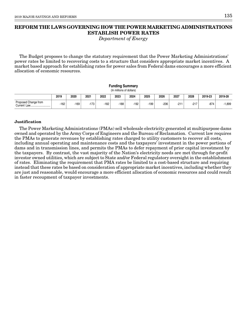# **REFORM THE LAWS GOVERNING HOW THE POWER MARKETING ADMINISTRATIONS ESTABLISH POWER RATES**

Department of Energy

The Budget proposes to change the statutory requirement that the Power Marketing Administrations' power rates be limited to recovering costs to a structure that considers appropriate market incentives. A market based approach for establishing rates for power sales from Federal dams encourages a more efficient allocation of economic resources.

|                      |        |        |      |      | Funding Summary<br>(In millions of dollars) |        |      |        |        |        |         |          |
|----------------------|--------|--------|------|------|---------------------------------------------|--------|------|--------|--------|--------|---------|----------|
|                      | 2019   | 2020   | 2021 | 2022 | 2023                                        | 2024   | 2025 | 2026   | 2027   | 2028   | 2019-23 | 2019-28  |
| Proposed Change from | $-162$ | $-169$ | -173 | -182 | -188                                        | $-192$ | -199 | $-206$ | $-211$ | $-217$ | $-874$  | $-1,899$ |

#### **Justification**

The Power Marketing Administrations (PMAs) sell wholesale electricity generated at multipurpose dams owned and operated by the Army Corps of Engineers and the Bureau of Reclamation. Current law requires the PMAs to generate revenues by establishing rates charged to utility customers to recover all costs, including annual operating and maintenance costs and the taxpayers' investment in the power portions of dams and in transmission lines, and permits the PMAs to defer repayment of prior capital investment by the taxpayers. By contrast, the vast majority of the Nation's electricity needs are met through for-profit investor owned utilities, which are subject to State and/or Federal regulatory oversight in the establishment of rates. Eliminating the requirement that PMA rates be limited to a cost-based structure and requiring instead that these rates be based on consideration of appropriate market incentives, including whether they are just and reasonable, would encourage a more efficient allocation of economic resources and could result in faster recoupment of taxpayer investments.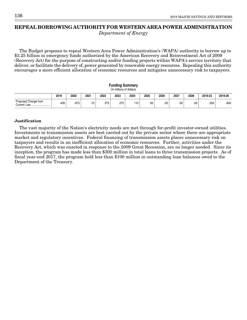### **REPEAL BORROWING AUTHORITY FOR WESTERN AREA POWER ADMINISTRATION** Department of Energy

The Budget proposes to repeal Western Area Power Administration's (WAPA) authority to borrow up to \$3.25 billion in emergency funds authorized by the American Recovery and Reinvestment Act of 2009 (Recovery Act) for the purpose of constructing and/or funding projects within WAPA's service territory that deliver, or facilitate the delivery of, power generated by renewable energy resources. Repealing this authority encourages a more efficient allocation of economic resources and mitigates unnecessary risk to taxpayers.

**Funding Summary** (In millions of dollars) **2019 2020 2021 2022 2023 2024 2025 2026 2027 2028 2019-23 2019-28** -450 -875 -75 <sup>575</sup> <sup>275</sup> <sup>110</sup> -50 -50 -50 -50 -550 -640 Proposed Change from Current Law.....

#### **Justification**

The vast majority of the Nation's electricity needs are met through for-profit investor-owned utilities. Investments in transmission assets are best carried out by the private sector where there are appropriate market and regulatory incentives. Federal financing of transmission assets places unnecessary risk on taxpayers and results in an inefficient allocation of economic resources. Further, activities under the Recovery Act, which was enacted in response to the 2009 Great Recession, are no longer needed. Since its inception, the program has made less than \$300 million in total loans to three transmission projects. As of fiscal year-end 2017, the program held less than \$100 million in outstanding loan balances owed to the Department of the Treasury.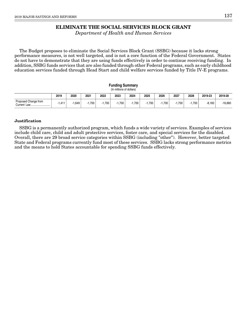# **ELIMINATE THE SOCIAL SERVICES BLOCK GRANT**

Department of Health and Human Services

The Budget proposes to eliminate the Social Services Block Grant (SSBG) because it lacks strong performance measures, is not well targeted, and is not a core function of the Federal Government. States do not have to demonstrate that they are using funds effectively in order to continue receiving funding. In addition, SSBG funds services that are also funded through other Federal programs, such as early childhood education services funded through Head Start and child welfare services funded by Title IV-E programs.

|                                     | <b>Funding Summary</b><br>(In millions of dollars) |       |          |          |          |          |          |          |          |          |          |           |  |  |
|-------------------------------------|----------------------------------------------------|-------|----------|----------|----------|----------|----------|----------|----------|----------|----------|-----------|--|--|
|                                     | 2019                                               | 2020  | 2021     | 2022     | 2023     | 2024     | 2025     | 2026     | 2027     | 2028     | 2019-23  | 2019-28   |  |  |
| Proposed Change from<br>Current Law | $-1.411$                                           | 1.649 | $-1.700$ | $-1.700$ | $-1.700$ | $-1.700$ | $-1.700$ | $-1.700$ | $-1.700$ | $-1.700$ | $-8.160$ | $-16.660$ |  |  |

#### **Justification**

SSBG is a permanently authorized program, which funds a wide variety of services. Examples of services include child care, child and adult protective services, foster care, and special services for the disabled. Overall, there are 29 broad service categories within SSBG (including "other"). However, better targeted State and Federal programs currently fund most of these services. SSBG lacks strong performance metrics and the means to hold States accountable for spending SSBG funds effectively.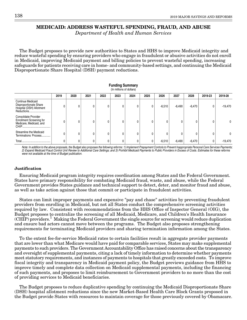## **MEDICAID: ADDRESS WASTEFUL SPENDING, FRAUD, AND ABUSE**

Department of Health and Human Services

The Budget proposes to provide new authorities to States and HHS to improve Medicaid integrity and reduce wasteful spending by ensuring providers who engage in fraudulent or abusive activities do not enroll in Medicaid, improving Medicaid payment and billing policies to prevent wasteful spending, increasing safeguards for patients receiving care in home- and community-based settings, and continuing the Medicaid Disproportionate Share Hospital (DSH) payment reductions.

**Funding Summary**

| (In millions of dollars)                                                              |      |      |      |      |      |      |      |          |          |          |         |           |  |  |
|---------------------------------------------------------------------------------------|------|------|------|------|------|------|------|----------|----------|----------|---------|-----------|--|--|
|                                                                                       | 2019 | 2020 | 2021 | 2022 | 2023 | 2024 | 2025 | 2026     | 2027     | 2028     | 2019-23 | 2019-28   |  |  |
| Continue Medicaid<br>Disproportionate Share<br>Hospital (DSH) Allotment<br>Reductions |      |      |      | 0    |      | 0    |      | $-6,510$ | $-6,490$ | $-6,470$ | U       | $-19,470$ |  |  |
| Consolidate Provider<br><b>Enrollment Screening for</b><br>Medicare, Medicaid, and    |      | 0    |      | 0    |      | 0    |      | 0        |          | 0        |         | 0         |  |  |
| Streamline the Medicaid<br>Terminations Process                                       |      | 0    |      | 0    |      | 0    |      | 0        |          | ۵        |         | 0         |  |  |
| Total<br>                                                                             |      |      |      | 0    |      | 0    |      | $-6,510$ | $-6,490$ | $-6,470$ | 0       | $-19,470$ |  |  |

Note: In addition to the above proposals, the Budget also proposes the following reforms: 1) Implement Prepayment Controls to Prevent Inappropriate Personal Care Services Payments; 2) Expand Medicaid Fraud Control Unit Review to Additional Care Settings; and 3) Prohibit Medicaid Payments to Public Providers in Excess of Costs. Estimates for these reforms were not available at the time of Budget publication.

#### **Justification**

Ensuring Medicaid program integrity requires coordination among States and the Federal Government. States have primary responsibility for combating Medicaid fraud, waste, and abuse, while the Federal Government provides States guidance and technical support to detect, deter, and monitor fraud and abuse, as well as take action against those that commit or participate in fraudulent activities.

States can limit improper payments and expensive "pay and chase" activities by preventing fraudulent providers from enrolling in Medicaid, but not all States conduct the comprehensive screening activities required by law. Consistent with recommendations from the HHS Office of Inspector General (OIG), the Budget proposes to centralize the screening of all Medicaid, Medicare, and Children's Health Insurance (CHIP) providers.<sup>1</sup> Making the Federal Government the single source for screening would reduce duplication and ensure bad actors cannot move between the programs. The Budget also proposes strengthening requirements for terminating Medicaid providers and sharing termination information among the States.

To the extent fee-for-service Medicaid rates to certain facilities result in aggregate provider payments that are lower than what Medicare would have paid for comparable services, States may make supplemental payments to such providers. The Government Accountability Office has raised concerns about the transparency and oversight of supplemental payments, citing a lack of timely information to determine whether payments meet statutory requirements, and instances of payments to hospitals that greatly exceeded costs. To improve fiscal integrity and transparency in Medicaid payment policy, the Budget previews guidance from HHS to improve timely and complete data collection on Medicaid supplemental payments, including the financing of such payments, and proposes to limit reimbursement to Government providers to no more than the cost of providing services to Medicaid beneficiaries.

The Budget proposes to reduce duplicative spending by continuing the Medicaid Disproportionate Share (DSH) hospital allotment reductions since the new Market-Based Health Care Block Grants proposed in the Budget provide States with resources to maintain coverage for those previously covered by Obamacare.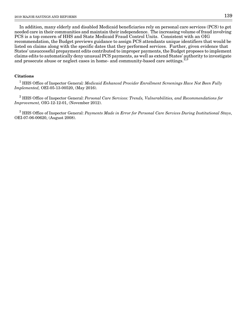In addition, many elderly and disabled Medicaid beneficiaries rely on personal care services (PCS) to get needed care in their communities and maintain their independence. The increasing volume of fraud involving PCS is a top concern of HHS and State Medicaid Fraud Control Units. Consistent with an OIG recommendation, the Budget previews guidance to assign PCS attendants unique identifiers that would be listed on claims along with the specific dates that they performed services. Further, given evidence that States' unsuccessful prepayment edits contributed to improper payments, the Budget proposes to implement claims edits to automatically deny unusual PCS payments, as well as extend States' authority to investigate and prosecute abuse or neglect cases in home- and community-based care settings.<sup>2,3</sup>

#### **Citations**

 $^{\rm 1}$  HHS Office of Inspector General: Medicaid Enhanced Provider Enrollment Screenings Have Not Been Fully Implemented, OEI-05-13-00520, (May 2016).

 $^2$  HHS Office of Inspector General: *Personal Care Services: Trends, Vulnerabilities, and Recommendations for* Improvement, OIG-12-12-01, (November 2012).

 $^3$  HHS Office of Inspector General: *Payments Made in Error for Personal Care Services During Institutional Stays*, OEI-07-06-00620, (August 2008).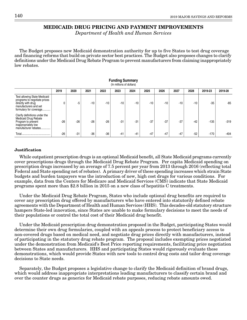### **MEDICAID: DRUG PRICING AND PAYMENT IMPROVEMENTS**

Department of Health and Human Services

The Budget proposes new Medicaid demonstration authority for up to five States to test drug coverage and financing reforms that build on private sector best practices. The Budget also proposes changes to clarify definitions under the Medicaid Drug Rebate Program to prevent manufacturers from claiming inappropriately low rebates.

| (In millions of dollars)                                                                                                              |       |       |       |       |       |       |       |       |       |       |         |         |  |  |
|---------------------------------------------------------------------------------------------------------------------------------------|-------|-------|-------|-------|-------|-------|-------|-------|-------|-------|---------|---------|--|--|
|                                                                                                                                       | 2019  | 2020  | 2021  | 2022  | 2023  | 2024  | 2025  | 2026  | 2027  | 2028  | 2019-23 | 2019-28 |  |  |
| Test allowing State Medicaid<br>programs to negotiate prices<br>directly with drug<br>manufacturers and set<br>formulary for coverage |       | -5    | $-10$ | $-10$ | $-10$ | $-10$ | $-10$ | $-10$ | $-10$ | $-10$ | $-35$   | $-85$   |  |  |
| Clarify definitions under the<br>Medicaid Drug Rebate<br>Program to prevent<br>inappropriately low<br>manufacturer rebates            | $-26$ | $-26$ | $-26$ | $-26$ | $-31$ | $-31$ | $-37$ | $-37$ | $-37$ | $-42$ | $-135$  | $-319$  |  |  |
|                                                                                                                                       | $-26$ | $-31$ | $-36$ | $-36$ | $-41$ | $-41$ | $-47$ | $-47$ | $-47$ | $-52$ | $-170$  | $-404$  |  |  |

**Funding Summary**

#### **Justification**

While outpatient prescription drugs is an optional Medicaid benefit, all State Medicaid programs currently cover prescriptions drugs through the Medicaid Drug Rebate Program. Per capita Medicaid spending on prescription drugs increased by an average of 7.5 percent per year from 2013 through 2016 (reflecting total Federal and State spending net of rebates). A primary driver of these spending increases which strain State budgets and burden taxpayers was the introduction of new, high cost drugs for various conditions. For example, data from the Centers for Medicare and Medicaid Services (CMS) indicate that State Medicaid programs spent more than \$2.8 billion in 2015 on a new class of hepatitis C treatments.

Under the Medicaid Drug Rebate Program, States who include optional drug benefits are required to cover any prescription drug offered by manufacturers who have entered into statutorily defined rebate agreements with the Department of Health and Human Services (HHS). This decades-old statutory structure hampers State-led innovation, since States are unable to make formulary decisions to meet the needs of their populations or control the total cost of their Medicaid drug benefit.

Under the Medicaid prescription drug demonstration proposed in the Budget, participating States would determine their own drug formularies, coupled with an appeals process to protect beneficiary access to non-covered drugs based on medical need, and negotiate drug prices directly with manufacturers, instead of participating in the statutory drug rebate program. The proposal includes exempting prices negotiated under the demonstration from Medicaid's Best Price reporting requirements, facilitating price negotiation between States and manufacturers. HHS and participating States would rigorously evaluate these demonstrations, which would provide States with new tools to control drug costs and tailor drug coverage decisions to State needs.

Separately, the Budget proposes a legislative change to clarify the Medicaid definition of brand drugs, which would address inappropriate interpretations leading manufacturers to classify certain brand and over the counter drugs as generics for Medicaid rebate purposes, reducing rebate amounts owed.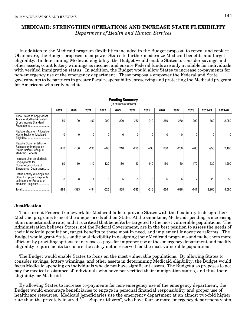# **MEDICAID: STRENGTHEN OPERATIONS AND INCREASE STATE FLEXIBILITY**

Department of Health and Human Services

In addition to the Medicaid program flexibilities included in the Budget proposal to repeal and replace Obamacare, the Budget proposes to empower States to further modernize Medicaid benefits and target eligibility. In determining Medicaid eligibility, the Budget would enable States to consider savings and other assets, count lottery winnings as income, and ensure Federal funds are only available for individuals with verified immigration status. In addition, the Budget would allow States to increase co-payments for non-emergency use of the emergency department. These proposals empower the Federal and State governments to be partners in greater fiscal responsibility, preserving and protecting the Medicaid program for Americans who truly need it.

**Funding Summary**

|                                                                                                            | (In millions of dollars) |        |        |        |        |        |              |        |        |        |          |          |  |  |  |
|------------------------------------------------------------------------------------------------------------|--------------------------|--------|--------|--------|--------|--------|--------------|--------|--------|--------|----------|----------|--|--|--|
|                                                                                                            | 2019                     | 2020   | 2021   | 2022   | 2023   | 2024   | 2025         | 2026   | 2027   | 2028   | 2019-23  | 2019-28  |  |  |  |
| Allow States to Apply Asset<br>Tests to Modified Adjusted<br>Gross Income Standard                         | $-50$                    | $-100$ | $-190$ | $-200$ | $-220$ | $-230$ | $-240$       | $-260$ | $-270$ | $-290$ | $-760$   | $-2,050$ |  |  |  |
| Reduce Maximum Allowable<br>Home Equity for Medicaid                                                       | 0                        | 0      | 0      | 0      | 0      | 0      | $\mathbf{0}$ | 0      | 0      | 0      | 0        | 0        |  |  |  |
| Require Documentation of<br>Satisfactory Immigration<br>Status Before Receipt of<br>Medicaid Benefits      | $-170$                   | $-180$ | $-190$ | $-200$ | $-210$ | $-220$ | $-230$       | $-250$ | $-260$ | $-280$ | $-950$   | $-2,190$ |  |  |  |
| Increase Limit on Medicaid<br>Co-payments for<br>Nonemergency Use of<br>Emergency Department               | $-60$                    | $-110$ | $-110$ | $-120$ | $-130$ | $-140$ | $-140$       | $-150$ | $-160$ | $-170$ | $-530$   | $-1,290$ |  |  |  |
| Define Lottery Winnings and<br>Other Lump-Sum Payments<br>as Income for Purpose of<br>Medicaid Eligibility | $-3$                     | -3     | -4     | $-5$   | -5     | -5     | -6           | -6     | -6     | $-7$   | $-20$    | $-50$    |  |  |  |
|                                                                                                            | $-283$                   | $-393$ | $-494$ | $-525$ | $-565$ | $-595$ | $-616$       | $-666$ | $-696$ | $-747$ | $-2,260$ | $-5,580$ |  |  |  |

#### **Justification**

The current Federal framework for Medicaid fails to provide States with the flexibility to design their Medicaid programs to meet the unique needs of their State. At the same time, Medicaid spending is increasing at an unsustainable rate, and it is critical that benefits be targeted to the most vulnerable populations. The Administration believes States, not the Federal Government, are in the best position to assess the needs of their Medicaid population, target benefits to those most in need, and implement innovative reforms. The Budget would grant States additional flexibility in designing their Medicaid programs and make them more efficient by providing options to increase co-pays for improper use of the emergency department and modify eligibility requirements to ensure the safety net is reserved for the most vulnerable populations.

The Budget would enable States to focus on the most vulnerable populations. By allowing States to consider savings, lottery winnings, and other assets in determining Medicaid eligibility, the Budget would focus Medicaid spending on individuals who do not have significant assets. The Budget also proposes to not pay for medical assistance of individuals who have not verified their immigration status, and thus their eligibility for Medicaid.

By allowing States to increase co-payments for non-emergency use of the emergency department, the Budget would encourage beneficiaries to engage in personal financial responsibility and proper use of healthcare resources. Medicaid beneficiaries use the emergency department at an almost two-fold higher rate than the privately insured.<sup>1,2</sup> "Super-utilizers", who have four or more emergency department visits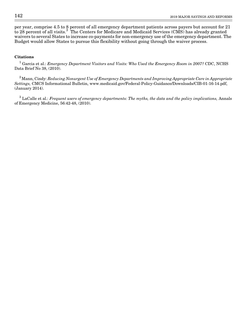per year, comprise 4.5 to 8 percent of all emergency department patients across payers but account for 21 to 28 percent of all visits.<sup>3</sup> The Centers for Medicare and Medicaid Services (CMS) has already granted waivers to several States to increase co-payments for non-emergency use of the emergency department. The Budget would allow States to pursue this flexibility without going through the waiver process.

#### **Citations**

 $^1$  Garcia et al.: Emergency Department Visitors and Visits: Who Used the Emergency Room in 2007? CDC, NCHS Data Brief No 38, (2010).

 $2^2$ Mann, Cindy: Reducing Nonurgent Use of Emergency Departments and Improving Appropriate Care in Appropriate Settings, CMCS Informational Bulletin, www.medicaid.gov/Federal-Policy-Guidance/Downloads/CIB-01-16-14.pdf, (January 2014).

 $^3$  LaCalle et al.: Frequent users of emergency departments: The myths, the data and the policy implications, Annals of Emergency Medicine, 56:42-48, (2010).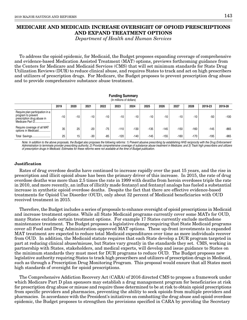## **MEDICARE AND MEDICAID: INCREASE OVERSIGHT OF OPIOID PRESCRIPTIONS AND EXPAND TREATMENT OPTIONS**

Department of Health and Human Services

To address the opioid epidemic, for Medicaid, the Budget proposes expanding coverage of comprehensive and evidence-based Medication Assisted Treatment (MAT) options, previews forthcoming guidance from the Centers for Medicare and Medicaid Services (CMS) that will set minimum standards for State Drug Utilization Reviews (DUR) to reduce clinical abuse, and requires States to track and act on high prescribers and utilizers of prescription drugs. For Medicare, the Budget proposes to prevent prescription drug abuse and to provide comprehensive substance abuse treatment.

|                                                                                                        | ⊤ununiy Jummary<br>(In millions of dollars) |       |       |       |        |        |        |        |        |        |         |         |  |  |  |
|--------------------------------------------------------------------------------------------------------|---------------------------------------------|-------|-------|-------|--------|--------|--------|--------|--------|--------|---------|---------|--|--|--|
|                                                                                                        | 2019                                        | 2020  | 2021  | 2022  | 2023   | 2024   | 2025   | 2026   | 2027   | 2028   | 2019-23 | 2019-28 |  |  |  |
| Require plan participation in a<br>program to prevent<br>prescription drug abuse in<br>Medicare Part D | $-10$                                       | $-10$ | $-10$ | $-10$ | $-10$  | $-10$  | $-10$  | $-10$  | $-10$  | $-10$  | $-50$   | $-100$  |  |  |  |
| Require coverage of all MAT<br>options in Medicaid                                                     | 35                                          | 25    | $-20$ | $-75$ | $-110$ | $-130$ | $-135$ | $-145$ | $-150$ | $-160$ | $-145$  | $-865$  |  |  |  |
| Total Savings                                                                                          | 25                                          | 15    | $-30$ | $-85$ | $-120$ | $-140$ | $-145$ | $-155$ | $-160$ | $-170$ | -195    | $-965$  |  |  |  |

**Funding Summary**

Note: In addition to the above proposals, the Budget also proposes the following reforms: 1) Prevent abusive prescribing by establishing HHS reciprocity with the Drug Enforcement Administration to terminate provider prescribing authority; 2) Provide comprehensive coverage of substance abuse treatment in Medicare; and 3) Track high prescribers and utilizers of prescription drugs in Medicaid. Estimates for these reforms were not available at the time of Budget publication.

#### **Justification**

Rates of drug overdose deaths have continued to increase rapidly over the past 15 years, and the rise in prescription and illicit opioid abuse has been the primary driver of this increase. In 2015, the rate of drug overdose deaths was more than 2.5 times the rate in 1999 with deaths from heroin overdoses triple the rate in 2010, and more recently, an influx of illicitly made fentanyl and fentanyl analogs has fueled a substantial increase in synthetic opioid overdose deaths. Despite the fact that there are effective evidence-based treatments for Opioid Use Disorder (OUD), only about 32 percent of Medicaid beneficiaries with OUD received treatment in 2015.

Therefore, the Budget includes a series of proposals to enhance oversight of opioid prescriptions in Medicaid and increase treatment options. While all State Medicaid programs currently cover some MATs for OUD, many States exclude certain treatment options. For example 17 States currently exclude methadone maintenance treatment. The Budget proposes a legislative change requiring that State Medicaid programs cover all Food and Drug Administration-approved MAT options. These up-front investments in expanded MAT treatment are expected to reduce total Medicaid expenditures over time as more individuals recover from OUD. In addition, the Medicaid statute requires that each State develop a DUR program targeted in part at reducing clinical abuse/misuse, but States vary greatly in the standards they set. CMS, working in partnership with States, stakeholders, and medical experts, will develop and issue guidance to States on the minimum standards they must meet for DUR programs to reduce OUD. The Budget proposes new legislative authority requiring States to track high prescribers and utilizers of prescription drugs in Medicaid, such as through a Prescription Drug Monitoring Program. This proposal would ensure that all States meet high standards of oversight for opioid prescriptions.

The Comprehensive Addiction Recovery Act (CARA) of 2016 directed CMS to propose a framework under which Medicare Part D plan sponsors may establish a drug management program for beneficiaries at risk for prescription drug abuse or misuse and require those determined to be at risk to obtain opioid prescriptions from specific providers and pharmacies, preventing the ability to seek opioids from multiple providers and pharmacies. In accordance with the President's initiatives on combatting the drug abuse and opioid overdose epidemic, the Budget proposes to strengthen the provisions specified in CARA by providing the Secretary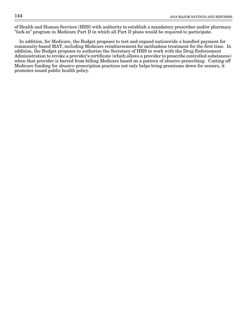of Health and Human Services (HHS) with authority to establish a mandatory prescriber and/or pharmacy "lock-in" program in Medicare Part D in which all Part D plans would be required to participate.

In addition, for Medicare, the Budget proposes to test and expand nationwide a bundled payment for community-based MAT, including Medicare reimbursement for methadone treatment for the first time. In addition, the Budget proposes to authorize the Secretary of HHS to work with the Drug Enforcement Administration to revoke a provider's certificate (which allows a provider to prescribe controlled substances) when that provider is barred from billing Medicare based on a pattern of abusive prescribing. Cutting off Medicare funding for abusive prescription practices not only helps bring premiums down for seniors, it promotes sound public health policy.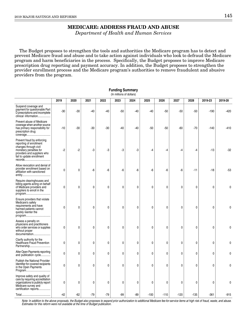# **MEDICARE: ADDRESS FRAUD AND ABUSE**

Department of Health and Human Services

The Budget proposes to strengthen the tools and authorities the Medicare program has to detect and prevent Medicare fraud and abuse and to take action against individuals who look to defraud the Medicare program and harm beneficiaries in the process. Specifically, the Budget proposes to improve Medicare prescription drug reporting and payment accuracy. In addition, the Budget proposes to strengthen the provider enrollment process and the Medicare program's authorities to remove fraudulent and abusive providers from the program.

**Funding Summary**

|                                                                                                                                                                      |              |              |       |       | (In millions of dollars) |       |              |        |             |        |         |          |
|----------------------------------------------------------------------------------------------------------------------------------------------------------------------|--------------|--------------|-------|-------|--------------------------|-------|--------------|--------|-------------|--------|---------|----------|
|                                                                                                                                                                      | 2019         | 2020         | 2021  | 2022  | 2023                     | 2024  | 2025         | 2026   | 2027        | 2028   | 2019-23 | 2019-28  |
| Suspend coverage and<br>payment for questionable Part<br>D prescriptions and incomplete<br>clinical information                                                      | $-30$        | -30          | -40   | $-40$ | $-50$                    | -40   | -40          | $-50$  | $-50$       | $-50$  | $-190$  | -420     |
| Prevent abuse of Medicare<br>coverage when another source<br>has primary responsibility for<br>prescription drug<br>coverage                                         | $-10$        | $-30$        | $-30$ | $-30$ | $-40$                    | $-40$ | $-50$        | $-50$  | $-60$       | $-70$  | $-140$  | $-410$   |
| Prevent fraud by enforcing<br>reporting of enrollment<br>changes through civil<br>monetary penalties for<br>providers and suppliers who<br>fail to update enrollment | $-2$         | $-2$         | -3    | -3    | -3                       | -3    | -4           | $-4$   | -4          | -4     | $-13$   | $-32$    |
| Allow revocation and denial of<br>provider enrollment based on<br>affiliation with sanctioned                                                                        | $\mathbf{0}$ | 0            | -6    | -6    | -6                       | -6    | -6           | -6     | -6          | $-11$  | $-18$   | $-53$    |
| Require clearinghouses and<br>billing agents acting on behalf<br>of Medicare providers and<br>suppliers to enroll in the<br>program                                  | 0            | 0            | 0     | 0     | $\mathbf{0}$             | 0     | $\mathbf{0}$ | 0      | 0           | 0      | 0       | $\Omega$ |
| Ensure providers that violate<br>Medicare's safety<br>requirements and have<br>harmed patients cannot<br>quickly reenter the<br>program                              | 0            | $\mathbf{0}$ | 0     | 0     | $\mathbf 0$              | 0     | $\mathbf{0}$ | 0      | 0           | 0      | 0       | $\Omega$ |
| Assess a penalty on<br>physicians and practitioners<br>who order services or supplies<br>without proper<br>documentation                                             | 0            | 0            | 0     | 0     | 0                        | 0     | 0            | 0      | 0           | 0      | 0       | 0        |
| Clarify authority for the<br><b>Healthcare Fraud Prevention</b><br>Partnership                                                                                       | 0            | 0            | 0     | 0     | 0                        | 0     | 0            | 0      | 0           | 0      | 0       |          |
| Alter Open Payments reporting<br>and publication cycle                                                                                                               | 0            | 0            | 0     | 0     | $\mathbf{0}$             | 0     | $\mathbf{0}$ | 0      | 0           | 0      | 0       | $\Omega$ |
| Publish the National Provider<br>Identifier for covered recipients<br>in the Open Payments<br>Program                                                                | 0            | 0            | 0     | 0     | 0                        | 0     | 0            | 0      | $\mathbf 0$ | 0      | 0       | $\Omega$ |
| Improve safety and quality of<br>care by requiring accreditation<br>organizations to publicly report<br>Medicare survey and<br>certification reports                 | 0            | 0            | 0     | 0     | 0                        | 0     | 0            | 0      | 0           | 0      | 0       | 0        |
|                                                                                                                                                                      | $-42$        | $-62$        | $-79$ | $-79$ | $-99$                    | -89   | $-100$       | $-110$ | $-120$      | $-135$ | $-361$  | $-915$   |

Note: In addition to the above proposals, the Budget also proposes to expand prior authorization to additional Medicare fee-for-service items at high risk of fraud, waste, and abuse. Estimates for this reform were not available at the time of Budget publication.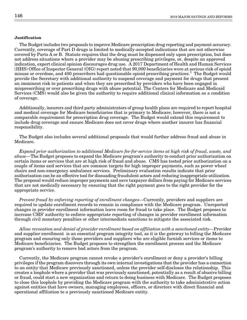#### **Justification**

The Budget includes two proposals to improve Medicare prescription drug reporting and payment accuracy. Currently, coverage of Part D drugs is limited to medically-accepted indications that are not otherwise covered by Parts A or B. Statute requires that the drug must be dispensed only upon prescription, but does not address situations where a provider may be abusing prescribing privileges, or, despite an approved indication, expert clinical opinion discourages drug use. A 2017 Department of Health and Human Services (HHS) Office of Inspector General (OIG) report noted that 90,000 beneficiaries were at serious risk of opioid misuse or overdose, and 400 prescribers had questionable opioid prescribing practices.<sup>1</sup> The Budget would provide the Secretary with additional authority to suspend coverage and payment for drugs that present an imminent risk to patients and when they are prescribed by providers who have been engaged in misprescribing or over prescribing drugs with abuse potential. The Centers for Medicare and Medicaid Services (CMS) would also be given the authority to require additional clinical information as a condition of coverage.

Additionally, insurers and third party administrators of group health plans are required to report hospital and medical coverage for Medicare beneficiaries that is primary to Medicare; however, there is not a comparable requirement for prescription drug coverage. The Budget would extend this requirement to include drug coverage and ensure Medicare does not cover drugs where another insurer has financial responsibility.

The Budget also includes several additional proposals that would further address fraud and abuse in Medicare.

Expand prior authorization to additional Medicare fee-for-service items at high risk of fraud, waste, and abuse—The Budget proposes to expand the Medicare program's authority to conduct prior authorization on certain items or services that are at high risk of fraud and abuse. CMS has tested prior authorization on a couple of items and services that are common targets for high improper payments, such as power wheel chairs and non-emergency ambulance services. Preliminary evaluation results indicate that prior authorization can be an effective tool for dissuading fraudulent actors and reducing inappropriate utilization. The proposal would reduce improper payments and save taxpayer dollars from paying for Medicare services that are not medically necessary by ensuring that the right payment goes to the right provider for the appropriate service.

Prevent fraud by enforcing reporting of enrollment changes—Currently, providers and suppliers are required to update enrollment records to remain in compliance with the Medicare program. Unreported changes in provider enrollment information leave room for fraud to take place. The Budget proposes to increase CMS' authority to enforce appropriate reporting of changes in provider enrollment information through civil monetary penalties or other intermediate sanctions to mitigate the associated risk.

Allow revocation and denial of provider enrollment based on affiliation with a sanctioned entity—Provider and supplier enrollment is an essential program integrity tool, as it is the gateway to billing the Medicare program and ensuring only those providers and suppliers who are eligible furnish services or items to Medicare beneficiaries. The Budget proposes to strengthen the enrollment process and the Medicare program's authority to remove bad actors from the program.

Currently, the Medicare program cannot revoke a provider's enrollment or deny a provider's billing privileges if the program discovers through its own internal investigations that the provider has a connection to an entity that Medicare previously sanctioned, unless the provider self-discloses the relationship. This creates a loophole where a provider that was previously sanctioned, potentially as a result of abusive billing or fraud, could start a new organization and return to doing business with Medicare. The Budget proposes to close this loophole by providing the Medicare program with the authority to take administrative action against entities that have owners, managing employees, officers, or directors with direct financial and operational affiliation to a previously sanctioned Medicare entity.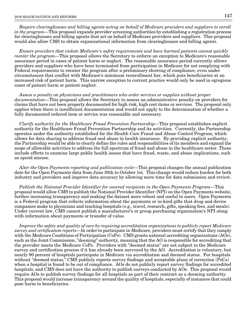Require clearinghouses and billing agents acting on behalf of Medicare providers and suppliers to enroll in the program—This proposal expands provider screening authorities by establishing a registration process for clearinghouses and billing agents that act on behalf of Medicare providers and suppliers. This proposal would also allow CMS to obtain organizational information from clearinghouses and billing agents.

Ensure providers that violate Medicare's safety requirements and have harmed patients cannot quickly reenter the program—This proposal allows the Secretary to enforce an exception to Medicare's reasonable assurance period in cases of patient harm or neglect. The reasonable assurance period currently allows providers and suppliers who have been terminated from participation in Medicare for not complying with Federal requirements to reenter the program after a preliminary showing of compliance, even under circumstances that conflict with Medicare's minimum reenrollment bar, which puts beneficiaries at an increased risk of patient harm. This narrow exception to current practice would only be used in egregious cases of patient harm or patient neglect.

Assess a penalty on physicians and practitioners who order services or supplies without proper documentation—This proposal allows the Secretary to assess an administrative penalty on providers for claims that have not been properly documented for high risk, high cost items or services. The proposal only applies when there is insufficient documentation and would not apply to the determination of whether a fully documented ordered item or service was reasonable and necessary.

Clarify authority for the Healthcare Fraud Prevention Partnership—This proposal establishes explicit authority for the Healthcare Fraud Prevention Partnership and its activities. Currently, the Partnership operates under the authority established for the Health Care Fraud and Abuse Control Program, which allows for data sharing to address fraud and abuse in health insurance. By providing explicit authority, the Partnership would be able to clearly define the rules and responsibilities of its members and expand the scope of allowable activities to address the full spectrum of fraud and abuse in the healthcare sector. These include efforts to examine large public health issues that have fraud, waste, and abuse implications, such as opioid misuse.

Alter the Open Payments reporting and publication cycle—This proposal changes the annual publication date for the Open Payments data from June 30th to October 1st. This change would reduce burden for both industry and providers and improve data accuracy by allowing more time for data submission and review.

Publish the National Provider Identifier for covered recipients in the Open Payments Program—This proposal would allow CMS to publish the National Provider Identifier (NPI) on the Open Payments website, further increasing transparency and making the dataset more robust and useful to users. Open Payments is a Federal program that collects information about the payments or in-kind gifts that drug and device companies make to physicians and teaching hospitals (e.g., travel, research, gifts, speaking fees, and meals). Under current law, CMS cannot publish a manufacturer's or group purchasing organization's NPI along with information about payments or transfer of value.

Improve the safety and quality of care by requiring accreditation organizations to publicly report Medicare survey and certification reports—In order to participate in Medicare, providers must certify that they comply with the Medicare Conditions of Participation (CoPs). CMS grants national accrediting organizations (AOs), such as the Joint Commission, "deeming" authority, meaning that the AO is responsible for accrediting that the provider meets the Medicare CoPs. Providers with "deemed status" are not subject to the Medicare survey and certification process if it has already been surveyed by the AO. Accreditation is voluntary, but nearly 90 percent of hospitals participate in Medicare via accreditation and deemed status. For hospitals without "deemed status," CMS publicly reports survey findings and acceptable plans of correction (PoCs) when a hospital is found to be out of compliance. AOs do not publicly report survey findings for accredited hospitals, and CMS does not have the authority to publish surveys conducted by AOs. This proposal would require AOs to publish survey findings for all hospitals as part of their contract as a deeming authority. This proposal would increase transparency around the quality of hospitals, especially of instances that could pose harm to beneficiaries.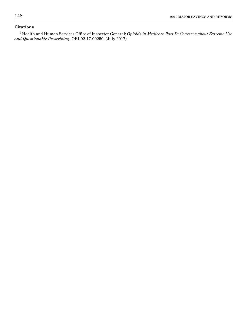### **Citations**

 $^{\rm 1}$  Health and Human Services Office of Inspector General: *Opioids in Medicare Part D: Concerns about Extreme Use* and Questionable Prescribing, OEI-02-17-00250, (July 2017).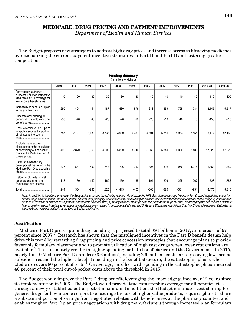### **MEDICARE: DRUG PRICING AND PAYMENT IMPROVEMENTS**

Department of Health and Human Services

The Budget proposes new strategies to address high drug prices and increase access to lifesaving medicines by rationalizing the current payment incentive structures in Part D and Part B and fostering greater competition.

**Funding Summary**

|                                                                                                                        |              |          |          |          | (In millions of dollars) |          |          |          |          |          |           |           |
|------------------------------------------------------------------------------------------------------------------------|--------------|----------|----------|----------|--------------------------|----------|----------|----------|----------|----------|-----------|-----------|
|                                                                                                                        | 2019         | 2020     | 2021     | 2022     | 2023                     | 2024     | 2025     | 2026     | 2027     | 2028     | 2019-23   | 2019-28   |
| Permanently authorize a<br>successful pilot on retroactive<br>Medicare Part D coverage for<br>low-income beneficiaries | $\mathbf{0}$ | $-20$    | $-30$    | $-30$    | $-30$                    | $-30$    | $-40$    | $-40$    | $-40$    | $-40$    | $-110$    | $-300$    |
| Increase Medicare Part D plan<br>formulary flexibility                                                                 | $-280$       | $-404$   | $-444$   | $-487$   | $-530$                   | $-576$   | $-618$   | $-669$   | $-725$   | $-784$   | $-2,145$  | $-5,517$  |
| Eliminate cost-sharing on<br>generic drugs for low-income<br>beneficiaries                                             | $-30$        | $-40$    | $-40$    | $-20$    | $-20$                    | $-10$    | $-20$    | $-10$    | $-10$    | $-10$    | $-150$    | $-210$    |
| Require Medicare Part D plans<br>to apply a substantial portion<br>of rebates at the point of                          | 1,785        | 2,727    | 3,139    | 3,533    | 3,930                    | 4,351    | 4,801    | 5,356    | 5,983    | 6,555    | 15,114    | 42,160    |
| Exclude manufacturer<br>discounts from the calculation<br>of beneficiary out-of-pocket<br>costs in the Medicare Part D | $-1,490$     | $-2,370$ | $-3,360$ | $-4,800$ | $-5,300$                 | $-4,740$ | $-5,360$ | $-5,840$ | $-6,330$ | $-7,430$ | $-17,320$ | $-47,020$ |
| Establish a beneficiary<br>out-of-pocket maximum in the<br>Medicare Part D catastrophic                                | 377          | 541      | 592      | 648      | 706                      | 767      | 825      | 892      | 966      | 1,045    | 2,864     | 7,359     |
| Reform exclusivity for first<br>generics to spur greater<br>competition and access                                     | $-118$       | $-130$   | $-142$   | $-169$   | $-169$                   | $-165$   | $-194$   | $-209$   | $-225$   | $-267$   | $-728$    | $-1,788$  |
|                                                                                                                        | 244          | 304      | $-285$   | $-1,325$ | $-1,413$                 | $-403$   | $-606$   | $-520$   | $-381$   | $-931$   | $-2,475$  | $-5,316$  |

Note: In addition to the above proposals, the Budget also proposes the following reforms: 1) Authorize the HHS Secretary to leverage Medicare Part D plans' negotiating power for certain drugs covered under Part B; 2) Address abusive drug pricing by manufacturers by establishing an inflation limit for reimbursement of Medicare Part B drugs; 3) Improve manufacturers' reporting of average sales prices to set accurate payment rates; 4) Modify payment for drugs hospitals purchase through the 340B discount program and require a minimum level of charity care for hospitals to receive a payment adjustment related to uncompensated care; and 5) Reduce Wholesale Acquisition Cost (WAC)-based payments. Estimates for these reforms were not available at the time of Budget publication.

#### **Justification**

Medicare Part D prescription drug spending is projected to total \$94 billion in 2017, an increase of 97 percent since 2007.<sup>†</sup> Research has shown that the misaligned incentives in the Part D benefit design help drive this trend by rewarding drug pricing and price concession strategies that encourage plans to provide favorable formulary placement and to promote utilization of high cost drugs when lower cost options are available.<sup>2</sup> This ultimately results in higher spending for both beneficiaries and the Government. In 2015, nearly 1 in 10 Medicare Part D enrollees (3.6 million), including 2.6 million beneficiaries receiving low-income subsidies, reached the highest level of spending in the benefit structure, the catastrophic phase, where Medicare covers 80 percent of costs.<sup>3</sup> On average, enrollees with spending in the catastrophic phase incurred 40 percent of their total out-of-pocket costs above the threshold in 2015.

The Budget would improve the Part D drug benefit, leveraging the knowledge gained over 12 years since its implementation in 2006. The Budget would provide true catastrophic coverage for all beneficiaries through a newly established out-of-pocket maximum. In addition, the Budget eliminates cost sharing for generic drugs for low-income seniors to encourage the use of higher value products, requires plans to share a substantial portion of savings from negotiated rebates with beneficiaries at the pharmacy counter, and enables tougher Part D plan price negotiations with drug manufacturers through increased plan formulary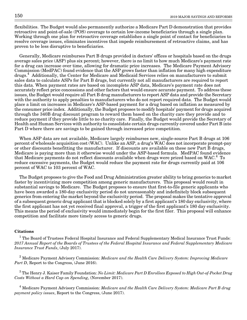flexibilities. The Budget would also permanently authorize a Medicare Part D demonstration that provides retroactive and point-of-sale (POS) coverage to certain low-income beneficiaries through a single plan. Working through one plan for retroactive coverage establishes a single point of contact for beneficiaries to resolve coverage issues, eliminates incentives that impede reimbursement of retroactive claims, and has proven to be less disruptive to beneficiaries.

Generally, Medicare reimburses Part B drugs provided in doctors' offices or hospitals based on the drugs average sales price (ASP) plus six percent; however, there is no limit to how much Medicare's payment rate for a drug can increase over time, allowing for dramatic price increases. The Medicare Payment Advisory Commission (MedPAC) found evidence that the ASP grows faster than inflation for many high expenditure drugs.<sup>4</sup> Additionally, the Center for Medicare and Medicaid Services relies on manufacturers to submit sales data to calculate ASPs for Part B drugs, but currently not all manufacturers are required to report this data. When payment rates are based on incomplete ASP data, Medicare's payment rate does not accurately reflect price concessions and other factors that would ensure accurate payment. To address these issues, the Budget would require all Part B drug manufacturers to report ASP data and provide the Secretary with the authority to apply penalties to manufacturers who do not report required data. The Budget would place a limit on increases in Medicare's ASP-based payment for a drug based on inflation as measured by the consumer price index. Additionally, the Budget proposes to modify hospitals' payment for drugs acquired through the 340B drug discount program to reward them based on the charity care they provide and to reduce payment if they provide little to no charity care. Finally, the Budget would provide the Secretary of Health and Human Services with authority to consolidate certain drugs currently covered under Part B into Part D where there are savings to be gained through increased price competition.

When ASP data are not available, Medicare largely reimburses new, single-source Part B drugs at 106 percent of wholesale acquisition cost (WAC). Unlike an ASP, a drug's WAC does not incorporate prompt-pay or other discounts benefitting the manufacturer. If discounts are available on these new Part B drugs, Medicare is paying more than it otherwise would under the ASP-based formula. MedPAC found evidence that Medicare payments do not reflect discounts available when drugs were priced based on WAC.<sup>4</sup> To reduce excessive payments, the Budget would reduce the payment rate for drugs currently paid at 106 percent of WAC to 103 percent of WAC.

The Budget proposes to give the Food and Drug Administration greater ability to bring generics to market faster by incentivizing more competition among generic manufacturers. This proposal would result in substantial savings to Medicare. The Budget proposes to ensure that first-to-file generic applicants who have been awarded a 180-day exclusivity period do not unreasonably and indefinitely block subsequent generics from entering the market beyond the exclusivity period. The proposal makes the tentative approval of a subsequent generic drug applicant that is blocked solely by a first applicant's 180 day exclusivity, where the first applicant has not yet received final approval, a trigger of the first applicant's 180 day exclusivity. This means the period of exclusivity would immediately begin for the first filer. This proposal will enhance competition and facilitate more timely access to generic drugs.

#### **Citations**

 $^1$  The Board of Trustees Federal Hospital Insurance and Federal Supplementary Medical Insurance Trust Funds: 2017 Annual Report of the Boards of Trustees of the Federal Hospital Insurance and Federal Supplementary Medicare Insurance Trust Funds, (July 2017).

 $^2$  Medicare Payment Advisory Commission: *Medicare and the Health Care Delivery System: Improving Medicare* Part D, Report to the Congress, (June 2016).

 $^3$  The Henry J. Kaiser Family Foundation: *No Limit: Medicare Part D Enrollees Exposed to High Out-of-Pocket Drug* Costs Without a Hard Cap on Spending, (November 2017).

 $^4$  Medicare Payment Advisory Commission: *Medicare and the Health Care Delivery System: Medicare Part B drug* payment policy issues, Report to the Congress, (June 2017).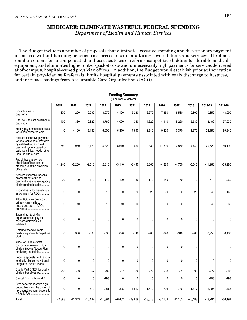### **MEDICARE: ELIMINATE WASTEFUL FEDERAL SPENDING**

Department of Health and Human Services

The Budget includes a number of proposals that eliminate excessive spending and distortionary payment incentives without harming beneficiaries' access to care or altering covered items and services. It refines reimbursement for uncompensated and post-acute care, reforms competitive bidding for durable medical equipment, and eliminates higher out-of-pocket costs and unnecessarily high payments for services delivered at off-campus, hospital-owned physician offices. In addition, the Budget would establish prior authorization for certain physician self-referrals, limits hospital payments associated with early discharge to hospices, and increases savings from Accountable Care Organizations (ACO).

**Funding Summary**

|                                                                                                                                                                                |             |              |           |           | (In millions of dollars) | ,,,,,,,,,,,, |              |           |           |           |           |             |
|--------------------------------------------------------------------------------------------------------------------------------------------------------------------------------|-------------|--------------|-----------|-----------|--------------------------|--------------|--------------|-----------|-----------|-----------|-----------|-------------|
|                                                                                                                                                                                | 2019        | 2020         | 2021      | 2022      | 2023                     | 2024         | 2025         | 2026      | 2027      | 2028      | 2019-23   | 2019-28     |
| Consolidate GME<br>payments                                                                                                                                                    | $-370$      | $-1,200$     | $-2,090$  | $-3,070$  | $-4,120$                 | $-5,230$     | $-6,270$     | $-7,360$  | $-8,580$  | $-9,800$  | $-10,850$ | $-48,090$   |
| Reduce Medicare coverage of<br>bad debts                                                                                                                                       | $-400$      | $-1,330$     | $-2,820$  | $-3,760$  | $-4,090$                 | $-4,350$     | $-4,620$     | $-4,910$  | $-5,220$  | $-5,530$  | $-12,400$ | $-37,030$   |
| Modify payments to hospitals<br>for uncompensated care                                                                                                                         | $\mathbf 0$ | $-4,100$     | $-5,180$  | $-6,000$  | $-6,870$                 | $-7,690$     | $-8,540$     | $-9,420$  | $-10,370$ | $-11,370$ | $-22,150$ | $-69,540$   |
| Address excessive payment<br>for post-acute care providers<br>by establishing a unified<br>payment system based on<br>patients' clinical needs rather<br>than the site of care | $-780$      | $-1,960$     | $-3,420$  | $-5,820$  | $-8,640$                 | $-9,650$     | $-10,830$    | $-11,800$ | $-12,850$ | $-14,440$ | $-20,620$ | $-80,190$   |
| Pay all hospital-owned<br>physician offices located<br>off-campus at the physician<br>office rate                                                                              | $-1,240$    | $-2,260$     | $-2,510$  | $-2,810$  | $-3,140$                 | $-3,490$     | $-3,860$     | $-4,280$  | $-4,750$  | $-5,640$  | $-11,960$ | $-33,980$   |
| Address excessive hospital<br>payments by reducing<br>payment when patient quickly<br>discharged to hospice                                                                    | $-70$       | $-100$       | $-110$    | $-110$    | $-120$                   | $-130$       | $-140$       | $-150$    | $-160$    | $-170$    | $-510$    | $-1,260$    |
| Expand basis for beneficiary<br>assignment for ACOs                                                                                                                            | 0           | 0            | $-10$     | $-10$     | $-20$                    | $-20$        | $-20$        | $-20$     | $-20$     | $-20$     | $-40$     | $-140$      |
| Allow ACOs to cover cost of<br>primary care visits to<br>encourage use of ACO's<br>providers                                                                                   | 0           | $-10$        | $-10$     | $-10$     | $-10$                    | $-10$        | $\mathbf 0$  | 0         | 0         | $-10$     | $-40$     | $-60$       |
| Expand ability of MA<br>organizations to pay for<br>services delivered via<br>telehealth                                                                                       | 0           | 0            | 0         | 0         | 0                        | $\mathbf 0$  | $\mathbf 0$  | 0         | 0         | 0         | 0         | 0           |
| Reform/expand durable<br>medical equipment competitive                                                                                                                         | 0           | $-330$       | $-600$    | -630      | $-690$                   | $-740$       | $-780$       | -840      | $-910$    | $-960$    | $-2,250$  | $-6,480$    |
| Allow for Federal/State<br>coordinated review of dual<br>eligible Special Needs Plan<br>marketing materials                                                                    | 0           | 0            | 0         | 0         | 0                        | 0            | $\mathbf 0$  | 0         | 0         | 0         | 0         | 0           |
| Improve appeals notifications<br>for dually eligible individuals in<br>Integrated Health Plans                                                                                 | 0           | 0            | 0         | 0         | 0                        | 0            | 0            | 0         | 0         | 0         | 0         | 0           |
| Clarify Part D SEP for dually<br>eligible beneficiaries                                                                                                                        | $-38$       | $-53$        | $-57$     | -62       | $-67$                    | $-72$        | $-77$        | -83       | -89       | $-95$     | $-277$    | $-693$      |
| Cancel funding from MIF                                                                                                                                                        | 0           | $\mathbf{0}$ | 0         | $-193$    | 0                        | 0            | $\mathbf{0}$ | 0         | 0         | 0         | -193      | $-193$      |
| Give beneficiaries with high<br>deductible plans the option of<br>tax deductible contributions to<br>HSAs/MSAs                                                                 | 0           | 0            | 610       | 1,081     | 1,305                    | 1,513        | 1,619        | 1,704     | 1,786     | 1,847     | 2,996     | 11,465      |
|                                                                                                                                                                                | $-2,898$    | $-11,343$    | $-16,197$ | $-21,394$ | $-26,462$                | $-29,869$    | $-33,518$    | $-37,159$ | $-41,163$ | $-46,188$ | $-78,294$ | $-266, 191$ |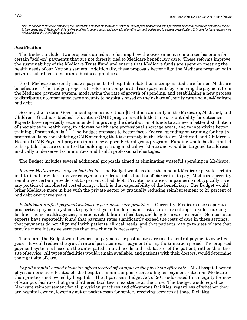Note: In addition to the above proposals, the Budget also proposes the following reforms: 1) Require prior authorization when physicians order certain services excessively relative to their peers; and 2) Reform physician self-referral law to better support and align with alternative payment models and to address overutilization. Estimates for these reforms were not available at the time of Budget publication.

#### **Justification**

The Budget includes two proposals aimed at reforming how the Government reimburses hospitals for certain "add-on" payments that are not directly tied to Medicare beneficiary care. These reforms improve the sustainability of the Medicare Trust Fund and ensure that Medicare funds are spent on meeting the health needs of our Nation's seniors. Additionally, these proposals better align the Medicare program with private sector health insurance business practices.

First, Medicare currently makes payments to hospitals related to uncompensated care for non-Medicare beneficiaries. The Budget proposes to reform uncompensated care payments by removing the payment from the Medicare payment system, moderating the rate of growth of spending, and establishing a new process to distribute uncompensated care amounts to hospitals based on their share of charity care and non-Medicare bad debt.

Second, the Federal Government spends more than \$15 billion annually in the Medicare, Medicaid, and Children's Graduate Medical Education (GME) programs with little to no accountability for outcomes. Experts have repeatedly recommended improving the distribution of funds to achieve a better distribution of specialties in health care, to address health care professional shortage areas, and to incentivize better training of professionals.<sup>1, 2</sup> The Budget proposes to better focus Federal spending on training for health professionals by consolidating GME spending that is currently in the Medicare, Medicaid, and Children's Hospital GME Payment program into a new capped Federal grant program. Funding would be distributed to hospitals that are committed to building a strong medical workforce and would be targeted to address medically underserved communities and health professional shortages.

The Budget includes several additional proposals aimed at eliminating wasteful spending in Medicare.

Reduce Medicare coverage of bad debts—The Budget would reduce the amount Medicare pays to certain institutional providers to cover copayments or deductibles that beneficiaries fail to pay. Medicare currently reimburses certain providers at 65 percent of bad debt. Private insurance companies do not typically cover any portion of uncollected cost-sharing, which is the responsibility of the beneficiary. The Budget would bring Medicare more in line with the private sector by gradually reducing reimbursement to 25 percent of bad debt over three years.

Establish a unified payment system for post-acute care providers—Currently, Medicare uses separate prospective payment systems to pay for stays in the four main post-acute care settings: skilled nursing facilities; home health agencies; inpatient rehabilitation facilities; and long-term care hospitals. Non-partisan experts have repeatedly found that payment rates significantly exceed the costs of care in these settings, that payments do not align well with patients' clinical needs, and that patients may go to sites of care that provide more intensive services than are clinically necessary.

Therefore, the Budget would transition payment for post-acute care to site-neutral payments over five years. It would reduce the growth rate of post-acute care payment during the transition period. The proposed payment system is based on the anticipated clinical needs and risk factors of the patient, rather than the site of service. All types of facilities would remain available, and patients with their doctors, would determine the right site of care.

Pay all hospital-owned physician offices located off-campus at the physician office rate—Most hospital-owned physician practices located off the hospital's main campus receive a higher payment rate from Medicare than practices not owned by hospitals. The Bipartisan Budget Act of 2015 addressed this inequity for new off-campus facilities, but grandfathered facilities in existence at the time. The Budget would equalize Medicare reimbursement for all physician practices and off-campus facilities, regardless of whether they are hospital-owned, lowering out-of-pocket costs for seniors receiving services at those facilities.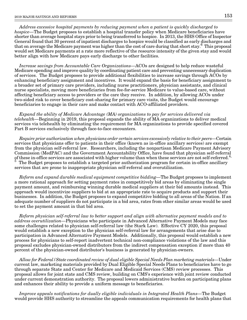Address excessive hospital payments by reducing payment when a patient is quickly discharged to hospice—The Budget proposes to establish a hospital transfer policy when Medicare beneficiaries have shorter than average hospital stays prior to being transferred to hospice. In 2013, the HHS Office of Inspector General found that 30 percent of inpatient discharges to hospice would be classified as early discharges and that on average the Medicare payment was higher than the cost of care during that short stay.<sup>6</sup> This proposal would set Medicare payments at a rate more reflective of the resource intensity of the given stay and would better align with how Medicare pays early discharge to other facilities.

Increase savings from Accountable Care Organizations—ACOs are designed to help reduce wasteful Medicare spending and improve quality by coordinating patient care and preventing unnecessary duplication of services. The Budget proposes to provide additional flexibilities to increase savings through ACOs by enhancing beneficiary assignment and incentives. It would expand the basis for beneficiary assignment to a broader set of primary care providers, including nurse practitioners, physician assistants, and clinical nurse specialists, moving more beneficiaries from fee-for-service Medicare to value-based care, without affecting beneficiary access to providers or the care they receive. In addition, by allowing ACOs under two-sided risk to cover beneficiary cost-sharing for primary care visits, the Budget would encourage beneficiaries to engage in their care and make contact with ACO-affiliated providers.

Expand the ability of Medicare Advantage (MA) organizations to pay for services delivered via telehealth—Beginning in 2019, this proposal expands the ability of MA organizations to deliver medical services via telehealth by eliminating the requirement for MA organizations to provide specified covered Part B services exclusively through face-to-face encounters.

Require prior authorization when physicians order certain services excessively relative to their peers—Certain services that physicians offer to patients in their office (known as in-office ancillary services) are exempt from the physician self-referral law. Researchers, including the nonpartisan Medicare Payment Advisory Commission (MedPAC) and the Government Accountability Office, have found that physician self-referral of these in-office services are associated with higher volume than when these services are not self-referred.<sup>4,  $\frac{5}{7}$ </sup> The Budget proposes to establish a tergoted prior authorization program for eartein in office anc The Budget proposes to establish a targeted prior authorization program for certain in-office ancillary services that are prone to inappropriate physician self-referral and overutilization.

Reform and expand durable medical equipment competitive bidding—The Budget proposes to implement a more rational approach for setting payment rates in competitively bid areas by eliminating the single payment amount, and reimbursing winning durable medical suppliers at their bid amounts instead. This approach would incentivize suppliers to bid at an appropriate rate to acquire products and support their businesses. In addition, the Budget proposes to expand competitive bidding to all areas of the Nation. If an adequate number of suppliers do not participate in a bid area, rates from other similar areas would be used to set the payment amount in that bid area.

Reform physician self-referral law to better support and align with alternative payment models and to address overutilization—Physicians who participate in Advanced Alternative Payment Models may face some challenges related to physician self-referral law (the Stark Law). Effective CY 2020, this proposal would establish a new exception to the physician self-referral law for arrangements that arise due to participation in Advanced Alternative Payment Models. Additionally, this proposal would establish a new process for physicians to self-report inadvertent technical non-compliance violations of the law and this proposal excludes physician-owned distributors from the indirect compensation exception if more than 40 percent of the physician-owned distributor's business is generated by physician-owners.

Allow for Federal/State coordinated review of dual eligible Special Needs Plan marketing materials—Under current law, marketing materials provided by Dual Eligible Special Needs Plans to beneficiaries have to go through separate State and Center for Medicare and Medicaid Services (CMS) review processes. This proposal allows for joint state and CMS review, building on CMS's experience with joint review conducted under current demonstration authority. The proposal lowers administrative burden on participating plans and enhances their ability to provide a uniform message to beneficiaries.

Improve appeals notifications for dually eligible individuals in Integrated Health Plans—The Budget would provide HHS authority to streamline the appeals communication requirements for health plans that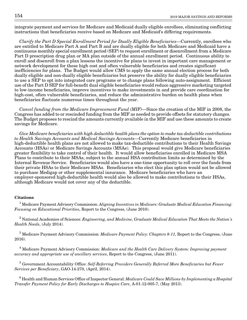integrate payment and services for Medicare and Medicaid dually eligible enrollees, eliminating conflicting instructions that beneficiaries receive based on Medicare and Medicaid's differing requirements.

Clarify the Part D Special Enrollment Period for Dually Eligible Beneficiaries—Currently, enrollees who are entitled to Medicare Part A and Part B and are dually eligible for both Medicare and Medicaid have a continuous monthly special enrollment period (SEP) to request enrollment or disenrollment from a Medicare Part D prescription drug plan or MA plan outside of the annual enrollment period. Continuous ability to enroll and disenroll from a plan lessens the incentive for plans to invest in important care management or network development for these high cost and often vulnerable beneficiaries and creates significant inefficiencies for plans. The Budget would allow CMS to apply the same annual election process for both dually eligible and non-dually eligible beneficiaries but preserve the ability for dually eligible beneficiaries to use a SEP to opt into integrated care programs or to change plans following auto-assignment. Efficient use of the Part D SEP for full-benefit dual eligible beneficiaries would reduce aggressive marketing targeted to low-income beneficiaries, improve incentives to make investments in and provide care coordination for high-cost, often vulnerable beneficiaries, and reduce the administrative burden on health plans when beneficiaries fluctuate numerous times throughout the year.

Cancel funding from the Medicare Improvement Fund (MIF)—Since the creation of the MIF in 2008, the Congress has added to or rescinded funding from the MIF as needed to provide offsets for statutory changes. The Budget proposes to rescind the amounts currently available in the MIF and use these amounts to create savings for Medicare.

Give Medicare beneficiaries with high deductible health plans the option to make tax deductible contributions to Health Savings Accounts and Medical Savings Accounts—Currently Medicare beneficiaries in high-deductible health plans are not allowed to make tax-deductible contributions to their Health Savings Accounts (HSAs) or Medicare Savings Accounts (MSAs). This proposal would give Medicare beneficiaries greater flexibility to take control of their health. It would allow beneficiaries enrolled in Medicare MSA Plans to contribute to their MSAs, subject to the annual HSA contribution limits as determined by the Internal Revenue Service. Beneficiaries would also have a one-time opportunity to roll over the funds from their private HSAs to their Medicare MSAs. Beneficiaries who elect this plan option would not be allowed to purchase Medigap or other supplemental insurance. Medicare beneficiaries who have an employer-sponsored high-deductible health would also be allowed to make contributions to their HSAs, although Medicare would not cover any of the deductible.

#### **Citations**

 $^{\rm 1}$  Medicare Payment Advisory Commission: Aligning Incentives in Medicare: Graduate Medical Education Financing: Focusing on Educational Priorities, Report to the Congress, (June 2010).

 $^2$  National Academies of Sciences: *Engineering, and Medicine, Graduate Medical Education That Meets the Nation's* Health Needs, (July 2014).

 $^3$  Medicare Payment Advisory Commission: *Medicare Payment Policy: Chapters 8-11,* Report to the Congress, (June 2016).

 $^4$  Medicare Payment Advisory Commission: *Medicare and the Health Care Delivery System: Improving payment* accuracy and appropriate use of ancillary services, Report to the Congress, (June 2011).

 $^5$  Government Accountability Office: Self-Referring Providers Generally Referred More Beneficiaries but Fewer Services per Beneficiary, GAO-14-270, (April, 2014).

 $^6$  Health and Human Services Office of Inspector General: *Medicare Could Save Millions by Implementing a Hospital* Transfer Payment Policy for Early Discharges to Hospice Care, A-01-12-005-7, (May 2013).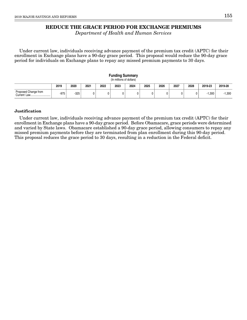### **REDUCE THE GRACE PERIOD FOR EXCHANGE PREMIUMS**

Department of Health and Human Services

Under current law, individuals receiving advance payment of the premium tax credit (APTC) for their enrollment in Exchange plans have a 90-day grace period. This proposal would reduce the 90-day grace period for individuals on Exchange plans to repay any missed premium payments to 30 days.

|                      |                                                                                                    |        |  |  | <b>Funding Summary</b><br>(In millions of dollars) |   |  |  |  |  |       |          |  |  |
|----------------------|----------------------------------------------------------------------------------------------------|--------|--|--|----------------------------------------------------|---|--|--|--|--|-------|----------|--|--|
|                      | 2027<br>2019<br>2020<br>2025<br>2026<br>2019-23<br>2021<br>2023<br>2024<br>2019-28<br>2022<br>2028 |        |  |  |                                                    |   |  |  |  |  |       |          |  |  |
| Proposed Change from | $-975$                                                                                             | $-325$ |  |  | 0                                                  | 0 |  |  |  |  | 1.300 | $-1,300$ |  |  |

#### **Justification**

Under current law, individuals receiving advance payment of the premium tax credit (APTC) for their enrollment in Exchange plans have a 90-day grace period. Before Obamacare, grace periods were determined and varied by State laws. Obamacare established a 90-day grace period, allowing consumers to repay any missed premium payments before they are terminated from plan enrollment during this 90-day period. This proposal reduces the grace period to 30 days, resulting in a reduction in the Federal deficit.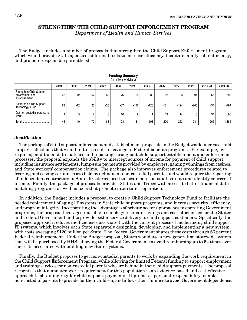### **STRENGTHEN THE CHILD SUPPORT ENFORCEMENT PROGRAM**

Department of Health and Human Services

The Budget includes a number of proposals that strengthen the Child Support Enforcement Program, which would provide State agencies additional tools to increase efficiency, facilitate family self-sufficiency, and promote responsible parenthood.

|                                                              | 2019  | 2020  | 2021  | 2022  | 2023   | 2024   | 2025   | 2026   | 2027   | 2028   | 2019-23 | 2019-28  |  |  |  |
|--------------------------------------------------------------|-------|-------|-------|-------|--------|--------|--------|--------|--------|--------|---------|----------|--|--|--|
| Strengthen Child Support<br>enforcement and<br>establishment | $-22$ | $-42$ | $-57$ | $-68$ | $-76$  | $-80$  | $-82$  | $-82$  | $-83$  | $-94$  | $-265$  | -686     |  |  |  |
| Establish a Child Support<br>Technology Fund                 | 63    | $-12$ | $-20$ | $-28$ | $-37$  | $-110$ | $-120$ | $-131$ | $-194$ | $-205$ | $-34$   | $-794$   |  |  |  |
| Get non-custodial parents to                                 |       | 5     |       | 8     | 10     | 9      | 11     | 13     | 14     | 15     | 34      | 96       |  |  |  |
| Total                                                        | 45    | $-49$ | $-70$ | $-88$ | $-103$ | $-181$ | $-191$ | $-200$ | $-263$ | $-284$ | $-265$  | $-1,384$ |  |  |  |

**Funding Summary** (In millions of dollars)

#### **Justification**

The package of child support enforcement and establishment proposals in the Budget would increase child support collections that would in turn result in savings to Federal benefits programs. For example, by requiring additional data matches and reporting throughout child support establishment and enforcement processes, the proposal expands the ability to intercept sources of income for payment of child support, including insurance settlements, lump-sum payments provided by employers, gaming winnings from casinos, and State workers' compensation claims. The package also improves enforcement procedures related to freezing and seizing certain assets held by delinquent non-custodial parents, and would require the reporting of independent contractors to State directories used to locate non-custodial parents and identify sources of income. Finally, the package of proposals provides States and Tribes with access to better financial data matching programs, as well as tools that promote interstate cooperation.

In addition, the Budget includes a proposal to create a Child Support Technology Fund to facilitate the needed replacement of aging IT systems in State child support programs, and increase security, efficiency, and program integrity. Incorporating the advantages of private sector approaches to operating Government programs, the proposal leverages reusable technology to create savings and cost-efficiencies for the States and Federal Government and to provide better service delivery to child support customers. Specifically, the proposed approach reduces inefficiencies associated with the current process of modernizing child support IT systems, which involves each State separately designing, developing, and implementing a new system, with costs averaging \$120 million per State. The Federal Government shares these costs through 66 percent Federal reimbursement. Under the Budget proposal, States would use a new generation statewide system that will be purchased by HHS, allowing the Federal Government to avoid reimbursing up to 54 times over the costs associated with building new State systems.

Finally, the Budget proposes to get non-custodial parents to work by expanding the work requirement in the Child Support Enforcement Program, while allowing for limited Federal funding to support employment and training services for non-custodial parents who are behind in their child support payments. The proposal recognizes that mandated work requirement for this population is an evidence-based and cost-effective approach to obtaining regular child support payments. It promotes personal responsibility, enables non-custodial parents to provide for their children, and allows their families to avoid Government dependence.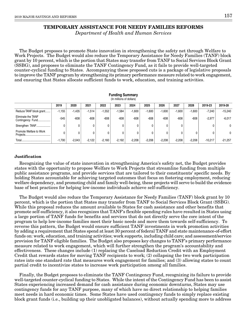# **TEMPORARY ASSISTANCE FOR NEEDY FAMILIES REFORMS**

Department of Health and Human Services

The Budget proposes to promote State innovation in strengthening the safety net through Welfare to Work Projects. The Budget would also reduce the Temporary Assistance for Needy Families (TANF) block grant by 10 percent, which is the portion that States may transfer from TANF to Social Services Block Grant (SSBG), and proposes to eliminate the TANF Contingency Fund, as it fails to provide well-targeted counter-cyclical funding to States. Accompanying these proposed cuts is a package of legislative proposals to improve the TANF program by strengthening its primary performance measure related to work engagement, and ensuring that States allocate sufficient funds to work, education, and training activities.

| <b>Funding Summary</b><br>(In millions of dollars) |          |          |          |          |          |          |          |          |          |          |           |              |  |  |
|----------------------------------------------------|----------|----------|----------|----------|----------|----------|----------|----------|----------|----------|-----------|--------------|--|--|
|                                                    | 2019     | 2020     | 2021     | 2022     | 2023     | 2024     | 2025     | 2026     | 2027     | 2028     | 2019-23   | 2019-28      |  |  |
| Reduce TANF block grant                            | $-1,155$ | $-1,435$ | $-1,514$ | $-1,552$ | $-1,584$ | $-1,600$ | $-1,600$ | $-1,600$ | $-1,600$ | $-1,600$ | $-7,240$  | $-15,240$    |  |  |
| Eliminate the TANF<br>Contingency Fund             | $-545$   | $-608$   | $-608$   | -608     | $-608$   | $-608$   | $-608$   | -608     | $-608$   | $-608$   | $-2,977$  | $-6,017$     |  |  |
| Strengthen TANF                                    | 0        | 0        | 0        | 0        |          |          | 0        | 0        |          |          | 0         | $\mathbf{0}$ |  |  |
| Promote Welfare to Work<br>Projects                |          | 0        | 0        | 0        |          | 0        | 0        | 0        |          | 0        |           | $\mathbf{0}$ |  |  |
| Total                                              | $-1,700$ | $-2.043$ | $-2,122$ | $-2.160$ | $-2.192$ | $-2.208$ | $-2,208$ | $-2.208$ | $-2.208$ | $-2,208$ | $-10,217$ | $-21.257$    |  |  |

**Funding Summary**

#### **Justification**

Recognizing the value of state innovation in strengthening America's safety net, the Budget provides states with the opportunity to propose Welfare to Work Projects that streamline funding from multiple public assistance programs, and provide services that are tailored to their constituents' specific needs. By holding States accountable for achieving targeted outcomes that focus on fostering employment, reducing welfare dependency, and promoting child and family well-being, these projects will serve to build the evidence base of best practices for helping low-income individuals achieve self-sufficiency.

The Budget would also reduce the Temporary Assistance for Needy Families (TANF) block grant by 10 percent, which is the portion that States may transfer from TANF to Social Services Block Grant (SSBG). While this proposal reduces the amount available to States for cash assistance and other benefits that promote self-sufficiency, it also recognizes that TANF's flexible spending rules have resulted in States using a large portion of TANF funds for benefits and services that do not directly serve the core intent of the program to help low-income families meet their basic needs and move them towards self-sufficiency. To reverse this pattern, the Budget would ensure sufficient TANF investments in work promotion activities by adding a requirement that States spend at least 30 percent of federal TANF and state maintenance-of-effort funds on: work, education, and training activities; work supports, including child care; and assessment/service provision for TANF eligible families. The Budget also proposes key changes to TANF's primary performance measure related to work engagement, which will further strengthen the program's accountability and effectiveness. These changes include (1) replacing the Caseload Reduction Credit with an Employment Credit that rewards states for moving TANF recipients to work; (2) collapsing the two work participation rates into one standard rate that measures work engagement for families; and (3) allowing states to count partial credit to incentivize states to increase work participation among all families.

Finally, the Budget proposes to eliminate the TANF Contingency Fund, recognizing its failure to provide well-targeted counter-cyclical funding to States. While the intent of the Contingency Fund has been to assist States experiencing increased demand for cash assistance during economic downturns, States may use contingency funds for any TANF purpose, many of which have no direct relationship to helping families meet needs in hard economic times. Some States have used contingency funds to simply replace existing block grant funds (i.e., building up their unobligated balances), without actually spending more to address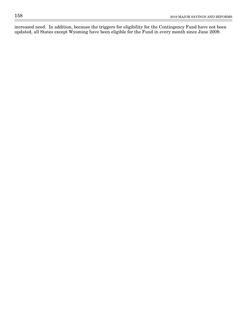increased need. In addition, because the triggers for eligibility for the Contingency Fund have not been updated, all States except Wyoming have been eligible for the Fund in every month since June 2009.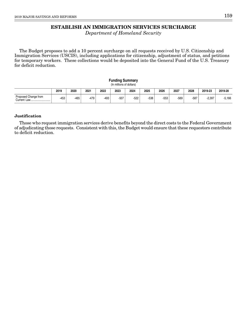# **ESTABLISH AN IMMIGRATION SERVICES SURCHARGE**

Department of Homeland Security

The Budget proposes to add a 10 percent surcharge on all requests received by U.S. Citizenship and Immigration Services (USCIS), including applications for citizenship, adjustment of status, and petitions for temporary workers. These collections would be deposited into the General Fund of the U.S. Treasury for deficit reduction.

#### **Funding Summary** (In millions of dollars)

|                                          | 2019            | 2020 | 2021 | 2022 | 2023   | 2024   | 2025   | 2026   | 2027 | 2028   | 2019-23  | 2019-28 |
|------------------------------------------|-----------------|------|------|------|--------|--------|--------|--------|------|--------|----------|---------|
| Proposed Change from<br>+ urrentٽ<br>Law | $1 - 2$<br>-4ວບ | -465 | -479 | -493 | $-507$ | $-522$ | $-538$ | $-553$ | -569 | $-587$ | $-2.397$ | 5,166   |

#### **Justification**

Those who request immigration services derive benefits beyond the direct costs to the Federal Government of adjudicating those requests. Consistent with this, the Budget would ensure that these requestors contribute to deficit reduction.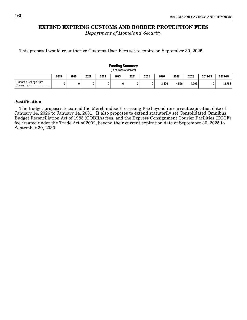# **EXTEND EXPIRING CUSTOMS AND BORDER PROTECTION FEES**

Department of Homeland Security

This proposal would re-authorize Customs User Fees set to expire on September 30, 2025.

#### **Funding Summary** (In millions of dollars) **2019 2020 2021 2022 2023 2024 2025 2026 2027 2028 2019-23 2019-28** Proposed Change from | o | o | o | o | o | o | -3,406 | -4,556 | -4,796 | o | -12,758<br>Current law Current Law.....

#### **Justification**

The Budget proposes to extend the Merchandise Processing Fee beyond its current expiration date of January 14, 2026 to January 14, 2031. It also proposes to extend statutorily set Consolidated Omnibus Budget Reconciliation Act of 1985 (COBRA) fees, and the Express Consignment Courier Facilities (ECCF) fee created under the Trade Act of 2002, beyond their current expiration date of September 30, 2025 to September 30, 2030.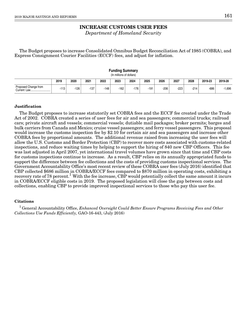# **INCREASE CUSTOMS USER FEES**

Department of Homeland Security

The Budget proposes to increase Consolidated Omnibus Budget Reconciliation Act of 1985 (COBRA), and Express Consignment Courier Facilities (ECCF) fees, and adjust for inflation.

|                      | r ununiy Jumniai y<br>(In millions of dollars) |      |        |        |      |      |        |      |        |        |         |         |  |  |
|----------------------|------------------------------------------------|------|--------|--------|------|------|--------|------|--------|--------|---------|---------|--|--|
|                      | 2019                                           | 2020 | 2021   | 2022   | 2023 | 2024 | 2025   | 2026 | 2027   | 2028   | 2019-23 | 2019-28 |  |  |
| Proposed Change from | $-113$                                         | -126 | $-137$ | $-148$ | -162 | -176 | $-191$ | -206 | $-223$ | $-214$ | $-686$  | 696. ا  |  |  |

**Funding Summary**

#### **Justification**

The Budget proposes to increase statutorily set COBRA fees and the ECCF fee created under the Trade Act of 2002. COBRA created a series of user fees for air and sea passengers; commercial trucks; railroad cars; private aircraft and vessels; commercial vessels; dutiable mail packages; broker permits; barges and bulk carriers from Canada and Mexico; cruise vessel passengers; and ferry vessel passengers. This proposal would increase the customs inspection fee by \$2.10 for certain air and sea passengers and increase other COBRA fees by proportional amounts. The additional revenue raised from increasing the user fees will allow the U.S. Customs and Border Protection (CBP) to recover more costs associated with customs-related inspections, and reduce waiting times by helping to support the hiring of 840 new CBP Officers. This fee was last adjusted in April 2007, yet international travel volumes have grown since that time and CBP costs for customs inspections continue to increase. As a result, CBP relies on its annually appropriated funds to support the difference between fee collections and the costs of providing customs inspectional services. The Government Accountability Office's most recent review of these COBRA user fees (July 2016) identified that CBP collected \$686 million in COBRA/ECCF fees compared to \$870 million in operating costs, exhibiting a recovery rate of 78 percent.<sup>1</sup> With the fee increase, CBP would potentially collect the same amount it incurs in COBRA/ECCF eligible costs in 2019. The proposed legislation will close the gap between costs and collections, enabling CBP to provide improved inspectional services to those who pay this user fee.

#### **Citations**

 $1$  General Accountability Office, Enhanced Oversight Could Better Ensure Programs Receiving Fees and Other Collections Use Funds Efficiently, GAO-16-443, (July 2016)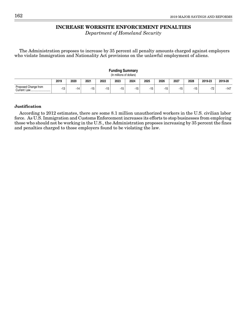# **INCREASE WORKSITE ENFORCEMENT PENALTIES**

Department of Homeland Security

The Administration proposes to increase by 35 percent all penalty amounts charged against employers who violate Immigration and Nationality Act provisions on the unlawful employment of aliens.

| <b>Funding Summary</b><br>(In millions of dollars) |      |       |       |      |       |       |       |       |       |      |         |         |  |
|----------------------------------------------------|------|-------|-------|------|-------|-------|-------|-------|-------|------|---------|---------|--|
|                                                    | 2019 | 2020  | 2021  | 2022 | 2023  | 2024  | 2025  | 2026  | 2027  | 2028 | 2019-23 | 2019-28 |  |
| Proposed Change from                               | -13  | $-14$ | $-15$ | -15  | $-15$ | $-15$ | $-15$ | $-15$ | $-15$ | -15  | $-72$   | $-147$  |  |

### **Justification**

According to 2012 estimates, there are some 8.1 million unauthorized workers in the U.S. civilian labor force. As U.S. Immigration and Customs Enforcement increases its efforts to stop businesses from employing those who should not be working in the U.S., the Administration proposes increasing by 35 percent the fines and penalties charged to those employers found to be violating the law.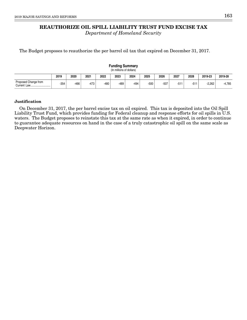# **REAUTHORIZE OIL SPILL LIABILITY TRUST FUND EXCISE TAX**

Department of Homeland Security

The Budget proposes to reauthorize the per barrel oil tax that expired on December 31, 2017.

#### **Funding Summary** (In millions of dollars) **2019 2020 2021 2022 2023 2024 2025 2026 2027 2028 2019-23 2019-28** -354 -466 -473 -480 -489 -494 -500 -507 -511 -511 -2,262 -4,785 Proposed Change from Current Law......

#### **Justification**

On December 31, 2017, the per barrel excise tax on oil expired. This tax is deposited into the Oil Spill Liability Trust Fund, which provides funding for Federal cleanup and response efforts for oil spills in U.S. waters. The Budget proposes to reinstate this tax at the same rate as when it expired, in order to continue to guarantee adequate resources on hand in the case of a truly catastrophic oil spill on the same scale as Deepwater Horizon.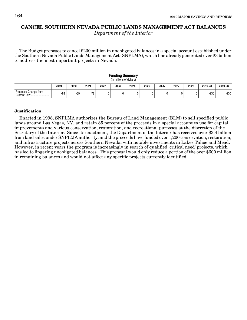# **CANCEL SOUTHERN NEVADA PUBLIC LANDS MANAGEMENT ACT BALANCES**

Department of the Interior

The Budget proposes to cancel \$230 million in unobligated balances in a special account established under the Southern Nevada Public Lands Management Act (SNPLMA), which has already generated over \$3 billion to address the most important projects in Nevada.

| <b>Funding Summary</b><br>(In millions of dollars) |       |      |       |      |      |      |      |      |      |      |         |         |  |
|----------------------------------------------------|-------|------|-------|------|------|------|------|------|------|------|---------|---------|--|
|                                                    | 2019  | 2020 | 2021  | 2022 | 2023 | 2024 | 2025 | 2026 | 2027 | 2028 | 2019-23 | 2019-28 |  |
| Proposed Change from                               | $-83$ | -69  | $-78$ | 0    |      |      |      |      |      |      | $-230$  | $-230$  |  |

#### **Justification**

Enacted in 1998, SNPLMA authorizes the Bureau of Land Management (BLM) to sell specified public lands around Las Vegas, NV, and retain 85 percent of the proceeds in a special account to use for capital improvements and various conservation, restoration, and recreational purposes at the discretion of the Secretary of the Interior. Since its enactment, the Department of the Interior has received over \$3.4 billion from land sales under SNPLMA authority, and the proceeds have funded over 1,200 conservation, restoration, and infrastructure projects across Southern Nevada, with notable investments in Lakes Tahoe and Mead. However, in recent years the program is increasingly in search of qualified 'critical need' projects, which has led to lingering unobligated balances. This proposal would only reduce a portion of the over \$600 million in remaining balances and would not affect any specific projects currently identified.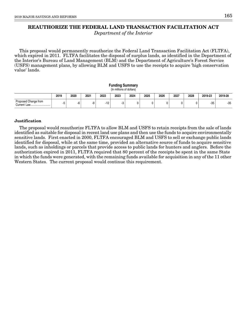# **REAUTHORIZE THE FEDERAL LAND TRANSACTION FACILITATION ACT**

Department of the Interior

This proposal would permanently reauthorize the Federal Land Transaction Facilitation Act (FLTFA), which expired in 2011. FLTFA facilitates the disposal of surplus lands, as identified in the Department of the Interior's Bureau of Land Management (BLM) and the Department of Agriculture's Forest Service (USFS) management plans, by allowing BLM and USFS to use the receipts to acquire 'high conservation value' lands.

| <b>Funding Summary</b><br>(In millions of dollars) |      |      |      |       |      |      |      |      |      |      |         |         |  |
|----------------------------------------------------|------|------|------|-------|------|------|------|------|------|------|---------|---------|--|
|                                                    | 2019 | 2020 | 2021 | 2022  | 2023 | 2024 | 2025 | 2026 | 2027 | 2028 | 2019-23 | 2019-28 |  |
| Proposed Change from<br>Current Law                |      | -6   | -9   | $-12$ | -3   | 0    |      | U    |      |      | $-35$   | $-35$   |  |

#### **Justification**

The proposal would reauthorize FLTFA to allow BLM and USFS to retain receipts from the sale of lands identified as suitable for disposal in recent land use plans and then use the funds to acquire environmentally sensitive lands. First enacted in 2000, FLTFA encouraged BLM and USFS to sell or exchange public lands identified for disposal, while at the same time, provided an alternative source of funds to acquire sensitive lands, such as inholdings or parcels that provide access to public lands for hunters and anglers. Before the authorization expired in 2011, FLTFA required that 80 percent of the receipts be spent in the same State in which the funds were generated, with the remaining funds available for acquisition in any of the 11 other Western States. The current proposal would continue this requirement.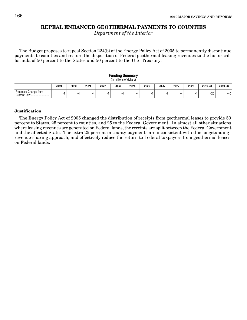# **REPEAL ENHANCED GEOTHERMAL PAYMENTS TO COUNTIES**

Department of the Interior

The Budget proposes to repeal Section 224(b) of the Energy Policy Act of 2005 to permanently discontinue payments to counties and restore the disposition of Federal geothermal leasing revenues to the historical formula of 50 percent to the States and 50 percent to the U.S. Treasury.

| <b>Funding Summary</b><br>(In millions of dollars) |      |      |      |      |      |      |      |      |      |      |         |         |  |
|----------------------------------------------------|------|------|------|------|------|------|------|------|------|------|---------|---------|--|
|                                                    | 2019 | 2020 | 2021 | 2022 | 2023 | 2024 | 2025 | 2026 | 2027 | 2028 | 2019-23 | 2019-28 |  |
| Proposed Change from<br>Current Law                | -4   | -4   | -4   | -4   | -4   | -4   | -4   | -4   |      | $-4$ | $-20$   | $-40$   |  |

#### **Justification**

The Energy Policy Act of 2005 changed the distribution of receipts from geothermal leases to provide 50 percent to States, 25 percent to counties, and 25 to the Federal Government. In almost all other situations where leasing revenues are generated on Federal lands, the receipts are split between the Federal Government and the affected State. The extra 25 percent in county payments are inconsistent with this longstanding revenue-sharing approach, and effectively reduce the return to Federal taxpayers from geothermal leases on Federal lands.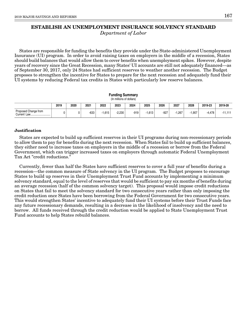## **ESTABLISH AN UNEMPLOYMENT INSURANCE SOLVENCY STANDARD** Department of Labor

States are responsible for funding the benefits they provide under the State-administered Unemployment Insurance (UI) program. In order to avoid raising taxes on employers in the middle of a recession, States should build balances that would allow them to cover benefits when unemployment spikes. However, despite years of recovery since the Great Recession, many States' UI accounts are still not adequately financed—as of September 30, 2017, only 24 States had sufficient reserves to weather another recession. The Budget proposes to strengthen the incentive for States to prepare for the next recession and adequately fund their UI systems by reducing Federal tax credits in States with particularly low reserve balances.

| <b>Funding Summary</b><br>(In millions of dollars) |      |      |        |          |          |        |          |        |          |       |         |           |  |
|----------------------------------------------------|------|------|--------|----------|----------|--------|----------|--------|----------|-------|---------|-----------|--|
|                                                    | 2019 | 2020 | 2021   | 2022     | 2023     | 2024   | 2025     | 2026   | 2027     | 2028  | 2019-23 | 2019-28   |  |
| Proposed Change from                               |      |      | $-633$ | $-1.615$ | $-2.230$ | $-919$ | $-1.613$ | $-927$ | $-1.267$ | 1.907 | -4.478  | $-11.111$ |  |

#### **Justification**

States are expected to build up sufficient reserves in their UI programs during non-recessionary periods to allow them to pay for benefits during the next recession. When States fail to build up sufficient balances, they either need to increase taxes on employers in the middle of a recession or borrow from the Federal Government, which can trigger increased taxes on employers through automatic Federal Unemployment Tax Act "credit reductions."

Currently, fewer than half the States have sufficient reserves to cover a full year of benefits during a recession—the common measure of State solvency in the UI program. The Budget proposes to encourage States to build up reserves in their Unemployment Trust Fund accounts by implementing a minimum solvency standard, equal to the level of reserves that would be sufficient to pay six months of benefits during an average recession (half of the common solvency target). This proposal would impose credit reductions on States that fail to meet the solvency standard for two consecutive years rather than only imposing the credit reduction once States have been borrowing from the Federal Government for two consecutive years. This would strengthen States' incentive to adequately fund their UI systems before their Trust Funds face any future recessionary demands, resulting in a decrease in the likelihood of insolvency and the need to borrow. All funds received through the credit reduction would be applied to State Unemployment Trust Fund accounts to help States rebuild balances.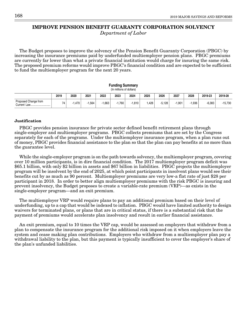## **IMPROVE PENSION BENEFIT GUARANTY CORPORATION SOLVENCY**

Department of Labor

The Budget proposes to improve the solvency of the Pension Benefit Guaranty Corporation (PBGC) by increasing the insurance premiums paid by underfunded multiemployer pension plans. PBGC premiums are currently far lower than what a private financial institution would charge for insuring the same risk. The proposed premium reforms would improve PBGC's financial condition and are expected to be sufficient to fund the multiemployer program for the next 20 years.

#### **Funding Summary** (In millions of dollars)

|                                 | 2019 | 2020     | 2021 | 2022 | 2023 | 2024  | 2025 | 2026     | 2027 | 2028 | 2019-23  | 2019-28   |
|---------------------------------|------|----------|------|------|------|-------|------|----------|------|------|----------|-----------|
| Proposed Change from<br>Current |      | . .470 ! | .564 | .663 | .760 | 1.810 | .428 | $-5,128$ | .901 | 936. | $-6,383$ | $-15,730$ |

#### **Justification**

PBGC provides pension insurance for private sector defined benefit retirement plans through single-employer and multiemployer programs. PBGC collects premiums that are set by the Congress separately for each of the programs. Under the multiemployer insurance program, when a plan runs out of money, PBGC provides financial assistance to the plan so that the plan can pay benefits at no more than the guarantee level.

While the single-employer program is on the path towards solvency, the multiemployer program, covering over 10 million participants, is in dire financial condition. The 2017 multiemployer program deficit was \$65.1 billion, with only \$2 billion in assets and \$67 billion in liabilities. PBGC projects the multiemployer program will be insolvent by the end of 2025, at which point participants in insolvent plans would see their benefits cut by as much as 90 percent. Multiemployer premiums are very low-a flat rate of just \$28 per participant in 2018. In order to better align multiemployer premiums with the risk PBGC is insuring and prevent insolvency, the Budget proposes to create a variable-rate premium (VRP)—as exists in the single-employer program—and an exit premium.

The multiemployer VRP would require plans to pay an additional premium based on their level of underfunding, up to a cap that would be indexed to inflation. PBGC would have limited authority to design waivers for terminated plans, or plans that are in critical status, if there is a substantial risk that the payment of premiums would accelerate plan insolvency and result in earlier financial assistance.

An exit premium, equal to 10 times the VRP cap, would be assessed on employers that withdraw from a plan to compensate the insurance program for the additional risk imposed on it when employers leave the system and cease making plan contributions. Employers who withdraw from a multiemployer plan pay a withdrawal liability to the plan, but this payment is typically insufficient to cover the employer's share of the plan's unfunded liabilities.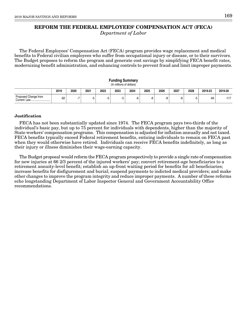# **REFORM THE FEDERAL EMPLOYEES' COMPENSATION ACT (FECA)**

Department of Labor

The Federal Employees' Compensation Act (FECA) program provides wage replacement and medical benefits to Federal civilian employees who suffer from occupational injury or disease, or to their survivors. The Budget proposes to reform the program and generate cost savings by simplifying FECA benefit rates, modernizing benefit administration, and enhancing controls to prevent fraud and limit improper payments.

| <b>Funding Summary</b><br>(In millions of dollars) |       |      |      |      |      |      |      |      |      |      |         |         |  |
|----------------------------------------------------|-------|------|------|------|------|------|------|------|------|------|---------|---------|--|
|                                                    | 2019  | 2020 | 2021 | 2022 | 2023 | 2024 | 2025 | 2026 | 2027 | 2028 | 2019-23 | 2019-28 |  |
| Proposed Change from                               | $-62$ |      | -5   | -5   | -5   | -0   | ۰.   | -8   | -8   | -5   | -84     | $-117$  |  |

**Funding Summary**

#### **Justification**

FECA has not been substantially updated since 1974. The FECA program pays two-thirds of the individual's basic pay, but up to 75 percent for individuals with dependents, higher than the majority of State workers' compensation programs. This compensation is adjusted for inflation annually and not taxed. FECA benefits typically exceed Federal retirement benefits, enticing individuals to remain on FECA past when they would otherwise have retired. Individuals can receive FECA benefits indefinitely, as long as their injury or illness diminishes their wage-earning capacity.

The Budget proposal would reform the FECA program prospectively to provide a single rate of compensation for new injuries at 66 2/3 percent of the injured workers' pay; convert retirement-age beneficiaries to a retirement annuity-level benefit; establish an up-front waiting period for benefits for all beneficiaries; increase benefits for disfigurement and burial; suspend payments to indicted medical providers; and make other changes to improve the program integrity and reduce improper payments. A number of these reforms echo longstanding Department of Labor Inspector General and Government Accountability Office recommendations.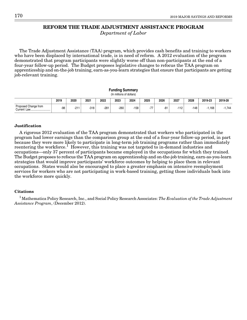### **REFORM THE TRADE ADJUSTMENT ASSISTANCE PROGRAM**

Department of Labor

The Trade Adjustment Assistance (TAA) program, which provides cash benefits and training to workers who have been displaced by international trade, is in need of reform. A 2012 evaluation of the program demonstrated that program participants were slightly worse off than non-participants at the end of a four-year follow-up period. The Budget proposes legislative changes to refocus the TAA program on apprenticeship and on-the-job training, earn-as-you-learn strategies that ensure that participants are getting job-relevant training.

| <b>Funding Summary</b><br>(In millions of dollars) |      |        |        |        |      |        |       |       |        |        |             |          |  |
|----------------------------------------------------|------|--------|--------|--------|------|--------|-------|-------|--------|--------|-------------|----------|--|
|                                                    | 2019 | 2020   | 2021   | 2022   | 2023 | 2024   | 2025  | 2026  | 2027   | 2028   | 2019-23     | 2019-28  |  |
| Proposed Change from<br>Current Law                | -98  | $-211$ | $-318$ | $-281$ | -260 | $-158$ | $-77$ | $-81$ | $-112$ | $-148$ | .168<br>- 1 | $-1.744$ |  |

**Funding Summary**

#### **Justification**

A rigorous 2012 evaluation of the TAA program demonstrated that workers who participated in the program had lower earnings than the comparison group at the end of a four-year follow-up period, in part because they were more likely to participate in long-term job training programs rather than immediately reentering the workforce.<sup>1</sup> However, this training was not targeted to in-demand industries and occupations—only 37 percent of participants became employed in the occupations for which they trained. The Budget proposes to refocus the TAA program on apprenticeship and on-the-job training, earn-as-you-learn strategies that would improve participants' workforce outcomes by helping to place them in relevant occupations. States would also be encouraged to place a greater emphasis on intensive reemployment services for workers who are not participating in work-based training, getting those individuals back into the workforce more quickly.

#### **Citations**

 $^1$ Mathematica Policy Research, Inc., and Social Policy Research Associates: *The Evaluation of the Trade Adjustment* Assistance Program, (December 2012).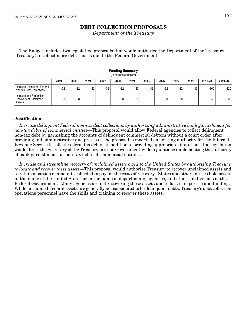# **DEBT COLLECTION PROPOSALS**

Department of the Treasury

The Budget includes two legislative proposals that would authorize the Department of the Treasury (Treasury) to collect more debt that is due to the Federal Government.

|                                                                 | (In millions of dollars) |       |       |       |       |       |       |       |       |       |         |         |  |  |  |
|-----------------------------------------------------------------|--------------------------|-------|-------|-------|-------|-------|-------|-------|-------|-------|---------|---------|--|--|--|
|                                                                 | 2019                     | 2020  | 2021  | 2022  | 2023  | 2024  | 2025  | 2026  | 2027  | 2028  | 2019-23 | 2019-28 |  |  |  |
| Increase Delinguent Federal<br>Non-tax Debt Collections         | -32                      | $-32$ | $-32$ | $-32$ | $-32$ | $-32$ | $-32$ | $-32$ | $-32$ | $-32$ | -160    | -320    |  |  |  |
| Increase and Streamline<br>Recovery of Unclaimed<br>Assets.<br> | -8                       | -8    | -8    | -8    | -8    | -8    | -8    | -8    | -8    | -8    | $-40$   | -80     |  |  |  |

### **Funding Summary**

#### **Justification**

Increase delinquent Federal non-tax debt collections by authorizing administrative bank garnishment for non-tax debts of commercial entities—This proposal would allow Federal agencies to collect delinquent non-tax debt by garnishing the accounts of delinquent commercial debtors without a court order after providing full administrative due process. The proposal is modeled on existing authority for the Internal Revenue Service to collect Federal tax debts. In addition to providing appropriate limitations, the legislation would direct the Secretary of the Treasury to issue Government-wide regulations implementing the authority of bank garnishment for non-tax debts of commercial entities.

Increase and streamline recovery of unclaimed assets owed to the United States by authorizing Treasury to locate and recover these assets—This proposal would authorize Treasury to recover unclaimed assets and to retain a portion of amounts collected to pay for the costs of recovery. States and other entities hold assets in the name of the United States or in the name of departments, agencies, and other subdivisions of the Federal Government. Many agencies are not recovering these assets due to lack of expertise and funding. While unclaimed Federal assets are generally not considered to be delinquent debts, Treasury's debt collection operations personnel have the skills and training to recover these assets.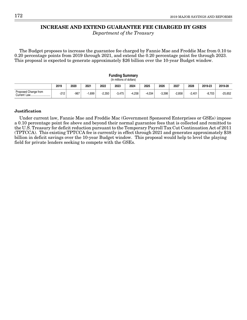# **INCREASE AND EXTEND GUARANTEE FEE CHARGED BY GSES**

Department of the Treasury

The Budget proposes to increase the guarantee fee charged by Fannie Mae and Freddie Mac from 0.10 to 0.20 percentage points from 2019 through 2021, and extend the 0.20 percentage point fee through 2023. This proposal is expected to generate approximately \$26 billion over the 10-year Budget window.

|                                     |                                                                                                    |        |       |          | <b>Funding Summary</b><br>(In millions of dollars) |          |          |          |          |          |          |           |  |  |
|-------------------------------------|----------------------------------------------------------------------------------------------------|--------|-------|----------|----------------------------------------------------|----------|----------|----------|----------|----------|----------|-----------|--|--|
|                                     | 2025<br>2027<br>2028<br>2023<br>2019-23<br>2019<br>2020<br>2021<br>2022<br>2024<br>2026<br>2019-28 |        |       |          |                                                    |          |          |          |          |          |          |           |  |  |
| Proposed Change from<br>Current Law | $-212$                                                                                             | $-967$ | 1.699 | $-2.350$ | $-3.475$                                           | $-4.258$ | $-4.034$ | $-3.398$ | $-2.858$ | $-2.401$ | $-8.703$ | $-25,652$ |  |  |

#### **Justification**

Under current law, Fannie Mae and Freddie Mac (Government Sponsored Enterprises or GSEs) impose a 0.10 percentage point fee above and beyond their normal guarantee fees that is collected and remitted to the U.S. Treasury for deficit reduction pursuant to the Temporary Payroll Tax Cut Continuation Act of 2011 (TPTCCA). This existing TPTCCA fee is currently in effect through 2021 and generates approximately \$38 billion in deficit savings over the 10-year Budget window. This proposal would help to level the playing field for private lenders seeking to compete with the GSEs.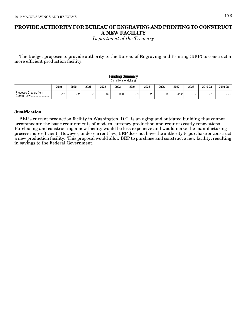# **PROVIDE AUTHORITY FOR BUREAU OF ENGRAVING AND PRINTING TO CONSTRUCT A NEW FACILITY**

Department of the Treasury

The Budget proposes to provide authority to the Bureau of Engraving and Printing (BEP) to construct a more efficient production facility.

|                      |                                                                                                    |       |    |    | <b>Funding Summary</b><br>(In millions of dollars) |       |    |     |        |  |        |        |  |  |
|----------------------|----------------------------------------------------------------------------------------------------|-------|----|----|----------------------------------------------------|-------|----|-----|--------|--|--------|--------|--|--|
|                      | 2025<br>2026<br>2027<br>2019<br>2021<br>2023<br>2019-23<br>2019-28<br>2020<br>2022<br>2024<br>2028 |       |    |    |                                                    |       |    |     |        |  |        |        |  |  |
| Proposed Change from | -12                                                                                                | $-32$ | -3 | 89 | $-360$                                             | $-53$ | 20 | ాచి | $-222$ |  | $-318$ | $-579$ |  |  |

#### **Justification**

BEP's current production facility in Washington, D.C. is an aging and outdated building that cannot accommodate the basic requirements of modern currency production and requires costly renovations. Purchasing and constructing a new facility would be less expensive and would make the manufacturing process more efficient. However, under current law, BEP does not have the authority to purchase or construct a new production facility. This proposal would allow BEP to purchase and construct a new facility, resulting in savings to the Federal Government.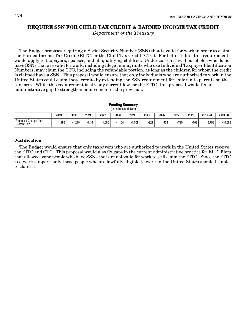## **REQUIRE SSN FOR CHILD TAX CREDIT & EARNED INCOME TAX CREDIT**

Department of the Treasury

The Budget proposes requiring a Social Security Number (SSN) that is valid for work in order to claim the Earned Income Tax Credit (EITC) or the Child Tax Credit (CTC). For both credits, this requirement would apply to taxpayers, spouses, and all qualifying children. Under current law, households who do not have SSNs that are valid for work, including illegal immigrants who use Individual Taxpayer Identification Numbers, may claim the CTC, including the refundable portion, as long as the children for whom the credit is claimed have a SSN. This proposal would ensure that only individuals who are authorized to work in the United States could claim these credits by extending the SSN requirement for children to parents on the tax form. While this requirement is already current law for the EITC, this proposal would fix an administrative gap to strengthen enforcement of the provision.

|                                                                                                    | <b>Funding Summary</b><br>(In millions of dollars) |          |          |          |          |          |        |      |        |        |          |           |  |  |
|----------------------------------------------------------------------------------------------------|----------------------------------------------------|----------|----------|----------|----------|----------|--------|------|--------|--------|----------|-----------|--|--|
| 2027<br>2022<br>2023<br>2025<br>2026<br>2028<br>2019-23<br>2019<br>2020<br>2024<br>2021<br>2019-28 |                                                    |          |          |          |          |          |        |      |        |        |          |           |  |  |
| Proposed Change from                                                                               | 1.186                                              | $-1.218$ | $-1.164$ | $-1.086$ | $-1.104$ | $-1.009$ | $-921$ | -903 | $-790$ | $-702$ | $-5,758$ | $-10,083$ |  |  |

#### **Justification**

The Budget would ensure that only taxpayers who are authorized to work in the United States receive the EITC and CTC. This proposal would also fix gaps in the current administrative practice for EITC filers that allowed some people who have SSNs that are not valid for work to still claim the EITC. Since the EITC is a work support, only those people who are lawfully eligible to work in the United States should be able to claim it.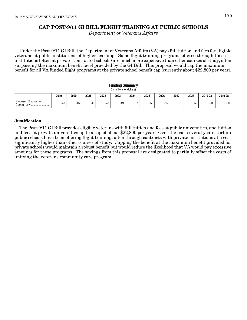# **CAP POST-9/11 GI BILL FLIGHT TRAINING AT PUBLIC SCHOOLS**

Department of Veterans Affairs

Under the Post-9/11 GI Bill, the Department of Veterans Affairs (VA) pays full tuition and fees for eligible veterans at public institutions of higher learning. Some flight training programs offered through these institutions (often at private, contracted schools) are much more expensive than other courses of study, often surpassing the maximum benefit level provided by the GI Bill. This proposal would cap the maximum benefit for all VA funded flight programs at the private school benefit cap (currently about \$22,800 per year).

|                                                                                                    | <b>Funding Summary</b><br>(In millions of dollars) |       |       |     |     |     |       |       |       |       |        |        |  |  |
|----------------------------------------------------------------------------------------------------|----------------------------------------------------|-------|-------|-----|-----|-----|-------|-------|-------|-------|--------|--------|--|--|
| 2027<br>2026<br>2020<br>2022<br>2025<br>2028<br>2024<br>2019-23<br>2019<br>2021<br>2023<br>2019-28 |                                                    |       |       |     |     |     |       |       |       |       |        |        |  |  |
| Proposed Change from                                                                               | $-43$                                              | $-45$ | $-46$ | -47 | -49 | -51 | $-53$ | $-55$ | $-57$ | $-59$ | $-230$ | $-505$ |  |  |

#### **Justification**

The Post-9/11 GI Bill provides eligible veterans with full tuition and fees at public universities, and tuition and fees at private universities up to a cap of about \$22,800 per year. Over the past several years, certain public schools have been offering flight training, often through contracts with private institutions at a cost significantly higher than other courses of study. Capping the benefit at the maximum benefit provided for private schools would maintain a robust benefit but would reduce the likelihood that VA would pay excessive amounts for these programs. The savings from this proposal are designated to partially offset the costs of unifying the veterans community care program.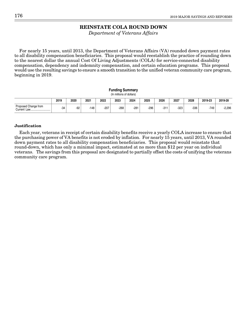# **REINSTATE COLA ROUND DOWN**

Department of Veterans Affairs

For nearly 15 years, until 2013, the Department of Veterans Affairs (VA) rounded down payment rates to all disability compensation beneficiaries. This proposal would reestablish the practice of rounding down to the nearest dollar the annual Cost Of Living Adjustments (COLA) for service-connected disability compensation, dependency and indemnity compensation, and certain education programs. This proposal would use the resulting savings to ensure a smooth transition to the unified veteran community care program, beginning in 2019.

|                      | Fununiy Summary<br>(In millions of dollars) |       |      |        |      |        |        |        |      |        |         |          |  |  |
|----------------------|---------------------------------------------|-------|------|--------|------|--------|--------|--------|------|--------|---------|----------|--|--|
|                      | 2019                                        | 2020  | 2021 | 2022   | 2023 | 2024   | 2025   | 2026   | 2027 | 2028   | 2019-23 | 2019-28  |  |  |
| Proposed Change from | $-34$                                       | $-92$ | -148 | $-207$ | -268 | $-281$ | $-296$ | $-311$ | -323 | $-336$ | -749    | $-2,296$ |  |  |

**Funding Summary**

#### **Justification**

Each year, veterans in receipt of certain disability benefits receive a yearly COLA increase to ensure that the purchasing power of VA benefits is not eroded by inflation. For nearly 15 years, until 2013, VA rounded down payment rates to all disability compensation beneficiaries. This proposal would reinstate that round-down, which has only a minimal impact, estimated at no more than \$12 per year on individual veterans. The savings from this proposal are designated to partially offset the costs of unifying the veterans community care program.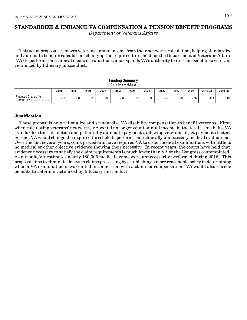# **STANDARDIZE & ENHANCE VA COMPENSATION & PENSION BENEFIT PROGRAMS** Department of Veterans Affairs

This set of proposals removes veterans annual income from their net worth calculation, helping standardize and automate benefits calculation, changing the required threshold for the Department of Veterans Affairs (VA) to perform some clinical medical evaluations, and expands VA's authority to re-issue benefits to veterans victimized by fiduciary misconduct.

#### **Funding Summary** (In millions of dollars) **2019 2020 2021 2022 2023 2024 2025 2026 2027 2028 2019-23 2019-28** -78 -80 -83 -85 -88 -90 -93 -95 -98 -397 -414 -1,187 Proposed Change from Current Law...

#### **Justification**

These proposals help rationalize and standardize VA disability compensation to benefit veterans. First, when calculating veterans' net worth, VA would no longer count annual income in the total. This helps VA standardize the calculation and potentially automate payments, allowing veterans to get payments faster. Second, VA would change the required threshold to perform some clinically unnecessary medical evaluations. Over the last several years, court precedents have required VA to order medical examinations with little to no medical or other objective evidence showing their necessity. In recent years, the courts have held that evidence necessary to satisfy the claim requirements is much lower than VA or the Congress contemplated. As a result, VA estimates nearly 180,000 medical exams were unnecessarily performed during 2016. This proposal aims to eliminate delays in claims processing by establishing a more reasonable policy in determining when a VA examination is warranted in connection with a claim for compensation. VA would also reissue benefits to veterans victimized by fiduciary misconduct.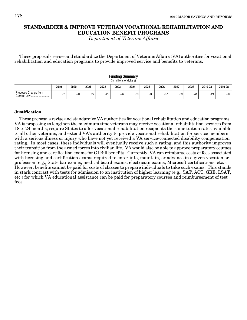# **STANDARDIZE & IMPROVE VETERAN VOCATIONAL REHABILITATION AND EDUCATION BENEFIT PROGRAMS**

Department of Veterans Affairs

These proposals revise and standardize the Department of Veterans Affairs (VA) authorities for vocational rehabilitation and education programs to provide improved service and benefits to veterans.

|                                                                                                    |    |       |     |       | <b>Funding Summary</b><br>(In millions of dollars) |       |       |       |       |       |       |        |  |
|----------------------------------------------------------------------------------------------------|----|-------|-----|-------|----------------------------------------------------|-------|-------|-------|-------|-------|-------|--------|--|
| 2025<br>2023<br>2027<br>2019<br>2021<br>2022<br>2024<br>2026<br>2028<br>2019-23<br>2019-28<br>2020 |    |       |     |       |                                                    |       |       |       |       |       |       |        |  |
| Proposed Change from                                                                               | 72 | $-20$ | -22 | $-25$ | $-26$                                              | $-33$ | $-35$ | $-37$ | $-39$ | $-41$ | $-21$ | $-206$ |  |

#### **Justification**

These proposals revise and standardize VA authorities for vocational rehabilitation and education programs. VA is proposing to lengthen the maximum time veterans may receive vocational rehabilitation services from 18 to 24 months; require States to offer vocational rehabilitation recipients the same tuition rates available to all other veterans; and extend VA's authority to provide vocational rehabilitation for service members with a serious illness or injury who have not yet received a VA service-connected disability compensation rating. In most cases, these individuals will eventually receive such a rating, and this authority improves their transition from the armed forces into civilian life. VA would also be able to approve preparatory courses for licensing and certification exams for GI Bill benefits. Currently, VA can reimburse costs of fees associated with licensing and certification exams required to enter into, maintain, or advance in a given vocation or profession (e.g., State bar exams, medical board exams, electrician exams, Microsoft certifications, etc.). However, benefits cannot be paid for costs of classes to prepare individuals to take such exams. This stands in stark contrast with tests for admission to an institution of higher learning (e.g., SAT, ACT, GRE, LSAT, etc.) for which VA educational assistance can be paid for preparatory courses and reimbursement of test fees.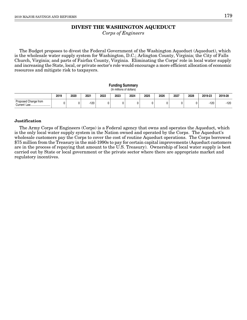# **DIVEST THE WASHINGTON AQUEDUCT**

Corps of Engineers

The Budget proposes to divest the Federal Government of the Washington Aqueduct (Aqueduct), which is the wholesale water supply system for Washington, D.C.; Arlington County, Virginia; the City of Falls Church, Virginia; and parts of Fairfax County, Virginia. Eliminating the Corps' role in local water supply and increasing the State, local, or private sector's role would encourage a more efficient allocation of economic resources and mitigate risk to taxpayers.

#### **Funding Summary** (In millions of dollars)

|                                          | 2019 | 2020 | 2021   | 2022 | 2023 | 2024 | 2025 | 2026 | 2027 | 2028 | 2019-23 | 2019-28 |
|------------------------------------------|------|------|--------|------|------|------|------|------|------|------|---------|---------|
| Proposed Change from<br>Current Ⅰ<br>Law |      |      | $-120$ |      |      |      |      |      |      |      | -120    | $-120$  |

#### **Justification**

The Army Corps of Engineers (Corps) is a Federal agency that owns and operates the Aqueduct, which is the only local water supply system in the Nation owned and operated by the Corps. The Aqueduct's wholesale customers pay the Corps to cover the cost of routine Aqueduct operations. The Corps borrowed \$75 million from the Treasury in the mid-1990s to pay for certain capital improvements (Aqueduct customers are in the process of repaying that amount to the U.S. Treasury). Ownership of local water supply is best carried out by State or local government or the private sector where there are appropriate market and regulatory incentives.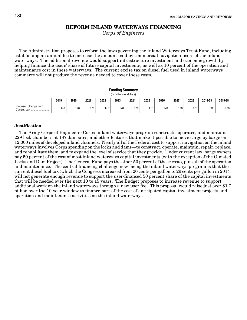## **REFORM INLAND WATERWAYS FINANCING**

Corps of Engineers

The Administration proposes to reform the laws governing the Inland Waterways Trust Fund, including establishing an annual fee to increase the amount paid by commercial navigation users of the inland waterways. The additional revenue would support infrastructure investment and economic growth by helping finance the users' share of future capital investments, as well as 10 percent of the operation and maintenance cost in these waterways. The current excise tax on diesel fuel used in inland waterways commerce will not produce the revenue needed to cover these costs.

|                                                                                                    | Funding Summary<br>(In millions of dollars) |      |        |      |      |        |        |        |        |        |      |          |  |  |
|----------------------------------------------------------------------------------------------------|---------------------------------------------|------|--------|------|------|--------|--------|--------|--------|--------|------|----------|--|--|
| 2026<br>2027<br>2024<br>2025<br>2022<br>2023<br>2028<br>2019<br>2020<br>2021<br>2019-23<br>2019-28 |                                             |      |        |      |      |        |        |        |        |        |      |          |  |  |
| Proposed Change from<br>Current Law                                                                | -178                                        | -178 | $-178$ | -178 | -178 | $-178$ | $-178$ | $-178$ | $-178$ | $-178$ | -890 | $-1,780$ |  |  |

#### **Justification**

The Army Corps of Engineers (Corps) inland waterways program constructs, operates, and maintains 229 lock chambers at 187 dam sites, and other features that make it possible to move cargo by barge on 12,000 miles of developed inland channels. Nearly all of the Federal cost to support navigation on the inland waterways involves Corps spending on the locks and dams—to construct, operate, maintain, repair, replace, and rehabilitate them; and to expand the level of service that they provide. Under current law, barge owners pay 50 percent of the cost of most inland waterways capital investments (with the exception of the Olmsted Locks and Dam Project). The General Fund pays the other 50 percent of these costs, plus all of the operation and maintenance. The central financing challenge now facing the inland waterways program is that the current diesel fuel tax (which the Congress increased from 20 cents per gallon to 29 cents per gallon in 2014) will not generate enough revenue to support the user-financed 50 percent share of the capital investments that will be needed over the next 10 to 15 years. The Budget proposes to increase revenue to support additional work on the inland waterways through a new user fee. This proposal would raise just over \$1.7 billion over the 10 year window to finance part of the cost of anticipated capital investment projects and operation and maintenance activities on the inland waterways.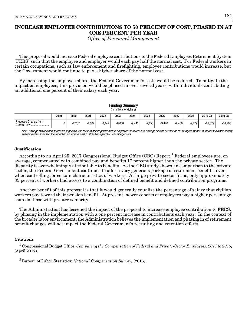# **INCREASE EMPLOYEE CONTRIBUTIONS TO 50 PERCENT OF COST, PHASED IN AT ONE PERCENT PER YEAR**

Office of Personnel Management

This proposal would increase Federal employee contributions to the Federal Employees Retirement System (FERS) such that the employee and employer would each pay half the normal cost. For Federal workers in certain occupations, such as law enforcement and firefighting, employee contributions would increase, but the Government would continue to pay a higher share of the normal cost.

By increasing the employee share, the Federal Government's costs would be reduced. To mitigate the impact on employees, this provision would be phased in over several years, with individuals contributing an additional one percent of their salary each year.

|                      |      |          |          |          | Fununiy Jummary<br>(In millions of dollars) |          |          |          |          |          |           |           |
|----------------------|------|----------|----------|----------|---------------------------------------------|----------|----------|----------|----------|----------|-----------|-----------|
|                      | 2019 | 2020     | 2021     | 2022     | 2023                                        | 2024     | 2025     | 2026     | 2027     | 2028     | 2019-23   | 2019-28   |
| Proposed Change from |      | $-2.267$ | $-4.602$ | $-6.442$ | $-8.068$                                    | $-9.441$ | $-9.456$ | $-9.470$ | $-9.480$ | $-9.479$ | $-21.379$ | $-68,705$ |

**Funding Summary**

Note: Savings exclude non-scoreable impacts due to the loss of intragovernmental employer share receipts. Savings also do not include the Budget proposal to reduce the discretionary spending limits to reflect the reductions in normal cost contributions paid by Federal agencies.

 $\mathbf{I}$ 

### **Justification**

According to an April 25, 2017 Congressional Budget Office (CBO) Report, $^1$  Federal employees are, on average, compensated with combined pay and benefits 17 percent higher than the private sector. The disparity is overwhelmingly attributable to benefits. As the CBO study shows, in comparison to the private sector, the Federal Government continues to offer a very generous package of retirement benefits, even when controlling for certain characteristics of workers. At large private sector firms, only approximately 35 percent of workers had access to a combination of defined benefit and defined contribution programs.

Another benefit of this proposal is that it would generally equalize the percentage of salary that civilian workers pay toward their pension benefit. At present, newer cohorts of employees pay a higher percentage than do those with greater seniority.

The Administration has lessened the impact of the proposal to increase employee contribution to FERS, by phasing in the implementation with a one percent increase in contributions each year. In the context of the broader labor environment, the Administration believes the implementation and phasing in of retirement benefit changes will not impact the Federal Government's recruiting and retention efforts.

#### **Citations**

 $^1$  Congressional Budget Office: *Comparing the Compensation of Federal and Private-Sector Employees, 2011 to 2015,* (April 2017).

 $2$  Bureau of Labor Statistics: National Compensation Survey, (2016).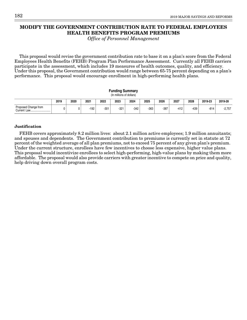# **MODIFY THE GOVERNMENT CONTRIBUTION RATE TO FEDERAL EMPLOYEES HEALTH BENEFITS PROGRAM PREMIUMS**

Office of Personnel Management

This proposal would revise the government contribution rate to base it on a plan's score from the Federal Employees Health Benefits (FEHB) Program Plan Performance Assessment. Currently all FEHB carriers participate in the assessment, which includes 19 measures of health outcomes, quality, and efficiency. Under this proposal, the Government contribution would range between 65-75 percent depending on a plan's performance. This proposal would encourage enrollment in high-performing health plans.

|                                                                                                    | <b>Funding Summary</b><br>(In millions of dollars) |  |        |        |      |        |      |      |        |        |        |          |  |  |
|----------------------------------------------------------------------------------------------------|----------------------------------------------------|--|--------|--------|------|--------|------|------|--------|--------|--------|----------|--|--|
| 2027<br>2020<br>2025<br>2026<br>2019-23<br>2019<br>2021<br>2022<br>2023<br>2024<br>2019-28<br>2028 |                                                    |  |        |        |      |        |      |      |        |        |        |          |  |  |
| Proposed Change from                                                                               |                                                    |  | $-192$ | $-301$ | -321 | $-342$ | -363 | -387 | $-412$ | $-439$ | $-814$ | $-2,757$ |  |  |

#### **Justification**

FEHB covers approximately 8.2 million lives: about 2.1 million active employees; 1.9 million annuitants; and spouses and dependents. The Government contribution to premiums is currently set in statute at 72 percent of the weighted average of all plan premiums, not to exceed 75 percent of any given plan's premium. Under the current structure, enrollees have few incentives to choose less expensive, higher value plans. This proposal would incentivize enrollees to select high-performing, high-value plans by making them more affordable. The proposal would also provide carriers with greater incentive to compete on price and quality, help driving down overall program costs.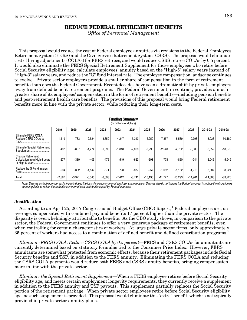## **REDUCE FEDERAL RETIREMENT BENEFITS**

Office of Personnel Management

This proposal would reduce the cost of Federal employee annuities via revisions to the Federal Employees Retirement System (FERS) and the Civil Service Retirement System (CSRS). The proposal would eliminate cost of living adjustments (COLAs) for FERS retirees, and would reduce CSRS retiree COLAs by 0.5 percent. It would also eliminate the FERS Special Retirement Supplement for those employees who retire before Social Security eligibility age, calculate employees' annuity based on the "High-5" salary years instead of "High-3" salary years, and reduce the "G" fund interest rate. The employee compensation landscape continues to evolve. Private sector employers provide a smaller share of compensation in the form of retirement benefits than does the Federal Government. Recent decades have seen a dramatic shift by private employers away from defined benefit retirement programs. The Federal Government, in contrast, provides a much greater share of its employees' compensation in the form of retirement benefits—including pension benefits and post-retirement health care benefits. The provisions of this proposal would bring Federal retirement benefits more in line with the private sector, while reducing their long-term costs.

|                                                                       | (In millions of dollars) |          |          |          |          |          |           |           |           |           |           |           |  |  |  |
|-----------------------------------------------------------------------|--------------------------|----------|----------|----------|----------|----------|-----------|-----------|-----------|-----------|-----------|-----------|--|--|--|
|                                                                       | 2019                     | 2020     | 2021     | 2022     | 2023     | 2024     | 2025      | 2026      | 2027      | 2028      | 2019-23   | 2019-28   |  |  |  |
| Eliminate FERS COLA,<br>Reduce CSRS COLA by                           | $-1,119$                 | $-1,783$ | $-2,524$ | $-3,350$ | $-4,247$ | $-5,213$ | $-6,250$  | $-7,357$  | $-8,539$  | $-9.798$  | $-13,023$ | $-50,180$ |  |  |  |
| Eliminate Special Retirement<br>Supplement                            | $-497$                   | $-867$   | $-1,274$ | $-1,596$ | $-1,818$ | $-2,028$ | $-2,290$  | $-2,540$  | $-2,762$  | $-3,003$  | $-6,052$  | $-18,675$ |  |  |  |
| Change Retirement<br>Calculation from High-3 years<br>to High-5 years | $-277$                   | $-339$   | $-405$   | $-476$   | $-549$   | $-623$   | $-698$    | $-778$    | $-860$    | $-944$    | $-2,046$  | $-5,949$  |  |  |  |
| Reduce the G Fund Interest<br>Rate.<br>                               | $-694$                   | $-382$   | $-1.142$ | $-671$   | $-798$   | $-877$   | $-957$    | $-1.052$  | $-1,132$  | $-1.216$  | $-3,687$  | $-8,921$  |  |  |  |
| Total                                                                 | $-2,587$                 | $-3,371$ | $-5,345$ | $-6,093$ | $-7,412$ | $-8,741$ | $-10.195$ | $-11.727$ | $-13,293$ | $-14,961$ | $-24,808$ | $-83,725$ |  |  |  |

**Funding Summary**

Note: Savings exclude non-scoreable impacts due to the loss of intragovernmental employer share receipts. Savings also do not include the Budget proposal to reduce the discretionary spending limits to reflect the reductions in normal cost contributions paid by Federal agencies.

#### **Justification**

According to an April 25, 2017 Congressional Budget Office (CBO) Report, $^1$  Federal employees are, on average, compensated with combined pay and benefits 17 percent higher than the private sector. The disparity is overwhelmingly attributable to benefits. As the CBO study shows, in comparison to the private sector, the Federal Government continues to offer a very generous package of retirement benefits, even when controlling for certain characteristics of workers. At large private sector firms, only approximately 35 percent of workers had access to a combination of defined benefit and defined contribution programs.<sup>2</sup>

Eliminate FERS COLA, Reduce CSRS COLA by 0.5 percent—FERS and CSRS COLAs for annuitants are currently determined based on statutory formulas tied to the Consumer Price Index. However, FERS annuitants are somewhat protected from economic effects, because their retirement packages include Social Security benefits and TSP, in addition to the FERS annuity. Eliminating the FERS COLA and reducing the CSRS COLA payments would reduce both FERS and CSRS annuity benefits, bringing compensation more in line with the private sector.

Eliminate the Special Retirement Supplement—When a FERS employee retires before Social Security eligibility age, and meets certain employment longevity requirements, they currently receive a supplement in addition to the FERS annuity and TSP payouts. This supplement partially replaces the Social Security portion of the retirement package. When private sector employees retire before Social Security eligibility age, no such supplement is provided. This proposal would eliminate this "extra" benefit, which is not typically provided in private sector annuity plans.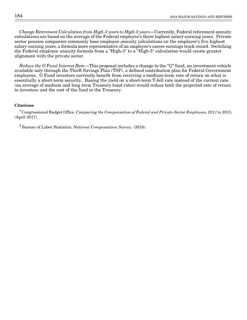Change Retirement Calculation from High-3 years to High-5 years—Currently, Federal retirement annuity calculations are based on the average of the Federal employee's three highest salary-earning years. Private sector pension companies commonly base employee annuity calculations on the employee's five highest salary-earning years, a formula more representative of an employee's career earnings track record. Switching the Federal employee annuity formula from a "High-3" to a "High-5" calculation would create greater alignment with the private sector.

Reduce the G Fund Interest Rate—This proposal includes a change to the "G" fund, an investment vehicle available only through the Thrift Savings Plan (TSP), a defined contribution plan for Federal Government employees. G Fund investors currently benefit from receiving a medium-term rate of return on what is essentially a short-term security. Basing the yield on a short-term T-bill rate instead of the current rate (an average of medium and long term Treasury bond rates) would reduce both the projected rate of return to investors and the cost of the fund to the Treasury.

#### **Citations**

<sup>1</sup> Congressional Budget Office: Comparing the Compensation of Federal and Private-Sector Employees, 2011 to 2015, (April 2017).

 $2$  Bureau of Labor Statistics: National Compensation Survey, (2016).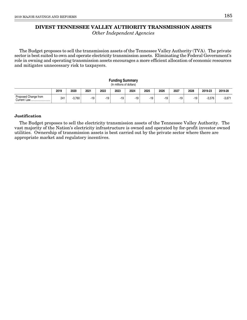# **DIVEST TENNESSEE VALLEY AUTHORITY TRANSMISSION ASSETS**

Other Independent Agencies

The Budget proposes to sell the transmission assets of the Tennessee Valley Authority (TVA). The private sector is best suited to own and operate electricity transmission assets. Eliminating the Federal Government's role in owning and operating transmission assets encourages a more efficient allocation of economic resources and mitigates unnecessary risk to taxpayers.

#### **Funding Summary** (In millions of dollars)

|                                        | 2019 | 2020  | 2021             | 2022    | 2023 | 2024 | 2025  | 2026  | 2027  | 2028  | 2019-23  | 2019-28  |
|----------------------------------------|------|-------|------------------|---------|------|------|-------|-------|-------|-------|----------|----------|
| Proposed Change from<br>Current<br>Law | 241  | 3.760 | $-10^{-7}$<br>ιJ | 10<br>ι | .19  | -19  | $-19$ | $-19$ | $-19$ | $-19$ | $-3.576$ | $-3.67'$ |

#### **Justification**

The Budget proposes to sell the electricity transmission assets of the Tennessee Valley Authority. The vast majority of the Nation's electricity infrastructure is owned and operated by for-profit investor owned utilities. Ownership of transmission assets is best carried out by the private sector where there are appropriate market and regulatory incentives.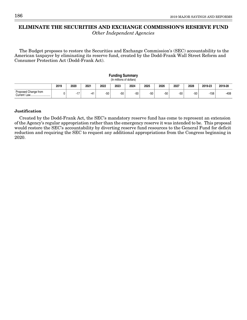# **ELIMINATE THE SECURITIES AND EXCHANGE COMMISSION'S RESERVE FUND**

Other Independent Agencies

The Budget proposes to restore the Securities and Exchange Commission's (SEC) accountability to the American taxpayer by eliminating its reserve fund, created by the Dodd-Frank Wall Street Reform and Consumer Protection Act (Dodd-Frank Act).

| <b>Funding Summary</b><br>(In millions of dollars) |      |            |       |       |       |       |       |       |       |       |         |         |
|----------------------------------------------------|------|------------|-------|-------|-------|-------|-------|-------|-------|-------|---------|---------|
|                                                    | 2019 | 2020       | 2021  | 2022  | 2023  | 2024  | 2025  | 2026  | 2027  | 2028  | 2019-23 | 2019-28 |
| Proposed Change from                               |      | 17<br>- 11 | $-41$ | $-50$ | $-50$ | $-50$ | $-50$ | $-50$ | $-50$ | $-50$ | $-158$  | $-408$  |

#### **Justification**

Created by the Dodd-Frank Act, the SEC's mandatory reserve fund has come to represent an extension of the Agency's regular appropriation rather than the emergency reserve it was intended to be. This proposal would restore the SEC's accountability by diverting reserve fund resources to the General Fund for deficit reduction and requiring the SEC to request any additional appropriations from the Congress beginning in 2020.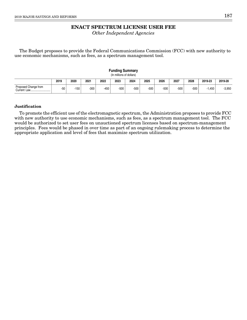# **ENACT SPECTRUM LICENSE USER FEE**

Other Independent Agencies

The Budget proposes to provide the Federal Communications Commission (FCC) with new authority to use economic mechanisms, such as fees, as a spectrum management tool.

| <b>Funding Summary</b><br>(In millions of dollars) |       |        |      |      |        |      |        |        |        |        |          |          |
|----------------------------------------------------|-------|--------|------|------|--------|------|--------|--------|--------|--------|----------|----------|
|                                                    | 2019  | 2020   | 2021 | 2022 | 2023   | 2024 | 2025   | 2026   | 2027   | 2028   | 2019-23  | 2019-28  |
| Proposed Change from<br>Current Law                | $-50$ | $-150$ | -300 | -450 | $-500$ | -500 | $-500$ | $-500$ | $-500$ | $-500$ | $-1.450$ | $-3,950$ |

#### **Justification**

To promote the efficient use of the electromagnetic spectrum, the Administration proposes to provide FCC with new authority to use economic mechanisms, such as fees, as a spectrum management tool. The FCC would be authorized to set user fees on unauctioned spectrum licenses based on spectrum-management principles. Fees would be phased in over time as part of an ongoing rulemaking process to determine the appropriate application and level of fees that maximize spectrum utilization.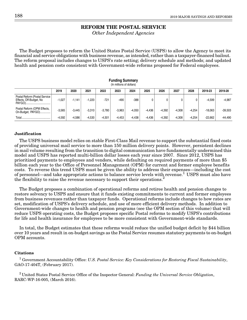# **REFORM THE POSTAL SERVICE**

Other Independent Agencies

The Budget proposes to reform the United States Postal Service (USPS) to allow the Agency to meet its financial and service obligations with business revenue, as intended, rather than a taxpayer-financed bailout. The reform proposal includes changes to USPS's rate setting; delivery schedule and methods; and updated health and pension costs consistent with Government-wide reforms proposed for Federal employees.

| (In millions of dollars)                                           |          |          |          |          |          |          |          |          |          |          |           |           |
|--------------------------------------------------------------------|----------|----------|----------|----------|----------|----------|----------|----------|----------|----------|-----------|-----------|
|                                                                    | 2019     | 2020     | 2021     | 2022     | 2023     | 2024     | 2025     | 2026     | 2027     | 2028     | 2019-23   | 2019-28   |
| Postal Reform (Postal Service<br>Effects, Off-Budget, No<br>PAYGO) | $-1.027$ | $-1.141$ | $-1.220$ | $-721$   | $-490$   | $-388$   | 0        |          |          | 0        | $-4.599$  | $-4,987$  |
| Postal Reform (OPM Effects,<br>On-Budget, PAYGO)                   | $-3.565$ | $-3.445$ | $-3.310$ | $-3.780$ | $-3.963$ | $-4.050$ | $-4.436$ | $-4.392$ | $-4.308$ | $-4.254$ | $-18.063$ | $-39,503$ |
| Total.                                                             | $-4.592$ | $-4.586$ | $-4.530$ | $-4.501$ | $-4.453$ | $-4.438$ | $-4.436$ | $-4.392$ | $-4.308$ | $-4.254$ | $-22.662$ | $-44.490$ |

**Funding Summary**

#### **Justification**

The USPS business model relies on stable First-Class Mail revenue to support the substantial fixed costs of providing universal mail service to more than 150 million delivery points. However, persistent declines in mail volume resulting from the transition to digital communication have fundamentally undermined this model and USPS has reported multi-billion dollar losses each year since 2007. Since 2012, USPS has prioritized payments to employees and vendors, while defaulting on required payments of more than \$5 billion each year to the Office of Personnel Management (OPM) for current and former employee benefits costs. To reverse this trend USPS must be given the ability to address their expenses—including the cost of personnel—and take appropriate actions to balance service levels with revenue.<sup>1</sup> USPS must also have the flexibility to raise the revenue necessary to support their operations.<sup>2</sup>

The Budget proposes a combination of operational reforms and retiree health and pension changes to restore solvency to USPS and ensure that it funds existing commitments to current and former employees from business revenues rather than taxpayer funds. Operational reforms include changes to how rates are set, modification of USPS's delivery schedule, and use of more efficient delivery methods. In addition to Government-wide changes to health and pension programs (see the OPM section of this volume) that will reduce USPS operating costs, the Budget proposes specific Postal reforms to modify USPS's contributions for life and health insurance for employees to be more consistent with Government-wide standards.

In total, the Budget estimates that these reforms would reduce the unified budget deficit by \$44 billion over 10 years and result in on-budget savings as the Postal Service resumes statutory payments to on-budget OPM accounts.

#### **Citations**

 $^1$  Government Accountability Office: U.S. Postal Service: Key Considerations for Restoring Fiscal Sustainability, GAO-17-404T, (February 2017).

 $2$ United States Postal Service Office of the Inspector General: Funding the Universal Service Obligation, RARC-WP-16-005, (March 2016).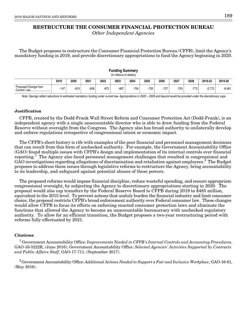# **RESTRUCTURE THE CONSUMER FINANCIAL PROTECTION BUREAU**

Other Independent Agencies

The Budget proposes to restructure the Consumer Financial Protection Bureau (CFPB), limit the Agency's mandatory funding in 2019, and provide discretionary appropriations to fund the Agency beginning in 2020.

| (In millions of dollars) |        |        |      |      |        |        |      |        |        |        |          |          |
|--------------------------|--------|--------|------|------|--------|--------|------|--------|--------|--------|----------|----------|
|                          | 2019   | 2020   | 2021 | 2022 | 2023   | 2024   | 2025 | 2026   | 2027   | 2028   | 2019-23  | 2019-28  |
| Proposed Change from     | $-147$ | $-610$ | -656 | -672 | $-687$ | $-704$ | -720 | $-737$ | $-755$ | $-773$ | $-2.772$ | $-6,461$ |

**Funding Summary**

Note: Savings reflect reductions to estimated mandatory funding under current law. Appropriations in 2020 – 2029 and beyond would be provided under the discretionary caps.

#### **Justification**

CFPB, created by the Dodd-Frank Wall Street Reform and Consumer Protection Act (Dodd-Frank), is an independent agency with a single unaccountable director who is able to draw funding from the Federal Reserve without oversight from the Congress. The Agency also has broad authority to unilaterally develop and enforce regulations irrespective of congressional intent or economic impact.

The CFPB's short history is rife with examples of the poor financial and personnel management decisions that can result from this form of unchecked authority. For example, the Government Accountability Office (GAO) found multiple issues with CFPB's design and implementation of its internal controls over financial reporting.<sup>1</sup> The Agency also faced personnel management challenges that resulted in congressional and GAO investigations regarding allegations of discrimination and retaliation against employees.<sup>2</sup> The Budget proposes to address these issues through legislative reforms to restructure the Agency, bring accountability to its leadership, and safeguard against potential abuses of these powers.

The proposed reforms would impose financial discipline, reduce wasteful spending, and ensure appropriate congressional oversight, by subjecting the Agency to discretionary appropriations starting in 2020. The proposal would also cap transfers by the Federal Reserve Board to CFPB during 2019 to \$485 million, equivalent to the 2015 level. To prevent actions that unduly burden the financial industry and limit consumer choice, the proposal restricts CFPB's broad enforcement authority over Federal consumer law. These changes would allow CFPB to focus its efforts on enforcing enacted consumer protection laws and eliminate the functions that allowed the Agency to become an unaccountable bureaucracy with unchecked regulatory authority. To allow for an efficient transition, the Budget proposes a two-year restructuring period with reforms fully effectuated by 2021.

#### **Citations**

 $^1$  Government Accountability Office: Improvements Needed in CFPB's Internal Controls and Accounting Procedures, GAO-16-5222R, (June 2016); Government Accountability Office: Selected Agencies' Activities Supported by Contracts and Public Affairs Staff, GAO-17-711, (September 2017).

 $2G$ overnment Accountability Office: Additional Actions Needed to Support a Fair and Inclusive Workplace, GAO-16-61, (May 2016).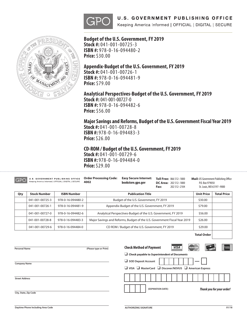



**Budget of the U.S. Government, FY 2019 Stock #:** 041-001-00725-3 **ISBN #:** 978-0-16-094480-2 **Price:** \$30.00

**Appendix-Budget of the U.S. Government, FY 2019 Stock #:** 041-001-00726-1 **ISBN #:** 978-0-16-094481-9 **Price:** \$79.00

# **Analytical Perspectives-Budget of the U.S. Government, FY 2019**

**Stock #:** 041-001-00727-0 **ISBN #:** 978-0-16-094482-6 **Price:** \$56.00

**Major Savings and Reforms, Budget of the U.S. Government Fiscal Year 2019 Stock #:** 041-001-00728-8

**ISBN #:** 978-0-16-094483-3 **Price:** \$26.00

**CD-ROM / Budget of the U.S. Government, FY 2019 Stock #:** 041-001-00729-6 **ISBN #:** 978-0-16-094484-0 **Price:** \$29.00

| GPO |                     | <b>U.S. GOVERNMENT PUBLISHING OFFICE</b><br>Keeping America Informed   OFFICIAL   DIGITAL   SECURE | <b>Order Processing Code:</b><br>4002 |                                                                           | <b>Mail: US Government Publishing Office</b><br>P.O. Box 979050<br>St. Louis, MO 63197-9000 |  |  |  |  |
|-----|---------------------|----------------------------------------------------------------------------------------------------|---------------------------------------|---------------------------------------------------------------------------|---------------------------------------------------------------------------------------------|--|--|--|--|
| Qty | <b>Stock Number</b> | <b>ISBN Number</b>                                                                                 |                                       | <b>Unit Price</b><br><b>Publication Title</b>                             |                                                                                             |  |  |  |  |
|     | 041-001-00725-3     | 978-0-16-094480-2                                                                                  |                                       | Budget of the U.S. Government, FY 2019                                    |                                                                                             |  |  |  |  |
|     | 041-001-00726-1     | 978-0-16-094481-9                                                                                  |                                       | Appendix-Budget of the U.S. Government, FY 2019                           |                                                                                             |  |  |  |  |
|     | 041-001-00727-0     | 978-0-16-094482-6                                                                                  |                                       | Analytical Perspectives-Budget of the U.S. Government, FY 2019            |                                                                                             |  |  |  |  |
|     | 041-001-00728-8     | 978-0-16-094483-3                                                                                  |                                       | Major Savings and Reforms, Budget of the U.S. Government Fiscal Year 2019 |                                                                                             |  |  |  |  |
|     | 041-001-00729-6     | 978-0-16-094484-0                                                                                  |                                       | CD ROM / Budget of the U.S. Government, FY 2019                           |                                                                                             |  |  |  |  |

**Total Order**

| <b>Personal Name</b>  | (Please type or Print) | <b>Check Method of Payment</b>                                                                     | <b>VISA</b> | MasterCard | <b>AMERICAN</b>                  |
|-----------------------|------------------------|----------------------------------------------------------------------------------------------------|-------------|------------|----------------------------------|
|                       |                        | $\Box$ Check payable to Superintendent of Documents                                                |             |            |                                  |
| <b>Company Name</b>   |                        | SOD Deposit Account<br>$\Box$ VISA $\Box$ MasterCard $\Box$ Discover/NOVUS $\Box$ American Express |             |            |                                  |
| <b>Street Address</b> |                        |                                                                                                    |             |            |                                  |
| City, State, Zip Code |                        | (EXPIRATION DATE)                                                                                  |             |            | <b>Thank you for your order!</b> |